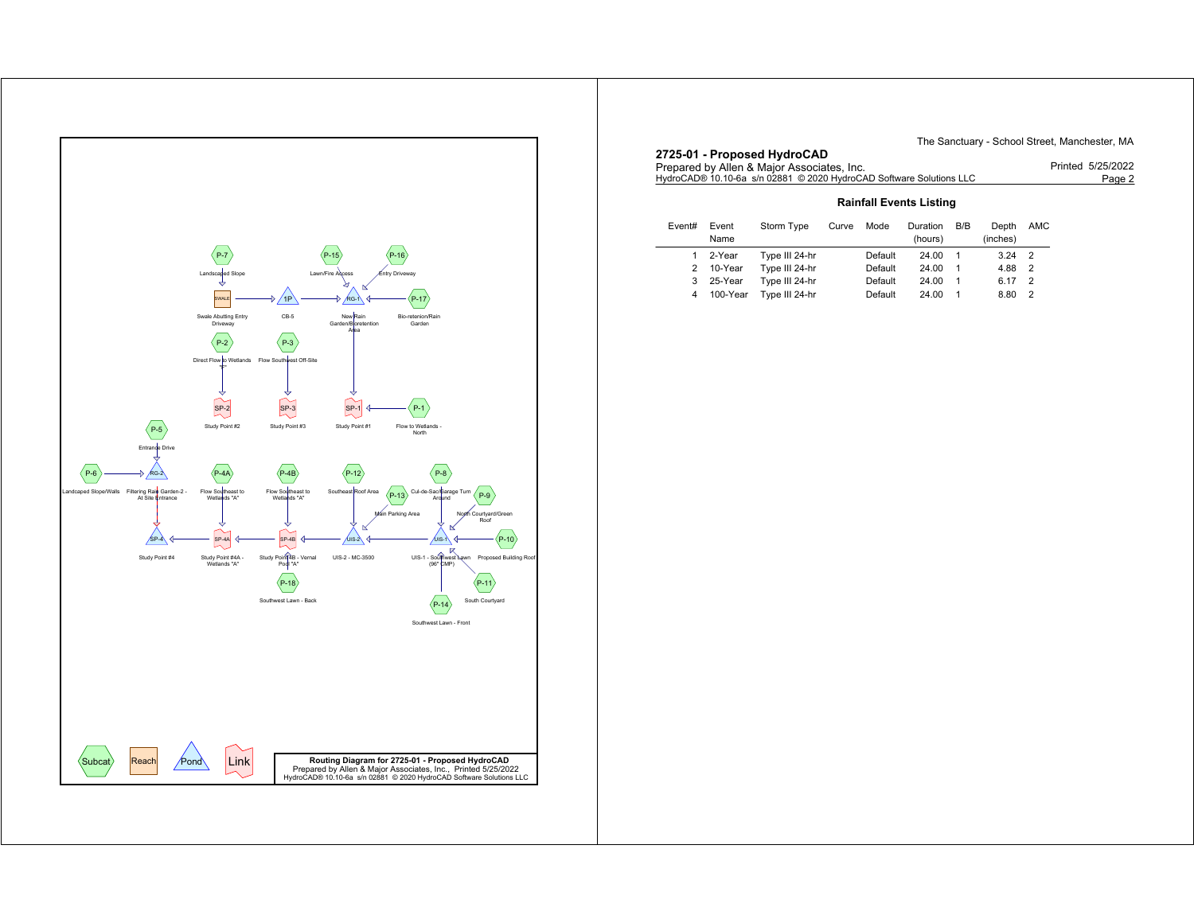

The Sanctuary - School Street, Manchester, MA

| 2725-01 - Proposed HydroCAD                                         | $1110$ can be called $1$ control. Calculation control in the state of $111$ |
|---------------------------------------------------------------------|-----------------------------------------------------------------------------|
| Prepared by Allen & Major Associates, Inc.                          | Printed 5/25/2022                                                           |
| HydroCAD® 10.10-6a s/n 02881 © 2020 HydroCAD Software Solutions LLC | Page 2                                                                      |

## **Rainfall Events Listing**

| Event# | Event<br>Name | Storm Type     | Curve | Mode    | Duration<br>(hours) | B/B | Depth<br>(inches) | AMC            |
|--------|---------------|----------------|-------|---------|---------------------|-----|-------------------|----------------|
| 1.     | 2-Year        | Type III 24-hr |       | Default | 24.00               |     | 3.24              | $\overline{2}$ |
| 2      | 10-Year       | Type III 24-hr |       | Default | 24.00               |     | 4.88              | $\overline{2}$ |
| 3      | 25-Year       | Type III 24-hr |       | Default | 24.00               |     | 6.17              | - 2            |
| 4      | 100-Year      | Type III 24-hr |       | Default | 24.00               |     | 8.80              | $\overline{2}$ |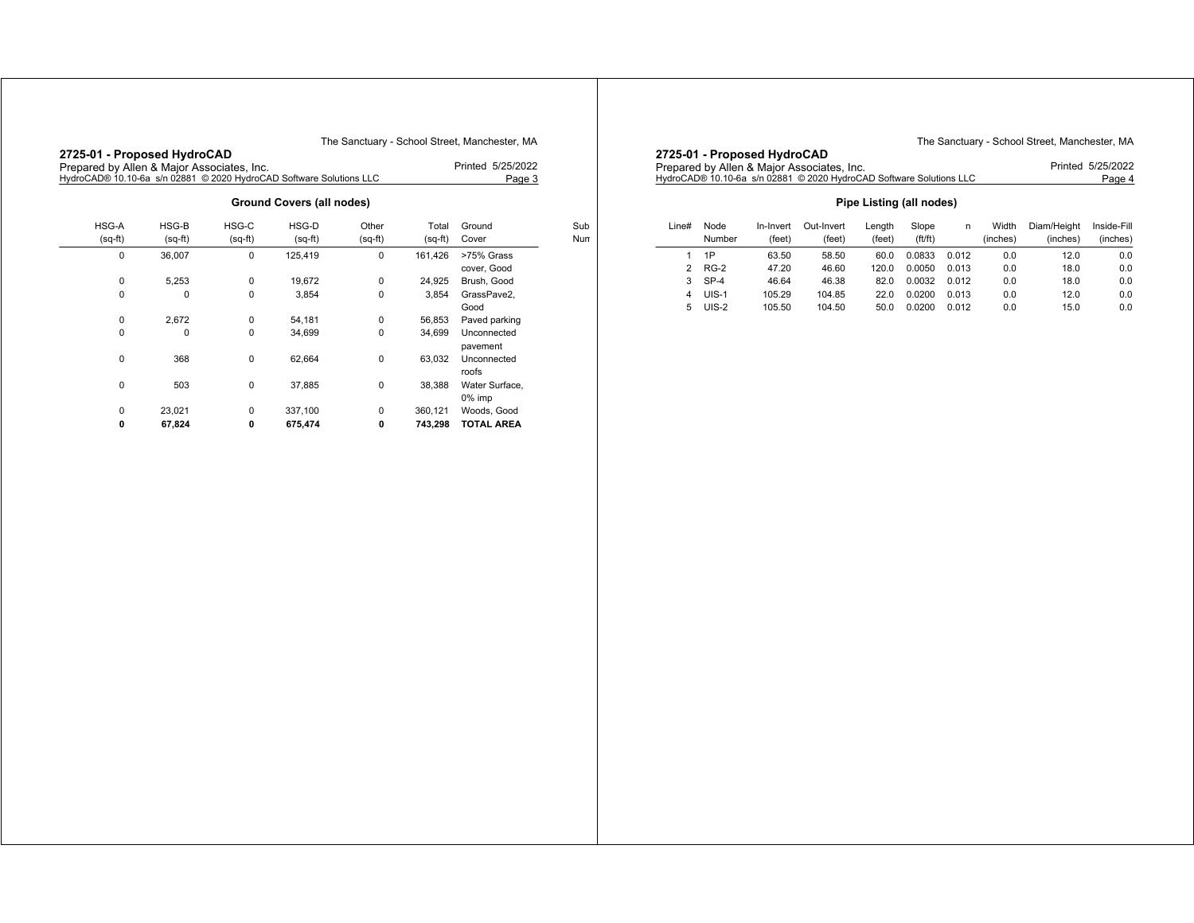#### The Sanctuary - School Street, Manchester, MA

| 2725-01 - Proposed HydroCAD<br>Printed 5/25/2022<br>Prepared by Allen & Major Associates, Inc.<br>HydroCAD® 10.10-6a s/n 02881 © 2020 HydroCAD Software Solutions LLC<br>Page 3 |                    |                    |                    |                    |                  |                           |  |  |  |  |
|---------------------------------------------------------------------------------------------------------------------------------------------------------------------------------|--------------------|--------------------|--------------------|--------------------|------------------|---------------------------|--|--|--|--|
| <b>Ground Covers (all nodes)</b>                                                                                                                                                |                    |                    |                    |                    |                  |                           |  |  |  |  |
| HSG-A<br>$(sq-ft)$                                                                                                                                                              | HSG-B<br>$(sq-ft)$ | HSG-C<br>$(sq-ft)$ | HSG-D<br>$(sq-ft)$ | Other<br>$(sq-ft)$ | Total<br>(sq-ft) | Ground<br>Cover           |  |  |  |  |
| 0                                                                                                                                                                               | 36,007             | $\mathbf 0$        | 125,419            | $\mathbf 0$        | 161,426          | >75% Grass<br>cover, Good |  |  |  |  |
| 0                                                                                                                                                                               | 5,253              | 0                  | 19,672             | 0                  | 24,925           | Brush, Good               |  |  |  |  |
| 0                                                                                                                                                                               | 0                  | $\Omega$           | 3.854              | 0                  | 3.854            | GrassPave2,<br>Good       |  |  |  |  |
| 0                                                                                                                                                                               | 2,672              | 0                  | 54,181             | 0                  | 56,853           | Paved parking             |  |  |  |  |
| 0                                                                                                                                                                               | 0                  | 0                  | 34.699             | 0                  | 34.699           | Unconnected<br>pavement   |  |  |  |  |
| 0                                                                                                                                                                               | 368                | 0                  | 62,664             | 0                  | 63,032           | Unconnected<br>roofs      |  |  |  |  |
| 0                                                                                                                                                                               | 503                | 0                  | 37,885             | 0                  | 38,388           | Water Surface,<br>0% imp  |  |  |  |  |
| 0                                                                                                                                                                               | 23,021             | 0                  | 337,100            | 0                  | 360,121          | Woods, Good               |  |  |  |  |

**0 67,824 0 675,474 0 743,298 TOTAL AREA**

**2725-01 - Proposed HydroCAD**

Sub Num The Sanctuary - School Street, Manchester, MA

| ZIZO-UT - FIUPUSUU NYUIUUMU                                                                           |                   |
|-------------------------------------------------------------------------------------------------------|-------------------|
| Prepared by Allen & Major Associates, Inc.                                                            | Printed 5/25/2022 |
| HvdroCAD® 10.10-6a_s/n                                   02881_© 2020 HvdroCAD Software Solutions LLC | Page 4            |

## **Pipe Listing (all nodes)**

| Line# | Node<br>Number | In-Invert<br>(feet) | Out-Invert<br>(feet) | Lenath<br>(feet) | Slope<br>(f t / f t) | n     | Width<br>(inches) | Diam/Height<br>(inches) | Inside-Fill<br>(inches) |
|-------|----------------|---------------------|----------------------|------------------|----------------------|-------|-------------------|-------------------------|-------------------------|
|       |                |                     |                      |                  |                      |       |                   |                         |                         |
|       | 1P             | 63.50               | 58.50                | 60.0             | 0.0833               | 0.012 | 0.0               | 12.0                    | 0.0                     |
| 2     | $RG-2$         | 47.20               | 46.60                | 120.0            | 0.0050               | 0.013 | 0.0               | 18.0                    | 0.0                     |
| 3     | $SP-4$         | 46.64               | 46.38                | 82.0             | 0.0032               | 0.012 | 0.0               | 18.0                    | 0.0                     |
| 4     | UIS-1          | 105.29              | 104.85               | 22.0             | 0.0200               | 0.013 | 0.0               | 12.0                    | 0.0                     |
| 5     | $UIS-2$        | 105.50              | 104.50               | 50.0             | 0.0200               | 0.012 | 0.0               | 15.0                    | 0.0                     |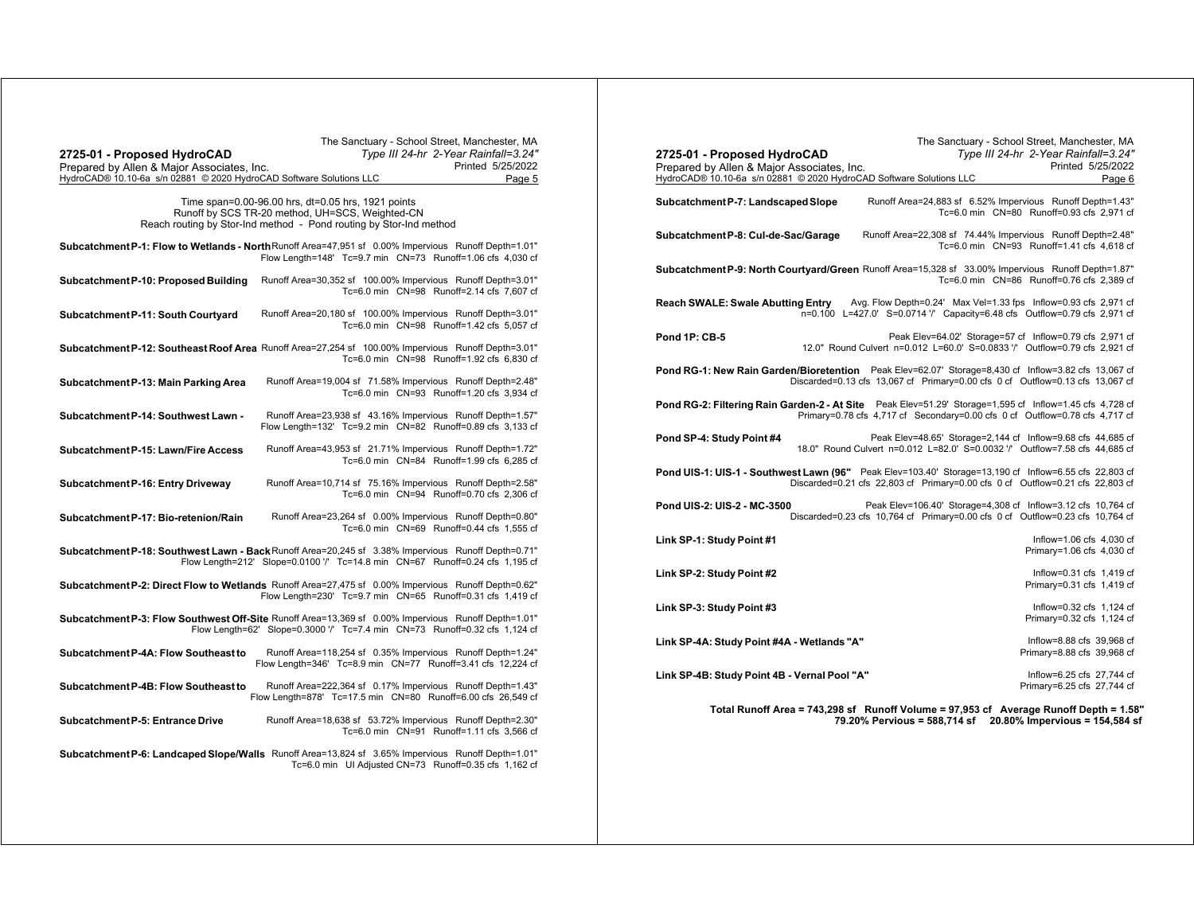| The Sanctuary - School Street, Manchester, MA<br>Type III 24-hr 2-Year Rainfall=3.24"<br>2725-01 - Proposed HydroCAD<br>Printed 5/25/2022<br>Prepared by Allen & Major Associates, Inc.<br>HydroCAD® 10.10-6a s/n 02881 © 2020 HydroCAD Software Solutions LLC<br>Page 5 | The Sanctuary - School Street, Manchester, MA<br>Type III 24-hr 2-Year Rainfall=3.24"<br>2725-01 - Proposed HydroCAD<br>Printed 5/25/2022<br>Prepared by Allen & Major Associates, Inc.<br>HydroCAD® 10.10-6a s/n 02881 © 2020 HydroCAD Software Solutions LLC<br>Page 6              |
|--------------------------------------------------------------------------------------------------------------------------------------------------------------------------------------------------------------------------------------------------------------------------|---------------------------------------------------------------------------------------------------------------------------------------------------------------------------------------------------------------------------------------------------------------------------------------|
| Time span=0.00-96.00 hrs, dt=0.05 hrs, 1921 points<br>Runoff by SCS TR-20 method, UH=SCS, Weighted-CN<br>Reach routing by Stor-Ind method - Pond routing by Stor-Ind method                                                                                              | Runoff Area=24,883 sf 6.52% Impervious Runoff Depth=1.43"<br>Subcatchment P-7: Landscaped Slope<br>Tc=6.0 min CN=80 Runoff=0.93 cfs 2,971 cf                                                                                                                                          |
| Subcatchment P-1: Flow to Wetlands - North Runoff Area=47,951 sf 0.00% Impervious Runoff Depth=1.01"<br>Flow Length=148' Tc=9.7 min CN=73 Runoff=1.06 cfs 4,030 cf                                                                                                       | Runoff Area=22,308 sf 74.44% Impervious Runoff Depth=2.48"<br>Subcatchment P-8: Cul-de-Sac/Garage<br>Tc=6.0 min CN=93 Runoff=1.41 cfs 4,618 cf                                                                                                                                        |
| Runoff Area=30,352 sf 100.00% Impervious Runoff Depth=3.01"<br>Subcatchment P-10: Proposed Building<br>Tc=6.0 min CN=98 Runoff=2.14 cfs 7.607 cf                                                                                                                         | Subcatchment P-9: North Courtyard/Green Runoff Area=15,328 sf 33.00% Impervious Runoff Depth=1.87"<br>Tc=6.0 min CN=86 Runoff=0.76 cfs 2,389 cf                                                                                                                                       |
| Runoff Area=20,180 sf 100.00% Impervious Runoff Depth=3.01"<br>Subcatchment P-11: South Courtyard<br>Tc=6.0 min CN=98 Runoff=1.42 cfs 5,057 cf                                                                                                                           | <b>Reach SWALE: Swale Abutting Entry</b><br>Avg. Flow Depth=0.24' Max Vel=1.33 fps Inflow=0.93 cfs 2,971 cf<br>n=0.100 L=427.0' S=0.0714 '/' Capacity=6.48 cfs Outflow=0.79 cfs 2,971 cf                                                                                              |
| Subcatchment P-12: Southeast Roof Area Runoff Area=27,254 sf 100.00% Impervious Runoff Depth=3.01"<br>Tc=6.0 min CN=98 Runoff=1.92 cfs 6,830 cf                                                                                                                          | Peak Elev=64.02' Storage=57 cf Inflow=0.79 cfs 2,971 cf<br>Pond 1P: CB-5<br>12.0" Round Culvert n=0.012 L=60.0' S=0.0833 '/' Outflow=0.79 cfs 2,921 cf                                                                                                                                |
| Runoff Area=19,004 sf 71.58% Impervious Runoff Depth=2.48"<br>Subcatchment P-13: Main Parking Area<br>Tc=6.0 min CN=93 Runoff=1.20 cfs 3,934 cf                                                                                                                          | Pond RG-1: New Rain Garden/Bioretention Peak Elev=62.07' Storage=8,430 cf Inflow=3.82 cfs 13,067 cf<br>Discarded=0.13 cfs 13,067 cf Primary=0.00 cfs 0 cf Outflow=0.13 cfs 13,067 cf                                                                                                  |
| Runoff Area=23,938 sf 43.16% Impervious Runoff Depth=1.57"<br>Subcatchment P-14: Southwest Lawn -<br>Flow Length=132' Tc=9.2 min  CN=82  Runoff=0.89 cfs  3,133  cf                                                                                                      | Pond RG-2: Filtering Rain Garden-2 - At Site Peak Elev=51.29' Storage=1,595 cf Inflow=1.45 cfs 4,728 cf<br>Primary=0.78 cfs 4,717 cf Secondary=0.00 cfs 0 cf Outflow=0.78 cfs 4,717 cf<br>Peak Elev=48.65' Storage=2,144 cf Inflow=9.68 cfs 44,685 cf                                 |
| Runoff Area=43,953 sf 21.71% Impervious Runoff Depth=1.72"<br>Subcatchment P-15: Lawn/Fire Access<br>Tc=6.0 min CN=84 Runoff=1.99 cfs 6,285 cf                                                                                                                           | Pond SP-4: Study Point #4<br>18.0" Round Culvert n=0.012 L=82.0' S=0.0032 '/' Outflow=7.58 cfs 44.685 cf                                                                                                                                                                              |
| Runoff Area=10,714 sf 75.16% Impervious Runoff Depth=2.58"<br>Subcatchment P-16: Entry Driveway<br>Tc=6.0 min CN=94 Runoff=0.70 cfs 2,306 cf                                                                                                                             | Pond UIS-1: UIS-1 - Southwest Lawn (96" Peak Elev=103.40' Storage=13,190 cf Inflow=6.55 cfs 22,803 cf<br>Discarded=0.21 cfs 22,803 cf Primary=0.00 cfs 0 cf Outflow=0.21 cfs 22,803 cf<br>Pond UIS-2: UIS-2 - MC-3500<br>Peak Elev=106.40' Storage=4,308 cf Inflow=3.12 cfs 10,764 cf |
| Subcatchment P-17: Bio-retenion/Rain<br>Runoff Area=23,264 sf 0.00% Impervious Runoff Depth=0.80"<br>Tc=6.0 min CN=69 Runoff=0.44 cfs 1,555 cf                                                                                                                           | Discarded=0.23 cfs 10,764 cf Primary=0.00 cfs 0 cf Outflow=0.23 cfs 10,764 cf<br>Inflow=1.06 cfs 4,030 cf                                                                                                                                                                             |
| Subcatchment P-18: Southwest Lawn - Back Runoff Area=20,245 sf 3.38% Impervious Runoff Depth=0.71"<br>Flow Length=212' Slope=0.0100 '/' Tc=14.8 min CN=67 Runoff=0.24 cfs 1.195 cf                                                                                       | Link SP-1: Study Point #1<br>Primary=1.06 cfs 4,030 cf<br>Inflow=0.31 cfs 1,419 cf                                                                                                                                                                                                    |
| Subcatchment P-2: Direct Flow to Wetlands Runoff Area=27,475 sf 0.00% Impervious Runoff Depth=0.62"<br>Flow Length=230' Tc=9.7 min  CN=65  Runoff=0.31 cfs  1,419  cf                                                                                                    | Link SP-2: Study Point #2<br>Primary=0.31 cfs 1,419 cf<br>Inflow=0.32 cfs 1,124 cf                                                                                                                                                                                                    |
| Subcatchment P-3: Flow Southwest Off-Site Runoff Area=13,369 sf 0.00% Impervious Runoff Depth=1.01"<br>Flow Length=62' Slope=0.3000 '/' Tc=7.4 min CN=73 Runoff=0.32 cfs 1,124 cf                                                                                        | Link SP-3: Study Point #3<br>Primary=0.32 cfs 1,124 cf<br>Inflow=8.88 cfs 39,968 cf                                                                                                                                                                                                   |
| Runoff Area=118,254 sf 0.35% Impervious Runoff Depth=1.24"<br>Subcatchment P-4A: Flow Southeast to<br>Flow Length=346' Tc=8.9 min  CN=77  Runoff=3.41 cfs 12,224  cf                                                                                                     | Link SP-4A: Study Point #4A - Wetlands "A"<br>Primary=8.88 cfs 39,968 cf<br>Inflow=6.25 cfs 27,744 cf<br>Link SP-4B: Study Point 4B - Vernal Pool "A"                                                                                                                                 |
| Runoff Area=222,364 sf 0.17% Impervious Runoff Depth=1.43"<br>Subcatchment P-4B: Flow Southeast to<br>Flow Length=878' Tc=17.5 min CN=80 Runoff=6.00 cfs 26,549 cf                                                                                                       | Primary=6.25 cfs 27,744 cf<br>Total Runoff Area = 743,298 sf Runoff Volume = 97,953 cf Average Runoff Depth = 1.58"                                                                                                                                                                   |
| Runoff Area=18,638 sf 53.72% Impervious Runoff Depth=2.30"<br>Subcatchment P-5: Entrance Drive<br>Tc=6.0 min CN=91 Runoff=1.11 cfs 3,566 cf                                                                                                                              | 79.20% Pervious = 588,714 sf 20.80% Impervious = 154,584 sf                                                                                                                                                                                                                           |
| Subcatchment P-6: Landcaped Slope/Walls Runoff Area=13,824 sf 3.65% Impervious Runoff Depth=1.01"<br>Tc=6.0 min UI Adjusted CN=73 Runoff=0.35 cfs 1,162 cf                                                                                                               |                                                                                                                                                                                                                                                                                       |
|                                                                                                                                                                                                                                                                          |                                                                                                                                                                                                                                                                                       |
|                                                                                                                                                                                                                                                                          |                                                                                                                                                                                                                                                                                       |

 $\mathbb{R}$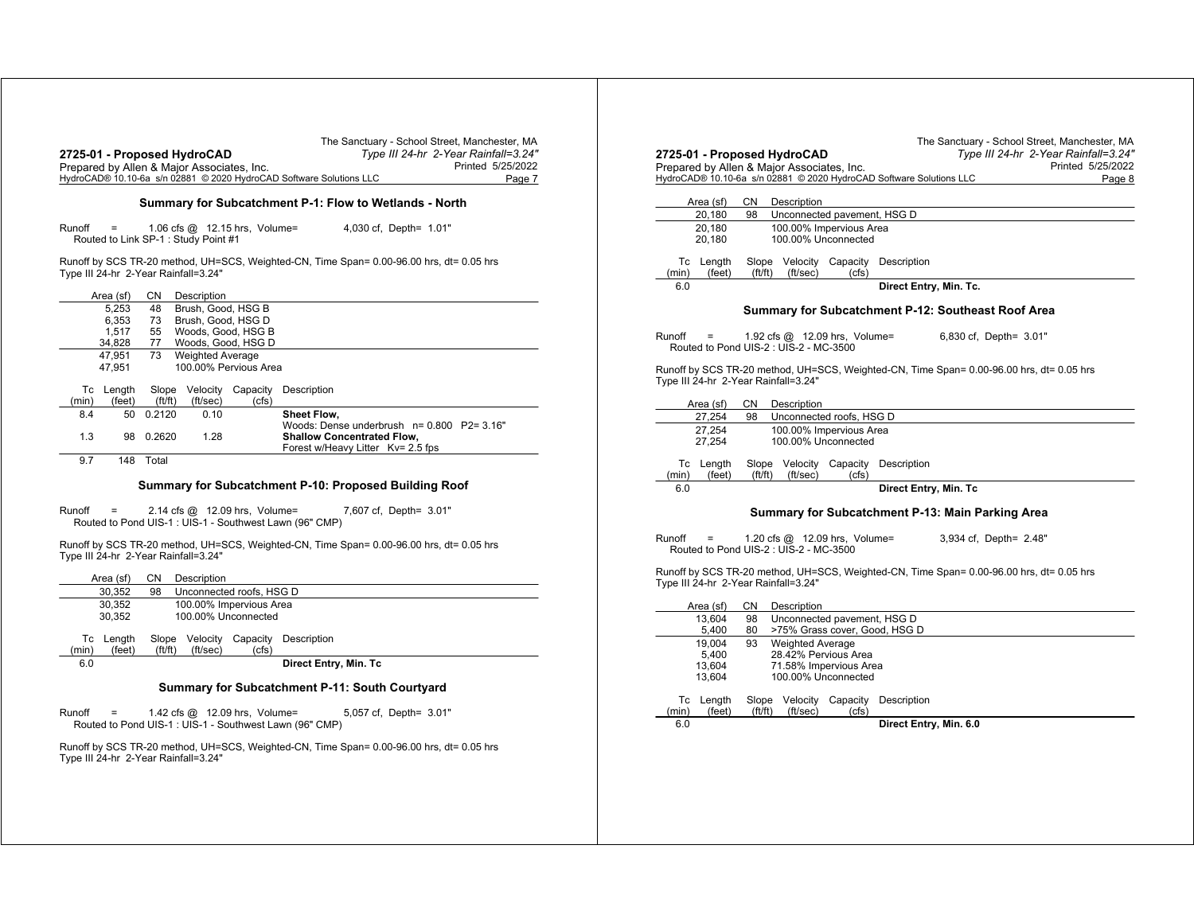| Prepared by Allen & Major Associates, Inc. | 2725-01 - Proposed HydroCAD          |                                          |       | The Sanctuary - School Street, Manchester, MA<br>Type III 24-hr 2-Year Rainfall=3.24"<br>Printed 5/25/2022<br>HydroCAD® 10.10-6a s/n 02881 © 2020 HydroCAD Software Solutions LLC<br>Page 7 |
|--------------------------------------------|--------------------------------------|------------------------------------------|-------|---------------------------------------------------------------------------------------------------------------------------------------------------------------------------------------------|
|                                            |                                      |                                          |       | Summary for Subcatchment P-1: Flow to Wetlands - North                                                                                                                                      |
| Runoff<br>Ξ                                |                                      | 1.06 cfs $@$ 12.15 hrs, Volume=          |       | 4,030 cf, Depth= 1.01"                                                                                                                                                                      |
|                                            | Routed to Link SP-1 : Study Point #1 |                                          |       |                                                                                                                                                                                             |
| Type III 24-hr 2-Year Rainfall=3.24"       |                                      |                                          |       | Runoff by SCS TR-20 method, UH=SCS, Weighted-CN, Time Span= 0.00-96.00 hrs, dt= 0.05 hrs                                                                                                    |
| Area (sf)                                  | CN                                   | Description                              |       |                                                                                                                                                                                             |
| 5.253                                      | 48                                   | Brush, Good, HSG B                       |       |                                                                                                                                                                                             |
| 6,353                                      | 73                                   | Brush, Good, HSG D                       |       |                                                                                                                                                                                             |
| 1,517<br>34,828                            | 55<br>77                             | Woods, Good, HSG B<br>Woods, Good, HSG D |       |                                                                                                                                                                                             |
| 47,951                                     | 73                                   | <b>Weighted Average</b>                  |       |                                                                                                                                                                                             |
| 47,951                                     |                                      | 100.00% Pervious Area                    |       |                                                                                                                                                                                             |
| Tc Length                                  |                                      |                                          |       | Slope Velocity Capacity Description                                                                                                                                                         |
| (min)                                      | (feet)<br>ft/ft)                     | (ft/sec)                                 | (cfs) |                                                                                                                                                                                             |
| 8.4                                        | 50 0.2120                            | 0.10                                     |       | <b>Sheet Flow,</b>                                                                                                                                                                          |
| 1.3                                        | 98 0.2620                            | 1.28                                     |       | Woods: Dense underbrush n= 0.800 P2= 3.16"<br><b>Shallow Concentrated Flow,</b><br>Forest w/Heavy Litter Kv= 2.5 fps                                                                        |
| 9.7                                        | 148 Total                            |                                          |       |                                                                                                                                                                                             |
|                                            |                                      |                                          |       | Summary for Subcatchment P-10: Proposed Building Roof                                                                                                                                       |
| Runoff<br>$\qquad \qquad =$                |                                      | 2.14 cfs @ 12.09 hrs, Volume=            |       | 7,607 cf, Depth= 3.01"<br>Routed to Pond UIS-1 : UIS-1 - Southwest Lawn (96" CMP)                                                                                                           |
| Type III 24-hr 2-Year Rainfall=3.24"       |                                      |                                          |       | Runoff by SCS TR-20 method, UH=SCS, Weighted-CN, Time Span= 0.00-96.00 hrs, dt= 0.05 hrs                                                                                                    |
| Area (sf)                                  | CN                                   | Description                              |       |                                                                                                                                                                                             |
| 30,352                                     | 98                                   | Unconnected roofs, HSG D                 |       |                                                                                                                                                                                             |
| 30.352                                     |                                      | 100.00% Impervious Area                  |       |                                                                                                                                                                                             |
| 30,352                                     |                                      | 100.00% Unconnected                      |       |                                                                                                                                                                                             |
| Tc Length<br>(min)                         | Slope<br>(feet)<br>ft/ft)            | Velocity<br>(ft/sec)                     | (cfs) | Capacity Description                                                                                                                                                                        |
| 6.0                                        |                                      |                                          |       | Direct Entry, Min. Tc                                                                                                                                                                       |
|                                            |                                      |                                          |       | Summary for Subcatchment P-11: South Courtyard                                                                                                                                              |
|                                            |                                      |                                          |       |                                                                                                                                                                                             |
| Runoff<br>$=$                              |                                      | 1.42 cfs @ 12.09 hrs, Volume=            |       | 5,057 cf, Depth= 3.01"<br>Routed to Pond UIS-1 : UIS-1 - Southwest Lawn (96" CMP)                                                                                                           |

|                                                        | 2725-01 - Proposed HydroCAD<br>Prepared by Allen & Maior Associates, Inc. |                                                              |                        | Type III 24-hr 2-Year Rainfall=3.24"                                                     | Printed 5/25/2022 |
|--------------------------------------------------------|---------------------------------------------------------------------------|--------------------------------------------------------------|------------------------|------------------------------------------------------------------------------------------|-------------------|
|                                                        | HydroCAD® 10.10-6a s/n 02881 © 2020 HydroCAD Software Solutions LLC       |                                                              |                        |                                                                                          | Page 8            |
|                                                        |                                                                           |                                                              |                        |                                                                                          |                   |
| Area (sf)                                              | Description<br>CN                                                         |                                                              |                        |                                                                                          |                   |
| 20,180                                                 | 98                                                                        | Unconnected pavement, HSG D                                  |                        |                                                                                          |                   |
| 20,180<br>20,180                                       |                                                                           | 100.00% Impervious Area<br>100.00% Unconnected               |                        |                                                                                          |                   |
| Tc Length<br>(min)<br>(feet)                           | Slope Velocity Capacity<br>ft/ft)<br>(ft/sec)                             | (cfs)                                                        | Description            |                                                                                          |                   |
| 6.0                                                    |                                                                           |                                                              | Direct Entry, Min. Tc. |                                                                                          |                   |
|                                                        |                                                                           |                                                              |                        | Summary for Subcatchment P-12: Southeast Roof Area                                       |                   |
| Runoff                                                 | 1.92 cfs @ 12.09 hrs, Volume=<br>Routed to Pond UIS-2 : UIS-2 - MC-3500   |                                                              |                        | 6,830 cf, Depth= 3.01"                                                                   |                   |
|                                                        | Type III 24-hr 2-Year Rainfall=3.24"                                      |                                                              |                        | Runoff by SCS TR-20 method, UH=SCS, Weighted-CN, Time Span= 0.00-96.00 hrs, dt= 0.05 hrs |                   |
| Area (sf)                                              | CN<br>Description                                                         |                                                              |                        |                                                                                          |                   |
| 27,254                                                 | 98                                                                        | Unconnected roofs, HSG D                                     |                        |                                                                                          |                   |
| 27.254<br>27,254                                       |                                                                           | 100.00% Impervious Area<br>100.00% Unconnected               |                        |                                                                                          |                   |
| Tc Length<br>(feet)<br>(min)                           | Slope<br>ft/ft)<br>(ft/sec)                                               | Velocity Capacity Description<br>(cfs)                       |                        |                                                                                          |                   |
| 6.0                                                    |                                                                           |                                                              | Direct Entry, Min. Tc  |                                                                                          |                   |
|                                                        |                                                                           |                                                              |                        | Summary for Subcatchment P-13: Main Parking Area                                         |                   |
|                                                        | 1.20 cfs $@$ 12.09 hrs, Volume=                                           |                                                              |                        | 3,934 cf, Depth= 2.48"                                                                   |                   |
| Runoff<br>$=$<br>Routed to Pond UIS-2: UIS-2 - MC-3500 |                                                                           |                                                              |                        |                                                                                          |                   |
|                                                        | Type III 24-hr 2-Year Rainfall=3.24"                                      |                                                              |                        | Runoff by SCS TR-20 method, UH=SCS, Weighted-CN, Time Span= 0.00-96.00 hrs, dt= 0.05 hrs |                   |
| Area (sf)                                              | Description<br>CN                                                         |                                                              |                        |                                                                                          |                   |
| 13,604<br>5,400                                        | 98<br>80                                                                  | Unconnected pavement, HSG D<br>>75% Grass cover, Good, HSG D |                        |                                                                                          |                   |
| 19.004                                                 | <b>Weighted Average</b><br>93                                             |                                                              |                        |                                                                                          |                   |
| 5.400                                                  |                                                                           | 28.42% Pervious Area                                         |                        |                                                                                          |                   |
| 13,604<br>13,604                                       |                                                                           | 71.58% Impervious Area<br>100.00% Unconnected                |                        |                                                                                          |                   |
| Tc Length<br>(feet)                                    | Slope Velocity Capacity<br>ft/ft)<br>(ft/sec)                             | (cfs)                                                        | Description            |                                                                                          |                   |
| (min)<br>6.0                                           |                                                                           |                                                              | Direct Entry, Min. 6.0 |                                                                                          |                   |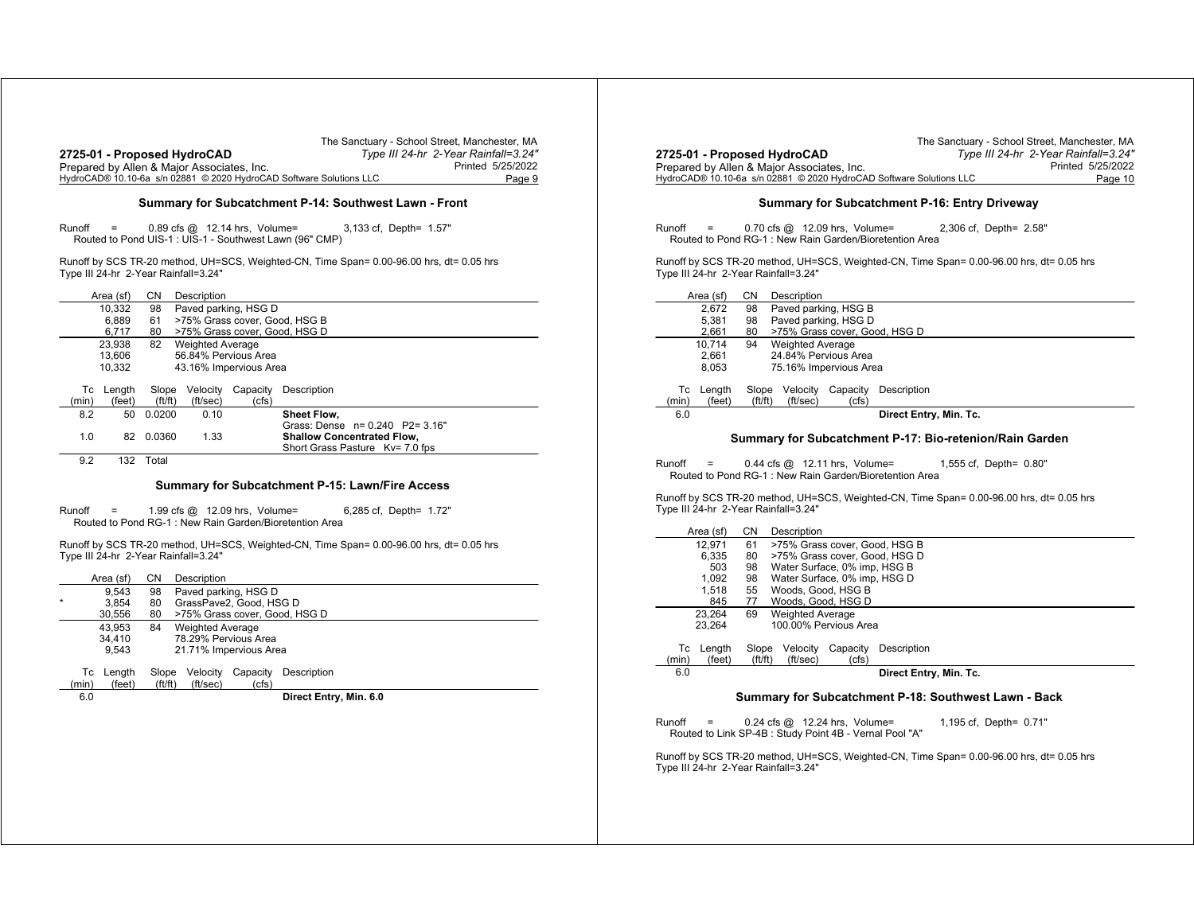|                                                                     | The Sanctuary - School Street, Manchester, MA |
|---------------------------------------------------------------------|-----------------------------------------------|
| 2725-01 - Proposed HydroCAD                                         | Type III 24-hr 2-Year Rainfall=3.24"          |
| Prepared by Allen & Major Associates, Inc.                          | Printed 5/25/2022                             |
| HydroCAD® 10.10-6a s/n 02881 © 2020 HydroCAD Software Solutions LLC | Page 9                                        |

#### **Summary for Subcatchment P-14: Southwest Lawn - Front**

Runoff <sup>=</sup> 0.89 cfs @ 12.14 hrs, Volume= 3,133 cf, Depth= 1.57" Routed to Pond UIS-1 : UIS-1 - Southwest Lawn (96" CMP)

Runoff by SCS TR-20 method, UH=SCS, Weighted-CN, Time Span= 0.00-96.00 hrs, dt= 0.05 hrs Type III 24-hr 2-Year Rainfall=3.24"

|       | Area (sf) | CΝ          | Description             |                        |                                   |
|-------|-----------|-------------|-------------------------|------------------------|-----------------------------------|
|       | 10.332    | 98          |                         | Paved parking, HSG D   |                                   |
|       | 6.889     | 61          |                         |                        | >75% Grass cover, Good, HSG B     |
|       | 6.717     | 80          |                         |                        | >75% Grass cover, Good, HSG D     |
|       | 23.938    | 82          | <b>Weighted Average</b> |                        |                                   |
|       | 13.606    |             |                         | 56.84% Pervious Area   |                                   |
|       | 10.332    |             |                         | 43.16% Impervious Area |                                   |
| Тc    | Lenath    | Slope       | Velocitv                | Capacity               | Description                       |
| (min) | (feet)    | (f t / f t) | (ft/sec)                | (cfs)                  |                                   |
| 8.2   | 50        | 0.0200      | 0.10                    |                        | Sheet Flow.                       |
|       |           |             |                         |                        | Grass: Dense n= 0.240 P2= 3.16"   |
| 1.0   | 82        | 0.0360      | 1.33                    |                        | <b>Shallow Concentrated Flow.</b> |
|       |           |             |                         |                        | Short Grass Pasture Ky= 7.0 fps   |
|       |           |             |                         |                        |                                   |

9.2 132 Total

#### **Summary for Subcatchment P-15: Lawn/Fire Access**

Runoff <sup>=</sup> 1.99 cfs @ 12.09 hrs, Volume= 6,285 cf, Depth= 1.72" Routed to Pond RG-1 : New Rain Garden/Bioretention Area

Runoff by SCS TR-20 method, UH=SCS, Weighted-CN, Time Span= 0.00-96.00 hrs, dt= 0.05 hrs Type III 24-hr 2-Year Rainfall=3.24"

|         | Area (sf) | СN          | Description             |          |                               |
|---------|-----------|-------------|-------------------------|----------|-------------------------------|
|         | 9.543     | 98          | Paved parking, HSG D    |          |                               |
| $\star$ | 3.854     | 80          | GrassPave2, Good, HSG D |          |                               |
|         | 30.556    | 80          |                         |          | >75% Grass cover, Good, HSG D |
|         | 43.953    | 84          | <b>Weighted Average</b> |          |                               |
|         | 34.410    |             | 78.29% Pervious Area    |          |                               |
|         | 9.543     |             | 21.71% Impervious Area  |          |                               |
| Тc      | Length    | Slope       | Velocity                | Capacity | Description                   |
| (min)   | (feet)    | (f t / f t) | (ft/sec)                | (cfs)    |                               |
| 6.0     |           |             |                         |          | Direct Entry, Min. 6.0        |
|         |           |             |                         |          |                               |

|                                                                     | The Sanctuary - School Street, Manchester, MA |
|---------------------------------------------------------------------|-----------------------------------------------|
| 2725-01 - Proposed HydroCAD                                         | Type III 24-hr 2-Year Rainfall=3.24"          |
| Prepared by Allen & Major Associates, Inc.                          | Printed 5/25/2022                             |
| HydroCAD® 10.10-6a s/n 02881 © 2020 HydroCAD Software Solutions LLC | Page 10                                       |
|                                                                     |                                               |

#### **Summary for Subcatchment P-16: Entry Driveway**

Runoff <sup>=</sup> 0.70 cfs @ 12.09 hrs, Volume= 2,306 cf, Depth= 2.58" Routed to Pond RG-1 : New Rain Garden/Bioretention Area

Runoff by SCS TR-20 method, UH=SCS, Weighted-CN, Time Span= 0.00-96.00 hrs, dt= 0.05 hrs Type III 24-hr 2-Year Rainfall=3.24"

|       | Area (sf) | CΝ     | Description             |          |                               |  |  |  |
|-------|-----------|--------|-------------------------|----------|-------------------------------|--|--|--|
|       | 2.672     | 98     | Paved parking, HSG B    |          |                               |  |  |  |
|       | 5.381     | 98     | Paved parking, HSG D    |          |                               |  |  |  |
|       | 2,661     | 80     |                         |          | >75% Grass cover, Good, HSG D |  |  |  |
|       | 10.714    | 94     | <b>Weighted Average</b> |          |                               |  |  |  |
|       | 2.661     |        | 24.84% Pervious Area    |          |                               |  |  |  |
|       | 8.053     |        | 75.16% Impervious Area  |          |                               |  |  |  |
|       |           |        |                         |          |                               |  |  |  |
| Тc    | Length    | Slope  | Velocity                | Capacity | Description                   |  |  |  |
| (min) | (feet)    | ft/ft) | (ft/sec)                | (cfs)    |                               |  |  |  |
| 6.0   |           |        |                         |          | Direct Entry, Min. Tc.        |  |  |  |
|       |           |        |                         |          |                               |  |  |  |

#### **Summary for Subcatchment P-17: Bio-retenion/Rain Garden**

Runoff <sup>=</sup> 0.44 cfs @ 12.11 hrs, Volume= 1,555 cf, Depth= 0.80" Routed to Pond RG-1 : New Rain Garden/Bioretention Area

Runoff by SCS TR-20 method, UH=SCS, Weighted-CN, Time Span= 0.00-96.00 hrs, dt= 0.05 hrs Type III 24-hr 2-Year Rainfall=3.24"

|       | Area (sf) | CΝ     | Description                  |          |                               |
|-------|-----------|--------|------------------------------|----------|-------------------------------|
|       | 12.971    | 61     |                              |          | >75% Grass cover, Good, HSG B |
|       | 6.335     | 80     |                              |          | >75% Grass cover, Good, HSG D |
|       | 503       | 98     | Water Surface, 0% imp, HSG B |          |                               |
|       | 1,092     | 98     | Water Surface, 0% imp, HSG D |          |                               |
|       | 1.518     | 55     | Woods, Good, HSG B           |          |                               |
|       | 845       | 77     | Woods, Good, HSG D           |          |                               |
|       | 23.264    | 69     | <b>Weighted Average</b>      |          |                               |
|       | 23.264    |        | 100.00% Pervious Area        |          |                               |
|       |           |        |                              |          |                               |
| Тc    | Length    | Slope  | Velocity                     | Capacity | Description                   |
| (min) | (feet)    | ft/ft) | (ft/sec)                     | (cfs)    |                               |
| 6.0   |           |        |                              |          | Direct Entry, Min. Tc.        |
|       |           |        |                              |          |                               |

#### **Summary for Subcatchment P-18: Southwest Lawn - Back**

| Runoff | - 200 | $0.24$ cfs $@$ 12.24 hrs, Volume=                       | 1,195 cf, Depth= 0.71" |
|--------|-------|---------------------------------------------------------|------------------------|
|        |       | Routed to Link SP-4B : Study Point 4B - Vernal Pool "A" |                        |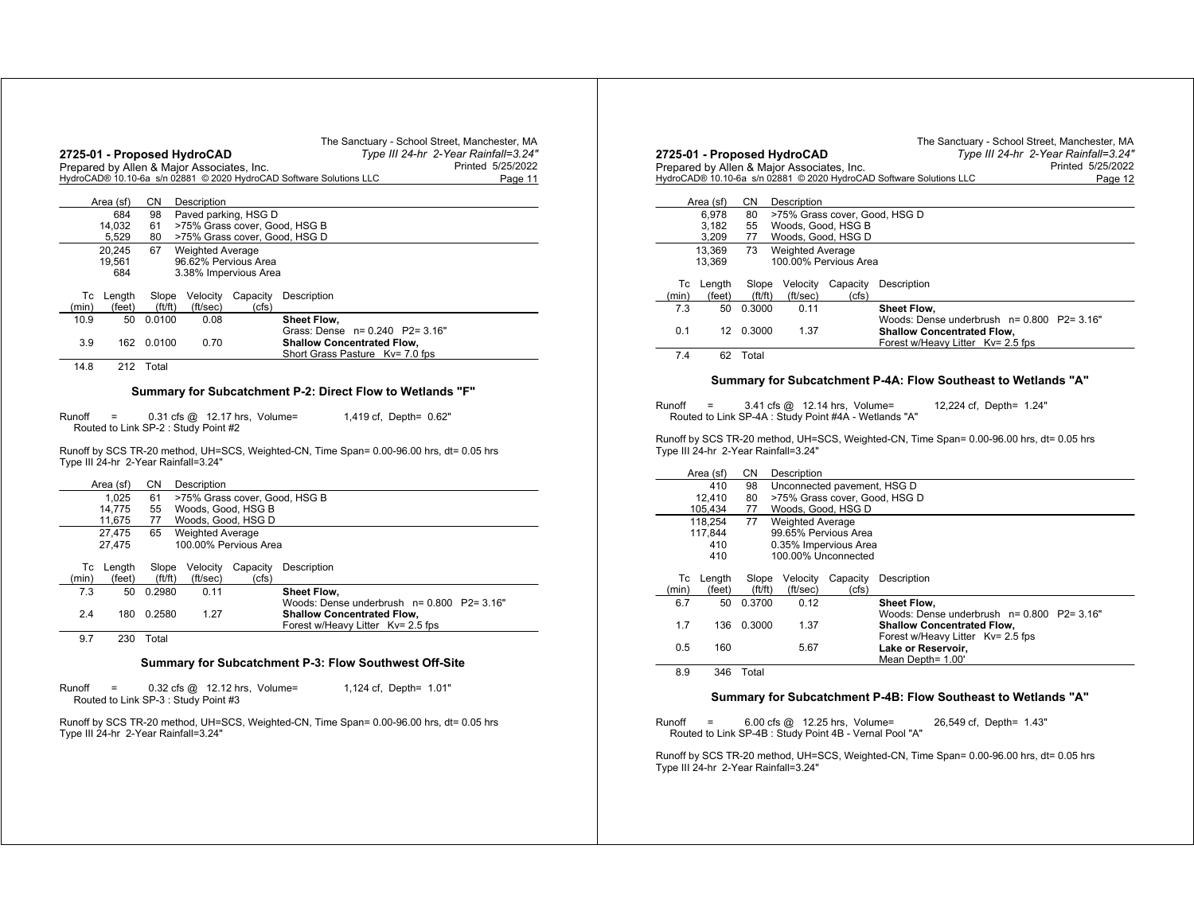|             |                                                 |                 | 2725-01 - Proposed HydroCAD                |                                                           | The Sanctuary - School Street, Manchester, MA<br>Type III 24-hr 2-Year Rainfall=3.24"    |
|-------------|-------------------------------------------------|-----------------|--------------------------------------------|-----------------------------------------------------------|------------------------------------------------------------------------------------------|
|             |                                                 |                 | Prepared by Allen & Major Associates, Inc. |                                                           | Printed 5/25/2022                                                                        |
|             |                                                 |                 |                                            |                                                           | HydroCAD® 10.10-6a s/n 02881 © 2020 HydroCAD Software Solutions LLC<br>Page 11           |
|             | Area (sf)                                       | CN              | Description                                |                                                           |                                                                                          |
|             | 684                                             | 98              |                                            | Paved parking, HSG D                                      |                                                                                          |
|             | 14,032<br>5,529                                 | 61<br>80        |                                            | >75% Grass cover, Good, HSG B                             | >75% Grass cover, Good, HSG D                                                            |
|             | 20.245                                          | 67              | <b>Weighted Average</b>                    |                                                           |                                                                                          |
|             | 19,561<br>684                                   |                 |                                            | 96.62% Pervious Area<br>3.38% Impervious Area             |                                                                                          |
| Тc<br>(min) | Length<br>(feet)                                | Slope<br>ft/ft) | Velocity<br>(ft/sec)                       | Capacity<br>(cfs)                                         | Description                                                                              |
| 10.9        | 50                                              | 0.0100          | 0.08                                       |                                                           | Sheet Flow.                                                                              |
|             |                                                 |                 |                                            |                                                           | Grass: Dense n= 0.240 P2= 3.16"                                                          |
| 3.9         | 162                                             | 0.0100          | 0.70                                       |                                                           | <b>Shallow Concentrated Flow.</b><br>Short Grass Pasture Kv= 7.0 fps                     |
| 14.8        |                                                 | 212 Total       |                                            |                                                           |                                                                                          |
|             |                                                 |                 |                                            |                                                           |                                                                                          |
|             |                                                 |                 |                                            |                                                           | Summary for Subcatchment P-2: Direct Flow to Wetlands "F"                                |
| Runoff      | $\equiv$<br>Routed to Link SP-2: Study Point #2 |                 |                                            | $0.31$ cfs $@$ 12.17 hrs, Volume=                         | 1,419 cf, Depth= 0.62"                                                                   |
|             |                                                 |                 |                                            |                                                           |                                                                                          |
|             |                                                 |                 | Type III 24-hr 2-Year Rainfall=3.24"       |                                                           | Runoff by SCS TR-20 method, UH=SCS, Weighted-CN, Time Span= 0.00-96.00 hrs, dt= 0.05 hrs |
|             | Area (sf)                                       | CN.             | Description                                |                                                           |                                                                                          |
|             | 1,025                                           | 61              |                                            |                                                           | >75% Grass cover, Good, HSG B                                                            |
|             | 14,775                                          | 55              |                                            | Woods, Good, HSG B                                        |                                                                                          |
|             | 11,675<br>27.475                                | 77<br>65        | <b>Weighted Average</b>                    | Woods, Good, HSG D                                        |                                                                                          |
|             | 27,475<br>Tc Length                             | Slope           | Velocity                                   | 100.00% Pervious Area<br>Capacity                         | Description                                                                              |
| (min)       | (feet)                                          | ft/ft)          | (ft/sec)                                   | (cfs)                                                     |                                                                                          |
| 7.3         | 50                                              | 0.2980          | 0.11                                       |                                                           | Sheet Flow.                                                                              |
| 2.4         | 180                                             | 0.2580          | 1.27                                       |                                                           | Woods: Dense underbrush n= 0.800 P2= 3.16"<br><b>Shallow Concentrated Flow,</b>          |
| 9.7         | 230                                             | Total           |                                            |                                                           | Forest w/Heavy Litter Kv= 2.5 fps                                                        |
|             |                                                 |                 |                                            |                                                           | Summary for Subcatchment P-3: Flow Southwest Off-Site                                    |
| Runoff      |                                                 |                 | Routed to Link SP-3 : Study Point #3       | $0.32 \text{ cfs} \text{ @ } 12.12 \text{ hrs}$ , Volume= | 1,124 cf, Depth= 1.01"                                                                   |

|        | 2725-01 - Proposed HydroCAD |                                |                                            |                                                                                        | Type III 24-hr 2-Year Rainfall=3.24"                                                                                |
|--------|-----------------------------|--------------------------------|--------------------------------------------|----------------------------------------------------------------------------------------|---------------------------------------------------------------------------------------------------------------------|
|        |                             |                                | Prepared by Allen & Major Associates, Inc. |                                                                                        | Printed 5/25/2022                                                                                                   |
|        |                             |                                |                                            |                                                                                        | HydroCAD® 10.10-6a s/n 02881 © 2020 HydroCAD Software Solutions LLC<br>Page 12                                      |
|        |                             |                                |                                            |                                                                                        |                                                                                                                     |
|        | Area (sf)                   | CN                             | Description                                |                                                                                        |                                                                                                                     |
|        | 6.978                       | 80                             |                                            |                                                                                        | >75% Grass cover, Good, HSG D                                                                                       |
|        | 3.182                       | 55                             |                                            | Woods, Good, HSG B                                                                     |                                                                                                                     |
|        | 3,209                       | 77                             |                                            | Woods, Good, HSG D                                                                     |                                                                                                                     |
|        | 13,369                      | 73                             | <b>Weighted Average</b>                    |                                                                                        |                                                                                                                     |
|        | 13,369                      |                                |                                            | 100.00% Pervious Area                                                                  |                                                                                                                     |
| Тc     | Length                      | Slope                          | Velocity                                   | Capacity                                                                               | Description                                                                                                         |
| (min)  | (feet)                      | ft/ft)                         | (ft/sec)                                   | (cfs)                                                                                  |                                                                                                                     |
| 7.3    | 50                          | 0.3000                         | 0.11                                       |                                                                                        | Sheet Flow,                                                                                                         |
|        |                             |                                |                                            |                                                                                        | Woods: Dense underbrush n= 0.800 P2= 3.16"                                                                          |
| 0.1    | 12                          | 0.3000                         | 1.37                                       |                                                                                        | <b>Shallow Concentrated Flow.</b>                                                                                   |
|        |                             |                                |                                            |                                                                                        | Forest w/Heavy Litter Kv= 2.5 fps                                                                                   |
| 7.4    |                             | 62 Total                       |                                            |                                                                                        |                                                                                                                     |
|        |                             |                                |                                            |                                                                                        | Summary for Subcatchment P-4A: Flow Southeast to Wetlands "A"                                                       |
| Runoff | =                           |                                | Type III 24-hr 2-Year Rainfall=3.24"       | 3.41 cfs @ 12.14 hrs, Volume=<br>Routed to Link SP-4A : Study Point #4A - Wetlands "A" | 12,224 cf, Depth= 1.24"<br>Runoff by SCS TR-20 method, UH=SCS, Weighted-CN, Time Span= 0.00-96.00 hrs, dt= 0.05 hrs |
|        |                             |                                |                                            |                                                                                        |                                                                                                                     |
|        | Area (sf)<br>410            | CN                             | Description                                |                                                                                        |                                                                                                                     |
|        | 12,410                      | 98<br>80                       |                                            | Unconnected pavement, HSG D                                                            | >75% Grass cover, Good, HSG D                                                                                       |
|        | 105,434                     | 77                             |                                            | Woods, Good, HSG D                                                                     |                                                                                                                     |
|        | 118.254                     | 77                             | <b>Weighted Average</b>                    |                                                                                        |                                                                                                                     |
|        | 117.844                     |                                |                                            | 99.65% Pervious Area                                                                   |                                                                                                                     |
|        | 410                         |                                |                                            | 0.35% Impervious Area                                                                  |                                                                                                                     |
|        | 410                         |                                |                                            | 100.00% Unconnected                                                                    |                                                                                                                     |
|        |                             |                                |                                            |                                                                                        |                                                                                                                     |
| (min)  | Tc Length<br>(feet)         | Slope<br>$({\rm ft}/{\rm ft})$ | Velocity<br>(ft/sec)                       | Capacity<br>(cfs)                                                                      | Description                                                                                                         |
| 6.7    | 50                          | 0.3700                         | 0.12                                       |                                                                                        |                                                                                                                     |
|        |                             |                                |                                            |                                                                                        | Sheet Flow,<br>Woods: Dense underbrush n= 0.800 P2= 3.16"                                                           |
| 1.7    | 136                         | 0.3000                         | 1.37                                       |                                                                                        | <b>Shallow Concentrated Flow,</b>                                                                                   |
|        |                             |                                |                                            |                                                                                        | Forest w/Heavy Litter Kv= 2.5 fps                                                                                   |
| 0.5    | 160                         |                                | 5.67                                       |                                                                                        | Lake or Reservoir,                                                                                                  |
| 8.9    | 346                         | Total                          |                                            |                                                                                        | Mean Depth= 1.00'                                                                                                   |

## **Summary for Subcatchment P-4B: Flow Southeast to Wetlands "A"**

Runoff <sup>=</sup> 6.00 cfs @ 12.25 hrs, Volume= 26,549 cf, Depth= 1.43" Routed to Link SP-4B : Study Point 4B - Vernal Pool "A"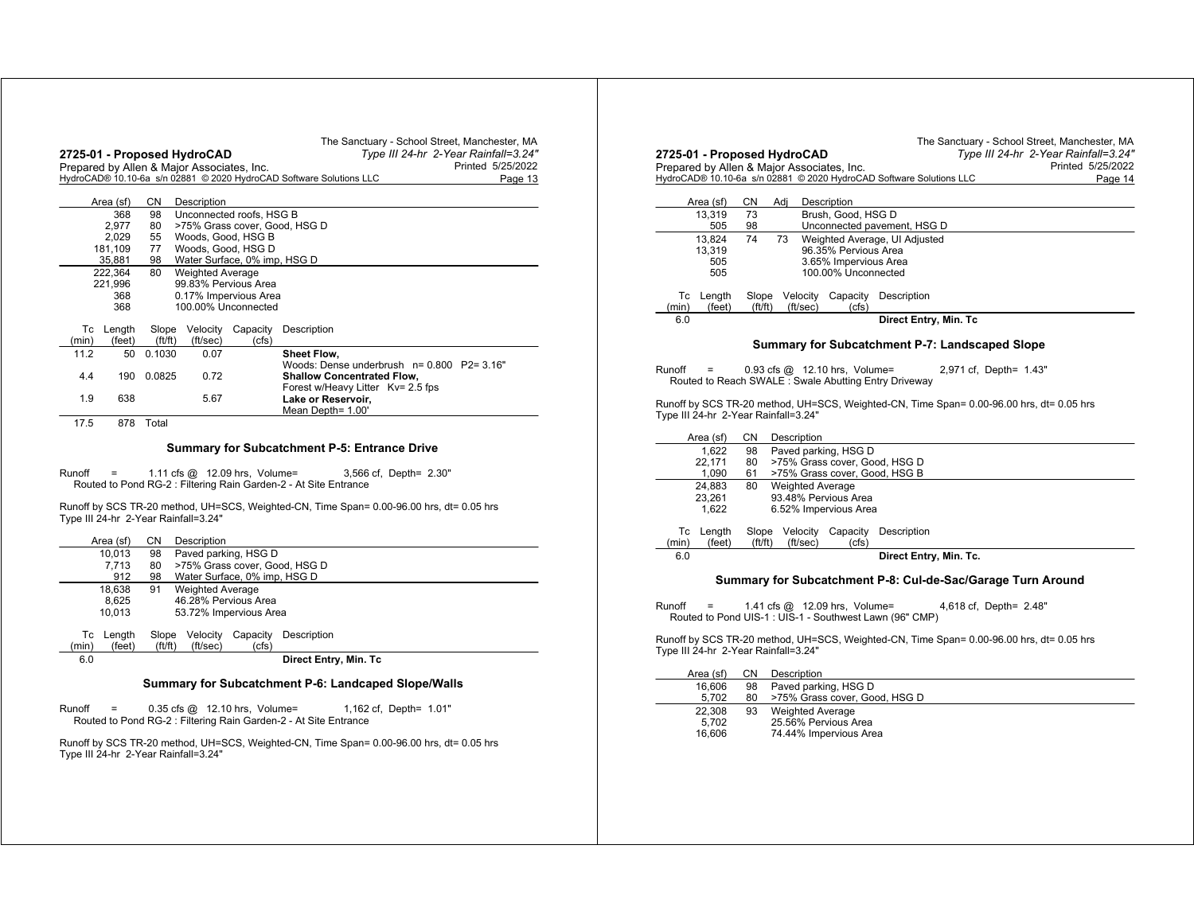|       |            |             | Prepared by Allen & Major Associates, Inc. |                                              | Printed 5/25/2022<br>HydroCAD® 10.10-6a s/n 02881 © 2020 HydroCAD Software Solutions LLC<br>Page 13 |
|-------|------------|-------------|--------------------------------------------|----------------------------------------------|-----------------------------------------------------------------------------------------------------|
|       | Area (sf)  | <b>CN</b>   | Description                                |                                              |                                                                                                     |
|       | 368        | 98          |                                            | Unconnected roofs, HSG B                     |                                                                                                     |
|       | 2.977      | 80          |                                            |                                              | >75% Grass cover, Good, HSG D                                                                       |
|       | 2,029      | 55          |                                            | Woods, Good, HSG B                           |                                                                                                     |
|       | 181,109    | 77          |                                            | Woods, Good, HSG D                           |                                                                                                     |
|       | 35,881     | 98          |                                            | Water Surface, 0% imp, HSG D                 |                                                                                                     |
|       | 222,364    | 80          | <b>Weighted Average</b>                    |                                              |                                                                                                     |
|       | 221.996    |             |                                            | 99.83% Pervious Area                         |                                                                                                     |
|       | 368<br>368 |             |                                            | 0.17% Impervious Area<br>100.00% Unconnected |                                                                                                     |
|       |            |             |                                            |                                              |                                                                                                     |
| Тc    | Length     | Slope       | Velocity                                   | Capacity                                     | Description                                                                                         |
| (min) | (feet)     | (f t / f t) | (ft/sec)                                   | (cfs)                                        |                                                                                                     |
| 11.2  | 50         | 0.1030      | 0.07                                       |                                              | Sheet Flow,                                                                                         |
|       |            |             |                                            |                                              | Woods: Dense underbrush n= 0.800 P2= 3.16"                                                          |
| 4.4   | 190        | 0.0825      | 0.72                                       |                                              | <b>Shallow Concentrated Flow,</b>                                                                   |
|       |            |             |                                            |                                              | Forest w/Heavy Litter Kv= 2.5 fps                                                                   |
| 1.9   | 638        |             | 5.67                                       |                                              | Lake or Reservoir.                                                                                  |
|       |            |             |                                            |                                              | Mean Depth= 1.00'                                                                                   |
| 17.5  | 878        | Total       |                                            |                                              |                                                                                                     |
|       |            |             |                                            |                                              |                                                                                                     |

Routed to Pond RG-2 : Filtering Rain Garden-2 - At Site Entrance

Runoff by SCS TR-20 method, UH=SCS, Weighted-CN, Time Span= 0.00-96.00 hrs, dt= 0.05 hrs Type III 24-hr 2-Year Rainfall=3.24"

|       | Area (sf) | CN.    | Description                   |                              |                                                      |  |  |  |
|-------|-----------|--------|-------------------------------|------------------------------|------------------------------------------------------|--|--|--|
|       | 10.013    | 98     | Paved parking, HSG D          |                              |                                                      |  |  |  |
|       | 7.713     | 80     | >75% Grass cover, Good, HSG D |                              |                                                      |  |  |  |
|       | 912       | 98     |                               | Water Surface, 0% imp, HSG D |                                                      |  |  |  |
|       | 18.638    | 91     | <b>Weighted Average</b>       |                              |                                                      |  |  |  |
|       | 8.625     |        |                               | 46.28% Pervious Area         |                                                      |  |  |  |
|       | 10.013    |        |                               | 53.72% Impervious Area       |                                                      |  |  |  |
|       |           |        |                               |                              |                                                      |  |  |  |
| Тc    | Length    | Slope  | Velocitv                      | Capacity                     | Description                                          |  |  |  |
| (min) | (feet)    | ft/ft) | (ft/sec)                      | (cfs)                        |                                                      |  |  |  |
| 6.0   |           |        |                               |                              | Direct Entry, Min. Tc                                |  |  |  |
|       |           |        |                               |                              |                                                      |  |  |  |
|       |           |        |                               |                              | Cumman: far Cubaatahmant D.C. Landaanad Clana Mialla |  |  |  |

## **Summary for Subcatchment P-6: Landcaped Slope/Walls**

Runoff <sup>=</sup> 0.35 cfs @ 12.10 hrs, Volume= 1,162 cf, Depth= 1.01" Routed to Pond RG-2 : Filtering Rain Garden-2 - At Site Entrance

|                                                                           |                  |                                   |                        |                                                                     | The Sanctuary - School Street, Manchester, MA<br>Type III 24-hr 2-Year Rainfall=3.24"    |
|---------------------------------------------------------------------------|------------------|-----------------------------------|------------------------|---------------------------------------------------------------------|------------------------------------------------------------------------------------------|
| 2725-01 - Proposed HydroCAD<br>Prepared by Allen & Major Associates, Inc. |                  |                                   |                        |                                                                     | Printed 5/25/2022                                                                        |
|                                                                           |                  |                                   |                        | HydroCAD® 10.10-6a s/n 02881 © 2020 HydroCAD Software Solutions LLC | Page 14                                                                                  |
|                                                                           |                  |                                   |                        |                                                                     |                                                                                          |
| Area (sf)                                                                 | CΝ               | Adi                               | Description            |                                                                     |                                                                                          |
| 13,319<br>505                                                             | 73<br>98         |                                   | Brush, Good, HSG D     | Unconnected pavement, HSG D                                         |                                                                                          |
| 13,824                                                                    | 74               | 73                                |                        | Weighted Average, UI Adjusted                                       |                                                                                          |
| 13,319                                                                    |                  |                                   | 96.35% Pervious Area   |                                                                     |                                                                                          |
| 505                                                                       |                  |                                   | 3.65% Impervious Area  |                                                                     |                                                                                          |
| 505                                                                       |                  |                                   | 100.00% Unconnected    |                                                                     |                                                                                          |
| Тc<br>Length<br>(feet)<br>(min)                                           | Slope<br>(ft/ft) | Velocity<br>(ft/sec)              | Capacity<br>(cfs)      | Description                                                         |                                                                                          |
| 6.0                                                                       |                  |                                   |                        | Direct Entry, Min. Tc                                               |                                                                                          |
|                                                                           |                  |                                   |                        | Summary for Subcatchment P-7: Landscaped Slope                      |                                                                                          |
|                                                                           |                  |                                   |                        |                                                                     |                                                                                          |
| Runoff                                                                    |                  | $0.93$ cfs $@$ 12.10 hrs, Volume= |                        |                                                                     | 2,971 cf, Depth= 1.43"                                                                   |
| Routed to Reach SWALE: Swale Abutting Entry Driveway                      |                  |                                   |                        |                                                                     |                                                                                          |
| Type III 24-hr 2-Year Rainfall=3.24"                                      |                  |                                   |                        |                                                                     | Runoff by SCS TR-20 method, UH=SCS, Weighted-CN, Time Span= 0.00-96.00 hrs, dt= 0.05 hrs |
|                                                                           |                  |                                   |                        |                                                                     |                                                                                          |
| Area (sf)                                                                 | CN               | Description                       |                        |                                                                     |                                                                                          |
| 1,622<br>22,171                                                           | 98<br>80         |                                   | Paved parking, HSG D   | >75% Grass cover, Good, HSG D                                       |                                                                                          |
| 1,090                                                                     | 61               |                                   |                        | >75% Grass cover, Good, HSG B                                       |                                                                                          |
| 24,883                                                                    | 80               | <b>Weighted Average</b>           |                        |                                                                     |                                                                                          |
| 23,261                                                                    |                  |                                   | 93.48% Pervious Area   |                                                                     |                                                                                          |
| 1,622                                                                     |                  |                                   | 6.52% Impervious Area  |                                                                     |                                                                                          |
| Length<br>Тc                                                              | Slope            | Velocity                          | Capacity               | Description                                                         |                                                                                          |
| (feet)<br>(min)                                                           | (ft/ft)          | (ft/sec)                          | (cfs)                  |                                                                     |                                                                                          |
| 6.0                                                                       |                  |                                   |                        | Direct Entry, Min. Tc.                                              |                                                                                          |
|                                                                           |                  |                                   |                        |                                                                     | Summary for Subcatchment P-8: Cul-de-Sac/Garage Turn Around                              |
|                                                                           |                  |                                   |                        |                                                                     |                                                                                          |
| Runoff                                                                    |                  | 1.41 cfs @ 12.09 hrs, Volume=     |                        | Routed to Pond UIS-1 : UIS-1 - Southwest Lawn (96" CMP)             | 4,618 cf, Depth= 2.48"                                                                   |
|                                                                           |                  |                                   |                        |                                                                     |                                                                                          |
| Type III 24-hr 2-Year Rainfall=3.24"                                      |                  |                                   |                        |                                                                     | Runoff by SCS TR-20 method, UH=SCS, Weighted-CN, Time Span= 0.00-96.00 hrs, dt= 0.05 hrs |
| Area (sf)                                                                 | CΝ               | Description                       |                        |                                                                     |                                                                                          |
| 16,606                                                                    | 98               |                                   | Paved parking, HSG D   |                                                                     |                                                                                          |
| 5,702                                                                     | 80               |                                   |                        | >75% Grass cover, Good, HSG D                                       |                                                                                          |
| 22,308<br>5.702                                                           | 93               | <b>Weighted Average</b>           | 25.56% Pervious Area   |                                                                     |                                                                                          |
| 16,606                                                                    |                  |                                   | 74.44% Impervious Area |                                                                     |                                                                                          |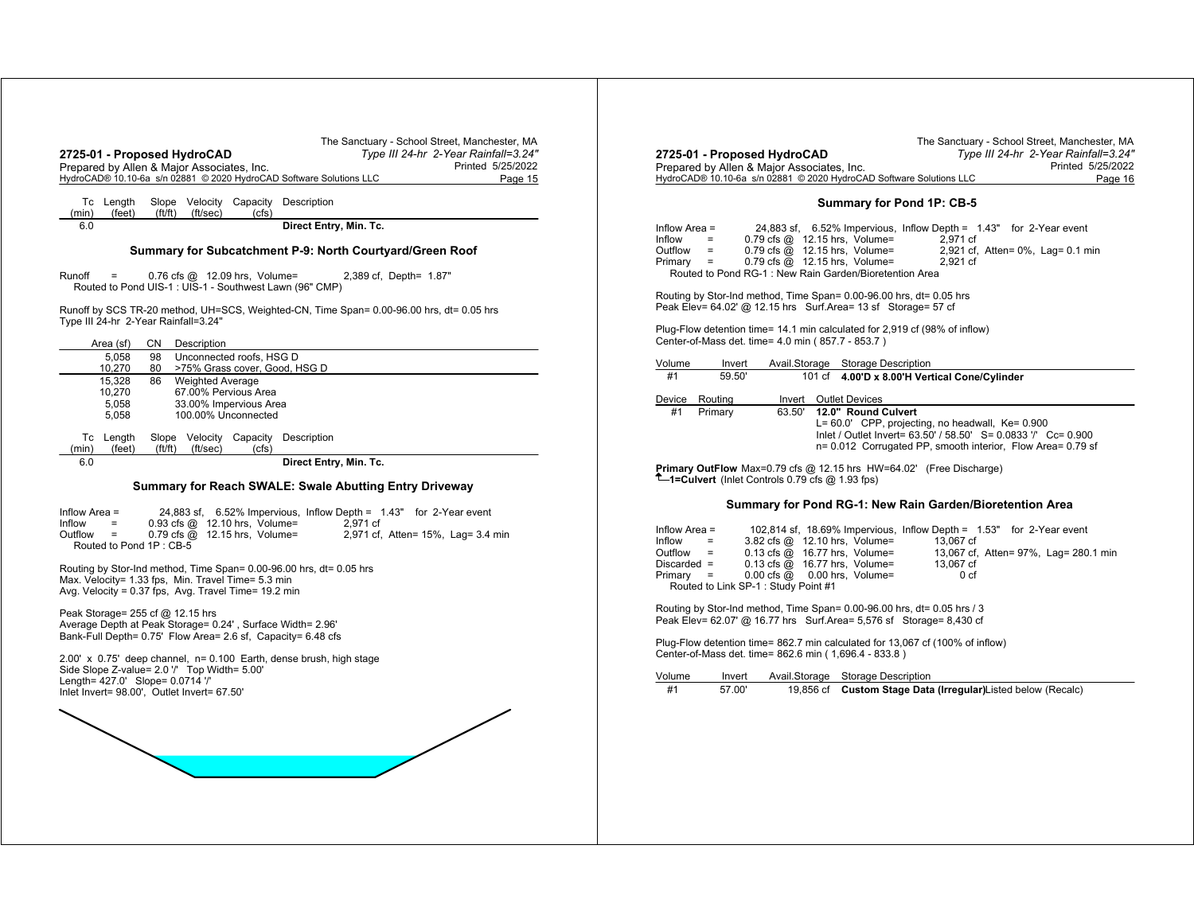| Prepared by Allen & Major Associates, Inc.<br>HydroCAD® 10.10-6a s/n 02881 © 2020 HydroCAD Software Solutions LLC                                                                                     |          |                         |                                                                       |                                     |                                                                                                                      | Printed 5/25/2022 | Page 15 |
|-------------------------------------------------------------------------------------------------------------------------------------------------------------------------------------------------------|----------|-------------------------|-----------------------------------------------------------------------|-------------------------------------|----------------------------------------------------------------------------------------------------------------------|-------------------|---------|
| Tc Length<br>(feet)<br>(min)                                                                                                                                                                          | ft/ft)   | (ft/sec)                | (cfs)                                                                 | Slope Velocity Capacity Description |                                                                                                                      |                   |         |
| 6.0                                                                                                                                                                                                   |          |                         |                                                                       |                                     | Direct Entry, Min. Tc.                                                                                               |                   |         |
|                                                                                                                                                                                                       |          |                         |                                                                       |                                     | Summary for Subcatchment P-9: North Courtyard/Green Roof                                                             |                   |         |
| Runoff<br>$=$<br>Routed to Pond UIS-1 : UIS-1 - Southwest Lawn (96" CMP)                                                                                                                              |          |                         | $0.76$ cfs $@$ 12.09 hrs, Volume=                                     |                                     | 2,389 cf, Depth= 1.87"                                                                                               |                   |         |
| Runoff by SCS TR-20 method, UH=SCS, Weighted-CN, Time Span= 0.00-96.00 hrs, dt= 0.05 hrs<br>Type III 24-hr 2-Year Rainfall=3.24"                                                                      |          |                         |                                                                       |                                     |                                                                                                                      |                   |         |
| Area (sf)                                                                                                                                                                                             | CN       | Description             |                                                                       |                                     |                                                                                                                      |                   |         |
| 5.058<br>10,270                                                                                                                                                                                       | 98<br>80 |                         | Unconnected roofs, HSG D                                              | >75% Grass cover, Good, HSG D       |                                                                                                                      |                   |         |
| 15,328<br>10,270<br>5.058<br>5,058                                                                                                                                                                    | 86       | <b>Weighted Average</b> | 67.00% Pervious Area<br>33.00% Impervious Area<br>100.00% Unconnected |                                     |                                                                                                                      |                   |         |
| Tc Length<br>(feet)<br>(min)                                                                                                                                                                          |          | $(ft/ft)$ $(ft/sec)$    | Slope Velocity Capacity<br>(cfs)                                      | Description                         |                                                                                                                      |                   |         |
| 6.0                                                                                                                                                                                                   |          |                         |                                                                       |                                     | Direct Entry, Min. Tc.                                                                                               |                   |         |
|                                                                                                                                                                                                       |          |                         |                                                                       |                                     | Summary for Reach SWALE: Swale Abutting Entry Driveway                                                               |                   |         |
| Inflow Area =<br>Inflow<br>$=$<br>Outflow<br>$\equiv$<br>Routed to Pond 1P: CB-5                                                                                                                      |          |                         | 0.93 cfs @ 12.10 hrs, Volume=<br>0.79 cfs @ 12.15 hrs, Volume=        |                                     | 24,883 sf, 6.52% Impervious, Inflow Depth = 1.43" for 2-Year event<br>2,971 cf<br>2,971 cf, Atten= 15%, Lag= 3.4 min |                   |         |
| Routing by Stor-Ind method, Time Span= 0.00-96.00 hrs, dt= 0.05 hrs<br>Max. Velocity= 1.33 fps, Min. Travel Time= 5.3 min<br>Avg. Velocity = 0.37 fps, Avg. Travel Time= 19.2 min                     |          |                         |                                                                       |                                     |                                                                                                                      |                   |         |
| Peak Storage = $255$ cf $@$ 12.15 hrs<br>Average Depth at Peak Storage= 0.24', Surface Width= 2.96'<br>Bank-Full Depth= 0.75' Flow Area= 2.6 sf, Capacity= 6.48 cfs                                   |          |                         |                                                                       |                                     |                                                                                                                      |                   |         |
| 2.00' x 0.75' deep channel, n= 0.100 Earth, dense brush, high stage<br>Side Slope Z-value= 2.0 // Top Width= 5.00'<br>Length= 427.0' Slope= 0.0714 '/'<br>Inlet Invert= 98.00', Outlet Invert= 67.50' |          |                         |                                                                       |                                     |                                                                                                                      |                   |         |
|                                                                                                                                                                                                       |          |                         |                                                                       |                                     |                                                                                                                      |                   |         |
|                                                                                                                                                                                                       |          |                         |                                                                       |                                     |                                                                                                                      |                   |         |

|                                                                     | The Sanctuary - School Street, Manchester, MA |
|---------------------------------------------------------------------|-----------------------------------------------|
| 2725-01 - Proposed HydroCAD                                         | Type III 24-hr 2-Year Rainfall=3.24"          |
| Prepared by Allen & Major Associates, Inc.                          | Printed 5/25/2022                             |
| HydroCAD® 10.10-6a s/n 02881 © 2020 HydroCAD Software Solutions LLC | Page 16                                       |

#### **Summary for Pond 1P: CB-5**

| Inflow Area = |                             |                                                        | 24,883 sf, 6.52% Impervious, Inflow Depth = 1.43" for 2-Year event |                                   |
|---------------|-----------------------------|--------------------------------------------------------|--------------------------------------------------------------------|-----------------------------------|
| Inflow        | $=$                         | $0.79$ cfs $@$ 12.15 hrs. Volume=                      | 2.971 cf                                                           |                                   |
| Outfiow       | $\mathcal{L} = \mathcal{L}$ | $0.79$ cfs $@$ 12.15 hrs, Volume=                      |                                                                    | 2,921 cf, Atten= 0%, Lag= 0.1 min |
| Primarv =     |                             | $0.79$ cfs $@$ 12.15 hrs. Volume=                      | 2.921 cf                                                           |                                   |
|               |                             | Routed to Pond RG-1: New Rain Garden/Bioretention Area |                                                                    |                                   |

Routing by Stor-Ind method, Time Span= 0.00-96.00 hrs, dt= 0.05 hrs Peak Elev= 64.02' @ 12.15 hrs Surf.Area= 13 sf Storage= 57 cf

Plug-Flow detention time= 14.1 min calculated for 2,919 cf (98% of inflow) Center-of-Mass det. time= 4.0 min ( 857.7 - 853.7 )

| Volume | Invert  |        | Avail.Storage Storage Description                                                                                                                                                                              |
|--------|---------|--------|----------------------------------------------------------------------------------------------------------------------------------------------------------------------------------------------------------------|
| #1     | 59.50   |        | 101 cf 4.00'D x 8.00'H Vertical Cone/Cylinder                                                                                                                                                                  |
| Device | Routina | Invert | <b>Outlet Devices</b>                                                                                                                                                                                          |
| #1     | Primary | 63.50' | 12.0" Round Culvert<br>$L = 60.0'$ CPP, projecting, no headwall, $Ke = 0.900$<br>Inlet / Outlet Invert= 63.50' / 58.50' S= 0.0833 '/' Cc= 0.900<br>n= 0.012 Corrugated PP, smooth interior, Flow Area= 0.79 sf |

**Primary OutFlow** Max=0.79 cfs @ 12.15 hrs HW=64.02' (Free Discharge) **1=Culvert** (Inlet Controls 0.79 cfs @ 1.93 fps)

#### **Summary for Pond RG-1: New Rain Garden/Bioretention Area**

| Inflow Area = |                                         |                                                             |  | 102,814 sf, 18.69% Impervious, Inflow Depth = 1.53" for 2-Year event |  |                                       |  |
|---------------|-----------------------------------------|-------------------------------------------------------------|--|----------------------------------------------------------------------|--|---------------------------------------|--|
| Inflow        | $\mathcal{L} = \mathcal{L} \mathcal{L}$ | 3.82 cfs @ 12.10 hrs, Volume=                               |  | 13.067 cf                                                            |  |                                       |  |
| Outflow =     |                                         | $0.13 \text{ cfs} \quad \textcircled{a}$ 16.77 hrs, Volume= |  |                                                                      |  | 13,067 cf, Atten= 97%, Lag= 280.1 min |  |
| Discarded =   |                                         | $0.13$ cfs $@$ 16.77 hrs, Volume=                           |  | 13.067 cf                                                            |  |                                       |  |
| Primary =     |                                         | $0.00 \text{ cfs} \ @ \ 0.00 \text{ hrs}$ . Volume=         |  | 0 cf                                                                 |  |                                       |  |
|               |                                         | Routed to Link SP-1 : Study Point #1                        |  |                                                                      |  |                                       |  |

Routing by Stor-Ind method, Time Span= 0.00-96.00 hrs, dt= 0.05 hrs / 3 Peak Elev= 62.07' @ 16.77 hrs Surf.Area= 5,576 sf Storage= 8,430 cf

Plug-Flow detention time= 862.7 min calculated for 13,067 cf (100% of inflow) Center-of-Mass det. time= 862.6 min ( 1,696.4 - 833.8 )

| Volume | Invert | Avail.Storage Storage Description                             |
|--------|--------|---------------------------------------------------------------|
| #1     | 57.00  | 19,856 cf Custom Stage Data (Irregular) Listed below (Recalc) |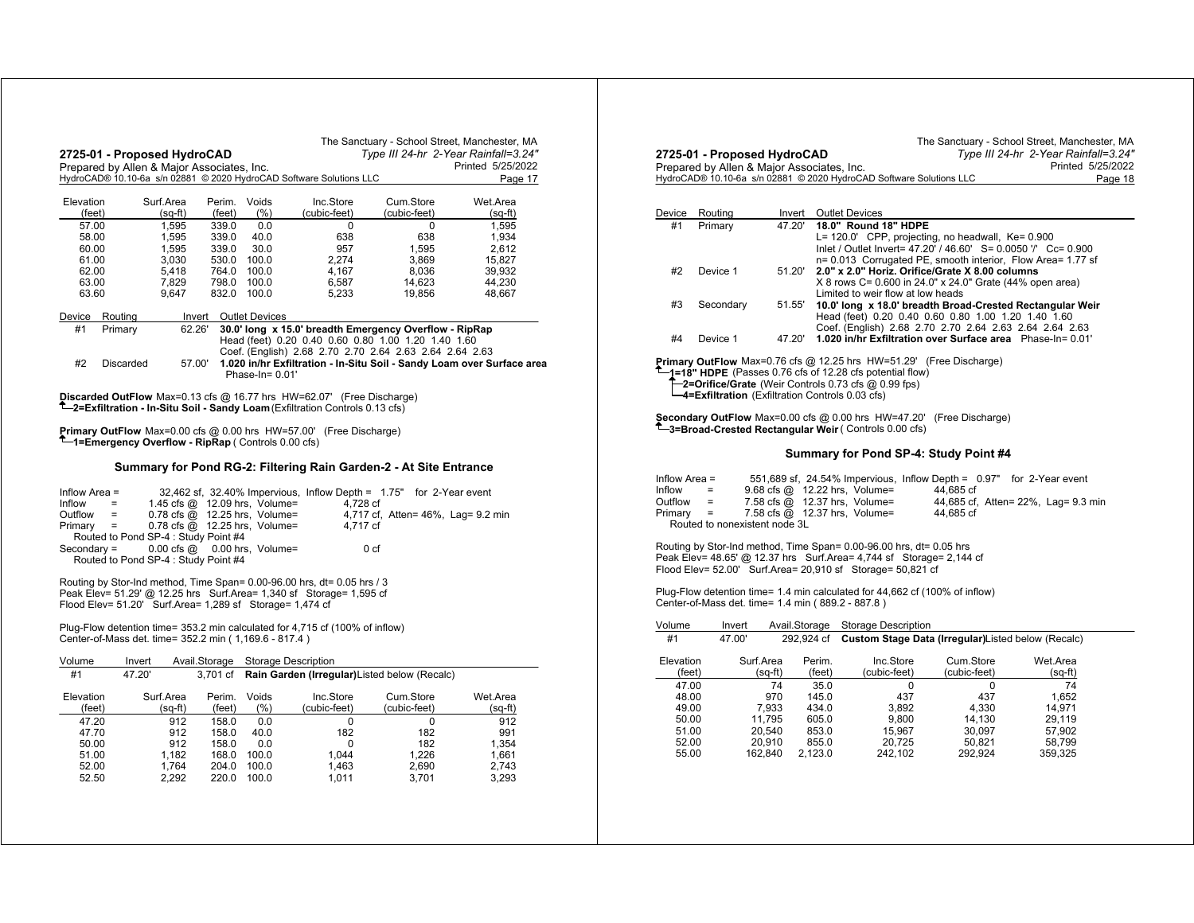|                     |                 | 2725-01 - Proposed HydroCAD                              |                  |                                                                        |                                                                                           |                                                                                                               | The Sanctuary - School Street, Manchester, MA<br>Type III 24-hr 2-Year Rainfall=3.24" |
|---------------------|-----------------|----------------------------------------------------------|------------------|------------------------------------------------------------------------|-------------------------------------------------------------------------------------------|---------------------------------------------------------------------------------------------------------------|---------------------------------------------------------------------------------------|
|                     |                 | Prepared by Allen & Major Associates, Inc.               |                  |                                                                        | HydroCAD® 10.10-6a s/n 02881 © 2020 HydroCAD Software Solutions LLC                       |                                                                                                               | Printed 5/25/2022<br>Page 17                                                          |
| Elevation<br>(feet) |                 | Surf.Area<br>(sq-ft)                                     | Perim.<br>(feet) | Voids<br>(% )                                                          | Inc.Store<br>(cubic-feet)                                                                 | Cum.Store<br>(cubic-feet)                                                                                     | Wet.Area<br>$(sq-m)$                                                                  |
| 57.00               |                 | 1,595                                                    | 339.0            | 0.0                                                                    | 0                                                                                         | 0                                                                                                             | 1,595                                                                                 |
| 58.00               |                 | 1,595                                                    | 339.0            | 40.0                                                                   | 638                                                                                       | 638                                                                                                           | 1,934                                                                                 |
| 60.00               |                 | 1,595                                                    | 339.0            | 30.0                                                                   | 957                                                                                       | 1,595                                                                                                         | 2,612                                                                                 |
| 61.00               |                 | 3,030                                                    | 530.0            | 100.0                                                                  | 2.274                                                                                     | 3,869                                                                                                         | 15,827                                                                                |
| 62.00<br>63.00      |                 | 5,418<br>7,829                                           | 764.0<br>798.0   | 100.0<br>100.0                                                         | 4,167<br>6,587                                                                            | 8.036<br>14,623                                                                                               | 39,932<br>44,230                                                                      |
| 63.60               |                 | 9,647                                                    | 832.0            | 100.0                                                                  | 5,233                                                                                     | 19,856                                                                                                        | 48,667                                                                                |
| Device              | Routing         |                                                          | Invert           | <b>Outlet Devices</b>                                                  |                                                                                           |                                                                                                               |                                                                                       |
| #1                  | Primary         | 62.26'                                                   |                  |                                                                        |                                                                                           | 30.0' long x 15.0' breadth Emergency Overflow - RipRap<br>Head (feet) 0.20 0.40 0.60 0.80 1.00 1.20 1.40 1.60 |                                                                                       |
| #2                  | Discarded       | 57.00'                                                   |                  |                                                                        |                                                                                           | Coef. (English) 2.68 2.70 2.70 2.64 2.63 2.64 2.64 2.63                                                       | 1.020 in/hr Exfiltration - In-Situ Soil - Sandy Loam over Surface area                |
|                     |                 |                                                          |                  | Phase-In= 0.01'                                                        |                                                                                           |                                                                                                               |                                                                                       |
|                     |                 |                                                          |                  |                                                                        | Discarded OutFlow Max=0.13 cfs @ 16.77 hrs HW=62.07' (Free Discharge)                     |                                                                                                               |                                                                                       |
|                     |                 |                                                          |                  |                                                                        | <sup>1</sup> -2=Exfiltration - In-Situ Soil - Sandy Loam (Exfiltration Controls 0.13 cfs) |                                                                                                               |                                                                                       |
|                     |                 |                                                          |                  |                                                                        |                                                                                           |                                                                                                               |                                                                                       |
|                     |                 |                                                          |                  |                                                                        | <b>Primary OutFlow</b> Max=0.00 cfs @ 0.00 hrs HW=57.00' (Free Discharge)                 |                                                                                                               |                                                                                       |
|                     |                 | T-1=Emergency Overflow - RipRap (Controls 0.00 cfs)      |                  |                                                                        |                                                                                           |                                                                                                               |                                                                                       |
|                     |                 |                                                          |                  |                                                                        |                                                                                           | Summary for Pond RG-2: Filtering Rain Garden-2 - At Site Entrance                                             |                                                                                       |
|                     |                 |                                                          |                  |                                                                        |                                                                                           |                                                                                                               |                                                                                       |
| Inflow Area =       |                 |                                                          |                  |                                                                        |                                                                                           | 32,462 sf, 32.40% Impervious, Inflow Depth = 1.75" for 2-Year event                                           |                                                                                       |
| Inflow              | $=$             |                                                          |                  | 1.45 cfs @ 12.09 hrs, Volume=                                          | 4.728 cf                                                                                  |                                                                                                               |                                                                                       |
| Outflow<br>Primary  | $=$<br>$\equiv$ |                                                          |                  | $0.78$ cfs $@$ 12.25 hrs, Volume=<br>$0.78$ cfs $@$ 12.25 hrs, Volume= | 4.717 cf                                                                                  | 4,717 cf, Atten= 46%, Lag= 9.2 min                                                                            |                                                                                       |
|                     |                 | Routed to Pond SP-4 : Study Point #4                     |                  |                                                                        |                                                                                           |                                                                                                               |                                                                                       |
| $Secondary =$       |                 | $0.00$ cfs $@$                                           |                  | 0.00 hrs, Volume=                                                      |                                                                                           | 0 <sub>cf</sub>                                                                                               |                                                                                       |
|                     |                 | Routed to Pond SP-4 : Study Point #4                     |                  |                                                                        |                                                                                           |                                                                                                               |                                                                                       |
|                     |                 |                                                          |                  |                                                                        | Routing by Stor-Ind method, Time Span= 0.00-96.00 hrs, dt= 0.05 hrs / 3                   |                                                                                                               |                                                                                       |
|                     |                 |                                                          |                  |                                                                        | Peak Elev= 51.29' @ 12.25 hrs  Surf.Area= 1,340 sf  Storage= 1,595 cf                     |                                                                                                               |                                                                                       |
|                     |                 | Flood Elev= 51.20' Surf.Area= 1,289 sf Storage= 1,474 cf |                  |                                                                        |                                                                                           |                                                                                                               |                                                                                       |
|                     |                 |                                                          |                  |                                                                        |                                                                                           |                                                                                                               |                                                                                       |
|                     |                 | Center-of-Mass det. time= 352.2 min (1,169.6 - 817.4)    |                  |                                                                        | Plug-Flow detention time= 353.2 min calculated for 4,715 cf (100% of inflow)              |                                                                                                               |                                                                                       |
|                     |                 |                                                          |                  |                                                                        |                                                                                           |                                                                                                               |                                                                                       |
| Volume              | Invert          |                                                          |                  | Avail.Storage Storage Description                                      |                                                                                           |                                                                                                               |                                                                                       |
| #1                  | 47.20'          |                                                          | 3,701 cf         |                                                                        |                                                                                           | Rain Garden (Irregular) Listed below (Recalc)                                                                 |                                                                                       |
| Elevation           |                 | Surf.Area                                                | Perim.           | Voids                                                                  | Inc.Store                                                                                 | Cum.Store                                                                                                     | Wet.Area                                                                              |
| (feet)              |                 | (sq-ft)                                                  | (feet)           | (% )                                                                   | (cubic-feet)                                                                              | (cubic-feet)                                                                                                  | $(sq-ft)$                                                                             |
| 47.20               |                 | 912                                                      | 158.0            | 0.0                                                                    | 0                                                                                         | 0                                                                                                             | 912                                                                                   |
| 47.70               |                 | 912                                                      | 158.0            | 40.0                                                                   | 182                                                                                       | 182                                                                                                           | 991                                                                                   |
| 50.00               |                 | 912                                                      | 158.0            | 0.0                                                                    | 0                                                                                         | 182                                                                                                           | 1,354                                                                                 |
| 51.00               |                 | 1,182                                                    | 168.0            | 100.0                                                                  | 1,044                                                                                     | 1,226                                                                                                         | 1,661                                                                                 |
| 52.00<br>52.50      |                 | 1.764<br>2,292                                           | 204.0<br>220.0   | 100.0<br>100.0                                                         | 1,463                                                                                     | 2,690<br>3,701                                                                                                | 2.743<br>3,293                                                                        |
|                     |                 |                                                          |                  |                                                                        | 1,011                                                                                     |                                                                                                               |                                                                                       |

|                | 2725-01 - Proposed HydroCAD                       |                  |                |                                                                                                                                   | The Sanctuary - School Street, Manchester, MA | Type III 24-hr 2-Year Rainfall=3.24" |                              |
|----------------|---------------------------------------------------|------------------|----------------|-----------------------------------------------------------------------------------------------------------------------------------|-----------------------------------------------|--------------------------------------|------------------------------|
|                | Prepared by Allen & Major Associates, Inc.        |                  |                | HydroCAD® 10.10-6a s/n 02881 © 2020 HydroCAD Software Solutions LLC                                                               |                                               |                                      | Printed 5/25/2022<br>Page 18 |
|                |                                                   |                  |                |                                                                                                                                   |                                               |                                      |                              |
| Device         | Routing                                           | Invert           |                | <b>Outlet Devices</b>                                                                                                             |                                               |                                      |                              |
| #1             | Primary                                           | 47.20'           |                | 18.0" Round 18" HDPE                                                                                                              |                                               |                                      |                              |
|                |                                                   |                  |                | L= 120.0' CPP, projecting, no headwall, Ke= 0.900                                                                                 |                                               |                                      |                              |
|                |                                                   |                  |                | Inlet / Outlet Invert= 47.20' / 46.60' S= 0.0050 '/' Cc= 0.900<br>n= 0.013 Corrugated PE, smooth interior, Flow Area= 1.77 sf     |                                               |                                      |                              |
| #2             | Device 1                                          | 51.20'           |                | 2.0" x 2.0" Horiz. Orifice/Grate X 8.00 columns                                                                                   |                                               |                                      |                              |
|                |                                                   |                  |                | X 8 rows C= 0.600 in 24.0" x 24.0" Grate (44% open area)                                                                          |                                               |                                      |                              |
| #3             |                                                   |                  |                | Limited to weir flow at low heads                                                                                                 |                                               |                                      |                              |
|                | Secondary                                         | 51.55'           |                | 10.0' long x 18.0' breadth Broad-Crested Rectangular Weir<br>Head (feet) 0.20 0.40 0.60 0.80 1.00 1.20 1.40 1.60                  |                                               |                                      |                              |
|                |                                                   |                  |                | Coef. (English) 2.68 2.70 2.70 2.64 2.63 2.64 2.64 2.63                                                                           |                                               |                                      |                              |
| #4             | Device 1                                          | 47.20'           |                | 1.020 in/hr Exfiltration over Surface area Phase-In= 0.01'                                                                        |                                               |                                      |                              |
|                |                                                   |                  |                | <b>Primary OutFlow</b> Max=0.76 cfs $@$ 12.25 hrs $HW=51.29'$ (Free Discharge)                                                    |                                               |                                      |                              |
|                |                                                   |                  |                | -1=18" HDPE (Passes 0.76 cfs of 12.28 cfs potential flow)                                                                         |                                               |                                      |                              |
|                |                                                   |                  |                | -2=Orifice/Grate (Weir Controls 0.73 cfs @ 0.99 fps)                                                                              |                                               |                                      |                              |
|                | -4=Exfiltration (Exfiltration Controls 0.03 cfs)  |                  |                |                                                                                                                                   |                                               |                                      |                              |
|                |                                                   |                  |                |                                                                                                                                   |                                               |                                      |                              |
|                |                                                   |                  |                | Secondary OutFlow Max=0.00 cfs @ 0.00 hrs HW=47.20' (Free Discharge)<br>-3=Broad-Crested Rectangular Weir ( Controls 0.00 cfs)    |                                               |                                      |                              |
|                |                                                   |                  |                |                                                                                                                                   |                                               |                                      |                              |
|                |                                                   |                  |                | Summary for Pond SP-4: Study Point #4                                                                                             |                                               |                                      |                              |
| Inflow Area =  |                                                   |                  |                | 551,689 sf, 24.54% Impervious, Inflow Depth = 0.97" for 2-Year event                                                              |                                               |                                      |                              |
| Inflow         | Ξ.                                                |                  |                | 9.68 cfs @ 12.22 hrs, Volume=                                                                                                     | 44.685 cf                                     |                                      |                              |
| Outflow        | $=$                                               |                  |                | 7.58 cfs @ 12.37 hrs, Volume=                                                                                                     |                                               | 44,685 cf, Atten= 22%, Lag= 9.3 min  |                              |
| Primary        | $\equiv$<br>Routed to nonexistent node 3L         |                  |                | 7.58 cfs @ 12.37 hrs, Volume=                                                                                                     | 44,685 cf                                     |                                      |                              |
|                |                                                   |                  |                |                                                                                                                                   |                                               |                                      |                              |
|                |                                                   |                  |                | Routing by Stor-Ind method, Time Span= 0.00-96.00 hrs, dt= 0.05 hrs                                                               |                                               |                                      |                              |
|                |                                                   |                  |                | Peak Elev= 48.65' @ 12.37 hrs Surf.Area= 4,744 sf Storage= 2,144 cf<br>Flood Elev= 52.00' Surf.Area= 20,910 sf Storage= 50,821 cf |                                               |                                      |                              |
|                |                                                   |                  |                |                                                                                                                                   |                                               |                                      |                              |
|                |                                                   |                  |                | Plug-Flow detention time= 1.4 min calculated for 44,662 cf (100% of inflow)                                                       |                                               |                                      |                              |
|                | Center-of-Mass det. time= 1.4 min (889.2 - 887.8) |                  |                |                                                                                                                                   |                                               |                                      |                              |
| Volume         | Invert                                            | Avail.Storage    |                | Storage Description                                                                                                               |                                               |                                      |                              |
| #1             | 47.00'                                            |                  | 292.924 cf     | Custom Stage Data (Irregular) Listed below (Recalc)                                                                               |                                               |                                      |                              |
| Elevation      | Surf.Area                                         |                  | Perim.         | Inc.Store                                                                                                                         | Cum.Store                                     | Wet.Area                             |                              |
| (feet)         |                                                   | $(sq-ft)$        | (feet)         | (cubic-feet)                                                                                                                      | (cubic-feet)                                  | $(sq-ft)$                            |                              |
| 47.00          |                                                   | 74               | 35.0           | $\Omega$                                                                                                                          | $\Omega$                                      | 74                                   |                              |
| 48.00          |                                                   | 970              | 145.0          | 437                                                                                                                               | 437                                           | 1,652                                |                              |
| 49.00          |                                                   | 7,933            | 434.0          | 3,892                                                                                                                             | 4,330                                         | 14,971                               |                              |
| 50.00<br>51.00 |                                                   | 11,795<br>20,540 | 605.0<br>853.0 | 9,800<br>15,967                                                                                                                   | 14,130<br>30,097                              | 29,119<br>57,902                     |                              |
| 52.00          |                                                   | 20,910           | 855.0          | 20,725                                                                                                                            | 50,821                                        | 58,799                               |                              |
| 55.00          |                                                   | 162,840          | 2,123.0        | 242,102                                                                                                                           | 292,924                                       | 359,325                              |                              |
|                |                                                   |                  |                |                                                                                                                                   |                                               |                                      |                              |
|                |                                                   |                  |                |                                                                                                                                   |                                               |                                      |                              |
|                |                                                   |                  |                |                                                                                                                                   |                                               |                                      |                              |
|                |                                                   |                  |                |                                                                                                                                   |                                               |                                      |                              |
|                |                                                   |                  |                |                                                                                                                                   |                                               |                                      |                              |
|                |                                                   |                  |                |                                                                                                                                   |                                               |                                      |                              |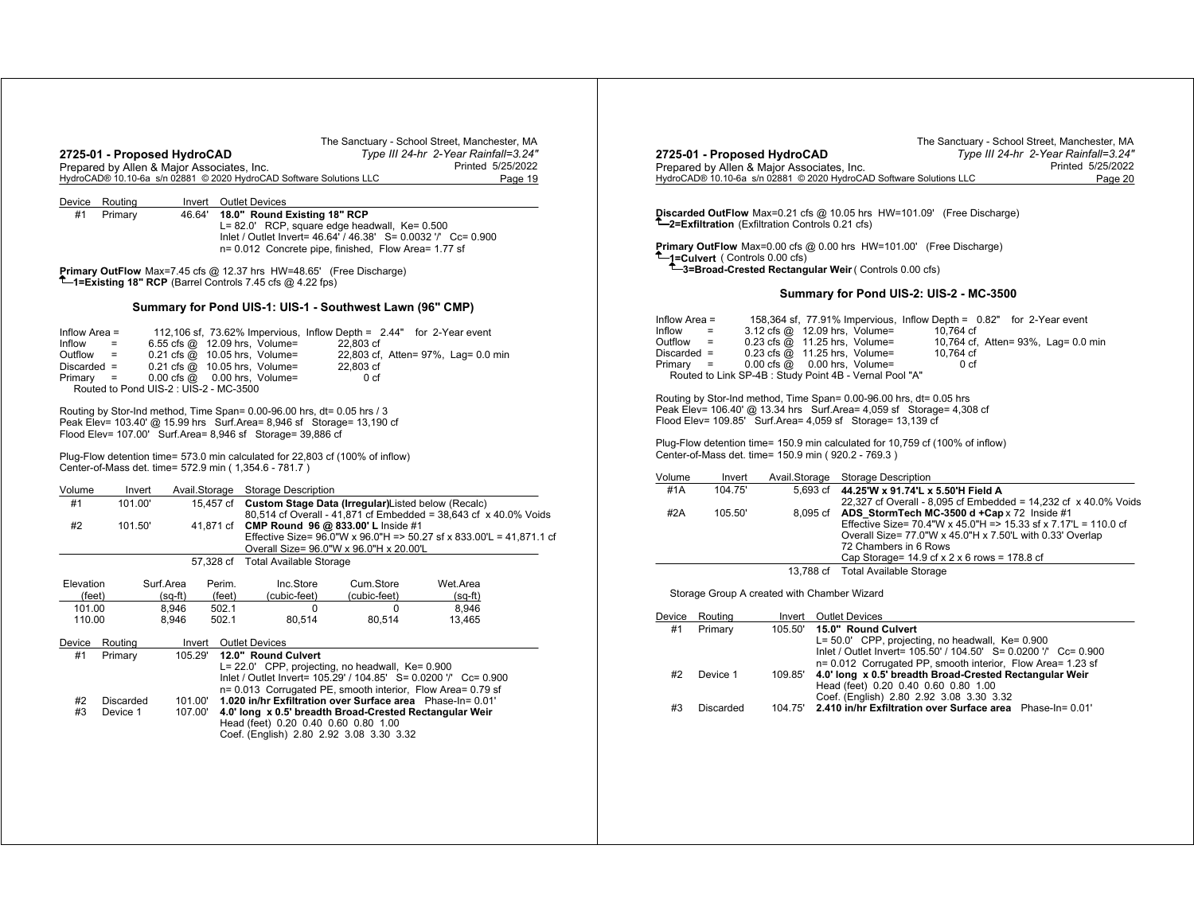| The Sanctuary - School Street, Manchester, MA<br>2725-01 - Proposed HydroCAD<br>Type III 24-hr 2-Year Rainfall=3.24"<br>Prepared by Allen & Major Associates, Inc.<br>Printed 5/25/2022<br>HydroCAD® 10.10-6a s/n 02881 © 2020 HydroCAD Software Solutions LLC<br>Page 19                                                                                                                                                                                                                                                                                                                                                                                                                                                                                                                                                                                                                                                                                                                                                                                                                                                                                                                                                                                                                                          | The Sanctuary - School Street, Manchester, MA<br>2725-01 - Proposed HydroCAD<br>Type III 24-hr 2-Year Rainfall=3.24"<br>Printed 5/25/2022<br>Prepared by Allen & Maior Associates, Inc.<br>HydroCAD® 10.10-6a s/n 02881 © 2020 HydroCAD Software Solutions LLC<br>Page 20                                                                                                                                                                                                                                                                                                                                                                                                                                                                                                                                                                                                                                                                                                                                                                                                                                                                                                                                                                                                                                    |
|--------------------------------------------------------------------------------------------------------------------------------------------------------------------------------------------------------------------------------------------------------------------------------------------------------------------------------------------------------------------------------------------------------------------------------------------------------------------------------------------------------------------------------------------------------------------------------------------------------------------------------------------------------------------------------------------------------------------------------------------------------------------------------------------------------------------------------------------------------------------------------------------------------------------------------------------------------------------------------------------------------------------------------------------------------------------------------------------------------------------------------------------------------------------------------------------------------------------------------------------------------------------------------------------------------------------|--------------------------------------------------------------------------------------------------------------------------------------------------------------------------------------------------------------------------------------------------------------------------------------------------------------------------------------------------------------------------------------------------------------------------------------------------------------------------------------------------------------------------------------------------------------------------------------------------------------------------------------------------------------------------------------------------------------------------------------------------------------------------------------------------------------------------------------------------------------------------------------------------------------------------------------------------------------------------------------------------------------------------------------------------------------------------------------------------------------------------------------------------------------------------------------------------------------------------------------------------------------------------------------------------------------|
| Device Routing<br>Invert Outlet Devices<br>18.0" Round Existing 18" RCP<br>#1 Primary<br>46.64'<br>L= 82.0' RCP, square edge headwall, Ke= 0.500<br>Inlet / Outlet Invert= 46.64 / 46.38' S= 0.0032 '/' Cc= 0.900<br>n= 0.012 Concrete pipe, finished, Flow Area= 1.77 sf                                                                                                                                                                                                                                                                                                                                                                                                                                                                                                                                                                                                                                                                                                                                                                                                                                                                                                                                                                                                                                          | Discarded OutFlow Max=0.21 cfs @ 10.05 hrs HW=101.09' (Free Discharge)<br><sup>T</sup> -2=Exfiltration (Exfiltration Controls 0.21 cfs)<br><b>Primary OutFlow</b> Max=0.00 cfs @ 0.00 hrs HW=101.00' (Free Discharge)<br>-1=Culvert (Controls 0.00 cfs)                                                                                                                                                                                                                                                                                                                                                                                                                                                                                                                                                                                                                                                                                                                                                                                                                                                                                                                                                                                                                                                      |
| Primary OutFlow Max=7.45 cfs @ 12.37 hrs HW=48.65' (Free Discharge)<br>$T$ = Existing 18" RCP (Barrel Controls 7.45 cfs @ 4.22 fps)                                                                                                                                                                                                                                                                                                                                                                                                                                                                                                                                                                                                                                                                                                                                                                                                                                                                                                                                                                                                                                                                                                                                                                                | <sup>1</sup> -3=Broad-Crested Rectangular Weir (Controls 0.00 cfs)<br>Summary for Pond UIS-2: UIS-2 - MC-3500                                                                                                                                                                                                                                                                                                                                                                                                                                                                                                                                                                                                                                                                                                                                                                                                                                                                                                                                                                                                                                                                                                                                                                                                |
| Summary for Pond UIS-1: UIS-1 - Southwest Lawn (96" CMP)<br>112,106 sf, 73.62% Impervious, Inflow Depth = 2.44" for 2-Year event<br>Inflow Area =<br>6.55 cfs @ 12.09 hrs, Volume=<br>Inflow<br>22,803 cf<br>$=$<br>$0.21$ cfs $\overline{Q}$ 10.05 hrs, Volume=<br>22,803 cf, Atten= 97%, Lag= 0.0 min<br>$Outflow =$<br>Discarded $=$<br>0.21 cfs @ 10.05 hrs, Volume=<br>22.803 cf<br>$0.00$ cfs $@$ 0.00 hrs, Volume=<br>0 <sub>cf</sub><br>$Primary =$<br>Routed to Pond UIS-2 : UIS-2 - MC-3500<br>Routing by Stor-Ind method, Time Span= 0.00-96.00 hrs, dt= 0.05 hrs / 3<br>Peak Elev= 103.40' @ 15.99 hrs Surf.Area= 8,946 sf Storage= 13,190 cf<br>Flood Elev= 107.00' Surf.Area= 8,946 sf Storage= 39,886 cf<br>Plug-Flow detention time= 573.0 min calculated for 22,803 cf (100% of inflow)<br>Center-of-Mass det. time= 572.9 min (1,354.6 - 781.7)<br>Avail.Storage Storage Description<br>Volume<br>Invert<br>101.00'<br>15,457 cf Custom Stage Data (Irregular) Listed below (Recalc)<br>#1<br>80,514 cf Overall - 41,871 cf Embedded = 38,643 cf x 40.0% Voids<br>#2<br>101.50<br>41,871 cf CMP Round 96 @ 833.00' L Inside #1<br>Effective Size= 96.0"W x 96.0"H => 50.27 sf x 833.00"L = 41,871.1 cf<br>Overall Size= 96.0"W x 96.0"H x 20.00'L<br>57,328 cf<br><b>Total Available Storage</b> | 158,364 sf, 77.91% Impervious, Inflow Depth = 0.82" for 2-Year event<br>Inflow Area $=$<br>3.12 cfs @ 12.09 hrs, Volume=<br>Inflow<br>10.764 cf<br>$\mathbf{r} = \mathbf{r}$<br>0.23 cfs @ 11.25 hrs, Volume=<br>$Outflow =$<br>10,764 cf, Atten= 93%, Lag= 0.0 min<br>$Discarded =$<br>0.23 cfs @ 11.25 hrs, Volume=<br>10.764 cf<br>$Primary =$<br>$0.00$ cfs $@$ 0.00 hrs, Volume=<br>0 <sub>cf</sub><br>Routed to Link SP-4B : Study Point 4B - Vernal Pool "A"<br>Routing by Stor-Ind method, Time Span= 0.00-96.00 hrs, dt= 0.05 hrs<br>Peak Elev= 106.40' @ 13.34 hrs  Surf.Area= 4,059 sf  Storage= 4,308 cf<br>Flood Elev= 109.85' Surf.Area= 4,059 sf Storage= 13,139 cf<br>Plug-Flow detention time= 150.9 min calculated for 10,759 cf (100% of inflow)<br>Center-of-Mass det. time= 150.9 min (920.2 - 769.3)<br>Avail.Storage Storage Description<br>Volume<br>Invert<br>#1A<br>104.75'<br>5,693 cf 44.25 W x 91.74 L x 5.50 H Field A<br>22,327 cf Overall - 8,095 cf Embedded = 14,232 cf x 40.0% Voids<br>#2A<br>105.50'<br>8,095 cf ADS StormTech MC-3500 d +Cap x 72 Inside #1<br>Effective Size= 70.4"W x 45.0"H => 15.33 sf x 7.17'L = 110.0 cf<br>Overall Size= 77.0"W x 45.0"H x 7.50'L with 0.33' Overlap<br>72 Chambers in 6 Rows<br>Cap Storage= $14.9$ cf x 2 x 6 rows = 178.8 cf |
| Elevation<br>Surf.Area<br>Perim.<br>Inc.Store<br>Cum.Store<br>Wet.Area<br>(cubic-feet)<br>(cubic-feet)<br>(feet)<br>$(sq-ft)$<br>(feet)<br>$(sq-ft)$                                                                                                                                                                                                                                                                                                                                                                                                                                                                                                                                                                                                                                                                                                                                                                                                                                                                                                                                                                                                                                                                                                                                                               | 13,788 cf Total Available Storage<br>Storage Group A created with Chamber Wizard                                                                                                                                                                                                                                                                                                                                                                                                                                                                                                                                                                                                                                                                                                                                                                                                                                                                                                                                                                                                                                                                                                                                                                                                                             |
| 502.1<br>8,946<br>101.00<br>8.946<br>$\Omega$<br>$\Omega$<br>502.1<br>110.00<br>8.946<br>80,514<br>80,514<br>13,465<br>Invert Outlet Devices<br>Device Routing<br>Primary<br>12.0" Round Culvert<br>#1<br>105.29'<br>L= 22.0' CPP, projecting, no headwall, Ke= 0.900<br>Inlet / Outlet Invert= 105.29' / 104.85' S= 0.0200 '/' Cc= 0.900<br>n= 0.013 Corrugated PE, smooth interior, Flow Area= 0.79 sf<br>1.020 in/hr Exfiltration over Surface area Phase-In= 0.01'<br>#2<br><b>Discarded</b><br>101.00'<br>#3<br>Device 1<br>107.00'<br>4.0' long x 0.5' breadth Broad-Crested Rectangular Weir<br>Head (feet) 0.20 0.40 0.60 0.80 1.00<br>Coef. (English) 2.80 2.92 3.08 3.30 3.32                                                                                                                                                                                                                                                                                                                                                                                                                                                                                                                                                                                                                            | Invert Outlet Devices<br>Device Routing<br>15.0" Round Culvert<br>#1<br>Primary<br>105.50'<br>L= 50.0' CPP, projecting, no headwall, Ke= 0.900<br>Inlet / Outlet Invert= 105.50' / 104.50' S= 0.0200 '/' Cc= 0.900<br>n= 0.012 Corrugated PP, smooth interior, Flow Area= 1.23 sf<br>4.0' long x 0.5' breadth Broad-Crested Rectangular Weir<br>#2<br>109.85'<br>Device 1<br>Head (feet) 0.20 0.40 0.60 0.80 1.00<br>Coef. (English) 2.80 2.92 3.08 3.30 3.32<br>104.75' 2.410 in/hr Exfiltration over Surface area Phase-In= 0.01'<br>#3<br><b>Discarded</b>                                                                                                                                                                                                                                                                                                                                                                                                                                                                                                                                                                                                                                                                                                                                                |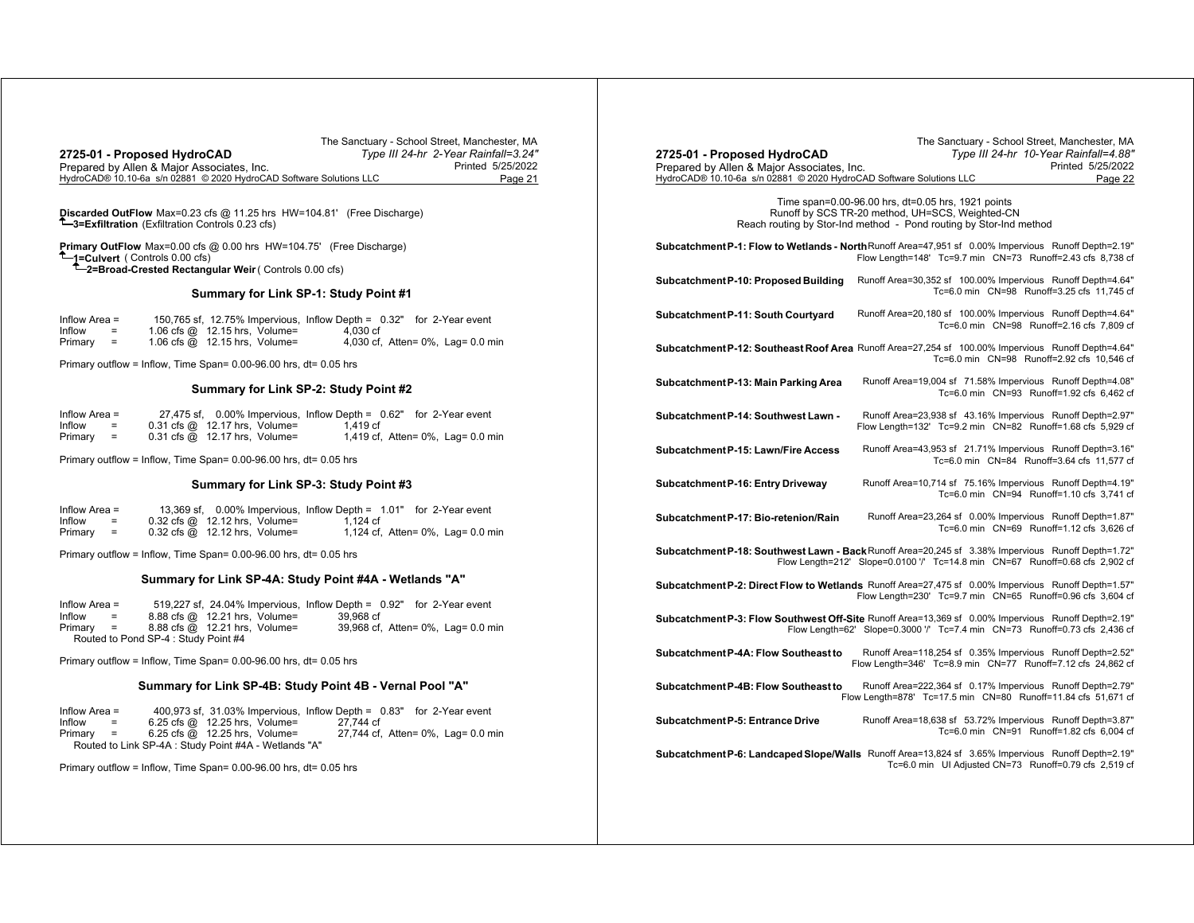|                                                                     | The Sanctuary - School Street, Manchester, MA |
|---------------------------------------------------------------------|-----------------------------------------------|
| 2725-01 - Proposed HydroCAD                                         | Type III 24-hr 2-Year Rainfall=3.24"          |
| Prepared by Allen & Major Associates, Inc.                          | Printed 5/25/2022                             |
| HydroCAD® 10.10-6a s/n 02881 © 2020 HydroCAD Software Solutions LLC | Page 21                                       |

**Discarded OutFlow** Max=0.23 cfs @ 11.25 hrs HW=104.81' (Free Discharge) **3=Exfiltration** (Exfiltration Controls 0.23 cfs)

**Primary OutFlow** Max=0.00 cfs @ 0.00 hrs HW=104.75' (Free Discharge) **1=Culvert** ( Controls 0.00 cfs) **2=Broad-Crested Rectangular Weir** ( Controls 0.00 cfs)

#### **Summary for Link SP-1: Study Point #1**

| Inflow Area $=$ |     |                                      |          | 150,765 sf, 12.75% Impervious, Inflow Depth = 0.32" for 2-Year event |
|-----------------|-----|--------------------------------------|----------|----------------------------------------------------------------------|
| Inflow          | $=$ | 1.06 cfs $@$ 12.15 hrs. Volume=      | 4.030 cf |                                                                      |
| Primary         | $=$ | 1.06 cfs $\omega$ 12.15 hrs, Volume= |          | 4,030 cf, Atten= 0%, Lag= 0.0 min                                    |

Primary outflow = Inflow, Time Span= 0.00-96.00 hrs, dt= 0.05 hrs

## **Summary for Link SP-2: Study Point #2**

| Inflow Area = |     |                                                                   | 27,475 sf, 0.00% Impervious, Inflow Depth = 0.62" for 2-Year event |                                   |
|---------------|-----|-------------------------------------------------------------------|--------------------------------------------------------------------|-----------------------------------|
| Inflow        | $=$ | $0.31 \text{ cfs} \text{ @ } 12.17 \text{ hrs}, \text{ Volume} =$ | 1.419 cf                                                           |                                   |
| Primary       | $=$ | $0.31 \text{ cfs} \text{ @ } 12.17 \text{ hrs}$ , Volume=         |                                                                    | 1,419 cf, Atten= 0%, Lag= 0.0 min |

Primary outflow = Inflow, Time Span= 0.00-96.00 hrs, dt= 0.05 hrs

## **Summary for Link SP-3: Study Point #3**

| Inflow Area $=$ |     |                                                           | 13,369 sf, 0.00% Impervious, Inflow Depth = 1.01" for 2-Year event |                                       |
|-----------------|-----|-----------------------------------------------------------|--------------------------------------------------------------------|---------------------------------------|
| Inflow          | $=$ | $0.32$ cfs $@$ 12.12 hrs, Volume=                         | 1.124 cf                                                           |                                       |
| Primary         | $=$ | $0.32 \text{ cfs} \text{ @ } 12.12 \text{ hrs}$ , Volume= |                                                                    | 1,124 cf, Atten= $0\%$ , Lag= 0.0 min |

Primary outflow = Inflow, Time Span= 0.00-96.00 hrs, dt= 0.05 hrs

#### **Summary for Link SP-4A: Study Point #4A - Wetlands "A"**

| Inflow Area = |     |                                      |                               |           | 519,227 sf, 24.04% Impervious, Inflow Depth = 0.92" for 2-Year event |
|---------------|-----|--------------------------------------|-------------------------------|-----------|----------------------------------------------------------------------|
| Inflow        | $=$ |                                      | 8.88 cfs @ 12.21 hrs, Volume= | 39.968 cf |                                                                      |
| Primary =     |     |                                      | 8.88 cfs @ 12.21 hrs, Volume= |           | 39,968 cf, Atten= 0%, Lag= 0.0 min                                   |
|               |     | Routed to Pond SP-4 : Study Point #4 |                               |           |                                                                      |

Primary outflow = Inflow, Time Span= 0.00-96.00 hrs, dt= 0.05 hrs

## **Summary for Link SP-4B: Study Point 4B - Vernal Pool "A"**

| Inflow Area $=$ |                           | $400,973$ sf, $31.03\%$ Impervious, Inflow Depth = $0.83"$ for 2-Year event |           |                                    |
|-----------------|---------------------------|-----------------------------------------------------------------------------|-----------|------------------------------------|
| Inflow          | $\mathbf{r} = \mathbf{r}$ | $6.25 \text{ cfs} \quad \textcircled{a}$ 12.25 hrs. Volume=                 | 27.744 cf |                                    |
| $Primary =$     |                           | $6.25$ cfs $@$ 12.25 hrs, Volume=                                           |           | 27,744 cf, Atten= 0%, Lag= 0.0 min |
|                 |                           | Routed to Link SP-4A : Study Point #4A - Wetlands "A"                       |           |                                    |

Primary outflow = Inflow, Time Span= 0.00-96.00 hrs, dt= 0.05 hrs

| 2725-01 - Proposed HydroCAD<br>Prepared by Allen & Major Associates, Inc.<br>HydroCAD® 10.10-6a s/n 02881 © 2020 HydroCAD Software Solutions LLC |                                                                                                                                                                             | The Sanctuary - School Street, Manchester, MA<br>Type III 24-hr 10-Year Rainfall=4.88"<br>Printed 5/25/2022<br>Page 22 |
|--------------------------------------------------------------------------------------------------------------------------------------------------|-----------------------------------------------------------------------------------------------------------------------------------------------------------------------------|------------------------------------------------------------------------------------------------------------------------|
|                                                                                                                                                  | Time span=0.00-96.00 hrs, dt=0.05 hrs, 1921 points<br>Runoff by SCS TR-20 method, UH=SCS, Weighted-CN<br>Reach routing by Stor-Ind method - Pond routing by Stor-Ind method |                                                                                                                        |
| Subcatchment P-1: Flow to Wetlands - North Runoff Area=47,951 sf 0.00% Impervious Runoff Depth=2.19"                                             | Flow Length=148' Tc=9.7 min  CN=73  Runoff=2.43 cfs  8,738  cf                                                                                                              |                                                                                                                        |
| Subcatchment P-10: Proposed Building                                                                                                             | Runoff Area=30,352 sf 100.00% Impervious Runoff Depth=4.64"                                                                                                                 | Tc=6.0 min CN=98 Runoff=3.25 cfs 11.745 cf                                                                             |
| Subcatchment P-11: South Courtyard                                                                                                               | Runoff Area=20,180 sf 100.00% Impervious Runoff Depth=4.64"                                                                                                                 | Tc=6.0 min CN=98 Runoff=2.16 cfs 7,809 cf                                                                              |
| Subcatchment P-12: Southeast Roof Area Runoff Area=27,254 sf 100.00% Impervious Runoff Depth=4.64"                                               |                                                                                                                                                                             | Tc=6.0 min CN=98 Runoff=2.92 cfs 10,546 cf                                                                             |
| Subcatchment P-13: Main Parking Area                                                                                                             | Runoff Area=19,004 sf 71.58% Impervious Runoff Depth=4.08"                                                                                                                  | Tc=6.0 min CN=93 Runoff=1.92 cfs 6,462 cf                                                                              |
| Subcatchment P-14: Southwest Lawn -                                                                                                              | Runoff Area=23,938 sf 43.16% Impervious Runoff Depth=2.97"<br>Flow Length=132' Tc=9.2 min  CN=82  Runoff=1.68 cfs  5,929  cf                                                |                                                                                                                        |
| Subcatchment P-15: Lawn/Fire Access                                                                                                              | Runoff Area=43,953 sf 21.71% Impervious Runoff Depth=3.16"                                                                                                                  | Tc=6.0 min CN=84 Runoff=3.64 cfs 11,577 cf                                                                             |
| Subcatchment P-16: Entry Driveway                                                                                                                | Runoff Area=10,714 sf 75.16% Impervious Runoff Depth=4.19"                                                                                                                  | Tc=6.0 min CN=94 Runoff=1.10 cfs 3,741 cf                                                                              |
| Subcatchment P-17: Bio-retenion/Rain                                                                                                             | Runoff Area=23,264 sf 0.00% Impervious Runoff Depth=1.87"                                                                                                                   | Tc=6.0 min CN=69 Runoff=1.12 cfs 3,626 cf                                                                              |
| Subcatchment P-18: Southwest Lawn - Back Runoff Area=20,245 sf 3.38% Impervious Runoff Depth=1.72"                                               | Flow Length=212' Slope=0.0100 '/' Tc=14.8 min CN=67 Runoff=0.68 cfs 2,902 cf                                                                                                |                                                                                                                        |
| Subcatchment P-2: Direct Flow to Wetlands Runoff Area=27,475 sf 0.00% Impervious Runoff Depth=1.57"                                              | Flow Length=230' Tc=9.7 min  CN=65  Runoff=0.96 cfs  3.604  cf                                                                                                              |                                                                                                                        |
| Subcatchment P-3: Flow Southwest Off-Site Runoff Area=13,369 sf 0.00% Impervious Runoff Depth=2.19"                                              | Flow Length=62' Slope=0.3000 '/' Tc=7.4 min CN=73 Runoff=0.73 cfs 2,436 cf                                                                                                  |                                                                                                                        |
| Subcatchment P-4A: Flow Southeast to                                                                                                             | Runoff Area=118,254 sf 0.35% Impervious Runoff Depth=2.52"<br>Flow Length=346' Tc=8.9 min  CN=77  Runoff=7.12 cfs  24,862  cf                                               |                                                                                                                        |
| Subcatchment P-4B: Flow Southeast to                                                                                                             | Runoff Area=222,364 sf 0.17% Impervious Runoff Depth=2.79"<br>Flow Length=878' Tc=17.5 min  CN=80  Runoff=11.84 cfs  51,671  cf                                             |                                                                                                                        |
| Subcatchment P-5: Entrance Drive                                                                                                                 | Runoff Area=18,638 sf 53.72% Impervious Runoff Depth=3.87"                                                                                                                  | Tc=6.0 min CN=91 Runoff=1.82 cfs 6,004 cf                                                                              |
| Subcatchment P-6: Landcaped Slope/Walls Runoff Area=13,824 sf 3.65% Impervious Runoff Depth=2.19"                                                |                                                                                                                                                                             | Tc=6.0 min UI Adjusted CN=73 Runoff=0.79 cfs 2,519 cf                                                                  |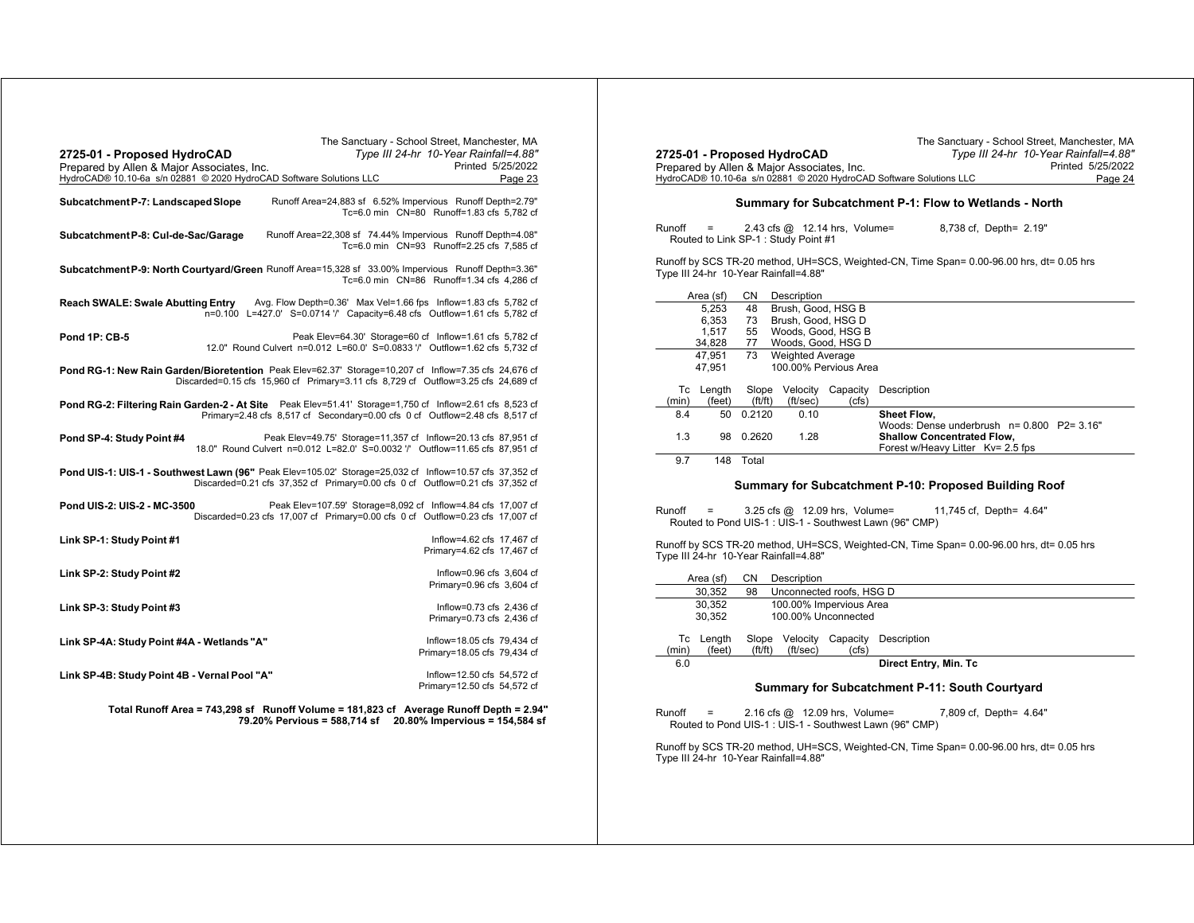| The Sanctuary - School Street, Manchester, MA<br>Type III 24-hr 10-Year Rainfall=4.88"<br>2725-01 - Proposed HydroCAD<br>Prepared by Allen & Major Associates, Inc.<br>HydroCAD® 10.10-6a s/n 02881 © 2020 HydroCAD Software Solutions LLC | Printed 5/25/2022<br>Page 23                              |
|--------------------------------------------------------------------------------------------------------------------------------------------------------------------------------------------------------------------------------------------|-----------------------------------------------------------|
| Runoff Area=24,883 sf 6.52% Impervious Runoff Depth=2.79"<br>Subcatchment P-7: Landscaped Slope<br>Tc=6.0 min CN=80 Runoff=1.83 cfs 5,782 cf                                                                                               |                                                           |
| Runoff Area=22,308 sf 74.44% Impervious Runoff Depth=4.08"<br>Subcatchment P-8: Cul-de-Sac/Garage<br>Tc=6.0 min CN=93 Runoff=2.25 cfs 7,585 cf                                                                                             |                                                           |
| Subcatchment P-9: North Courtyard/Green Runoff Area=15,328 sf 33.00% Impervious Runoff Depth=3.36"<br>Tc=6.0 min CN=86 Runoff=1.34 cfs 4,286 cf                                                                                            |                                                           |
| <b>Reach SWALE: Swale Abutting Entry</b><br>Avg. Flow Depth=0.36' Max Vel=1.66 fps Inflow=1.83 cfs 5,782 cf<br>n=0.100 L=427.0' S=0.0714 '/' Capacity=6.48 cfs Outflow=1.61 cfs 5,782 cf                                                   |                                                           |
| <b>Pond 1P: CB-5</b><br>Peak Elev=64.30' Storage=60 cf Inflow=1.61 cfs 5,782 cf<br>12.0" Round Culvert n=0.012 L=60.0' S=0.0833 '/' Outflow=1.62 cfs 5,732 cf                                                                              |                                                           |
| Pond RG-1: New Rain Garden/Bioretention Peak Elev=62.37' Storage=10,207 cf Inflow=7.35 cfs 24,676 cf<br>Discarded=0.15 cfs 15,960 cf Primary=3.11 cfs 8,729 cf Outflow=3.25 cfs 24,689 cf                                                  |                                                           |
| Pond RG-2: Filtering Rain Garden-2 - At Site Peak Elev=51.41' Storage=1,750 cf Inflow=2.61 cfs 8,523 cf<br>Primary=2.48 cfs 8,517 cf Secondary=0.00 cfs 0 cf Outflow=2.48 cfs 8,517 cf                                                     |                                                           |
| Peak Elev=49.75' Storage=11,357 cf Inflow=20.13 cfs 87,951 cf<br>Pond SP-4: Study Point #4<br>18.0" Round Culvert n=0.012 L=82.0' S=0.0032 '/' Outflow=11.65 cfs 87,951 cf                                                                 |                                                           |
| Pond UIS-1: UIS-1 - Southwest Lawn (96" Peak Elev=105.02' Storage=25,032 cf Inflow=10.57 cfs 37,352 cf<br>Discarded=0.21 cfs 37,352 cf Primary=0.00 cfs 0 cf Outflow=0.21 cfs 37,352 cf                                                    |                                                           |
| Pond UIS-2: UIS-2 - MC-3500<br>Peak Elev=107.59' Storage=8,092 of Inflow=4.84 cfs 17,007 of<br>Discarded=0.23 cfs 17,007 cf Primary=0.00 cfs 0 cf Outflow=0.23 cfs 17,007 cf                                                               |                                                           |
| Link SP-1: Study Point #1                                                                                                                                                                                                                  | Inflow=4.62 cfs 17.467 cf<br>Primary=4.62 cfs 17,467 cf   |
| Link SP-2: Study Point #2                                                                                                                                                                                                                  | Inflow=0.96 cfs 3.604 cf<br>Primary=0.96 cfs 3,604 cf     |
| Link SP-3: Study Point #3                                                                                                                                                                                                                  | Inflow=0.73 cfs 2,436 cf<br>Primary=0.73 cfs 2,436 cf     |
| Link SP-4A: Study Point #4A - Wetlands "A"                                                                                                                                                                                                 | Inflow=18.05 cfs 79,434 cf<br>Primary=18.05 cfs 79,434 cf |
| Link SP-4B: Study Point 4B - Vernal Pool "A"                                                                                                                                                                                               | Inflow=12.50 cfs 54.572 cf<br>Primary=12.50 cfs 54,572 cf |

**Total Runoff Area = 743,298 sf Runoff Volume = 181,823 cf Average Runoff Depth = 2.94" 79.20% Pervious = 588,714 sf 20.80% Impervious = 154,584 sf**

|                                                                                                                                   |                                 |                 | 2725-01 - Proposed HydroCAD                |                   | Type III 24-hr 10-Year Rainfall=4.88"                                          |  |  |  |  |
|-----------------------------------------------------------------------------------------------------------------------------------|---------------------------------|-----------------|--------------------------------------------|-------------------|--------------------------------------------------------------------------------|--|--|--|--|
|                                                                                                                                   |                                 |                 | Prepared by Allen & Major Associates, Inc. |                   | Printed 5/25/2022                                                              |  |  |  |  |
|                                                                                                                                   |                                 |                 |                                            |                   | HydroCAD® 10.10-6a s/n 02881 © 2020 HydroCAD Software Solutions LLC<br>Page 24 |  |  |  |  |
| Summary for Subcatchment P-1: Flow to Wetlands - North                                                                            |                                 |                 |                                            |                   |                                                                                |  |  |  |  |
| 8,738 cf, Depth= 2.19"<br>Runoff<br>2.43 cfs $@$ 12.14 hrs, Volume=<br>=<br>Routed to Link SP-1: Study Point #1                   |                                 |                 |                                            |                   |                                                                                |  |  |  |  |
| Runoff by SCS TR-20 method, UH=SCS, Weighted-CN, Time Span= 0.00-96.00 hrs, dt= 0.05 hrs<br>Type III 24-hr 10-Year Rainfall=4.88" |                                 |                 |                                            |                   |                                                                                |  |  |  |  |
|                                                                                                                                   | Area (sf)                       | CN              | Description                                |                   |                                                                                |  |  |  |  |
|                                                                                                                                   | 5,253                           | 48              | Brush, Good, HSG B                         |                   |                                                                                |  |  |  |  |
|                                                                                                                                   | 6,353                           | 73              | Brush, Good, HSG D                         |                   |                                                                                |  |  |  |  |
|                                                                                                                                   | 1,517                           | 55              | Woods, Good, HSG B                         |                   |                                                                                |  |  |  |  |
|                                                                                                                                   | 34,828                          | 77              | Woods, Good, HSG D                         |                   |                                                                                |  |  |  |  |
|                                                                                                                                   | 47,951                          | 73              | <b>Weighted Average</b>                    |                   |                                                                                |  |  |  |  |
|                                                                                                                                   | 100.00% Pervious Area<br>47,951 |                 |                                            |                   |                                                                                |  |  |  |  |
|                                                                                                                                   |                                 |                 |                                            |                   |                                                                                |  |  |  |  |
| Тc<br>(min)                                                                                                                       | Length<br>(feet)                | Slope<br>ft/ft) | Velocity<br>(ft/sec)                       | Capacity<br>(cfs) | Description                                                                    |  |  |  |  |
|                                                                                                                                   |                                 |                 |                                            |                   |                                                                                |  |  |  |  |
| 8.4                                                                                                                               | 50                              | 0.2120          | 0.10                                       |                   | Sheet Flow,<br>Woods: Dense underbrush n= 0.800 P2= 3.16"                      |  |  |  |  |
| 1.3                                                                                                                               | 98                              | 0.2620          | 1.28                                       |                   | <b>Shallow Concentrated Flow,</b>                                              |  |  |  |  |

The Sanctuary - School Street, Manchester, MA

9.7 148 Total

#### **Summary for Subcatchment P-10: Proposed Building Roof**

Runoff <sup>=</sup> 3.25 cfs @ 12.09 hrs, Volume= 11,745 cf, Depth= 4.64" Routed to Pond UIS-1 : UIS-1 - Southwest Lawn (96" CMP)

Runoff by SCS TR-20 method, UH=SCS, Weighted-CN, Time Span= 0.00-96.00 hrs, dt= 0.05 hrs Type III 24-hr 10-Year Rainfall=4.88"

|       | Area (sf) | СN          | Description              |                     |                       |  |  |  |
|-------|-----------|-------------|--------------------------|---------------------|-----------------------|--|--|--|
|       | 30.352    | 98          | Unconnected roofs, HSG D |                     |                       |  |  |  |
|       | 30.352    |             | 100.00% Impervious Area  |                     |                       |  |  |  |
|       | 30.352    |             |                          | 100.00% Unconnected |                       |  |  |  |
|       |           |             |                          |                     |                       |  |  |  |
|       | Tc Length | Slope       | Velocity                 | Capacity            | Description           |  |  |  |
| (min) | (feet)    | (f t / f t) | (ft/sec)                 | (cfs)               |                       |  |  |  |
| 6.0   |           |             |                          |                     | Direct Entry, Min. Tc |  |  |  |
|       |           |             |                          |                     |                       |  |  |  |

#### **Summary for Subcatchment P-11: South Courtyard**

Runoff <sup>=</sup> 2.16 cfs @ 12.09 hrs, Volume= 7,809 cf, Depth= 4.64" Routed to Pond UIS-1 : UIS-1 - Southwest Lawn (96" CMP)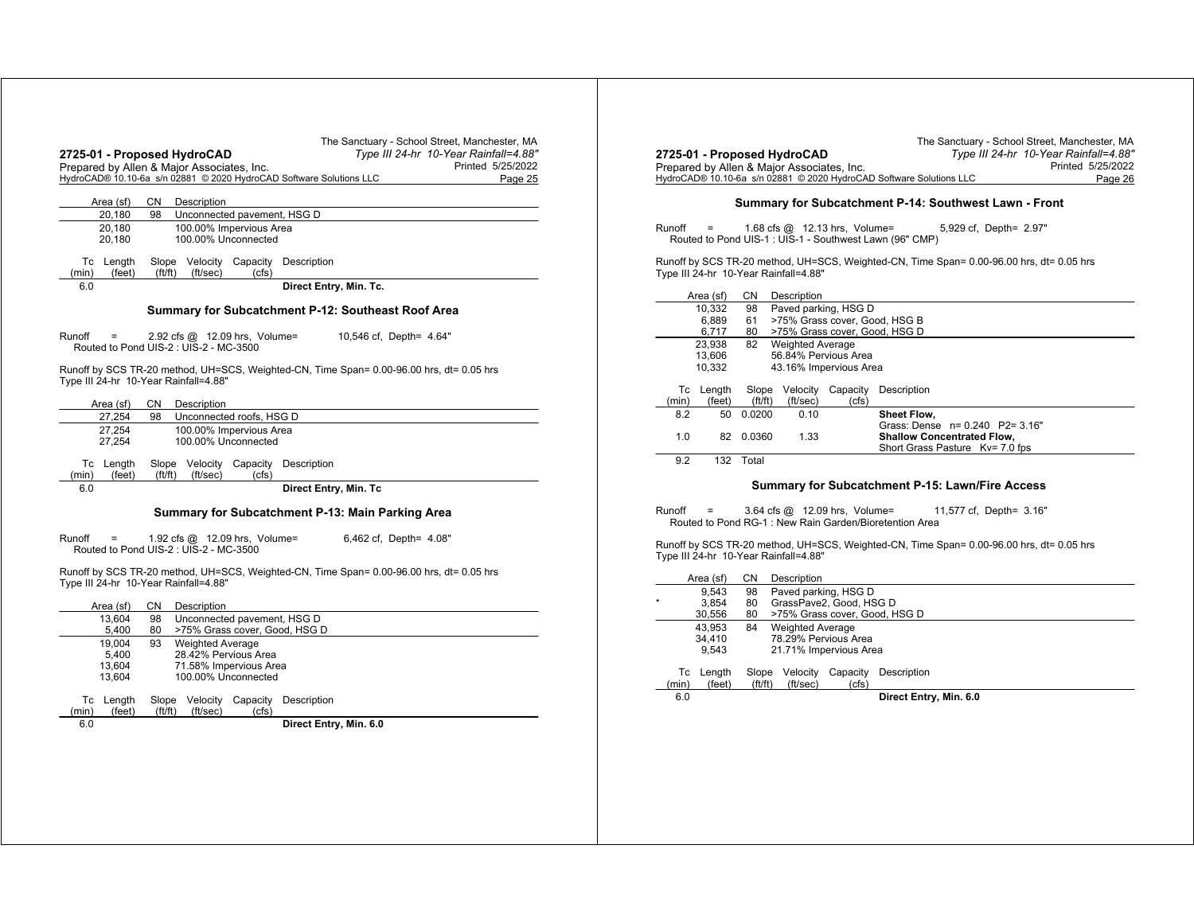|                              | 2725-01 - Proposed HydroCAD<br>Prepared by Allen & Major Associates, Inc.<br>HydroCAD® 10.10-6a s/n 02881 © 2020 HydroCAD Software Solutions LLC        | The Sanctuary - School Street, Manchester, MA<br>Type III 24-hr 10-Year Rainfall=4.88"<br>Printed 5/25/2022<br>Page 25 |  |  |  |  |  |  |
|------------------------------|---------------------------------------------------------------------------------------------------------------------------------------------------------|------------------------------------------------------------------------------------------------------------------------|--|--|--|--|--|--|
| Area (sf)                    | CN<br>Description                                                                                                                                       |                                                                                                                        |  |  |  |  |  |  |
| 20,180                       | 98<br>Unconnected pavement, HSG D                                                                                                                       |                                                                                                                        |  |  |  |  |  |  |
| 20,180<br>20,180             | 100.00% Impervious Area<br>100.00% Unconnected                                                                                                          |                                                                                                                        |  |  |  |  |  |  |
| Tc Length<br>(min)<br>(feet) | Slope Velocity Capacity Description<br>ft/ft)<br>(ft/sec)<br>(cfs)                                                                                      |                                                                                                                        |  |  |  |  |  |  |
| 6.0                          |                                                                                                                                                         | Direct Entry, Min. Tc.                                                                                                 |  |  |  |  |  |  |
| Runoff<br>=                  | Summary for Subcatchment P-12: Southeast Roof Area<br>10,546 cf, Depth= 4.64"<br>2.92 cfs @ 12.09 hrs, Volume=<br>Routed to Pond UIS-2: UIS-2 - MC-3500 |                                                                                                                        |  |  |  |  |  |  |
|                              | Type III 24-hr 10-Year Rainfall=4.88"                                                                                                                   | Runoff by SCS TR-20 method, UH=SCS, Weighted-CN, Time Span= 0.00-96.00 hrs, dt= 0.05 hrs                               |  |  |  |  |  |  |
| Area (sf)                    | CN<br>Description                                                                                                                                       |                                                                                                                        |  |  |  |  |  |  |
| 27.254                       | Unconnected roofs, HSG D<br>98                                                                                                                          |                                                                                                                        |  |  |  |  |  |  |
| 27.254<br>27,254             | 100.00% Impervious Area<br>100.00% Unconnected                                                                                                          |                                                                                                                        |  |  |  |  |  |  |
| Tc Length<br>(min)<br>(feet) | Slope Velocity Capacity Description<br>ft/ft)<br>(ft/sec)<br>(cfs)                                                                                      |                                                                                                                        |  |  |  |  |  |  |
| 6.0                          |                                                                                                                                                         | Direct Entry, Min. Tc                                                                                                  |  |  |  |  |  |  |
|                              | Summary for Subcatchment P-13: Main Parking Area                                                                                                        |                                                                                                                        |  |  |  |  |  |  |
| Runoff                       | 1.92 cfs @ 12.09 hrs, Volume=<br>Routed to Pond UIS-2 : UIS-2 - MC-3500                                                                                 | 6,462 cf, Depth= 4.08"                                                                                                 |  |  |  |  |  |  |

|             | Area (sf)        | CΝ                   | Description                 |                   |                               |  |  |  |
|-------------|------------------|----------------------|-----------------------------|-------------------|-------------------------------|--|--|--|
|             | 13.604           | 98                   | Unconnected pavement, HSG D |                   |                               |  |  |  |
|             | 5.400            | 80                   |                             |                   | >75% Grass cover, Good, HSG D |  |  |  |
|             | 19.004           | 93                   | <b>Weighted Average</b>     |                   |                               |  |  |  |
|             | 5.400            |                      | 28.42% Pervious Area        |                   |                               |  |  |  |
|             | 13.604           |                      | 71.58% Impervious Area      |                   |                               |  |  |  |
|             | 13.604           |                      | 100.00% Unconnected         |                   |                               |  |  |  |
| Тc<br>(min) | Length<br>(feet) | Slope<br>(f t / f t) | Velocitv<br>(ft/sec)        | Capacity<br>(cfs) | Description                   |  |  |  |
| 6.0         |                  |                      |                             |                   | Direct Entry, Min. 6.0        |  |  |  |

|        |                     |                       | 2725-01 - Proposed HydroCAD<br>Prepared by Allen & Major Associates, Inc. |          | The Sanctuary - School Street, Manchester, MA<br>Type III 24-hr 10-Year Rainfall=4.88"<br>Printed 5/25/2022<br>HydroCAD® 10.10-6a s/n 02881 © 2020 HydroCAD Software Solutions LLC<br>Page 26 |
|--------|---------------------|-----------------------|---------------------------------------------------------------------------|----------|-----------------------------------------------------------------------------------------------------------------------------------------------------------------------------------------------|
|        |                     |                       |                                                                           |          | Summary for Subcatchment P-14: Southwest Lawn - Front                                                                                                                                         |
| Runoff | $\equiv$            |                       | 1.68 cfs $@$ 12.13 hrs, Volume=                                           |          | 5,929 cf, Depth= 2.97"<br>Routed to Pond UIS-1 : UIS-1 - Southwest Lawn (96" CMP)<br>Runoff by SCS TR-20 method, UH=SCS, Weighted-CN, Time Span= 0.00-96.00 hrs, dt= 0.05 hrs                 |
|        |                     |                       | Type III 24-hr 10-Year Rainfall=4.88"                                     |          |                                                                                                                                                                                               |
|        | Area (sf)<br>10.332 | CN.<br>98             | Description<br>Paved parking, HSG D                                       |          |                                                                                                                                                                                               |
|        | 6,889               | 61                    |                                                                           |          | >75% Grass cover, Good, HSG B                                                                                                                                                                 |
|        | 6,717               | 80                    |                                                                           |          | >75% Grass cover, Good, HSG D                                                                                                                                                                 |
|        | 23,938              | 82                    | <b>Weighted Average</b>                                                   |          |                                                                                                                                                                                               |
|        | 13.606              |                       | 56.84% Pervious Area                                                      |          |                                                                                                                                                                                               |
|        | 10,332              |                       | 43.16% Impervious Area                                                    |          |                                                                                                                                                                                               |
|        | Tc Length           |                       | Slope Velocity                                                            | Capacity | Description                                                                                                                                                                                   |
| (min)  | (feet)              | $({\rm ft}/{\rm ft})$ | (ft/sec)                                                                  | (cfs)    |                                                                                                                                                                                               |
| 8.2    | 50                  | 0.0200                | 0.10                                                                      |          | Sheet Flow,                                                                                                                                                                                   |
| 1.0    | 82                  | 0.0360                | 1.33                                                                      |          | Grass: Dense n= 0.240 P2= 3.16"<br><b>Shallow Concentrated Flow,</b>                                                                                                                          |
|        |                     |                       |                                                                           |          | Short Grass Pasture Kv= 7.0 fps                                                                                                                                                               |
| 9.2    |                     | 132 Total             |                                                                           |          |                                                                                                                                                                                               |
|        |                     |                       |                                                                           |          |                                                                                                                                                                                               |
|        |                     |                       |                                                                           |          | Summary for Subcatchment P-15: Lawn/Fire Access                                                                                                                                               |
| Runoff | Ξ                   |                       | 3.64 cfs @ 12.09 hrs, Volume=                                             |          | 11,577 cf, Depth= 3.16"<br>Routed to Pond RG-1: New Rain Garden/Bioretention Area                                                                                                             |
|        |                     |                       | Type III 24-hr 10-Year Rainfall=4.88"                                     |          | Runoff by SCS TR-20 method, UH=SCS, Weighted-CN, Time Span= 0.00-96.00 hrs, dt= 0.05 hrs                                                                                                      |
|        | Area (sf)           | CN.                   | Description                                                               |          |                                                                                                                                                                                               |
|        | 9.543<br>3.854      | 98<br>80              | Paved parking, HSG D<br>GrassPave2, Good, HSG D                           |          |                                                                                                                                                                                               |
|        | 30,556              | 80                    |                                                                           |          | >75% Grass cover, Good, HSG D                                                                                                                                                                 |
|        | 43.953              | 84                    | <b>Weighted Average</b>                                                   |          |                                                                                                                                                                                               |
|        | 34,410              |                       | 78.29% Pervious Area                                                      |          |                                                                                                                                                                                               |
|        | 9,543               |                       | 21.71% Impervious Area                                                    |          |                                                                                                                                                                                               |
|        |                     |                       |                                                                           |          |                                                                                                                                                                                               |
|        |                     |                       |                                                                           |          |                                                                                                                                                                                               |
| (min)  | Tc Length<br>(feet) | ft/ft)                | Slope Velocity Capacity<br>(ft/sec)                                       | (cfs)    | Description                                                                                                                                                                                   |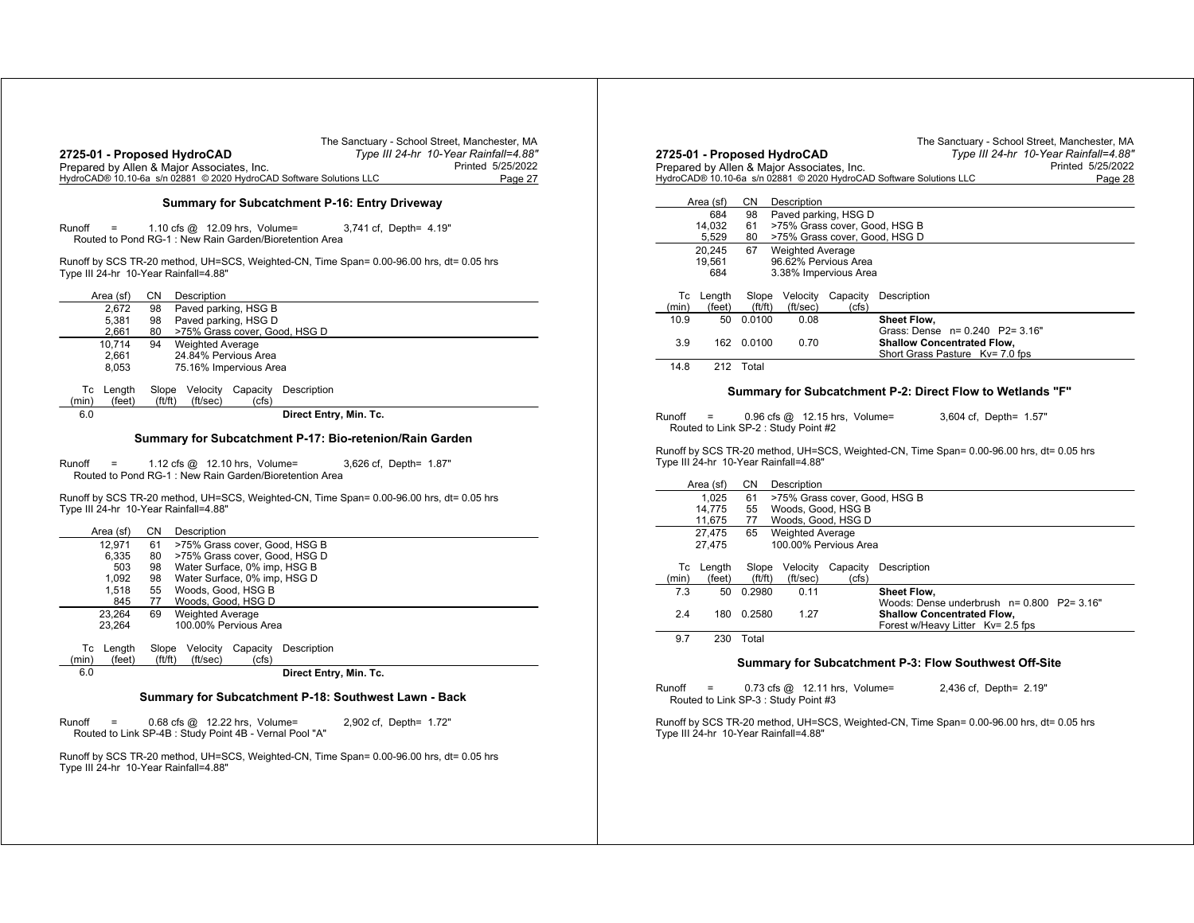|                                                        | Type III 24-hr 10-Year Rainfall=4.88"<br>2725-01 - Proposed HydroCAD<br>Printed 5/25/2022<br>Prepared by Allen & Major Associates, Inc.<br>HydroCAD® 10.10-6a s/n 02881 © 2020 HydroCAD Software Solutions LLC<br>Page 27 | 2725-01 -<br>Prepared b<br><b>HydroCAD®</b>     |
|--------------------------------------------------------|---------------------------------------------------------------------------------------------------------------------------------------------------------------------------------------------------------------------------|-------------------------------------------------|
|                                                        | Summary for Subcatchment P-16: Entry Driveway                                                                                                                                                                             | Area                                            |
| Runoff                                                 | 1.10 cfs $@$ 12.09 hrs, Volume=<br>3,741 cf, Depth= 4.19"<br>Routed to Pond RG-1: New Rain Garden/Bioretention Area                                                                                                       | 14<br>20                                        |
| Type III 24-hr 10-Year Rainfall=4.88"                  | Runoff by SCS TR-20 method, UH=SCS, Weighted-CN, Time Span= 0.00-96.00 hrs, dt= 0.05 hrs                                                                                                                                  |                                                 |
| Area (sf)                                              | CN<br>Description                                                                                                                                                                                                         | Tc L                                            |
| 2.672<br>5,381<br>2,661                                | Paved parking, HSG B<br>98<br>Paved parking, HSG D<br>98<br>80<br>>75% Grass cover, Good, HSG D                                                                                                                           | (min)<br>10.9                                   |
| 10,714                                                 | <b>Weighted Average</b><br>94                                                                                                                                                                                             | 3.9                                             |
| 2,661<br>8,053                                         | 24.84% Pervious Area<br>75.16% Impervious Area                                                                                                                                                                            | 14.8                                            |
| Tc Length<br>(min)<br>(feet)                           | Slope Velocity Capacity<br>Description<br>(f t / f t)<br>(ft/sec)<br>(cfs)                                                                                                                                                |                                                 |
| 6.0                                                    | Direct Entry, Min. Tc.                                                                                                                                                                                                    | Runoff                                          |
|                                                        |                                                                                                                                                                                                                           |                                                 |
|                                                        | Summary for Subcatchment P-17: Bio-retenion/Rain Garden                                                                                                                                                                   |                                                 |
| Runoff<br>$=$<br>Type III 24-hr 10-Year Rainfall=4.88" | 1.12 cfs @ 12.10 hrs, Volume=<br>3,626 cf, Depth= 1.87"<br>Routed to Pond RG-1: New Rain Garden/Bioretention Area<br>Runoff by SCS TR-20 method, UH=SCS, Weighted-CN, Time Span= 0.00-96.00 hrs, dt= 0.05 hrs             | Routed 1<br>Runoff by S<br>Type III 24-<br>Area |
|                                                        | СN                                                                                                                                                                                                                        |                                                 |
| Area (sf)<br>12,971<br>6,335<br>503<br>1.092<br>1,518  | Description<br>>75% Grass cover, Good, HSG B<br>61<br>>75% Grass cover, Good, HSG D<br>80<br>Water Surface, 0% imp, HSG B<br>98<br>98<br>Water Surface, 0% imp, HSG D<br>Woods, Good, HSG B<br>55<br>77                   |                                                 |
| 845<br>23.264                                          | Woods, Good, HSG D<br><b>Weighted Average</b><br>69                                                                                                                                                                       | Tc L<br>(min)<br>7.3<br>2.4                     |
| 23,264<br>Tc Length                                    | 100.00% Pervious Area<br>Slope Velocity Capacity<br>Description                                                                                                                                                           | 9.7                                             |
| (min)<br>(feet)<br>6.0                                 | ft/ft)<br>(ft/sec)<br>(cfs)<br>Direct Entry, Min. Tc.                                                                                                                                                                     |                                                 |
|                                                        | Summary for Subcatchment P-18: Southwest Lawn - Back                                                                                                                                                                      | Runoff<br>Routed 1                              |
| Runoff                                                 | 0.68 cfs @ 12.22 hrs, Volume=<br>2,902 cf, Depth= 1.72"<br>Routed to Link SP-4B : Study Point 4B - Vernal Pool "A"                                                                                                        | Runoff by S<br>Type III 24-                     |

|                                                                                                           | Prepared by Allen & Major Associates, Inc. |                 |                                       |                                                                | HydroCAD® 10.10-6a s/n 02881 © 2020 HydroCAD Software Solutions LLC<br>Page 28                                                                                                  |
|-----------------------------------------------------------------------------------------------------------|--------------------------------------------|-----------------|---------------------------------------|----------------------------------------------------------------|---------------------------------------------------------------------------------------------------------------------------------------------------------------------------------|
|                                                                                                           | Area (sf)                                  | CN              | Description                           |                                                                |                                                                                                                                                                                 |
|                                                                                                           | 684                                        | 98              |                                       | Paved parking, HSG D                                           |                                                                                                                                                                                 |
|                                                                                                           | 14.032<br>5,529                            | 61<br>80        |                                       | >75% Grass cover, Good, HSG B<br>>75% Grass cover, Good, HSG D |                                                                                                                                                                                 |
| 20,245<br>67<br><b>Weighted Average</b><br>96.62% Pervious Area<br>19,561<br>684<br>3.38% Impervious Area |                                            |                 |                                       |                                                                |                                                                                                                                                                                 |
| (min)                                                                                                     | Tc Length<br>(feet)                        | Slope<br>ft/ft) | Velocity<br>(ft/sec)                  | Capacity<br>(cfs)                                              | Description                                                                                                                                                                     |
| 10.9                                                                                                      | 50                                         | 0.0100          | 0.08                                  |                                                                | Sheet Flow,                                                                                                                                                                     |
| 3.9                                                                                                       | 162                                        | 0.0100          | 0.70                                  |                                                                | Grass: Dense n= 0.240 P2= 3.16"<br><b>Shallow Concentrated Flow.</b>                                                                                                            |
|                                                                                                           |                                            |                 |                                       |                                                                | Short Grass Pasture Kv= 7.0 fps                                                                                                                                                 |
| 14.8<br>Runoff                                                                                            | Ξ                                          | 212 Total       | Routed to Link SP-2 : Study Point #2  | $0.96$ cfs $@$ 12.15 hrs, Volume=                              | Summary for Subcatchment P-2: Direct Flow to Wetlands "F"<br>3,604 cf, Depth= 1.57"<br>Runoff by SCS TR-20 method, UH=SCS, Weighted-CN, Time Span= 0.00-96.00 hrs, dt= 0.05 hrs |
|                                                                                                           |                                            |                 | Type III 24-hr 10-Year Rainfall=4.88" |                                                                |                                                                                                                                                                                 |
|                                                                                                           | Area (sf)                                  | CN              | Description                           |                                                                |                                                                                                                                                                                 |
|                                                                                                           | 1,025<br>14,775                            | 61<br>55        |                                       | >75% Grass cover, Good, HSG B<br>Woods, Good, HSG B            |                                                                                                                                                                                 |
|                                                                                                           | 11,675                                     | 77              |                                       | Woods, Good, HSG D                                             |                                                                                                                                                                                 |
|                                                                                                           | 27.475<br>27,475                           | 65              | <b>Weighted Average</b>               | 100.00% Pervious Area                                          |                                                                                                                                                                                 |
| (min)                                                                                                     | Tc Length<br>(feet)                        | Slope<br>ft/ft) | Velocity<br>(ft/sec)                  | Capacity<br>(cfs)                                              | Description                                                                                                                                                                     |
| 7.3                                                                                                       | 50                                         | 0.2980          | 0.11                                  |                                                                | <b>Sheet Flow.</b>                                                                                                                                                              |
| 2.4                                                                                                       | 180                                        | 0.2580          | 1.27                                  |                                                                | Woods: Dense underbrush n= 0.800 P2= 3.16"<br><b>Shallow Concentrated Flow,</b>                                                                                                 |
| 9.7                                                                                                       | 230                                        | Total           |                                       |                                                                | Forest w/Heavy Litter Kv= 2.5 fps                                                                                                                                               |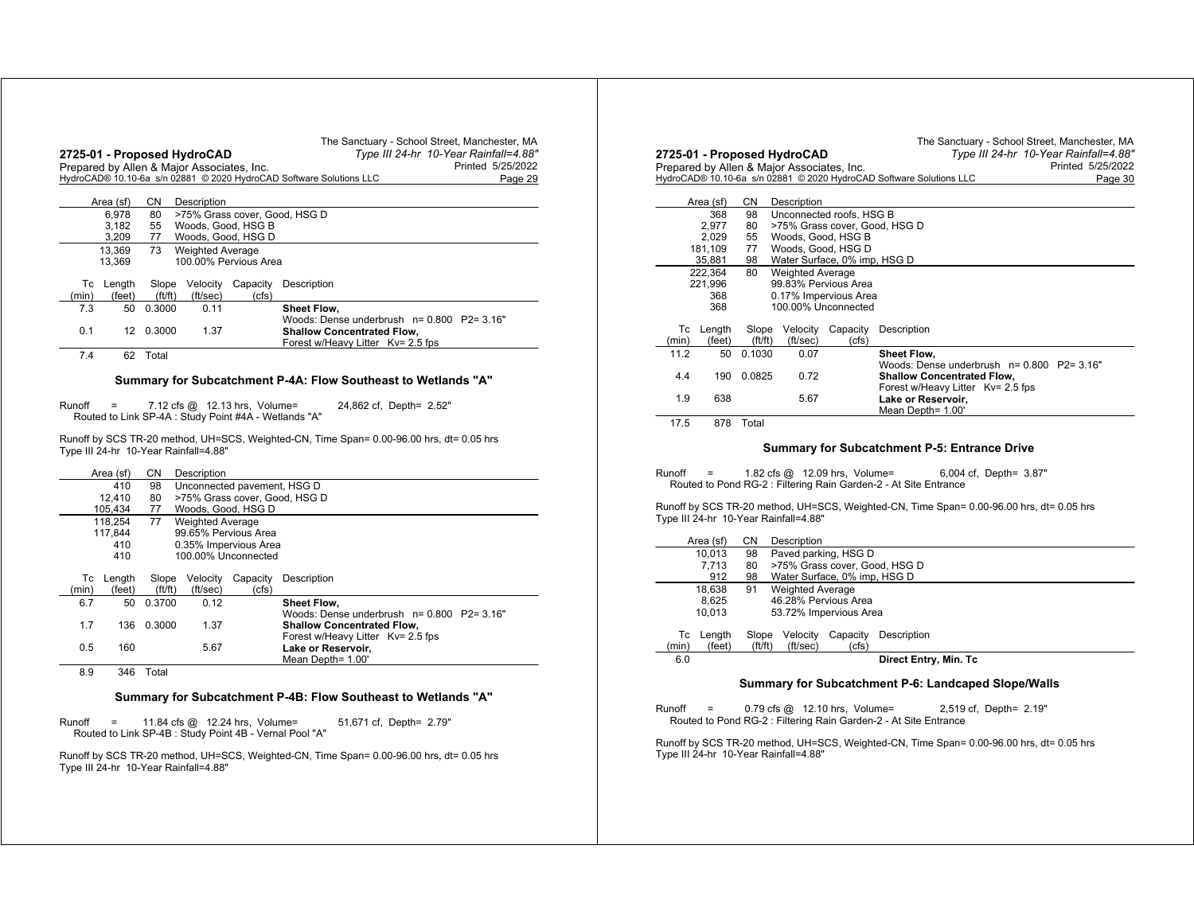|       |           |         | 2725-01 - Proposed HydroCAD<br>Prepared by Allen & Major Associates, Inc. |                       | The Sanctuary - School Street, Manchester, MA<br>Type III 24-hr 10-Year Rainfall=4.88"<br>Printed 5/25/2022<br>HydroCAD® 10.10-6a s/n 02881 © 2020 HydroCAD Software Solutions LLC<br>Page 29 |
|-------|-----------|---------|---------------------------------------------------------------------------|-----------------------|-----------------------------------------------------------------------------------------------------------------------------------------------------------------------------------------------|
|       | Area (sf) | CN.     | Description                                                               |                       |                                                                                                                                                                                               |
|       | 6.978     | 80      |                                                                           |                       | >75% Grass cover, Good, HSG D                                                                                                                                                                 |
|       | 3.182     | 55      |                                                                           | Woods, Good, HSG B    |                                                                                                                                                                                               |
|       | 3,209     | 77      |                                                                           | Woods, Good, HSG D    |                                                                                                                                                                                               |
|       | 13.369    | 73      | <b>Weighted Average</b>                                                   |                       |                                                                                                                                                                                               |
|       | 13.369    |         |                                                                           | 100.00% Pervious Area |                                                                                                                                                                                               |
|       |           |         |                                                                           |                       |                                                                                                                                                                                               |
| Тc    | Length    | Slope   | Velocity                                                                  | Capacity              | Description                                                                                                                                                                                   |
| (min) | (feet)    | (ft/ft) | (ft/sec)                                                                  | (cfs)                 |                                                                                                                                                                                               |
| 7.3   | 50        | 0.3000  | 0.11                                                                      |                       | Sheet Flow,                                                                                                                                                                                   |
|       |           |         |                                                                           |                       | Woods: Dense underbrush $n = 0.800$ P2= 3.16"                                                                                                                                                 |
| 0.1   | 12        | 0.3000  | 1.37                                                                      |                       | <b>Shallow Concentrated Flow,</b>                                                                                                                                                             |
|       |           |         |                                                                           |                       | Forest w/Heavy Litter Kv= 2.5 fps                                                                                                                                                             |
| 7.4   | 62        | Total   |                                                                           |                       |                                                                                                                                                                                               |

#### **Summary for Subcatchment P-4A: Flow Southeast to Wetlands "A"**

Runoff <sup>=</sup> 7.12 cfs @ 12.13 hrs, Volume= 24,862 cf, Depth= 2.52" Routed to Link SP-4A : Study Point #4A - Wetlands "A"

Runoff by SCS TR-20 method, UH=SCS, Weighted-CN, Time Span= 0.00-96.00 hrs, dt= 0.05 hrs Type III 24-hr 10-Year Rainfall=4.88"

|       | Area (sf)        | CΝ<br>Description                 |                               |                       |                                                                     |  |  |  |
|-------|------------------|-----------------------------------|-------------------------------|-----------------------|---------------------------------------------------------------------|--|--|--|
|       | 410              | 98<br>Unconnected pavement, HSG D |                               |                       |                                                                     |  |  |  |
|       | 12.410           | 80                                | >75% Grass cover, Good, HSG D |                       |                                                                     |  |  |  |
|       | 105.434          | 77                                | Woods, Good, HSG D            |                       |                                                                     |  |  |  |
|       | 118.254          | 77                                | <b>Weighted Average</b>       |                       |                                                                     |  |  |  |
|       | 117.844          |                                   |                               | 99.65% Pervious Area  |                                                                     |  |  |  |
|       | 410              |                                   |                               | 0.35% Impervious Area |                                                                     |  |  |  |
|       | 410              |                                   |                               | 100.00% Unconnected   |                                                                     |  |  |  |
| Тc    | Length<br>(feet) | Slope<br>ft/ft)                   | Velocity<br>(ft/sec)          | Capacity<br>(cfs)     | Description                                                         |  |  |  |
| (min) |                  | 0.3700                            |                               |                       |                                                                     |  |  |  |
| 6.7   | 50               |                                   | 0.12                          |                       | <b>Sheet Flow.</b><br>Woods: Dense underbrush $n = 0.800$ P2= 3.16" |  |  |  |
| 1.7   | 136              | 0.3000                            | 1.37                          |                       | <b>Shallow Concentrated Flow,</b>                                   |  |  |  |
| 0.5   | 160              |                                   | 5.67                          |                       | Forest w/Heavy Litter Kv= 2.5 fps<br>Lake or Reservoir,             |  |  |  |
|       |                  |                                   |                               |                       | Mean Depth= 1.00'                                                   |  |  |  |
| 8.9   | 346              | Total                             |                               |                       |                                                                     |  |  |  |

#### **Summary for Subcatchment P-4B: Flow Southeast to Wetlands "A"**

Runoff <sup>=</sup> 11.84 cfs @ 12.24 hrs, Volume= 51,671 cf, Depth= 2.79" Routed to Link SP-4B : Study Point 4B - Vernal Pool "A"

Runoff by SCS TR-20 method, UH=SCS, Weighted-CN, Time Span= 0.00-96.00 hrs, dt= 0.05 hrs Type III 24-hr 10-Year Rainfall=4.88"

|             |                  |                  | 2725-01 - Proposed HydroCAD<br>Prepared by Allen & Major Associates, Inc. |                                                                                | The Sanctuary - School Street, Manchester, MA<br>Type III 24-hr 10-Year Rainfall=4.88"<br>Printed 5/25/2022 |
|-------------|------------------|------------------|---------------------------------------------------------------------------|--------------------------------------------------------------------------------|-------------------------------------------------------------------------------------------------------------|
|             |                  |                  |                                                                           | HydroCAD® 10.10-6a s/n 02881 © 2020 HydroCAD Software Solutions LLC<br>Page 30 |                                                                                                             |
|             | Area (sf)        | CN.              | Description                                                               |                                                                                |                                                                                                             |
|             | 368              | 98               |                                                                           | Unconnected roofs, HSG B                                                       |                                                                                                             |
|             | 2.977            | 80               |                                                                           |                                                                                | >75% Grass cover, Good, HSG D                                                                               |
|             | 2.029            | 55               | Woods, Good, HSG B                                                        |                                                                                |                                                                                                             |
|             | 181,109          | 77               |                                                                           | Woods, Good, HSG D                                                             |                                                                                                             |
|             | 35,881           | 98               |                                                                           | Water Surface, 0% imp, HSG D                                                   |                                                                                                             |
|             | 222,364          | 80               | <b>Weighted Average</b>                                                   |                                                                                |                                                                                                             |
|             | 221,996          |                  |                                                                           | 99 83% Pervious Area                                                           |                                                                                                             |
|             | 368              |                  |                                                                           | 0.17% Impervious Area                                                          |                                                                                                             |
|             | 368              |                  |                                                                           | 100.00% Unconnected                                                            |                                                                                                             |
| Тc<br>(min) | Length<br>(feet) | Slope<br>(ft/ft) | Velocity<br>(ft/sec)                                                      | Capacity<br>(cfs)                                                              | Description                                                                                                 |
| 11.2        | 50               | 0.1030           | 0.07                                                                      |                                                                                | Sheet Flow,                                                                                                 |
|             |                  |                  |                                                                           |                                                                                | Woods: Dense underbrush n= 0.800 P2= 3.16"                                                                  |
| 4.4         | 190              | 0.0825           | 0.72                                                                      |                                                                                | <b>Shallow Concentrated Flow,</b>                                                                           |
|             |                  |                  |                                                                           |                                                                                | Forest w/Heavy Litter Ky= 2.5 fps                                                                           |
| 1.9         | 638              |                  | 5.67                                                                      |                                                                                | Lake or Reservoir,                                                                                          |
|             |                  |                  |                                                                           |                                                                                | Mean Depth= 1.00'                                                                                           |
| 17.5        | 878              | Total            |                                                                           |                                                                                |                                                                                                             |

#### **Summary for Subcatchment P-5: Entrance Drive**

Runoff <sup>=</sup> 1.82 cfs @ 12.09 hrs, Volume= 6,004 cf, Depth= 3.87" Routed to Pond RG-2 : Filtering Rain Garden-2 - At Site Entrance

Runoff by SCS TR-20 method, UH=SCS, Weighted-CN, Time Span= 0.00-96.00 hrs, dt= 0.05 hrs Type III 24-hr 10-Year Rainfall=4.88"

|       | Area (sf) | CΝ     | Description                  |                               |                       |  |  |  |  |
|-------|-----------|--------|------------------------------|-------------------------------|-----------------------|--|--|--|--|
|       | 10.013    | 98     | Paved parking, HSG D         |                               |                       |  |  |  |  |
|       | 7.713     | 80     |                              | >75% Grass cover, Good, HSG D |                       |  |  |  |  |
|       | 912       | 98     | Water Surface, 0% imp, HSG D |                               |                       |  |  |  |  |
|       | 18.638    | 91     | <b>Weighted Average</b>      |                               |                       |  |  |  |  |
|       | 8.625     |        | 46.28% Pervious Area         |                               |                       |  |  |  |  |
|       | 10.013    |        | 53.72% Impervious Area       |                               |                       |  |  |  |  |
|       |           |        |                              |                               |                       |  |  |  |  |
| Тc    | Length    | Slope  | Velocity                     | Capacity                      | Description           |  |  |  |  |
| (min) | (feet)    | ft/ft) | (ft/sec)                     | (cfs)                         |                       |  |  |  |  |
| 6.0   |           |        |                              |                               | Direct Entry, Min. Tc |  |  |  |  |
|       |           |        |                              |                               |                       |  |  |  |  |

#### **Summary for Subcatchment P-6: Landcaped Slope/Walls**

Runoff <sup>=</sup> 0.79 cfs @ 12.10 hrs, Volume= 2,519 cf, Depth= 2.19" Routed to Pond RG-2 : Filtering Rain Garden-2 - At Site Entrance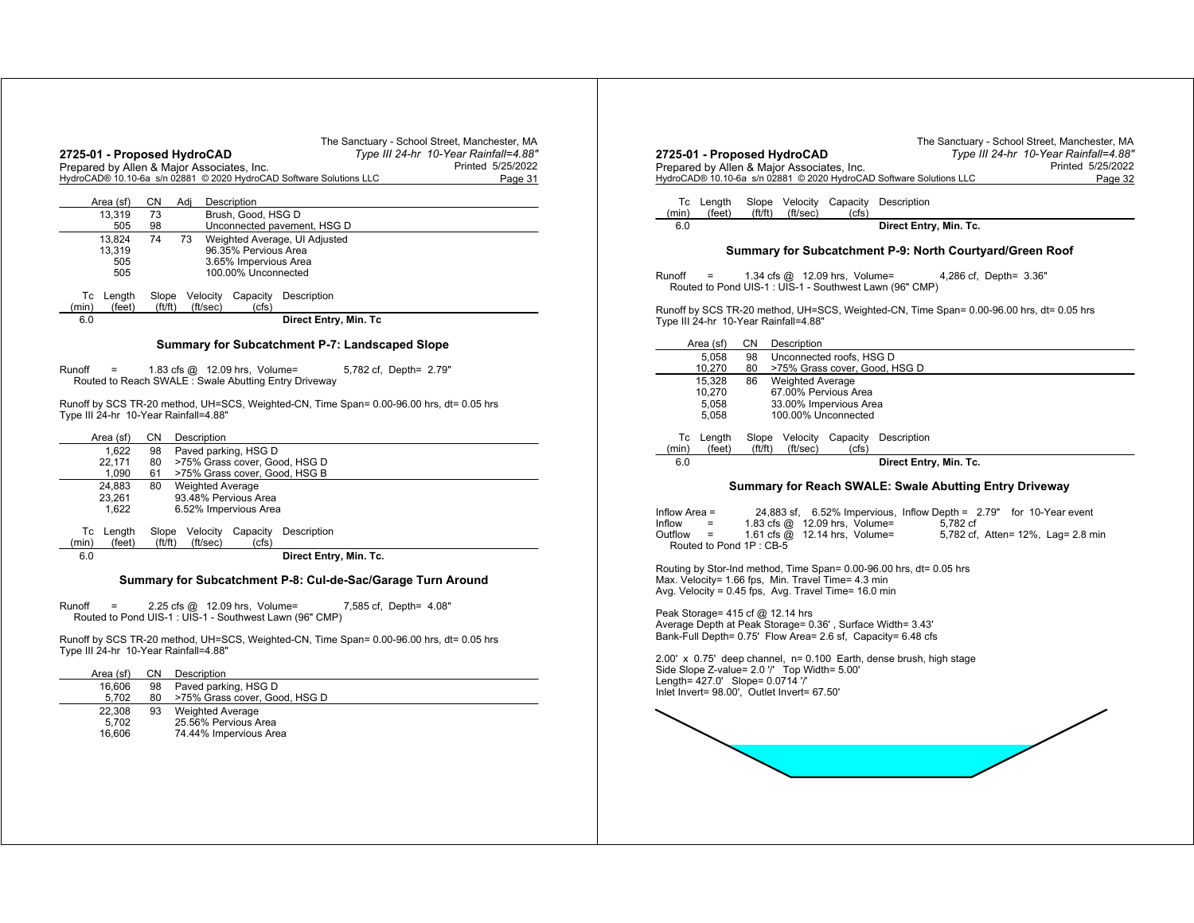| Type III 24-hr 10-Year Rainfall=4.88"<br>2725-01 - Proposed HydroCAD<br>Printed 5/25/2022<br>Prepared by Allen & Major Associates, Inc. | Type III 24-hr 10-Year Rainfall=4.88"<br>2725-01 - Proposed HydroCAD<br>Prepared by Allen & Major Associates, Inc.<br>Printed 5/25/2022 |
|-----------------------------------------------------------------------------------------------------------------------------------------|-----------------------------------------------------------------------------------------------------------------------------------------|
| HydroCAD® 10.10-6a s/n 02881 © 2020 HydroCAD Software Solutions LLC<br>Page 31                                                          | HydroCAD® 10.10-6a s/n 02881 © 2020 HydroCAD Software Solutions LLC<br>Page 32                                                          |
| CN Adj<br>Description<br>Area (sf)<br>73<br>Brush, Good, HSG D<br>13.319                                                                | Tc Length<br>Slope Velocity Capacity Description<br>(feet)<br>(ft/ft)<br>(ft/sec)<br>(cfs)<br>(min)                                     |
| 98<br>Unconnected pavement, HSG D<br>505                                                                                                | Direct Entry, Min. Tc.<br>6.0                                                                                                           |
| 13,824<br>74<br>73<br>Weighted Average, UI Adjusted                                                                                     |                                                                                                                                         |
| 96.35% Pervious Area<br>13.319                                                                                                          | Summary for Subcatchment P-9: North Courtyard/Green Roof                                                                                |
| 3.65% Impervious Area<br>505                                                                                                            |                                                                                                                                         |
| 100.00% Unconnected<br>505                                                                                                              | $Runoff =$<br>1.34 cfs $@$ 12.09 hrs, Volume=<br>4,286 cf, Depth= 3.36"                                                                 |
| Slope Velocity Capacity Description<br>Tc Length                                                                                        | Routed to Pond UIS-1 : UIS-1 - Southwest Lawn (96" CMP)                                                                                 |
| ft/ft)<br>(cfs)<br>(feet)<br>(ft/sec)<br>(min)                                                                                          | Runoff by SCS TR-20 method, UH=SCS, Weighted-CN, Time Span= 0.00-96.00 hrs, dt= 0.05 hrs                                                |
| 6.0<br>Direct Entry, Min. Tc                                                                                                            | Type III 24-hr 10-Year Rainfall=4.88"                                                                                                   |
| Summary for Subcatchment P-7: Landscaped Slope                                                                                          | CN Description<br>Area (sf)                                                                                                             |
|                                                                                                                                         | 98<br>Unconnected roofs, HSG D<br>5.058                                                                                                 |
| Runoff<br>1.83 cfs $@$ 12.09 hrs, Volume=<br>5,782 cf, Depth= 2.79"<br>$=$<br>Routed to Reach SWALE: Swale Abutting Entry Driveway      | >75% Grass cover, Good, HSG D<br>10,270<br>80<br>86<br>15,328<br><b>Weighted Average</b>                                                |
|                                                                                                                                         | 67.00% Pervious Area<br>10,270                                                                                                          |
| Runoff by SCS TR-20 method, UH=SCS, Weighted-CN, Time Span= 0.00-96.00 hrs, dt= 0.05 hrs                                                | 33.00% Impervious Area<br>5,058                                                                                                         |
| Type III 24-hr 10-Year Rainfall=4.88"                                                                                                   | 100.00% Unconnected<br>5,058                                                                                                            |
| CN Description<br>Area (sf)                                                                                                             | Slope Velocity Capacity Description<br>Tc Length                                                                                        |
| Paved parking, HSG D<br>98<br>1,622                                                                                                     | ft/ft)<br>(ft/sec)<br>(cfs)<br>(feet)<br>(min)                                                                                          |
| 80 >75% Grass cover, Good, HSG D<br>22,171<br>61 >75% Grass cover, Good, HSG B<br>1.090                                                 | 6.0<br>Direct Entry, Min. Tc.                                                                                                           |
| <b>Weighted Average</b><br>24,883<br>80                                                                                                 | Summary for Reach SWALE: Swale Abutting Entry Driveway                                                                                  |
| 93.48% Pervious Area<br>23,261                                                                                                          |                                                                                                                                         |
| 6.52% Impervious Area<br>1,622                                                                                                          | 24,883 sf, 6.52% Impervious, Inflow Depth = 2.79" for 10-Year event<br>Inflow Area $=$                                                  |
| Slope Velocity Capacity Description<br>Tc Length                                                                                        | Inflow<br>1.83 cfs $@$ 12.09 hrs, Volume=<br>5.782 cf<br>$\equiv$                                                                       |
| ft/ft)<br>(feet)<br>(ft/sec)<br>(cfs)<br>(min)                                                                                          | 1.61 cfs @ 12.14 hrs, Volume=<br>5,782 cf, Atten= 12%, Lag= 2.8 min<br>$Outflow =$<br>Routed to Pond 1P: CB-5                           |
| 6.0<br>Direct Entry, Min. Tc.                                                                                                           |                                                                                                                                         |
|                                                                                                                                         | Routing by Stor-Ind method, Time Span= 0.00-96.00 hrs, dt= 0.05 hrs                                                                     |
| Summary for Subcatchment P-8: Cul-de-Sac/Garage Turn Around                                                                             | Max. Velocity= 1.66 fps, Min. Travel Time= 4.3 min                                                                                      |
|                                                                                                                                         | Avg. Velocity = 0.45 fps, Avg. Travel Time= 16.0 min                                                                                    |
| Runoff<br>2.25 cfs $@$ 12.09 hrs, Volume=<br>7,585 cf, Depth= 4.08"<br>$\equiv$                                                         | Peak Storage= $415$ cf @ 12.14 hrs                                                                                                      |
| Routed to Pond UIS-1 : UIS-1 - Southwest Lawn (96" CMP)                                                                                 | Average Depth at Peak Storage= 0.36', Surface Width= 3.43'                                                                              |
|                                                                                                                                         | Bank-Full Depth= 0.75' Flow Area= 2.6 sf, Capacity= 6.48 cfs                                                                            |
| Runoff by SCS TR-20 method, UH=SCS, Weighted-CN, Time Span= 0.00-96.00 hrs, dt= 0.05 hrs<br>Type III 24-hr 10-Year Rainfall=4.88"       |                                                                                                                                         |
|                                                                                                                                         | $2.00'$ x 0.75' deep channel, $n = 0.100$ Earth, dense brush, high stage                                                                |
| CN D<br>Description<br>Area (sf)                                                                                                        | Side Slope Z-value= 2.0 '/' Top Width= 5.00'                                                                                            |
| Paved parking, HSG D<br>16,606<br>98                                                                                                    | Length= 427.0' Slope= 0.0714 '/'<br>Inlet Invert= 98.00', Outlet Invert= 67.50'                                                         |
| >75% Grass cover, Good, HSG D<br>5,702<br>80                                                                                            |                                                                                                                                         |
| <b>Weighted Average</b><br>22,308<br>93                                                                                                 |                                                                                                                                         |
| 25.56% Pervious Area<br>5,702                                                                                                           |                                                                                                                                         |
| 16,606<br>74.44% Impervious Area                                                                                                        |                                                                                                                                         |
|                                                                                                                                         |                                                                                                                                         |
|                                                                                                                                         |                                                                                                                                         |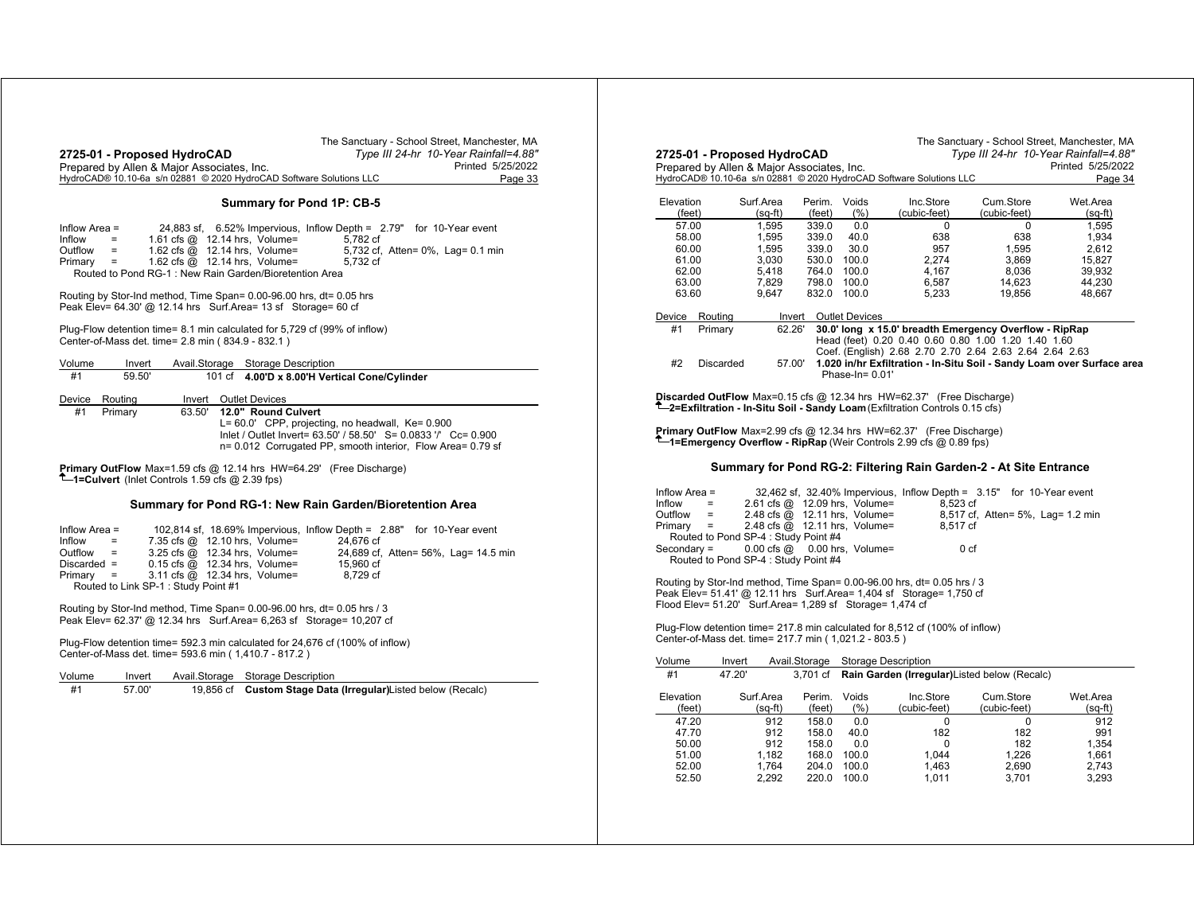|                                                                     | The Sanctuary - School Street, Manchester, MA |         |
|---------------------------------------------------------------------|-----------------------------------------------|---------|
| 2725-01 - Proposed HydroCAD                                         | Type III 24-hr 10-Year Rainfall=4.88"         |         |
| Prepared by Allen & Major Associates, Inc.                          | Printed 5/25/2022                             |         |
| HydroCAD® 10.10-6a s/n 02881 © 2020 HydroCAD Software Solutions LLC |                                               | Page 33 |
|                                                                     |                                               |         |

## **Summary for Pond 1P: CB-5**

| Inflow Area = |                          |                                                        | 24,883 sf, $6.52\%$ Impervious, Inflow Depth = $2.79"$ for 10-Year event |                                   |
|---------------|--------------------------|--------------------------------------------------------|--------------------------------------------------------------------------|-----------------------------------|
| Inflow        | <b>Contract Contract</b> | 1.61 cfs $@$ 12.14 hrs. Volume=                        | 5.782 cf                                                                 |                                   |
| Outflow       | <b>Service</b>           | 1.62 cfs $\omega$ 12.14 hrs, Volume=                   |                                                                          | 5,732 cf, Atten= 0%, Lag= 0.1 min |
| $Primary =$   |                          | 1.62 cfs $@$ 12.14 hrs. Volume=                        | 5.732 cf                                                                 |                                   |
|               |                          | Routed to Pond RG-1: New Rain Garden/Bioretention Area |                                                                          |                                   |

Routing by Stor-Ind method, Time Span= 0.00-96.00 hrs, dt= 0.05 hrs Peak Elev= 64.30' @ 12.14 hrs Surf.Area= 13 sf Storage= 60 cf

Plug-Flow detention time= 8.1 min calculated for 5,729 cf (99% of inflow) Center-of-Mass det. time= 2.8 min ( 834.9 - 832.1 )

| Volume | Invert  |        | Avail.Storage Storage Description                                                                                                                                                                        |
|--------|---------|--------|----------------------------------------------------------------------------------------------------------------------------------------------------------------------------------------------------------|
| #1     | 59.50   |        | 101 cf 4.00'D x 8.00'H Vertical Cone/Cylinder                                                                                                                                                            |
| Device | Routina | Invert | Outlet Devices                                                                                                                                                                                           |
| #1     | Primary | 63.50' | 12.0" Round Culvert<br>L= 60.0' CPP, projecting, no headwall, Ke= 0.900<br>lnlet / Outlet Invert= 63.50' / 58.50' S= 0.0833 '/' Cc= 0.900<br>n= 0.012 Corrugated PP, smooth interior, Flow Area= 0.79 sf |

**Primary OutFlow** Max=1.59 cfs @ 12.14 hrs HW=64.29' (Free Discharge) **1=Culvert** (Inlet Controls 1.59 cfs @ 2.39 fps)

## **Summary for Pond RG-1: New Rain Garden/Bioretention Area**

| Inflow Area $=$                     |                                        |  | 102,814 sf, 18.69% Impervious, Inflow Depth = 2.88" for 10-Year event |  |                                      |
|-------------------------------------|----------------------------------------|--|-----------------------------------------------------------------------|--|--------------------------------------|
| Inflow<br>$\mathbf{r} = \mathbf{r}$ | 7.35 cfs $@$ 12.10 hrs, Volume=        |  | 24.676 cf                                                             |  |                                      |
| $Outflow =$                         | 3.25 cfs $@$ 12.34 hrs, Volume=        |  |                                                                       |  | 24,689 cf, Atten= 56%, Lag= 14.5 min |
| $Discarded =$                       | $0.15$ cfs $\omega$ 12.34 hrs, Volume= |  | 15.960 cf                                                             |  |                                      |
| $Primary =$                         | 3.11 cfs @ 12.34 hrs, Volume=          |  | 8.729 cf                                                              |  |                                      |
|                                     | Routed to Link SP-1: Study Point #1    |  |                                                                       |  |                                      |

Routing by Stor-Ind method, Time Span= 0.00-96.00 hrs, dt= 0.05 hrs / 3 Peak Elev= 62.37' @ 12.34 hrs Surf.Area= 6,263 sf Storage= 10,207 cf

Plug-Flow detention time= 592.3 min calculated for 24,676 cf (100% of inflow) Center-of-Mass det. time= 593.6 min ( 1,410.7 - 817.2 )

| Volume<br>Avail.Storage Storage Description<br>Invert |  |
|-------------------------------------------------------|--|
|-------------------------------------------------------|--|

| #1 | 57.00 |  | 19,856 cf Custom Stage Data (Irregular)Listed below (Recalc) |
|----|-------|--|--------------------------------------------------------------|
|----|-------|--|--------------------------------------------------------------|

|                                                                                                                                                                                                                            |                      |                      |                                      |                       |                                                                                                                                                                          | Type III 24-hr 10-Year Rainfall=4.88" |                                                                        |
|----------------------------------------------------------------------------------------------------------------------------------------------------------------------------------------------------------------------------|----------------------|----------------------|--------------------------------------|-----------------------|--------------------------------------------------------------------------------------------------------------------------------------------------------------------------|---------------------------------------|------------------------------------------------------------------------|
| 2725-01 - Proposed HydroCAD<br>Prepared by Allen & Major Associates, Inc.                                                                                                                                                  |                      |                      |                                      |                       |                                                                                                                                                                          |                                       | Printed 5/25/2022                                                      |
|                                                                                                                                                                                                                            |                      |                      |                                      |                       | HydroCAD® 10.10-6a s/n 02881 © 2020 HydroCAD Software Solutions LLC                                                                                                      |                                       | Page 34                                                                |
|                                                                                                                                                                                                                            |                      |                      |                                      |                       | Inc.Store                                                                                                                                                                |                                       |                                                                        |
| Elevation<br>(feet)                                                                                                                                                                                                        |                      | Surf.Area<br>(sq-ft) | Perim.<br>(feet)                     | Voids<br>(%)          | (cubic-feet)                                                                                                                                                             | Cum.Store<br>(cubic-feet)             | Wet.Area<br>(sq-ft)                                                    |
| 57.00                                                                                                                                                                                                                      |                      | 1,595                | 339.0                                | 0.0                   | 0                                                                                                                                                                        | 0                                     | 1,595                                                                  |
| 58.00                                                                                                                                                                                                                      |                      | 1,595                | 339.0                                | 40.0                  | 638                                                                                                                                                                      | 638                                   | 1,934                                                                  |
| 60.00                                                                                                                                                                                                                      |                      | 1,595                | 339.0                                | 30.0                  | 957                                                                                                                                                                      | 1,595                                 | 2,612                                                                  |
| 61.00                                                                                                                                                                                                                      |                      | 3,030                |                                      | 530.0 100.0           | 2.274                                                                                                                                                                    | 3,869                                 | 15,827                                                                 |
| 62.00                                                                                                                                                                                                                      |                      | 5,418                |                                      | 764.0 100.0           | 4,167                                                                                                                                                                    | 8,036                                 | 39,932                                                                 |
| 63.00                                                                                                                                                                                                                      |                      | 7,829                |                                      | 798.0 100.0           | 6,587                                                                                                                                                                    | 14,623                                | 44,230                                                                 |
| 63.60                                                                                                                                                                                                                      |                      | 9,647                |                                      | 832.0 100.0           | 5,233                                                                                                                                                                    | 19,856                                | 48,667                                                                 |
| Device                                                                                                                                                                                                                     | Routing              |                      | Invert                               | <b>Outlet Devices</b> |                                                                                                                                                                          |                                       |                                                                        |
| #1<br>#2                                                                                                                                                                                                                   | Primary<br>Discarded |                      | 62.26'<br>57.00'                     | Phase-In= $0.01'$     | 30.0' long x 15.0' breadth Emergency Overflow - RipRap<br>Head (feet) 0.20 0.40 0.60 0.80 1.00 1.20 1.40 1.60<br>Coef. (English) 2.68 2.70 2.70 2.64 2.63 2.64 2.64 2.63 |                                       | 1.020 in/hr Exfiltration - In-Situ Soil - Sandy Loam over Surface area |
|                                                                                                                                                                                                                            |                      |                      |                                      |                       | Discarded OutFlow Max=0.15 cfs @ 12.34 hrs HW=62.37' (Free Discharge)<br><sup>T</sup> -2=Exfiltration - In-Situ Soil - Sandy Loam (Exfiltration Controls 0.15 cfs)       |                                       |                                                                        |
|                                                                                                                                                                                                                            |                      |                      |                                      |                       | <b>Primary OutFlow</b> Max=2.99 cfs $@$ 12.34 hrs HW=62.37' (Free Discharge)                                                                                             |                                       |                                                                        |
|                                                                                                                                                                                                                            |                      |                      |                                      |                       | <b>T</b> —1=Emergency Overflow - RipRap (Weir Controls 2.99 cfs @ 0.89 fps)                                                                                              |                                       |                                                                        |
|                                                                                                                                                                                                                            |                      |                      |                                      |                       | Summary for Pond RG-2: Filtering Rain Garden-2 - At Site Entrance                                                                                                        |                                       |                                                                        |
|                                                                                                                                                                                                                            |                      |                      |                                      |                       | 32,462 sf, 32.40% Impervious, Inflow Depth = 3.15" for 10-Year event                                                                                                     |                                       |                                                                        |
|                                                                                                                                                                                                                            | $=$                  |                      | 2.61 cfs @ 12.09 hrs, Volume=        |                       | 8,523 cf                                                                                                                                                                 |                                       |                                                                        |
|                                                                                                                                                                                                                            | $=$                  |                      | 2.48 cfs @ 12.11 hrs, Volume=        |                       |                                                                                                                                                                          | 8,517 cf, Atten= 5%, Lag= 1.2 min     |                                                                        |
|                                                                                                                                                                                                                            | $=$                  |                      | 2.48 cfs @ 12.11 hrs, Volume=        |                       | 8.517 cf                                                                                                                                                                 |                                       |                                                                        |
|                                                                                                                                                                                                                            |                      |                      | Routed to Pond SP-4: Study Point #4  |                       |                                                                                                                                                                          |                                       |                                                                        |
|                                                                                                                                                                                                                            |                      | $0.00$ cfs $@$       |                                      | 0.00 hrs, Volume=     |                                                                                                                                                                          | 0 <sub>cf</sub>                       |                                                                        |
|                                                                                                                                                                                                                            |                      |                      | Routed to Pond SP-4 : Study Point #4 |                       |                                                                                                                                                                          |                                       |                                                                        |
|                                                                                                                                                                                                                            |                      |                      |                                      |                       | Routing by Stor-Ind method, Time Span= 0.00-96.00 hrs, dt= 0.05 hrs / 3                                                                                                  |                                       |                                                                        |
|                                                                                                                                                                                                                            |                      |                      |                                      |                       | Peak Elev= 51.41' @ 12.11 hrs  Surf.Area= 1,404 sf  Storage= 1,750 cf                                                                                                    |                                       |                                                                        |
|                                                                                                                                                                                                                            |                      |                      |                                      |                       |                                                                                                                                                                          |                                       |                                                                        |
|                                                                                                                                                                                                                            |                      |                      |                                      |                       |                                                                                                                                                                          |                                       |                                                                        |
|                                                                                                                                                                                                                            |                      |                      |                                      |                       | Plug-Flow detention time= 217.8 min calculated for 8,512 cf (100% of inflow)                                                                                             |                                       |                                                                        |
|                                                                                                                                                                                                                            |                      |                      |                                      |                       |                                                                                                                                                                          |                                       |                                                                        |
|                                                                                                                                                                                                                            | Invert               |                      | Avail.Storage                        |                       | Storage Description                                                                                                                                                      |                                       |                                                                        |
| #1                                                                                                                                                                                                                         | 47.20'               |                      | 3.701 cf                             |                       | Rain Garden (Irregular) Listed below (Recalc)                                                                                                                            |                                       |                                                                        |
|                                                                                                                                                                                                                            |                      |                      |                                      |                       |                                                                                                                                                                          |                                       |                                                                        |
|                                                                                                                                                                                                                            |                      | Surf.Area            | Perim. Voids                         |                       | Inc.Store                                                                                                                                                                | Cum.Store                             | Wet Area                                                               |
| (feet)                                                                                                                                                                                                                     |                      | (sq-ft)              | (feet)                               | (%)                   | (cubic-feet)                                                                                                                                                             | (cubic-feet)                          | (sq-ft)                                                                |
| 47.20                                                                                                                                                                                                                      |                      | 912                  | 158.0                                | 0.0                   | 0                                                                                                                                                                        | 0                                     | 912                                                                    |
| 47.70                                                                                                                                                                                                                      |                      | 912                  | 158.0                                | 40.0                  | 182                                                                                                                                                                      | 182                                   | 991                                                                    |
| 50.00                                                                                                                                                                                                                      |                      | 912                  | 158.0                                | 0.0                   | 0                                                                                                                                                                        | 182                                   | 1,354                                                                  |
| 51.00                                                                                                                                                                                                                      |                      | 1.182                |                                      | 168.0 100.0           | 1.044                                                                                                                                                                    | 1.226                                 | 1.661                                                                  |
| Inflow Area =<br>Inflow<br>Outflow<br>Primary<br>Secondary =<br>Flood Elev= 51.20' Surf.Area= 1,289 sf Storage= 1,474 cf<br>Center-of-Mass det. time= 217.7 min (1,021.2 - 803.5)<br>Volume<br>Elevation<br>52.00<br>52.50 |                      | 1.764<br>2,292       | 220.0                                | 204.0 100.0<br>100.0  | 1.463<br>1,011                                                                                                                                                           | 2.690<br>3,701                        | 2,743<br>3,293                                                         |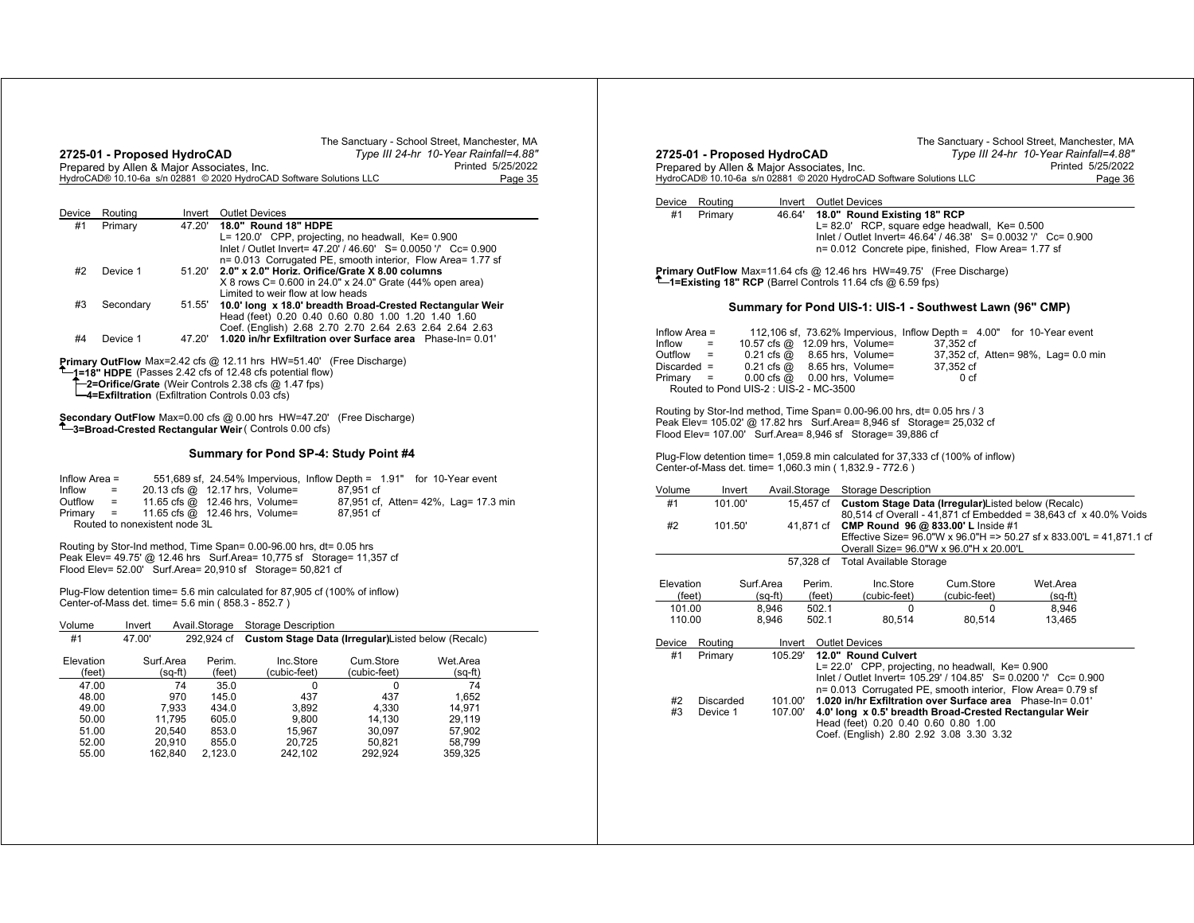| Device Routing<br>Invert Outlet Devices<br>Device Routing<br>Invert Outlet Devices<br>#1<br>Primary<br>18.0" Round Existing 18" RCP<br>46.64'<br>47.20' 18.0" Round 18" HDPE<br>#1<br>L= 82.0' RCP, square edge headwall, Ke= 0.500<br>Primary<br>L= 120.0' CPP, projecting, no headwall, Ke= 0.900<br>Inlet / Outlet Invert= 47.20' / 46.60' S= 0.0050 '/' Cc= 0.900<br>n= 0.012 Concrete pipe, finished, Flow Area= 1.77 sf<br>n= 0.013 Corrugated PE, smooth interior, Flow Area= 1.77 sf<br>51.20' 2.0" x 2.0" Horiz. Orifice/Grate X 8.00 columns<br>Primary OutFlow Max=11.64 cfs @ 12.46 hrs HW=49.75' (Free Discharge)<br>#2<br>Device 1<br>$T$ = Existing 18" RCP (Barrel Controls 11.64 cfs @ 6.59 fps)<br>X 8 rows C= 0.600 in 24.0" x 24.0" Grate (44% open area)<br>Limited to weir flow at low heads<br>51.55' 10.0' long x 18.0' breadth Broad-Crested Rectangular Weir<br>#3<br>Secondary<br>Summary for Pond UIS-1: UIS-1 - Southwest Lawn (96" CMP)<br>Head (feet) 0.20 0.40 0.60 0.80 1.00 1.20 1.40 1.60<br>Coef. (English) 2.68 2.70 2.70 2.64 2.63 2.64 2.64 2.63<br>Inflow Area $=$<br>#4<br>47.20' 1.020 in/hr Exfiltration over Surface area Phase-In= 0.01'<br>Device 1<br>Inflow<br>10.57 cfs @ 12.09 hrs, Volume=<br>$=$<br>37.352 cf<br>$0.21$ cfs $@$ 8.65 hrs, Volume=<br>$Outflow =$<br><b>Primary OutFlow</b> Max=2.42 cfs $@$ 12.11 hrs HW=51.40' (Free Discharge)<br>Discarded $=$<br>$0.21$ cfs $@$ $8.65$ hrs, Volume=<br>37,352 cf<br><sup>1</sup> -1=18" HDPE (Passes 2.42 cfs of 12.48 cfs potential flow)<br>$Primary =$<br>$0.00 \text{ cfs} \textcircled{a}$ 0.00 hrs, Volume=<br>0 <sub>cf</sub><br>T-2=Orifice/Grate (Weir Controls 2.38 cfs @ 1.47 fps)<br>Routed to Pond UIS-2 : UIS-2 - MC-3500<br>4=Exfiltration (Exfiltration Controls 0.03 cfs)<br>Routing by Stor-Ind method, Time Span= 0.00-96.00 hrs, dt= 0.05 hrs / 3<br>Secondary OutFlow Max=0.00 cfs @ 0.00 hrs HW=47.20' (Free Discharge)<br>Peak Elev= 105.02' @ 17.82 hrs  Surf.Area= 8,946 sf  Storage= 25,032 cf<br>T-3=Broad-Crested Rectangular Weir (Controls 0.00 cfs)<br>Flood Elev= 107.00' Surf.Area= 8,946 sf Storage= 39,886 cf<br>Summary for Pond SP-4: Study Point #4<br>Plug-Flow detention time= 1,059.8 min calculated for 37,333 cf (100% of inflow)<br>Center-of-Mass det. time= 1,060.3 min (1,832.9 - 772.6)<br>551,689 sf, 24.54% Impervious, Inflow Depth = 1.91" for 10-Year event<br>Inflow Area $=$<br>20.13 cfs @ 12.17 hrs, Volume=<br>87.951 cf<br>Avail.Storage Storage Description<br>Inflow<br>$\sim$ $\pm$<br>Volume<br>Invert<br>$Outflow =$<br>11.65 cfs @ 12.46 hrs, Volume=<br>87,951 cf, Atten= 42%, Lag= 17.3 min<br>#1<br>101.00'<br>$Primary =$<br>11.65 cfs @ 12.46 hrs, Volume=<br>87,951 cf<br>Routed to nonexistent node 3L<br>#2<br>101.50'<br>41,871 cf CMP Round 96 @ 833.00' L Inside #1<br>Routing by Stor-Ind method, Time Span= 0.00-96.00 hrs, dt= 0.05 hrs<br>Overall Size= 96.0"W x 96.0"H x 20.00'L<br>Peak Elev= 49.75' @ 12.46 hrs Surf.Area= 10,775 sf Storage= 11,357 cf<br>57,328 cf Total Available Storage<br>Flood Elev= 52.00' Surf.Area= 20,910 sf Storage= 50,821 cf<br>Perim.<br>Inc.Store<br>Cum.Store<br>Elevation<br>Surf.Area<br>Wet.Area<br>Plug-Flow detention time= 5.6 min calculated for 87,905 cf (100% of inflow)<br>$(sq-ft)$<br>(cubic-feet)<br>(cubic-feet)<br>(feet)<br>(feet)<br>$(sq-ft)$<br>Center-of-Mass det. time= 5.6 min (858.3 - 852.7)<br>8,946<br>502.1<br>101.00<br>$\Omega$<br>0<br>110.00<br>8.946<br>502.1<br>80,514<br>80,514<br>13,465<br>Avail.Storage Storage Description<br>Volume<br>Invert<br>#1<br>47.00'<br>292,924 cf<br>Custom Stage Data (Irregular)Listed below (Recalc)<br>Device Routing<br>Invert Outlet Devices<br>105.29' 12.0" Round Culvert<br>#1<br>Primary<br>Elevation<br>Surf.Area<br>Perim.<br>Inc.Store<br>Cum.Store<br>Wet.Area<br>L= 22.0' CPP, projecting, no headwall, Ke= 0.900<br>$(sq-ft)$<br>(feet)<br>(cubic-feet)<br>(cubic-feet)<br>$(sq-ft)$<br>(feet)<br>Inlet / Outlet Invert= 105.29' / 104.85' S= 0.0200 '/' Cc= 0.900<br>74<br>47.00<br>74<br>35.0<br>$\mathbf 0$<br>$\Omega$<br>n= 0.013 Corrugated PE, smooth interior, Flow Area= 0.79 sf<br>437<br>437<br>1.652<br>48.00<br>970<br>145.0<br>#2<br><b>Discarded</b><br>49.00<br>7.933<br>434.0<br>3,892<br>4,330<br>14,971<br>#3<br>Device 1<br>4.0' long x 0.5' breadth Broad-Crested Rectangular Weir<br>107.00'<br>50.00<br>11,795<br>605.0<br>9,800<br>14,130<br>29,119<br>Head (feet) 0.20 0.40 0.60 0.80 1.00<br>20,540<br>853.0<br>30,097<br>57,902<br>51.00<br>15,967<br>Coef. (English) 2.80 2.92 3.08 3.30 3.32<br>52.00<br>20.910<br>855.0<br>20.725<br>50.821<br>58.799<br>55.00<br>2.123.0<br>292.924<br>359.325<br>162.840<br>242.102 | 2725-01 - Proposed HydroCAD | Prepared by Allen & Major Associates, Inc.<br>HydroCAD® 10.10-6a s/n 02881 © 2020 HydroCAD Software Solutions LLC | The Sanctuary - School Street, Manchester, MA<br>Type III 24-hr 10-Year Rainfall=4.88"<br>Printed 5/25/2022<br>Page 35 | The Sanctuary - School Street, Manchester, MA<br>Type III 24-hr 10-Year Rainfall=4.88"<br>2725-01 - Proposed HydroCAD<br>Printed 5/25/2022<br>Prepared by Allen & Major Associates, Inc.<br>HydroCAD® 10.10-6a s/n 02881 © 2020 HydroCAD Software Solutions LLC<br>Page 36 |
|-------------------------------------------------------------------------------------------------------------------------------------------------------------------------------------------------------------------------------------------------------------------------------------------------------------------------------------------------------------------------------------------------------------------------------------------------------------------------------------------------------------------------------------------------------------------------------------------------------------------------------------------------------------------------------------------------------------------------------------------------------------------------------------------------------------------------------------------------------------------------------------------------------------------------------------------------------------------------------------------------------------------------------------------------------------------------------------------------------------------------------------------------------------------------------------------------------------------------------------------------------------------------------------------------------------------------------------------------------------------------------------------------------------------------------------------------------------------------------------------------------------------------------------------------------------------------------------------------------------------------------------------------------------------------------------------------------------------------------------------------------------------------------------------------------------------------------------------------------------------------------------------------------------------------------------------------------------------------------------------------------------------------------------------------------------------------------------------------------------------------------------------------------------------------------------------------------------------------------------------------------------------------------------------------------------------------------------------------------------------------------------------------------------------------------------------------------------------------------------------------------------------------------------------------------------------------------------------------------------------------------------------------------------------------------------------------------------------------------------------------------------------------------------------------------------------------------------------------------------------------------------------------------------------------------------------------------------------------------------------------------------------------------------------------------------------------------------------------------------------------------------------------------------------------------------------------------------------------------------------------------------------------------------------------------------------------------------------------------------------------------------------------------------------------------------------------------------------------------------------------------------------------------------------------------------------------------------------------------------------------------------------------------------------------------------------------------------------------------------------------------------------------------------------------------------------------------------------------------------------------------------------------------------------------------------------------------------------------------------------------------------------------------------------------------------------------------------------------------------------------------------------------------------------------------------------------------------------------------------------------------------------------------------------------------------------------------------------------------------------------------------------------------------------------------------------------------------------------------------------------------------------------------------------------------------------------------------------------------------------------------------------------------------------------------------------------------------------------------------------------------------------|-----------------------------|-------------------------------------------------------------------------------------------------------------------|------------------------------------------------------------------------------------------------------------------------|----------------------------------------------------------------------------------------------------------------------------------------------------------------------------------------------------------------------------------------------------------------------------|
|                                                                                                                                                                                                                                                                                                                                                                                                                                                                                                                                                                                                                                                                                                                                                                                                                                                                                                                                                                                                                                                                                                                                                                                                                                                                                                                                                                                                                                                                                                                                                                                                                                                                                                                                                                                                                                                                                                                                                                                                                                                                                                                                                                                                                                                                                                                                                                                                                                                                                                                                                                                                                                                                                                                                                                                                                                                                                                                                                                                                                                                                                                                                                                                                                                                                                                                                                                                                                                                                                                                                                                                                                                                                                                                                                                                                                                                                                                                                                                                                                                                                                                                                                                                                                                                                                                                                                                                                                                                                                                                                                                                                                                                                                                                                                                   |                             |                                                                                                                   |                                                                                                                        |                                                                                                                                                                                                                                                                            |
|                                                                                                                                                                                                                                                                                                                                                                                                                                                                                                                                                                                                                                                                                                                                                                                                                                                                                                                                                                                                                                                                                                                                                                                                                                                                                                                                                                                                                                                                                                                                                                                                                                                                                                                                                                                                                                                                                                                                                                                                                                                                                                                                                                                                                                                                                                                                                                                                                                                                                                                                                                                                                                                                                                                                                                                                                                                                                                                                                                                                                                                                                                                                                                                                                                                                                                                                                                                                                                                                                                                                                                                                                                                                                                                                                                                                                                                                                                                                                                                                                                                                                                                                                                                                                                                                                                                                                                                                                                                                                                                                                                                                                                                                                                                                                                   |                             |                                                                                                                   |                                                                                                                        | Inlet / Outlet Invert= 46.64 / 46.38' S= 0.0032 '/' Cc= 0.900                                                                                                                                                                                                              |
|                                                                                                                                                                                                                                                                                                                                                                                                                                                                                                                                                                                                                                                                                                                                                                                                                                                                                                                                                                                                                                                                                                                                                                                                                                                                                                                                                                                                                                                                                                                                                                                                                                                                                                                                                                                                                                                                                                                                                                                                                                                                                                                                                                                                                                                                                                                                                                                                                                                                                                                                                                                                                                                                                                                                                                                                                                                                                                                                                                                                                                                                                                                                                                                                                                                                                                                                                                                                                                                                                                                                                                                                                                                                                                                                                                                                                                                                                                                                                                                                                                                                                                                                                                                                                                                                                                                                                                                                                                                                                                                                                                                                                                                                                                                                                                   |                             |                                                                                                                   |                                                                                                                        |                                                                                                                                                                                                                                                                            |
|                                                                                                                                                                                                                                                                                                                                                                                                                                                                                                                                                                                                                                                                                                                                                                                                                                                                                                                                                                                                                                                                                                                                                                                                                                                                                                                                                                                                                                                                                                                                                                                                                                                                                                                                                                                                                                                                                                                                                                                                                                                                                                                                                                                                                                                                                                                                                                                                                                                                                                                                                                                                                                                                                                                                                                                                                                                                                                                                                                                                                                                                                                                                                                                                                                                                                                                                                                                                                                                                                                                                                                                                                                                                                                                                                                                                                                                                                                                                                                                                                                                                                                                                                                                                                                                                                                                                                                                                                                                                                                                                                                                                                                                                                                                                                                   |                             |                                                                                                                   |                                                                                                                        |                                                                                                                                                                                                                                                                            |
|                                                                                                                                                                                                                                                                                                                                                                                                                                                                                                                                                                                                                                                                                                                                                                                                                                                                                                                                                                                                                                                                                                                                                                                                                                                                                                                                                                                                                                                                                                                                                                                                                                                                                                                                                                                                                                                                                                                                                                                                                                                                                                                                                                                                                                                                                                                                                                                                                                                                                                                                                                                                                                                                                                                                                                                                                                                                                                                                                                                                                                                                                                                                                                                                                                                                                                                                                                                                                                                                                                                                                                                                                                                                                                                                                                                                                                                                                                                                                                                                                                                                                                                                                                                                                                                                                                                                                                                                                                                                                                                                                                                                                                                                                                                                                                   |                             |                                                                                                                   |                                                                                                                        | 112,106 sf, 73.62% Impervious, Inflow Depth = 4.00" for 10-Year event                                                                                                                                                                                                      |
|                                                                                                                                                                                                                                                                                                                                                                                                                                                                                                                                                                                                                                                                                                                                                                                                                                                                                                                                                                                                                                                                                                                                                                                                                                                                                                                                                                                                                                                                                                                                                                                                                                                                                                                                                                                                                                                                                                                                                                                                                                                                                                                                                                                                                                                                                                                                                                                                                                                                                                                                                                                                                                                                                                                                                                                                                                                                                                                                                                                                                                                                                                                                                                                                                                                                                                                                                                                                                                                                                                                                                                                                                                                                                                                                                                                                                                                                                                                                                                                                                                                                                                                                                                                                                                                                                                                                                                                                                                                                                                                                                                                                                                                                                                                                                                   |                             |                                                                                                                   |                                                                                                                        | 37,352 cf, Atten= 98%, Lag= 0.0 min                                                                                                                                                                                                                                        |
|                                                                                                                                                                                                                                                                                                                                                                                                                                                                                                                                                                                                                                                                                                                                                                                                                                                                                                                                                                                                                                                                                                                                                                                                                                                                                                                                                                                                                                                                                                                                                                                                                                                                                                                                                                                                                                                                                                                                                                                                                                                                                                                                                                                                                                                                                                                                                                                                                                                                                                                                                                                                                                                                                                                                                                                                                                                                                                                                                                                                                                                                                                                                                                                                                                                                                                                                                                                                                                                                                                                                                                                                                                                                                                                                                                                                                                                                                                                                                                                                                                                                                                                                                                                                                                                                                                                                                                                                                                                                                                                                                                                                                                                                                                                                                                   |                             |                                                                                                                   |                                                                                                                        |                                                                                                                                                                                                                                                                            |
|                                                                                                                                                                                                                                                                                                                                                                                                                                                                                                                                                                                                                                                                                                                                                                                                                                                                                                                                                                                                                                                                                                                                                                                                                                                                                                                                                                                                                                                                                                                                                                                                                                                                                                                                                                                                                                                                                                                                                                                                                                                                                                                                                                                                                                                                                                                                                                                                                                                                                                                                                                                                                                                                                                                                                                                                                                                                                                                                                                                                                                                                                                                                                                                                                                                                                                                                                                                                                                                                                                                                                                                                                                                                                                                                                                                                                                                                                                                                                                                                                                                                                                                                                                                                                                                                                                                                                                                                                                                                                                                                                                                                                                                                                                                                                                   |                             |                                                                                                                   |                                                                                                                        |                                                                                                                                                                                                                                                                            |
|                                                                                                                                                                                                                                                                                                                                                                                                                                                                                                                                                                                                                                                                                                                                                                                                                                                                                                                                                                                                                                                                                                                                                                                                                                                                                                                                                                                                                                                                                                                                                                                                                                                                                                                                                                                                                                                                                                                                                                                                                                                                                                                                                                                                                                                                                                                                                                                                                                                                                                                                                                                                                                                                                                                                                                                                                                                                                                                                                                                                                                                                                                                                                                                                                                                                                                                                                                                                                                                                                                                                                                                                                                                                                                                                                                                                                                                                                                                                                                                                                                                                                                                                                                                                                                                                                                                                                                                                                                                                                                                                                                                                                                                                                                                                                                   |                             |                                                                                                                   |                                                                                                                        |                                                                                                                                                                                                                                                                            |
|                                                                                                                                                                                                                                                                                                                                                                                                                                                                                                                                                                                                                                                                                                                                                                                                                                                                                                                                                                                                                                                                                                                                                                                                                                                                                                                                                                                                                                                                                                                                                                                                                                                                                                                                                                                                                                                                                                                                                                                                                                                                                                                                                                                                                                                                                                                                                                                                                                                                                                                                                                                                                                                                                                                                                                                                                                                                                                                                                                                                                                                                                                                                                                                                                                                                                                                                                                                                                                                                                                                                                                                                                                                                                                                                                                                                                                                                                                                                                                                                                                                                                                                                                                                                                                                                                                                                                                                                                                                                                                                                                                                                                                                                                                                                                                   |                             |                                                                                                                   |                                                                                                                        | 15,457 cf Custom Stage Data (Irregular) Listed below (Recalc)                                                                                                                                                                                                              |
|                                                                                                                                                                                                                                                                                                                                                                                                                                                                                                                                                                                                                                                                                                                                                                                                                                                                                                                                                                                                                                                                                                                                                                                                                                                                                                                                                                                                                                                                                                                                                                                                                                                                                                                                                                                                                                                                                                                                                                                                                                                                                                                                                                                                                                                                                                                                                                                                                                                                                                                                                                                                                                                                                                                                                                                                                                                                                                                                                                                                                                                                                                                                                                                                                                                                                                                                                                                                                                                                                                                                                                                                                                                                                                                                                                                                                                                                                                                                                                                                                                                                                                                                                                                                                                                                                                                                                                                                                                                                                                                                                                                                                                                                                                                                                                   |                             |                                                                                                                   |                                                                                                                        | 80,514 of Overall - 41,871 of Embedded = 38,643 of x 40.0% Voids<br>Effective Size= 96.0"W x 96.0"H => 50.27 sf x 833.00"L = 41,871.1 cf                                                                                                                                   |
|                                                                                                                                                                                                                                                                                                                                                                                                                                                                                                                                                                                                                                                                                                                                                                                                                                                                                                                                                                                                                                                                                                                                                                                                                                                                                                                                                                                                                                                                                                                                                                                                                                                                                                                                                                                                                                                                                                                                                                                                                                                                                                                                                                                                                                                                                                                                                                                                                                                                                                                                                                                                                                                                                                                                                                                                                                                                                                                                                                                                                                                                                                                                                                                                                                                                                                                                                                                                                                                                                                                                                                                                                                                                                                                                                                                                                                                                                                                                                                                                                                                                                                                                                                                                                                                                                                                                                                                                                                                                                                                                                                                                                                                                                                                                                                   |                             |                                                                                                                   |                                                                                                                        |                                                                                                                                                                                                                                                                            |
|                                                                                                                                                                                                                                                                                                                                                                                                                                                                                                                                                                                                                                                                                                                                                                                                                                                                                                                                                                                                                                                                                                                                                                                                                                                                                                                                                                                                                                                                                                                                                                                                                                                                                                                                                                                                                                                                                                                                                                                                                                                                                                                                                                                                                                                                                                                                                                                                                                                                                                                                                                                                                                                                                                                                                                                                                                                                                                                                                                                                                                                                                                                                                                                                                                                                                                                                                                                                                                                                                                                                                                                                                                                                                                                                                                                                                                                                                                                                                                                                                                                                                                                                                                                                                                                                                                                                                                                                                                                                                                                                                                                                                                                                                                                                                                   |                             |                                                                                                                   |                                                                                                                        |                                                                                                                                                                                                                                                                            |
|                                                                                                                                                                                                                                                                                                                                                                                                                                                                                                                                                                                                                                                                                                                                                                                                                                                                                                                                                                                                                                                                                                                                                                                                                                                                                                                                                                                                                                                                                                                                                                                                                                                                                                                                                                                                                                                                                                                                                                                                                                                                                                                                                                                                                                                                                                                                                                                                                                                                                                                                                                                                                                                                                                                                                                                                                                                                                                                                                                                                                                                                                                                                                                                                                                                                                                                                                                                                                                                                                                                                                                                                                                                                                                                                                                                                                                                                                                                                                                                                                                                                                                                                                                                                                                                                                                                                                                                                                                                                                                                                                                                                                                                                                                                                                                   |                             |                                                                                                                   |                                                                                                                        | 8,946                                                                                                                                                                                                                                                                      |
|                                                                                                                                                                                                                                                                                                                                                                                                                                                                                                                                                                                                                                                                                                                                                                                                                                                                                                                                                                                                                                                                                                                                                                                                                                                                                                                                                                                                                                                                                                                                                                                                                                                                                                                                                                                                                                                                                                                                                                                                                                                                                                                                                                                                                                                                                                                                                                                                                                                                                                                                                                                                                                                                                                                                                                                                                                                                                                                                                                                                                                                                                                                                                                                                                                                                                                                                                                                                                                                                                                                                                                                                                                                                                                                                                                                                                                                                                                                                                                                                                                                                                                                                                                                                                                                                                                                                                                                                                                                                                                                                                                                                                                                                                                                                                                   |                             |                                                                                                                   |                                                                                                                        |                                                                                                                                                                                                                                                                            |
|                                                                                                                                                                                                                                                                                                                                                                                                                                                                                                                                                                                                                                                                                                                                                                                                                                                                                                                                                                                                                                                                                                                                                                                                                                                                                                                                                                                                                                                                                                                                                                                                                                                                                                                                                                                                                                                                                                                                                                                                                                                                                                                                                                                                                                                                                                                                                                                                                                                                                                                                                                                                                                                                                                                                                                                                                                                                                                                                                                                                                                                                                                                                                                                                                                                                                                                                                                                                                                                                                                                                                                                                                                                                                                                                                                                                                                                                                                                                                                                                                                                                                                                                                                                                                                                                                                                                                                                                                                                                                                                                                                                                                                                                                                                                                                   |                             |                                                                                                                   |                                                                                                                        |                                                                                                                                                                                                                                                                            |
|                                                                                                                                                                                                                                                                                                                                                                                                                                                                                                                                                                                                                                                                                                                                                                                                                                                                                                                                                                                                                                                                                                                                                                                                                                                                                                                                                                                                                                                                                                                                                                                                                                                                                                                                                                                                                                                                                                                                                                                                                                                                                                                                                                                                                                                                                                                                                                                                                                                                                                                                                                                                                                                                                                                                                                                                                                                                                                                                                                                                                                                                                                                                                                                                                                                                                                                                                                                                                                                                                                                                                                                                                                                                                                                                                                                                                                                                                                                                                                                                                                                                                                                                                                                                                                                                                                                                                                                                                                                                                                                                                                                                                                                                                                                                                                   |                             |                                                                                                                   |                                                                                                                        |                                                                                                                                                                                                                                                                            |
|                                                                                                                                                                                                                                                                                                                                                                                                                                                                                                                                                                                                                                                                                                                                                                                                                                                                                                                                                                                                                                                                                                                                                                                                                                                                                                                                                                                                                                                                                                                                                                                                                                                                                                                                                                                                                                                                                                                                                                                                                                                                                                                                                                                                                                                                                                                                                                                                                                                                                                                                                                                                                                                                                                                                                                                                                                                                                                                                                                                                                                                                                                                                                                                                                                                                                                                                                                                                                                                                                                                                                                                                                                                                                                                                                                                                                                                                                                                                                                                                                                                                                                                                                                                                                                                                                                                                                                                                                                                                                                                                                                                                                                                                                                                                                                   |                             |                                                                                                                   |                                                                                                                        |                                                                                                                                                                                                                                                                            |
|                                                                                                                                                                                                                                                                                                                                                                                                                                                                                                                                                                                                                                                                                                                                                                                                                                                                                                                                                                                                                                                                                                                                                                                                                                                                                                                                                                                                                                                                                                                                                                                                                                                                                                                                                                                                                                                                                                                                                                                                                                                                                                                                                                                                                                                                                                                                                                                                                                                                                                                                                                                                                                                                                                                                                                                                                                                                                                                                                                                                                                                                                                                                                                                                                                                                                                                                                                                                                                                                                                                                                                                                                                                                                                                                                                                                                                                                                                                                                                                                                                                                                                                                                                                                                                                                                                                                                                                                                                                                                                                                                                                                                                                                                                                                                                   |                             |                                                                                                                   |                                                                                                                        | 101.00' 1.020 in/hr Exfiltration over Surface area Phase-In= 0.01'                                                                                                                                                                                                         |
|                                                                                                                                                                                                                                                                                                                                                                                                                                                                                                                                                                                                                                                                                                                                                                                                                                                                                                                                                                                                                                                                                                                                                                                                                                                                                                                                                                                                                                                                                                                                                                                                                                                                                                                                                                                                                                                                                                                                                                                                                                                                                                                                                                                                                                                                                                                                                                                                                                                                                                                                                                                                                                                                                                                                                                                                                                                                                                                                                                                                                                                                                                                                                                                                                                                                                                                                                                                                                                                                                                                                                                                                                                                                                                                                                                                                                                                                                                                                                                                                                                                                                                                                                                                                                                                                                                                                                                                                                                                                                                                                                                                                                                                                                                                                                                   |                             |                                                                                                                   |                                                                                                                        |                                                                                                                                                                                                                                                                            |
|                                                                                                                                                                                                                                                                                                                                                                                                                                                                                                                                                                                                                                                                                                                                                                                                                                                                                                                                                                                                                                                                                                                                                                                                                                                                                                                                                                                                                                                                                                                                                                                                                                                                                                                                                                                                                                                                                                                                                                                                                                                                                                                                                                                                                                                                                                                                                                                                                                                                                                                                                                                                                                                                                                                                                                                                                                                                                                                                                                                                                                                                                                                                                                                                                                                                                                                                                                                                                                                                                                                                                                                                                                                                                                                                                                                                                                                                                                                                                                                                                                                                                                                                                                                                                                                                                                                                                                                                                                                                                                                                                                                                                                                                                                                                                                   |                             |                                                                                                                   |                                                                                                                        |                                                                                                                                                                                                                                                                            |
|                                                                                                                                                                                                                                                                                                                                                                                                                                                                                                                                                                                                                                                                                                                                                                                                                                                                                                                                                                                                                                                                                                                                                                                                                                                                                                                                                                                                                                                                                                                                                                                                                                                                                                                                                                                                                                                                                                                                                                                                                                                                                                                                                                                                                                                                                                                                                                                                                                                                                                                                                                                                                                                                                                                                                                                                                                                                                                                                                                                                                                                                                                                                                                                                                                                                                                                                                                                                                                                                                                                                                                                                                                                                                                                                                                                                                                                                                                                                                                                                                                                                                                                                                                                                                                                                                                                                                                                                                                                                                                                                                                                                                                                                                                                                                                   |                             |                                                                                                                   |                                                                                                                        |                                                                                                                                                                                                                                                                            |
|                                                                                                                                                                                                                                                                                                                                                                                                                                                                                                                                                                                                                                                                                                                                                                                                                                                                                                                                                                                                                                                                                                                                                                                                                                                                                                                                                                                                                                                                                                                                                                                                                                                                                                                                                                                                                                                                                                                                                                                                                                                                                                                                                                                                                                                                                                                                                                                                                                                                                                                                                                                                                                                                                                                                                                                                                                                                                                                                                                                                                                                                                                                                                                                                                                                                                                                                                                                                                                                                                                                                                                                                                                                                                                                                                                                                                                                                                                                                                                                                                                                                                                                                                                                                                                                                                                                                                                                                                                                                                                                                                                                                                                                                                                                                                                   |                             |                                                                                                                   |                                                                                                                        |                                                                                                                                                                                                                                                                            |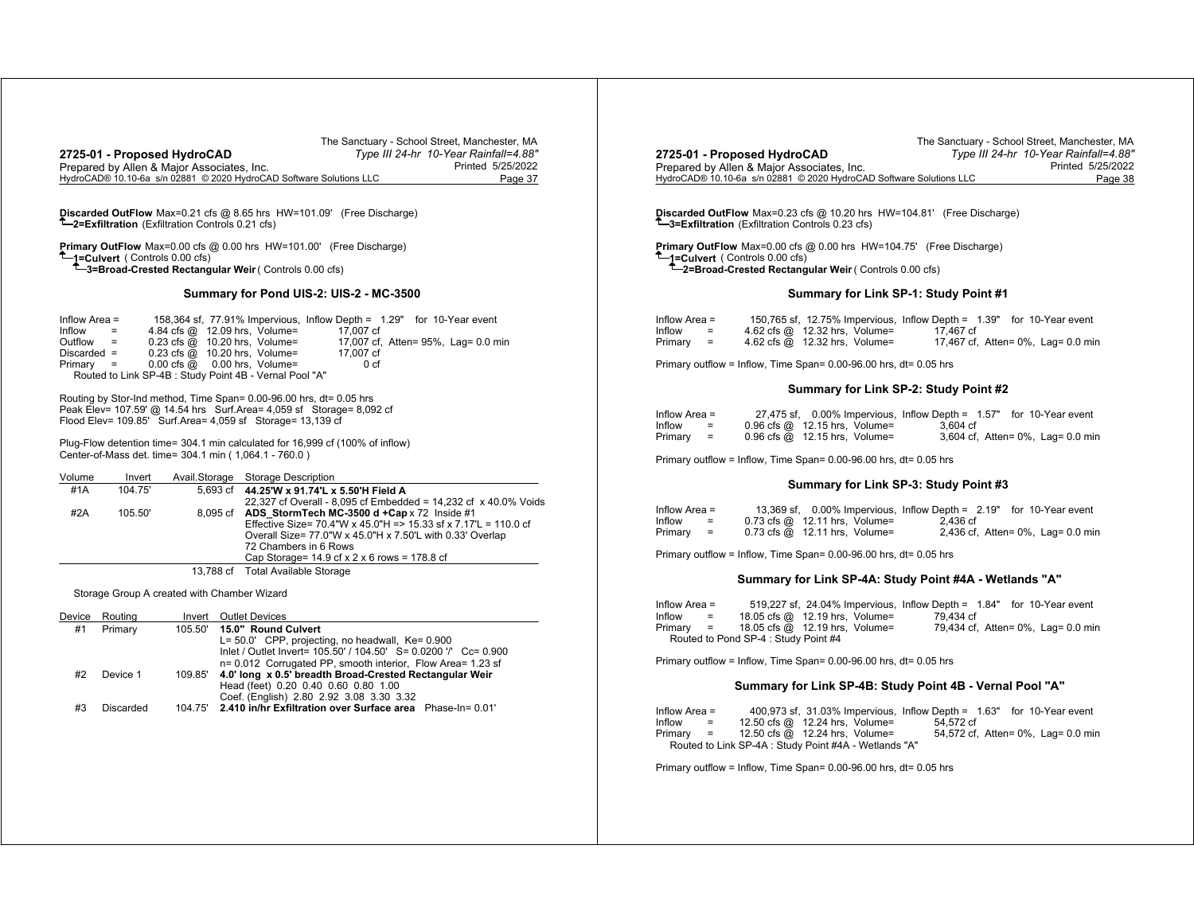| The Sanctuary - School Street, Manchester, MA<br>Type III 24-hr 10-Year Rainfall=4.88"<br>2725-01 - Proposed HydroCAD<br>Prepared by Allen & Major Associates, Inc.<br>Printed 5/25/2022<br>HydroCAD® 10.10-6a s/n 02881 © 2020 HydroCAD Software Solutions LLC<br>Page 37                                                                                                                 | The Sanctuary - School Street, Manchester, MA<br>2725-01 - Proposed HydroCAD<br>Type III 24-hr 10-Year Rainfall=4.88'<br>Prepared by Allen & Major Associates, Inc.<br>Printed 5/25/2022<br>HydroCAD® 10.10-6a s/n 02881 © 2020 HydroCAD Software Solutions LLC<br>Page 38                                                                                   |
|--------------------------------------------------------------------------------------------------------------------------------------------------------------------------------------------------------------------------------------------------------------------------------------------------------------------------------------------------------------------------------------------|--------------------------------------------------------------------------------------------------------------------------------------------------------------------------------------------------------------------------------------------------------------------------------------------------------------------------------------------------------------|
| Discarded OutFlow Max=0.21 cfs @ 8.65 hrs HW=101.09' (Free Discharge)<br><sup>T</sup> -2=Exfiltration (Exfiltration Controls 0.21 cfs)                                                                                                                                                                                                                                                     | Discarded OutFlow Max=0.23 cfs @ 10.20 hrs HW=104.81' (Free Discharge)<br><sup>T</sup> -3=Exfiltration (Exfiltration Controls 0.23 cfs)                                                                                                                                                                                                                      |
| Primary OutFlow Max=0.00 cfs @ 0.00 hrs HW=101.00' (Free Discharge)<br>-1=Culvert (Controls 0.00 cfs)<br><sup>1</sup> -3=Broad-Crested Rectangular Weir (Controls 0.00 cfs)                                                                                                                                                                                                                | Primary OutFlow Max=0.00 cfs @ 0.00 hrs HW=104.75' (Free Discharge)<br>-1=Culvert (Controls 0.00 cfs)<br><sup>1</sup> -2=Broad-Crested Rectangular Weir (Controls 0.00 cfs)                                                                                                                                                                                  |
| Summary for Pond UIS-2: UIS-2 - MC-3500                                                                                                                                                                                                                                                                                                                                                    | Summary for Link SP-1: Study Point #1                                                                                                                                                                                                                                                                                                                        |
| Inflow Area $=$<br>158,364 sf. 77,91% Impervious. Inflow Depth = 1.29" for 10-Year event<br>4.84 cfs @ 12.09 hrs, Volume=<br>Inflow<br>17,007 cf<br>$\sim$ $\approx$<br>Outflow =<br>0.23 cfs @ 10.20 hrs, Volume=<br>17,007 cf, Atten= 95%, Lag= 0.0 min<br>0.23 cfs @ 10.20 hrs, Volume=<br>$Discarded =$<br>17,007 cf<br>0.00 cfs @ 0.00 hrs, Volume=<br>$Primary =$<br>0 <sub>cf</sub> | 150.765 sf. 12.75% Impervious. Inflow Depth = 1.39" for 10-Year event<br>Inflow Area $=$<br>$Inflow =$<br>4.62 cfs @ 12.32 hrs, Volume=<br>17.467 cf<br>$Primary =$<br>4.62 cfs @ 12.32 hrs, Volume=<br>17,467 cf, Atten= 0%, Lag= 0.0 min<br>Primary outflow = Inflow, Time Span= 0.00-96.00 hrs, dt= 0.05 hrs                                              |
| Routed to Link SP-4B : Study Point 4B - Vernal Pool "A"                                                                                                                                                                                                                                                                                                                                    | Summary for Link SP-2: Study Point #2                                                                                                                                                                                                                                                                                                                        |
| Routing by Stor-Ind method, Time Span= 0.00-96.00 hrs, dt= 0.05 hrs<br>Peak Elev= 107.59' @ 14.54 hrs  Surf.Area= 4,059 sf  Storage= 8,092 cf<br>Flood Elev= 109.85' Surf.Area= 4,059 sf Storage= 13,139 cf<br>Plug-Flow detention time= 304.1 min calculated for 16,999 cf (100% of inflow)<br>Center-of-Mass det. time= 304.1 min (1,064.1 - 760.0)                                      | 27,475 sf, 0.00% Impervious, Inflow Depth = 1.57" for 10-Year event<br>Inflow Area $=$<br>0.96 cfs @ 12.15 hrs, Volume=<br>3.604 cf<br>$Inflow =$<br>$Primary =$<br>$0.96$ cfs $@$ 12.15 hrs, Volume=<br>3,604 cf, Atten= 0%, Lag= 0.0 min<br>Primary outflow = Inflow, Time Span= 0.00-96.00 hrs, dt= 0.05 hrs                                              |
| Avail.Storage Storage Description<br>Volume<br>Invert<br>104.75'<br>#1A<br>5.693 cf<br>44.25'W x 91.74'L x 5.50'H Field A                                                                                                                                                                                                                                                                  | Summary for Link SP-3: Study Point #3                                                                                                                                                                                                                                                                                                                        |
| 22,327 cf Overall - 8,095 cf Embedded = 14,232 cf x 40.0% Voids<br>#2A<br>105.50<br>8,095 cf ADS_StormTech MC-3500 d +Cap x 72 Inside #1<br>Effective Size= 70.4"W x 45.0"H => 15.33 sf x 7.17"L = 110.0 cf<br>Overall Size= 77.0"W x 45.0"H x 7.50"L with 0.33' Overlap<br>72 Chambers in 6 Rows                                                                                          | 13,369 sf, 0.00% Impervious, Inflow Depth = 2.19" for 10-Year event<br>Inflow Area $=$<br>Inflow<br>$0.73$ cfs $@$ 12.11 hrs, Volume=<br>2.436 cf<br>$=$<br>$Primary =$<br>$0.73$ cfs $@$ 12.11 hrs, Volume=<br>2,436 cf, Atten= 0%, Lag= 0.0 min<br>Primary outflow = Inflow, Time Span= 0.00-96.00 hrs, dt= 0.05 hrs                                       |
| Cap Storage= $14.9$ cf x 2 x 6 rows = $178.8$ cf<br>13,788 cf Total Available Storage                                                                                                                                                                                                                                                                                                      |                                                                                                                                                                                                                                                                                                                                                              |
| Storage Group A created with Chamber Wizard                                                                                                                                                                                                                                                                                                                                                | Summary for Link SP-4A: Study Point #4A - Wetlands "A"                                                                                                                                                                                                                                                                                                       |
| Device Routing<br>Invert Outlet Devices<br>105.50' 15.0" Round Culvert<br>#1<br>Primary<br>L= 50.0' CPP, projecting, no headwall, Ke= 0.900<br>Inlet / Outlet Invert= 105.50' / 104.50' S= 0.0200 '/' Cc= 0.900<br>n= 0.012 Corrugated PP, smooth interior, Flow Area= 1.23 sf                                                                                                             | 519,227 sf, 24.04% Impervious, Inflow Depth = 1.84" for 10-Year event<br>Inflow Area $=$<br>18.05 cfs @ 12.19 hrs, Volume=<br>79.434 cf<br>Inflow<br>$=$<br>$Primary =$<br>18.05 cfs @ 12.19 hrs, Volume=<br>79,434 cf, Atten= 0%, Lag= 0.0 min<br>Routed to Pond SP-4 : Study Point #4<br>Primary outflow = Inflow, Time Span= 0.00-96.00 hrs, dt= 0.05 hrs |
| 109.85' 4.0' long x 0.5' breadth Broad-Crested Rectangular Weir<br>#2<br>Device 1<br>Head (feet) 0.20 0.40 0.60 0.80 1.00                                                                                                                                                                                                                                                                  | Summary for Link SP-4B: Study Point 4B - Vernal Pool "A"                                                                                                                                                                                                                                                                                                     |
| Coef. (English) 2.80 2.92 3.08 3.30 3.32<br>104.75' 2.410 in/hr Exfiltration over Surface area Phase-In= 0.01'<br>#3<br>Discarded                                                                                                                                                                                                                                                          | Inflow Area $=$<br>400,973 sf, 31.03% Impervious, Inflow Depth = 1.63" for 10-Year event<br>$\equiv$<br>12.50 cfs @ 12.24 hrs, Volume=<br>Inflow<br>54.572 cf<br>Primary =<br>12.50 cfs @ 12.24 hrs, Volume=<br>54,572 cf, Atten= 0%, Lag= 0.0 min<br>Routed to Link SP-4A : Study Point #4A - Wetlands "A"                                                  |
|                                                                                                                                                                                                                                                                                                                                                                                            | Primary outflow = Inflow, Time Span= 0.00-96.00 hrs, dt= 0.05 hrs                                                                                                                                                                                                                                                                                            |
|                                                                                                                                                                                                                                                                                                                                                                                            |                                                                                                                                                                                                                                                                                                                                                              |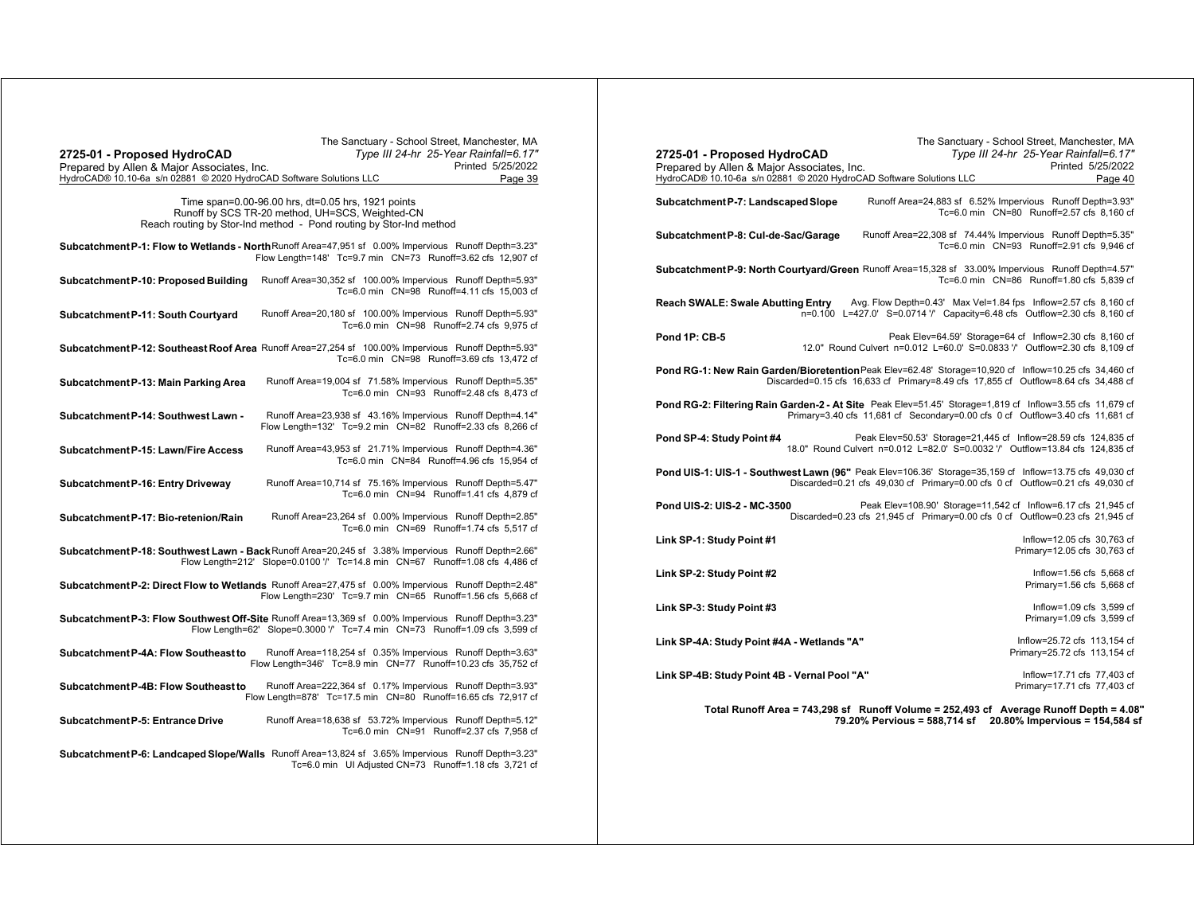| The Sanctuary - School Street, Manchester, MA                                                                                                                                      | The Sanctuary - School Street, Manchester, MA                                                                                                                                             |
|------------------------------------------------------------------------------------------------------------------------------------------------------------------------------------|-------------------------------------------------------------------------------------------------------------------------------------------------------------------------------------------|
| Type III 24-hr 25-Year Rainfall=6.17"<br>2725-01 - Proposed HydroCAD                                                                                                               | Type III 24-hr 25-Year Rainfall=6.17"<br>2725-01 - Proposed HydroCAD                                                                                                                      |
| Printed 5/25/2022<br>Prepared by Allen & Major Associates, Inc.                                                                                                                    | Printed 5/25/2022<br>Prepared by Allen & Major Associates, Inc.                                                                                                                           |
| HydroCAD® 10.10-6a s/n 02881 © 2020 HydroCAD Software Solutions LLC<br>Page 39                                                                                                     | HydroCAD® 10.10-6a s/n 02881 © 2020 HydroCAD Software Solutions LLC<br>Page 40                                                                                                            |
| Time span=0.00-96.00 hrs, dt=0.05 hrs, 1921 points                                                                                                                                 | Runoff Area=24,883 sf 6.52% Impervious Runoff Depth=3.93"<br>Subcatchment P-7: Landscaped Slope                                                                                           |
| Runoff by SCS TR-20 method, UH=SCS, Weighted-CN                                                                                                                                    | Tc=6.0 min CN=80 Runoff=2.57 cfs 8.160 cf                                                                                                                                                 |
| Reach routing by Stor-Ind method - Pond routing by Stor-Ind method                                                                                                                 |                                                                                                                                                                                           |
|                                                                                                                                                                                    | Runoff Area=22,308 sf 74.44% Impervious Runoff Depth=5.35"<br>Subcatchment P-8: Cul-de-Sac/Garage                                                                                         |
| Subcatchment P-1: Flow to Wetlands - North Runoff Area=47,951 sf 0.00% Impervious Runoff Depth=3.23"<br>Flow Length=148' Tc=9.7 min CN=73 Runoff=3.62 cfs 12,907 cf                | Tc=6.0 min CN=93 Runoff=2.91 cfs 9,946 cf                                                                                                                                                 |
|                                                                                                                                                                                    | Subcatchment P-9: North Courtyard/Green Runoff Area=15,328 sf 33.00% Impervious Runoff Depth=4.57"                                                                                        |
| Runoff Area=30,352 sf 100.00% Impervious Runoff Depth=5.93"<br>Subcatchment P-10: Proposed Building                                                                                | Tc=6.0 min CN=86 Runoff=1.80 cfs 5.839 cf                                                                                                                                                 |
| Tc=6.0 min CN=98 Runoff=4.11 cfs 15.003 cf                                                                                                                                         | Avg. Flow Depth=0.43' Max Vel=1.84 fps Inflow=2.57 cfs 8,160 cf                                                                                                                           |
| Runoff Area=20,180 sf 100.00% Impervious Runoff Depth=5.93"<br>Subcatchment P-11: South Courtyard                                                                                  | <b>Reach SWALE: Swale Abutting Entry</b><br>n=0.100 L=427.0' S=0.0714 '/' Capacity=6.48 cfs Outflow=2.30 cfs 8,160 cf                                                                     |
| Tc=6.0 min CN=98 Runoff=2.74 cfs 9,975 cf                                                                                                                                          |                                                                                                                                                                                           |
|                                                                                                                                                                                    | Peak Elev=64.59' Storage=64 cf Inflow=2.30 cfs 8,160 cf<br>Pond 1P: CB-5                                                                                                                  |
| Subcatchment P-12: Southeast Roof Area Runoff Area=27,254 sf 100.00% Impervious Runoff Depth=5.93"<br>Tc=6.0 min CN=98 Runoff=3.69 cfs 13,472 cf                                   | 12.0" Round Culvert n=0.012 L=60.0' S=0.0833 '/' Outflow=2.30 cfs 8,109 cf                                                                                                                |
|                                                                                                                                                                                    | Pond RG-1: New Rain Garden/Bioretention Peak Elev=62.48' Storage=10,920 cf Inflow=10.25 cfs 34,460 cf                                                                                     |
| Runoff Area=19,004 sf 71.58% Impervious Runoff Depth=5.35"<br>Subcatchment P-13: Main Parking Area                                                                                 | Discarded=0.15 cfs 16,633 cf Primary=8.49 cfs 17,855 cf Outflow=8.64 cfs 34,488 cf                                                                                                        |
| Tc=6.0 min CN=93 Runoff=2.48 cfs 8,473 cf                                                                                                                                          |                                                                                                                                                                                           |
| Runoff Area=23,938 sf 43.16% Impervious Runoff Depth=4.14"<br>Subcatchment P-14: Southwest Lawn -                                                                                  | Pond RG-2: Filtering Rain Garden-2 - At Site Peak Elev=51.45' Storage=1,819 cf Inflow=3.55 cfs 11,679 cf<br>Primary=3.40 cfs 11,681 cf Secondary=0.00 cfs 0 cf Outflow=3.40 cfs 11,681 cf |
| Flow Length=132' Tc=9.2 min  CN=82  Runoff=2.33 cfs 8,266 cf                                                                                                                       |                                                                                                                                                                                           |
|                                                                                                                                                                                    | Peak Elev=50.53' Storage=21,445 cf Inflow=28.59 cfs 124,835 cf<br>Pond SP-4: Study Point #4                                                                                               |
| Runoff Area=43,953 sf 21.71% Impervious Runoff Depth=4.36"<br>Subcatchment P-15: Lawn/Fire Access<br>Tc=6.0 min CN=84 Runoff=4.96 cfs 15.954 cf                                    | 18.0" Round Culvert n=0.012 L=82.0' S=0.0032 '/' Outflow=13.84 cfs 124.835 cf                                                                                                             |
|                                                                                                                                                                                    | Pond UIS-1: UIS-1 - Southwest Lawn (96" Peak Elev=106.36' Storage=35,159 cf Inflow=13.75 cfs 49,030 cf                                                                                    |
| Runoff Area=10,714 sf 75.16% Impervious Runoff Depth=5.47"<br>Subcatchment P-16: Entry Driveway                                                                                    | Discarded=0.21 cfs 49,030 cf Primary=0.00 cfs 0 cf Outflow=0.21 cfs 49,030 cf                                                                                                             |
| Tc=6.0 min CN=94 Runoff=1.41 cfs 4,879 cf                                                                                                                                          |                                                                                                                                                                                           |
| Subcatchment P-17: Bio-retenion/Rain<br>Runoff Area=23,264 sf 0.00% Impervious Runoff Depth=2.85"                                                                                  | Peak Elev=108.90' Storage=11,542 cf Inflow=6.17 cfs 21,945 cf<br>Pond UIS-2: UIS-2 - MC-3500<br>Discarded=0.23 cfs 21,945 cf Primary=0.00 cfs 0 cf Outflow=0.23 cfs 21,945 cf             |
| Tc=6.0 min CN=69 Runoff=1.74 cfs 5,517 cf                                                                                                                                          |                                                                                                                                                                                           |
|                                                                                                                                                                                    | Inflow=12.05 cfs 30,763 cf<br>Link SP-1: Study Point #1                                                                                                                                   |
| Subcatchment P-18: Southwest Lawn - Back Runoff Area=20,245 sf 3.38% Impervious Runoff Depth=2.66"<br>Flow Length=212' Slope=0.0100 '/' Tc=14.8 min CN=67 Runoff=1.08 cfs 4,486 cf | Primary=12.05 cfs 30,763 cf                                                                                                                                                               |
|                                                                                                                                                                                    | Link SP-2: Study Point #2<br>Inflow=1.56 cfs 5,668 cf                                                                                                                                     |
| Subcatchment P-2: Direct Flow to Wetlands Runoff Area=27,475 sf 0.00% Impervious Runoff Depth=2.48"                                                                                | Primary=1.56 cfs 5,668 cf                                                                                                                                                                 |
| Flow Length=230' Tc=9.7 min CN=65 Runoff=1.56 cfs 5,668 cf                                                                                                                         |                                                                                                                                                                                           |
| Subcatchment P-3: Flow Southwest Off-Site Runoff Area=13,369 sf 0.00% Impervious Runoff Depth=3.23"                                                                                | Inflow=1.09 cfs 3,599 cf<br>Link SP-3: Study Point #3<br>Primary=1.09 cfs 3,599 cf                                                                                                        |
| Flow Length=62' Slope=0.3000 '/' Tc=7.4 min CN=73 Runoff=1.09 cfs 3,599 cf                                                                                                         |                                                                                                                                                                                           |
|                                                                                                                                                                                    | Inflow=25.72 cfs 113.154 cf<br>Link SP-4A: Study Point #4A - Wetlands "A"                                                                                                                 |
| Runoff Area=118,254 sf 0.35% Impervious Runoff Depth=3.63"<br>Subcatchment P-4A: Flow Southeast to<br>Flow Length=346' Tc=8.9 min CN=77 Runoff=10.23 cfs 35,752 cf                 | Primary=25.72 cfs 113,154 cf                                                                                                                                                              |
|                                                                                                                                                                                    | Inflow=17.71 cfs 77,403 cf<br>Link SP-4B: Study Point 4B - Vernal Pool "A"                                                                                                                |
| Runoff Area=222,364 sf 0.17% Impervious Runoff Depth=3.93"<br>Subcatchment P-4B: Flow Southeast to                                                                                 | Primary=17.71 cfs 77,403 cf                                                                                                                                                               |
| Flow Length=878' Tc=17.5 min  CN=80  Runoff=16.65 cfs  72,917  cf                                                                                                                  |                                                                                                                                                                                           |
| Runoff Area=18,638 sf 53.72% Impervious Runoff Depth=5.12"<br>Subcatchment P-5: Entrance Drive                                                                                     | Total Runoff Area = 743,298 sf Runoff Volume = 252,493 cf Average Runoff Depth = 4.08'<br>79.20% Pervious = 588,714 sf 20.80% Impervious = 154,584 sf                                     |
| Tc=6.0 min CN=91 Runoff=2.37 cfs 7,958 cf                                                                                                                                          |                                                                                                                                                                                           |
|                                                                                                                                                                                    |                                                                                                                                                                                           |
| Subcatchment P-6: Landcaped Slope/Walls Runoff Area=13,824 sf 3.65% Impervious Runoff Depth=3.23"<br>Tc=6.0 min UI Adjusted CN=73 Runoff=1.18 cfs 3,721 cf                         |                                                                                                                                                                                           |
|                                                                                                                                                                                    |                                                                                                                                                                                           |
|                                                                                                                                                                                    |                                                                                                                                                                                           |
|                                                                                                                                                                                    |                                                                                                                                                                                           |
|                                                                                                                                                                                    |                                                                                                                                                                                           |
|                                                                                                                                                                                    |                                                                                                                                                                                           |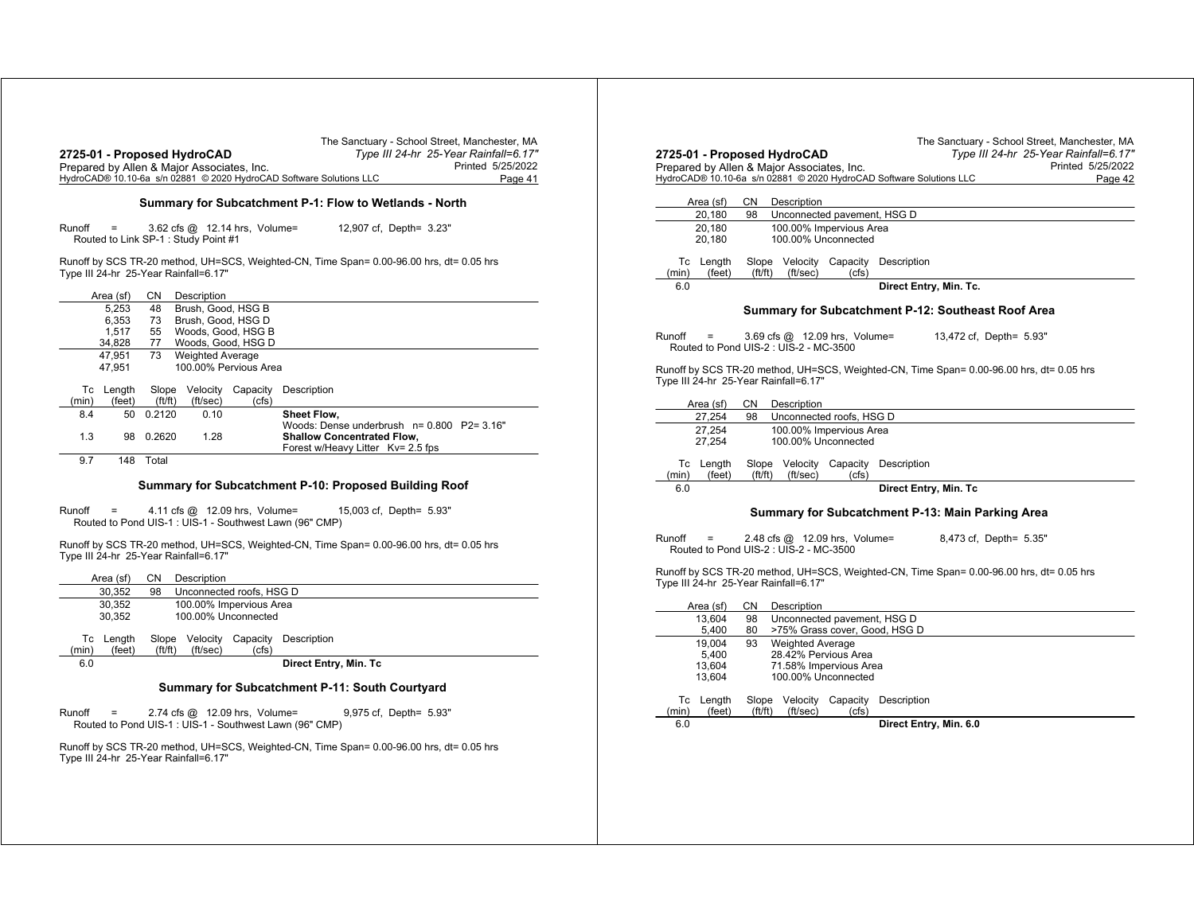| 2725-01 - Proposed HydroCAD<br>Prepared by Allen & Major Associates, Inc.<br>HydroCAD® 10.10-6a s/n 02881 © 2020 HydroCAD Software Solutions LLC |                     |                 |                                                                      |       | The Sanctuary - School Street, Manchester, MA<br>Type III 24-hr 25-Year Rainfall=6.17"<br>Printed 5/25/2022<br>Page 41 |
|--------------------------------------------------------------------------------------------------------------------------------------------------|---------------------|-----------------|----------------------------------------------------------------------|-------|------------------------------------------------------------------------------------------------------------------------|
|                                                                                                                                                  |                     |                 |                                                                      |       | Summary for Subcatchment P-1: Flow to Wetlands - North                                                                 |
| Runoff                                                                                                                                           | $\quad \  \  =$     |                 | 3.62 cfs @ 12.14 hrs, Volume=<br>Routed to Link SP-1: Study Point #1 |       | 12,907 cf, Depth= 3.23"                                                                                                |
|                                                                                                                                                  |                     |                 | Type III 24-hr 25-Year Rainfall=6.17"                                |       | Runoff by SCS TR-20 method, UH=SCS, Weighted-CN, Time Span= 0.00-96.00 hrs, dt= 0.05 hrs                               |
|                                                                                                                                                  | Area (sf)           | CN.             | Description                                                          |       |                                                                                                                        |
|                                                                                                                                                  | 5.253               | 48              | Brush, Good, HSG B                                                   |       |                                                                                                                        |
|                                                                                                                                                  | 6.353<br>1,517      | 73<br>55        | Brush, Good, HSG D<br>Woods, Good, HSG B                             |       |                                                                                                                        |
|                                                                                                                                                  | 34,828              | 77              | Woods, Good, HSG D                                                   |       |                                                                                                                        |
|                                                                                                                                                  | 47.951              | 73              | <b>Weighted Average</b>                                              |       |                                                                                                                        |
|                                                                                                                                                  | 47,951              |                 | 100.00% Pervious Area                                                |       |                                                                                                                        |
|                                                                                                                                                  | Tc Length           |                 |                                                                      |       | Slope Velocity Capacity Description                                                                                    |
| (min)                                                                                                                                            | (feet)              | ft/ft)          | (ft/sec)                                                             | (cfs) |                                                                                                                        |
| 8.4                                                                                                                                              | 50                  | 0.2120          | 0.10                                                                 |       | Sheet Flow.                                                                                                            |
| 1.3                                                                                                                                              | 98                  | 0.2620          | 1.28                                                                 |       | Woods: Dense underbrush n= 0.800 P2= 3.16"<br><b>Shallow Concentrated Flow,</b><br>Forest w/Heavy Litter Kv= 2.5 fps   |
| 9.7                                                                                                                                              |                     | 148 Total       |                                                                      |       |                                                                                                                        |
| Runoff                                                                                                                                           | $=$                 |                 | 4.11 cfs @ 12.09 hrs, Volume=                                        |       | Summary for Subcatchment P-10: Proposed Building Roof<br>15,003 cf, Depth= 5.93"                                       |
|                                                                                                                                                  |                     |                 |                                                                      |       | Routed to Pond UIS-1: UIS-1 - Southwest Lawn (96" CMP)                                                                 |
|                                                                                                                                                  |                     |                 | Type III 24-hr 25-Year Rainfall=6.17"                                |       | Runoff by SCS TR-20 method, UH=SCS, Weighted-CN, Time Span= 0.00-96.00 hrs, dt= 0.05 hrs                               |
|                                                                                                                                                  | Area (sf)           | CN.             | Description                                                          |       |                                                                                                                        |
|                                                                                                                                                  | 30,352              | 98              | Unconnected roofs, HSG D                                             |       |                                                                                                                        |
|                                                                                                                                                  | 30.352              |                 | 100.00% Impervious Area                                              |       |                                                                                                                        |
|                                                                                                                                                  | 30,352              |                 | 100.00% Unconnected                                                  |       |                                                                                                                        |
| (min)                                                                                                                                            | Tc Length<br>(feet) | Slope<br>ft/ft) | Velocity<br>(ft/sec)                                                 | (cfs) | Capacity Description                                                                                                   |
| 6.0                                                                                                                                              |                     |                 |                                                                      |       | Direct Entry, Min. Tc                                                                                                  |
|                                                                                                                                                  |                     |                 |                                                                      |       | Summary for Subcatchment P-11: South Courtyard                                                                         |
| Runoff                                                                                                                                           |                     |                 | 2.74 cfs @ 12.09 hrs, Volume=                                        |       | 9,975 cf, Depth= 5.93"<br>Routed to Pond UIS-1 : UIS-1 - Southwest Lawn (96" CMP)                                      |
|                                                                                                                                                  |                     |                 | Type III 24-hr 25-Year Rainfall=6.17"                                |       | Runoff by SCS TR-20 method, UH=SCS, Weighted-CN, Time Span= 0.00-96.00 hrs, dt= 0.05 hrs                               |

|        |                     |                 | 2725-01 - Proposed HydroCAD<br>Prepared by Allen & Major Associates, Inc. |                            |                                                                     |                                                                                          | Type III 24-hr 25-Year Rainfall=6.17"<br>Printed 5/25/2022 |
|--------|---------------------|-----------------|---------------------------------------------------------------------------|----------------------------|---------------------------------------------------------------------|------------------------------------------------------------------------------------------|------------------------------------------------------------|
|        |                     |                 |                                                                           |                            | HydroCAD® 10.10-6a s/n 02881 © 2020 HydroCAD Software Solutions LLC |                                                                                          | Page 42                                                    |
|        | Area (sf)           | CN.             | Description                                                               |                            |                                                                     |                                                                                          |                                                            |
|        | 20,180              | 98              | Unconnected pavement, HSG D                                               |                            |                                                                     |                                                                                          |                                                            |
|        | 20.180<br>20,180    |                 | 100.00% Impervious Area<br>100.00% Unconnected                            |                            |                                                                     |                                                                                          |                                                            |
| (min)  | Tc Length<br>(feet) | Slope<br>ft/ft) | Velocity<br>(ft/sec)                                                      | Capacity<br>(cfs)          | Description                                                         |                                                                                          |                                                            |
| 6.0    |                     |                 |                                                                           |                            | Direct Entry, Min. Tc.                                              |                                                                                          |                                                            |
|        |                     |                 |                                                                           |                            |                                                                     | Summary for Subcatchment P-12: Southeast Roof Area                                       |                                                            |
| Runoff |                     |                 | 3.69 cfs @ 12.09 hrs, Volume=<br>Routed to Pond UIS-2 : UIS-2 - MC-3500   |                            |                                                                     | 13,472 cf, Depth= 5.93"                                                                  |                                                            |
|        |                     |                 |                                                                           |                            |                                                                     |                                                                                          |                                                            |
|        |                     |                 | Type III 24-hr 25-Year Rainfall=6.17"                                     |                            |                                                                     | Runoff by SCS TR-20 method, UH=SCS, Weighted-CN, Time Span= 0.00-96.00 hrs, dt= 0.05 hrs |                                                            |
|        | Area (sf)           | СN              | Description                                                               |                            |                                                                     |                                                                                          |                                                            |
|        | 27,254              | 98              | Unconnected roofs, HSG D                                                  |                            |                                                                     |                                                                                          |                                                            |
|        | 27.254<br>27,254    |                 | 100.00% Impervious Area<br>100.00% Unconnected                            |                            |                                                                     |                                                                                          |                                                            |
| (min)  | Tc Length<br>(feet) | ft/ft)          | Slope Velocity Capacity<br>(ft/sec)                                       | (cfs)                      | Description                                                         |                                                                                          |                                                            |
| 6.0    |                     |                 |                                                                           |                            | Direct Entry, Min. Tc                                               |                                                                                          |                                                            |
|        |                     |                 |                                                                           |                            |                                                                     | Summary for Subcatchment P-13: Main Parking Area                                         |                                                            |
| Runoff | $=$                 |                 | 2.48 cfs @ 12.09 hrs, Volume=<br>Routed to Pond UIS-2 : UIS-2 - MC-3500   |                            |                                                                     | 8,473 cf, Depth= 5.35"                                                                   |                                                            |
|        |                     |                 | Type III 24-hr 25-Year Rainfall=6.17"                                     |                            |                                                                     | Runoff by SCS TR-20 method, UH=SCS, Weighted-CN, Time Span= 0.00-96.00 hrs, dt= 0.05 hrs |                                                            |
|        | Area (sf)           | СN              | Description                                                               |                            |                                                                     |                                                                                          |                                                            |
|        | 13.604<br>5,400     | 98<br>80        | Unconnected pavement, HSG D                                               |                            | >75% Grass cover, Good, HSG D                                       |                                                                                          |                                                            |
|        | 19.004              | 93              | <b>Weighted Average</b>                                                   |                            |                                                                     |                                                                                          |                                                            |
|        | 5,400               |                 | 28.42% Pervious Area                                                      |                            |                                                                     |                                                                                          |                                                            |
|        | 13.604<br>13,604    |                 | 71.58% Impervious Area<br>100.00% Unconnected                             |                            |                                                                     |                                                                                          |                                                            |
|        | Tc Length<br>(feet) | Slope<br>ft/ft) | (ft/sec)                                                                  | Velocity Capacity<br>(cfs) | Description                                                         |                                                                                          |                                                            |
| (min)  |                     |                 |                                                                           |                            |                                                                     | Direct Entry, Min. 6.0                                                                   |                                                            |
| 6.0    |                     |                 |                                                                           |                            |                                                                     |                                                                                          |                                                            |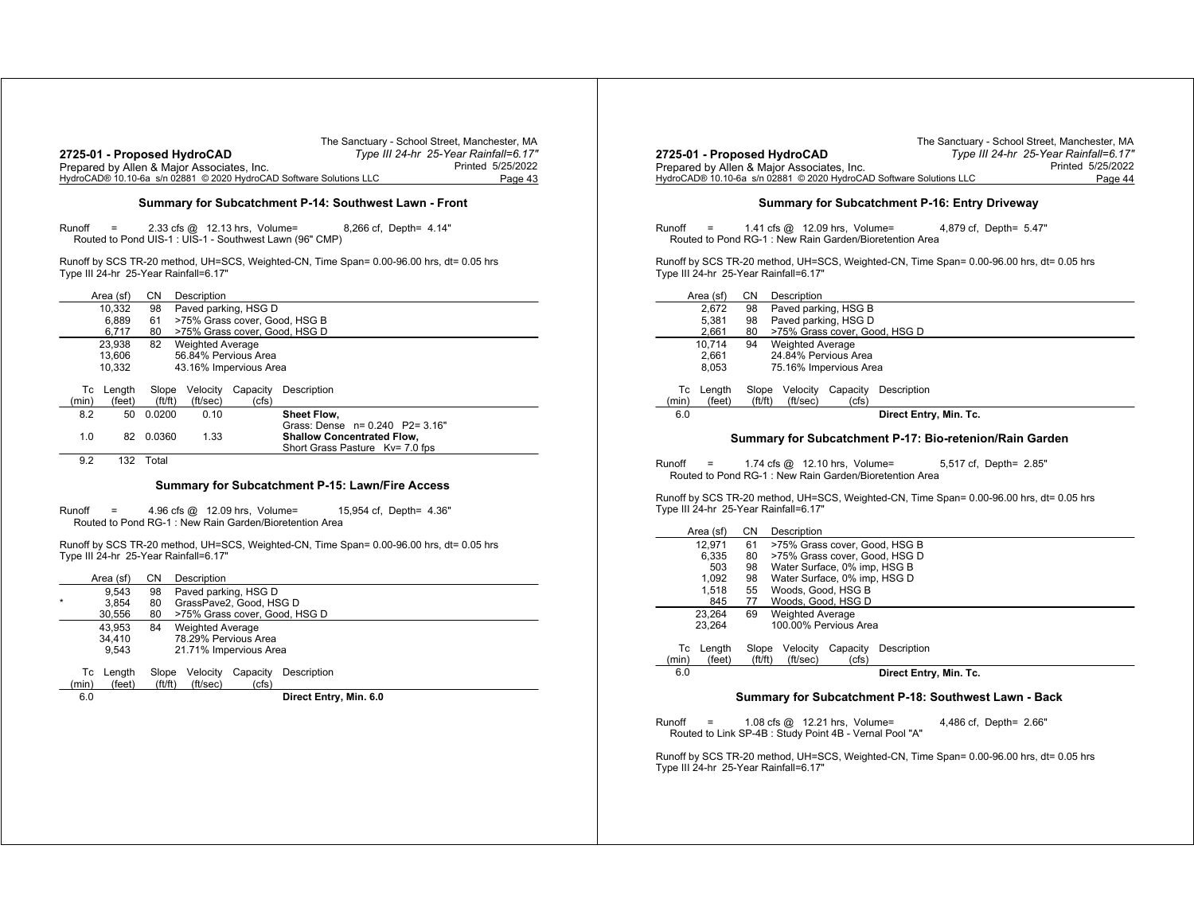|                                                                     | The Sanctuary - School Street, Manchester, MA |
|---------------------------------------------------------------------|-----------------------------------------------|
| 2725-01 - Proposed HydroCAD                                         | Type III 24-hr 25-Year Rainfall=6.17"         |
| Prepared by Allen & Major Associates, Inc.                          | Printed 5/25/2022                             |
| HydroCAD® 10.10-6a s/n 02881 © 2020 HydroCAD Software Solutions LLC | Page 43                                       |

#### **Summary for Subcatchment P-14: Southwest Lawn - Front**

Runoff <sup>=</sup> 2.33 cfs @ 12.13 hrs, Volume= 8,266 cf, Depth= 4.14" Routed to Pond UIS-1 : UIS-1 - Southwest Lawn (96" CMP)

Runoff by SCS TR-20 method, UH=SCS, Weighted-CN, Time Span= 0.00-96.00 hrs, dt= 0.05 hrs Type III 24-hr 25-Year Rainfall=6.17"

|               | Area (sf) | CΝ                                 | Description             |                               |                                   |
|---------------|-----------|------------------------------------|-------------------------|-------------------------------|-----------------------------------|
|               | 10.332    | 98                                 | Paved parking, HSG D    |                               |                                   |
|               | 6.889     | 61                                 |                         |                               | >75% Grass cover, Good, HSG B     |
|               | 6.717     | 80                                 |                         | >75% Grass cover, Good, HSG D |                                   |
|               | 23.938    | 82                                 | <b>Weighted Average</b> |                               |                                   |
|               | 13.606    |                                    | 56.84% Pervious Area    |                               |                                   |
|               | 10,332    |                                    | 43.16% Impervious Area  |                               |                                   |
|               |           |                                    |                         |                               |                                   |
| Тc            | Length    | Slope                              | Velocity                | Capacity                      | Description                       |
| (min)         | (feet)    | ft/ft)                             | (ft/sec)                | (cfs)                         |                                   |
| 8.2           | 50        | 0.0200                             | 0.10                    |                               | <b>Sheet Flow.</b>                |
|               |           |                                    |                         |                               | Grass: Dense n= 0.240 P2= 3.16"   |
| 1.0           | 82        | 0.0360                             | 1.33                    |                               | <b>Shallow Concentrated Flow.</b> |
|               |           |                                    |                         |                               | Short Grass Pasture Ky= 7.0 fps   |
| $\sim$ $\sim$ |           | $\sim$ $\sim$ $\sim$ $\sim$ $\sim$ |                         |                               |                                   |

9.2 132 Total

#### **Summary for Subcatchment P-15: Lawn/Fire Access**

Runoff <sup>=</sup> 4.96 cfs @ 12.09 hrs, Volume= 15,954 cf, Depth= 4.36" Routed to Pond RG-1 : New Rain Garden/Bioretention Area

Runoff by SCS TR-20 method, UH=SCS, Weighted-CN, Time Span= 0.00-96.00 hrs, dt= 0.05 hrs Type III 24-hr 25-Year Rainfall=6.17"

|         |       | Area (sf) | CΝ          | Description                   |          |                        |  |  |  |
|---------|-------|-----------|-------------|-------------------------------|----------|------------------------|--|--|--|
|         |       | 9.543     | 98          | Paved parking, HSG D          |          |                        |  |  |  |
| $\star$ |       | 3.854     | 80          | GrassPave2, Good, HSG D       |          |                        |  |  |  |
|         |       | 30.556    | 80          | >75% Grass cover, Good, HSG D |          |                        |  |  |  |
|         |       | 43.953    | 84          | <b>Weighted Average</b>       |          |                        |  |  |  |
|         |       | 34.410    |             | 78.29% Pervious Area          |          |                        |  |  |  |
|         |       | 9.543     |             | 21.71% Impervious Area        |          |                        |  |  |  |
|         |       |           |             |                               |          |                        |  |  |  |
|         | Тc    | Length    | Slope       | Velocity                      | Capacity | Description            |  |  |  |
|         | (min) | (feet)    | (f t / f t) | (ft/sec)                      | (cfs)    |                        |  |  |  |
|         | 6.0   |           |             |                               |          | Direct Entry, Min. 6.0 |  |  |  |
|         |       |           |             |                               |          |                        |  |  |  |

|                                                                     | The Sanctuary - School Street, Manchester, MA |
|---------------------------------------------------------------------|-----------------------------------------------|
| 2725-01 - Proposed HydroCAD                                         | Type III 24-hr 25-Year Rainfall=6.17"         |
| Prepared by Allen & Major Associates, Inc.                          | Printed 5/25/2022                             |
| HydroCAD® 10.10-6a s/n 02881 © 2020 HydroCAD Software Solutions LLC | Page 44                                       |
|                                                                     |                                               |

#### **Summary for Subcatchment P-16: Entry Driveway**

Runoff <sup>=</sup> 1.41 cfs @ 12.09 hrs, Volume= 4,879 cf, Depth= 5.47" Routed to Pond RG-1 : New Rain Garden/Bioretention Area

Runoff by SCS TR-20 method, UH=SCS, Weighted-CN, Time Span= 0.00-96.00 hrs, dt= 0.05 hrs Type III 24-hr 25-Year Rainfall=6.17"

|       | Area (sf) | CΝ     | Description             |                               |                        |  |  |  |  |  |
|-------|-----------|--------|-------------------------|-------------------------------|------------------------|--|--|--|--|--|
|       | 2.672     | 98     | Paved parking, HSG B    |                               |                        |  |  |  |  |  |
|       | 5.381     | 98     | Paved parking, HSG D    |                               |                        |  |  |  |  |  |
|       | 2,661     | 80     |                         | >75% Grass cover, Good, HSG D |                        |  |  |  |  |  |
|       | 10.714    | 94     | <b>Weighted Average</b> |                               |                        |  |  |  |  |  |
|       | 2.661     |        | 24.84% Pervious Area    |                               |                        |  |  |  |  |  |
|       | 8.053     |        | 75.16% Impervious Area  |                               |                        |  |  |  |  |  |
|       |           |        |                         |                               |                        |  |  |  |  |  |
| Тc    | Length    | Slope  | Velocity                | Capacity                      | Description            |  |  |  |  |  |
| (min) | (feet)    | ft/ft) | (ft/sec)                | (cfs)                         |                        |  |  |  |  |  |
| 6.0   |           |        |                         |                               | Direct Entry, Min. Tc. |  |  |  |  |  |
|       |           |        |                         |                               |                        |  |  |  |  |  |

#### **Summary for Subcatchment P-17: Bio-retenion/Rain Garden**

Runoff <sup>=</sup> 1.74 cfs @ 12.10 hrs, Volume= 5,517 cf, Depth= 2.85" Routed to Pond RG-1 : New Rain Garden/Bioretention Area

Runoff by SCS TR-20 method, UH=SCS, Weighted-CN, Time Span= 0.00-96.00 hrs, dt= 0.05 hrs Type III 24-hr 25-Year Rainfall=6.17"

| Area (sf) |        | CΝ     | Description                   |          |                               |  |  |  |
|-----------|--------|--------|-------------------------------|----------|-------------------------------|--|--|--|
|           | 12.971 | 61     |                               |          | >75% Grass cover, Good, HSG B |  |  |  |
|           | 6.335  | 80     | >75% Grass cover, Good, HSG D |          |                               |  |  |  |
|           | 503    | 98     | Water Surface, 0% imp, HSG B  |          |                               |  |  |  |
|           | 1,092  | 98     | Water Surface, 0% imp, HSG D  |          |                               |  |  |  |
|           | 1.518  | 55     | Woods, Good, HSG B            |          |                               |  |  |  |
|           | 845    | 77     | Woods, Good, HSG D            |          |                               |  |  |  |
|           | 23.264 | 69     | <b>Weighted Average</b>       |          |                               |  |  |  |
|           | 23.264 |        | 100.00% Pervious Area         |          |                               |  |  |  |
|           |        |        |                               |          |                               |  |  |  |
| Тc        | Lenath | Slope  | Velocity                      | Capacity | Description                   |  |  |  |
| (min)     | (feet) | ft/ft) | (ft/sec)                      | (cfs)    |                               |  |  |  |
| 6.0       |        |        |                               |          | Direct Entry, Min. Tc.        |  |  |  |
|           |        |        |                               |          |                               |  |  |  |

#### **Summary for Subcatchment P-18: Southwest Lawn - Back**

| Runoff | $=$ | 1.08 cfs $@$ 12.21 hrs, Volume=                         |  | 4,486 cf, Depth= 2.66" |  |
|--------|-----|---------------------------------------------------------|--|------------------------|--|
|        |     | Routed to Link SP-4B : Study Point 4B - Vernal Pool "A" |  |                        |  |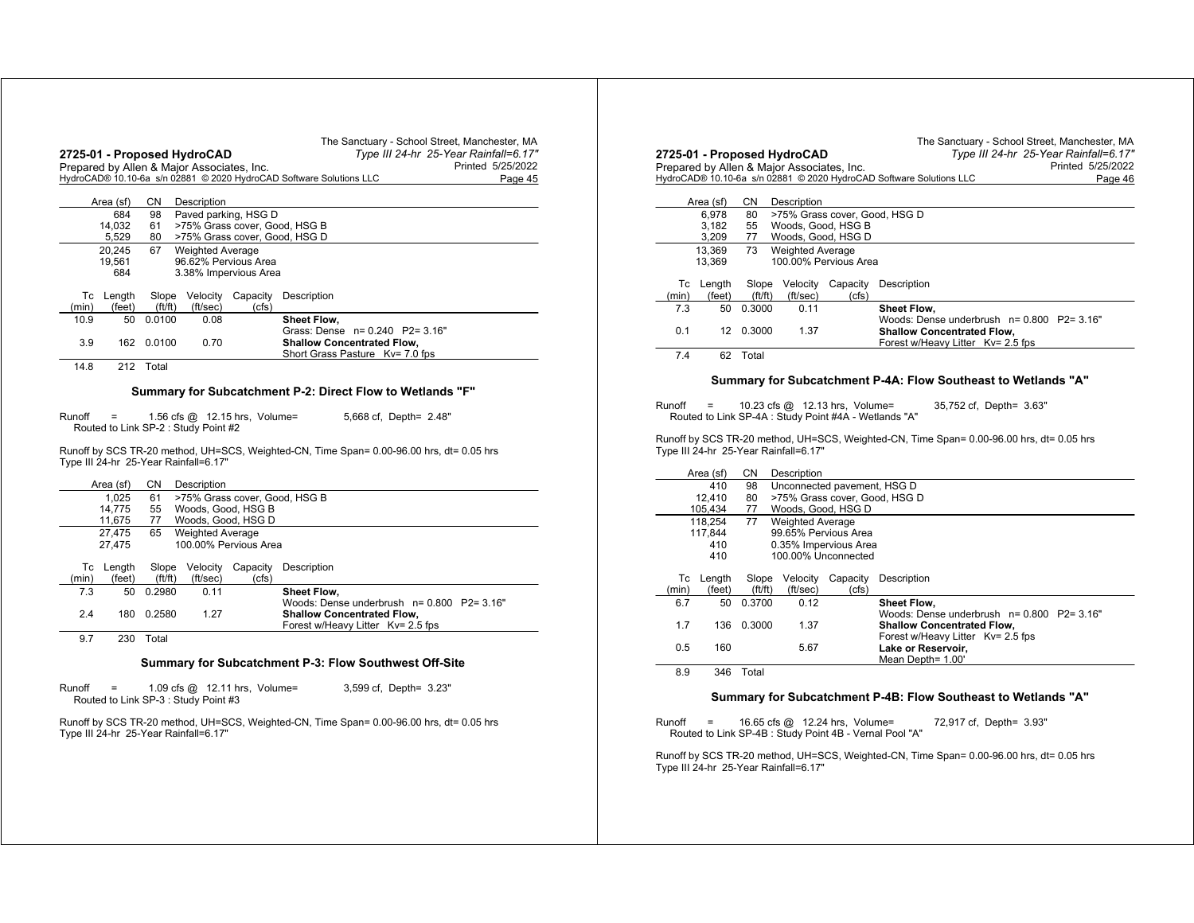|                                                                               |                    |           | 2725-01 - Proposed HydroCAD<br>Prepared by Allen & Major Associates, Inc. |                                 | Type III 24-hr 25-Year Rainfall=6.17"<br>Printed 5/25/2022                               |  |  |  |
|-------------------------------------------------------------------------------|--------------------|-----------|---------------------------------------------------------------------------|---------------------------------|------------------------------------------------------------------------------------------|--|--|--|
|                                                                               |                    |           |                                                                           |                                 | HydroCAD® 10.10-6a s/n 02881 © 2020 HydroCAD Software Solutions LLC<br>Page 45           |  |  |  |
|                                                                               | Area (sf)          | CN        | Description                                                               |                                 |                                                                                          |  |  |  |
|                                                                               | 684                | 98        |                                                                           | Paved parking, HSG D            |                                                                                          |  |  |  |
|                                                                               | 14,032             | 61        |                                                                           |                                 | >75% Grass cover, Good, HSG B                                                            |  |  |  |
| 5,529<br>>75% Grass cover, Good, HSG D<br>80<br>67<br><b>Weighted Average</b> |                    |           |                                                                           |                                 |                                                                                          |  |  |  |
|                                                                               | 20,245<br>19,561   |           |                                                                           | 96.62% Pervious Area            |                                                                                          |  |  |  |
|                                                                               | 684                |           |                                                                           | 3.38% Impervious Area           |                                                                                          |  |  |  |
|                                                                               | Tc Length          |           | Slope Velocity                                                            | Capacity                        | Description                                                                              |  |  |  |
| (min)                                                                         | (feet)             | ft/ft)    | (ft/sec)                                                                  | (cfs)                           |                                                                                          |  |  |  |
| 10.9                                                                          | 50                 | 0.0100    | 0.08                                                                      |                                 | Sheet Flow,                                                                              |  |  |  |
| 3.9                                                                           | 162                | 0.0100    | 0.70                                                                      |                                 | Grass: Dense n= 0.240 P2= 3.16"<br><b>Shallow Concentrated Flow,</b>                     |  |  |  |
|                                                                               |                    |           |                                                                           |                                 | Short Grass Pasture Kv= 7.0 fps                                                          |  |  |  |
| 14.8                                                                          |                    | 212 Total |                                                                           |                                 |                                                                                          |  |  |  |
|                                                                               |                    |           |                                                                           |                                 | Summary for Subcatchment P-2: Direct Flow to Wetlands "F"                                |  |  |  |
|                                                                               |                    |           |                                                                           |                                 |                                                                                          |  |  |  |
| Runoff                                                                        | $=$                |           | Routed to Link SP-2 : Study Point #2                                      | 1.56 cfs $@$ 12.15 hrs, Volume= | 5,668 cf, Depth= 2.48"                                                                   |  |  |  |
|                                                                               |                    |           |                                                                           |                                 | Runoff by SCS TR-20 method, UH=SCS, Weighted-CN, Time Span= 0.00-96.00 hrs, dt= 0.05 hrs |  |  |  |
|                                                                               |                    |           | Type III 24-hr 25-Year Rainfall=6.17"                                     |                                 |                                                                                          |  |  |  |
|                                                                               |                    |           |                                                                           |                                 |                                                                                          |  |  |  |
|                                                                               | Area (sf)<br>1,025 | CN.<br>61 | Description                                                               |                                 | >75% Grass cover, Good, HSG B                                                            |  |  |  |
|                                                                               | 14,775             | 55        | Woods, Good, HSG B                                                        |                                 |                                                                                          |  |  |  |
|                                                                               | 11,675             | 77        |                                                                           | Woods, Good, HSG D              |                                                                                          |  |  |  |
|                                                                               | 27.475             | 65        | <b>Weighted Average</b>                                                   |                                 |                                                                                          |  |  |  |
|                                                                               | 27,475             |           |                                                                           | 100.00% Pervious Area           |                                                                                          |  |  |  |
|                                                                               | Tc Length          | Slope     | Velocity                                                                  | Capacity                        | Description                                                                              |  |  |  |
|                                                                               |                    |           | (ft/sec)                                                                  | (cfs)                           |                                                                                          |  |  |  |
| (min)                                                                         | (feet)             | ft/ft)    |                                                                           |                                 |                                                                                          |  |  |  |
| 7.3                                                                           | 50                 | 0.2980    | 0.11                                                                      |                                 | Sheet Flow.                                                                              |  |  |  |
| 2.4                                                                           | 180                | 0.2580    | 1.27                                                                      |                                 | Woods: Dense underbrush n= 0.800 P2= 3.16"<br><b>Shallow Concentrated Flow,</b>          |  |  |  |
|                                                                               |                    |           |                                                                           |                                 | Forest w/Heavy Litter Kv= 2.5 fps                                                        |  |  |  |
| 9.7                                                                           | 230                | Total     |                                                                           |                                 |                                                                                          |  |  |  |
|                                                                               |                    |           |                                                                           |                                 | Summary for Subcatchment P-3: Flow Southwest Off-Site                                    |  |  |  |
| Runoff                                                                        | $=$                |           | Routed to Link SP-3 : Study Point #3                                      | 1.09 cfs $@$ 12.11 hrs, Volume= | 3,599 cf, Depth= 3.23"                                                                   |  |  |  |
|                                                                               |                    |           |                                                                           |                                 | Runoff by SCS TR-20 method, UH=SCS, Weighted-CN, Time Span= 0.00-96.00 hrs, dt= 0.05 hrs |  |  |  |

|             |                          |                 |                                       |                                                                                         | HydroCAD® 10.10-6a s/n 02881 © 2020 HydroCAD Software Solutions LLC<br>Page 46                                       |
|-------------|--------------------------|-----------------|---------------------------------------|-----------------------------------------------------------------------------------------|----------------------------------------------------------------------------------------------------------------------|
|             | Area (sf)                | CN              | Description                           |                                                                                         |                                                                                                                      |
|             | 6.978<br>3.182<br>3,209  | 80<br>55<br>77  |                                       | >75% Grass cover, Good, HSG D<br>Woods, Good, HSG B<br>Woods, Good, HSG D               |                                                                                                                      |
|             | 13.369<br>13,369         | 73              | <b>Weighted Average</b>               | 100.00% Pervious Area                                                                   |                                                                                                                      |
| Тc<br>(min) | Length<br>(feet)         | Slope<br>ft/ft) | Velocity<br>(ft/sec)                  | Capacity<br>(cfs)                                                                       | Description                                                                                                          |
| 7.3         | 50                       | 0.3000          | 0.11                                  |                                                                                         | Sheet Flow,                                                                                                          |
| 0.1         |                          | 12 0.3000       | 1.37                                  |                                                                                         | Woods: Dense underbrush n= 0.800 P2= 3.16"<br><b>Shallow Concentrated Flow,</b><br>Forest w/Heavy Litter Ky= 2.5 fps |
| 7.4         | 62                       | Total           |                                       |                                                                                         |                                                                                                                      |
|             |                          |                 |                                       |                                                                                         | Summary for Subcatchment P-4A: Flow Southeast to Wetlands "A"                                                        |
|             |                          |                 |                                       |                                                                                         |                                                                                                                      |
|             |                          |                 |                                       |                                                                                         |                                                                                                                      |
| Runoff      |                          |                 |                                       | 10.23 cfs @ 12.13 hrs, Volume=<br>Routed to Link SP-4A : Study Point #4A - Wetlands "A" | 35,752 cf, Depth= 3.63"                                                                                              |
|             |                          |                 | Type III 24-hr 25-Year Rainfall=6.17" |                                                                                         | Runoff by SCS TR-20 method, UH=SCS, Weighted-CN, Time Span= 0.00-96.00 hrs, dt= 0.05 hrs                             |
|             | Area (sf)                | СN              | Description                           |                                                                                         |                                                                                                                      |
|             | 410<br>12,410<br>105,434 | 98<br>80<br>77  |                                       | Unconnected pavement, HSG D<br>>75% Grass cover, Good, HSG D<br>Woods, Good, HSG D      |                                                                                                                      |
|             | 118,254                  | 77              | <b>Weighted Average</b>               |                                                                                         |                                                                                                                      |
|             | 117,844                  |                 |                                       | 99.65% Pervious Area                                                                    |                                                                                                                      |
|             | 410<br>410               |                 |                                       | 0.35% Impervious Area<br>100.00% Unconnected                                            |                                                                                                                      |
| Тc<br>(min) | Length<br>(feet)         | Slope<br>ft/ft) | Velocity<br>(ft/sec)                  | Capacity<br>(cfs)                                                                       | Description                                                                                                          |
| 6.7         | 50                       | 0.3700          | 0.12                                  |                                                                                         | Sheet Flow,                                                                                                          |
| 1.7         | 136                      | 0.3000          | 1.37                                  |                                                                                         | Woods: Dense underbrush n= 0.800 P2= 3.16"<br><b>Shallow Concentrated Flow,</b>                                      |
| 0.5         | 160                      |                 | 5.67                                  |                                                                                         | Forest w/Heavy Litter Kv= 2.5 fps<br>Lake or Reservoir,<br>Mean Depth= 1.00'                                         |
| 8.9         | 346                      | Total           |                                       |                                                                                         |                                                                                                                      |
|             |                          |                 |                                       |                                                                                         | Summary for Subcatchment P-4B: Flow Southeast to Wetlands "A"                                                        |
|             |                          |                 |                                       |                                                                                         |                                                                                                                      |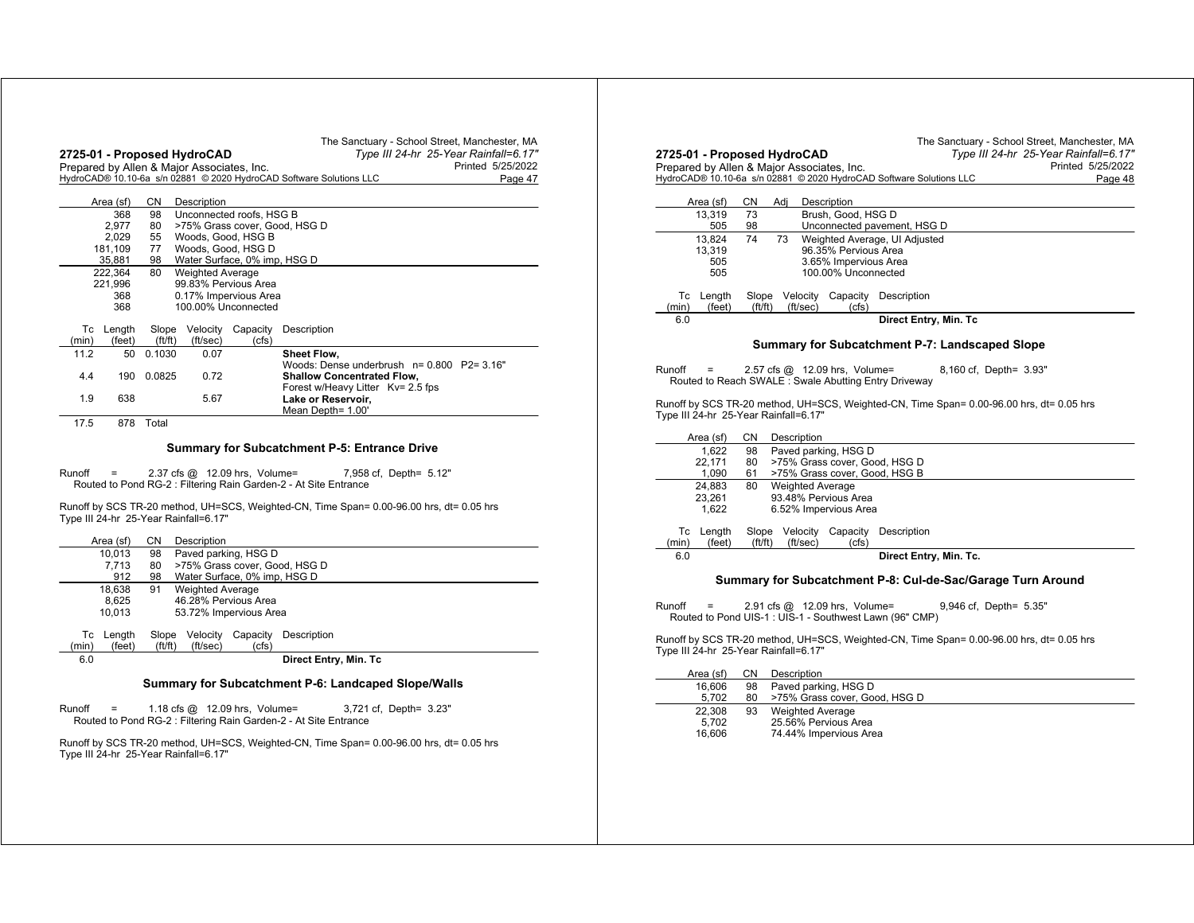|                                              |           |        | Prepared by Allen & Major Associates, Inc. |                              | Printed 5/25/2022                                                              |
|----------------------------------------------|-----------|--------|--------------------------------------------|------------------------------|--------------------------------------------------------------------------------|
|                                              |           |        |                                            |                              | HydroCAD® 10.10-6a s/n 02881 © 2020 HydroCAD Software Solutions LLC<br>Page 47 |
|                                              | Area (sf) | СN     | Description                                |                              |                                                                                |
| 368<br>98<br>Unconnected roofs, HSG B        |           |        |                                            |                              |                                                                                |
| 2.977<br>>75% Grass cover, Good, HSG D<br>80 |           |        |                                            |                              |                                                                                |
|                                              | 2,029     | 55     |                                            | Woods, Good, HSG B           |                                                                                |
|                                              | 181,109   | 77     |                                            | Woods, Good, HSG D           |                                                                                |
|                                              | 35,881    | 98     |                                            | Water Surface, 0% imp, HSG D |                                                                                |
|                                              | 222,364   | 80     | <b>Weighted Average</b>                    |                              |                                                                                |
|                                              | 221.996   |        |                                            | 99.83% Pervious Area         |                                                                                |
|                                              | 368       |        |                                            | 0.17% Impervious Area        |                                                                                |
|                                              | 368       |        |                                            | 100.00% Unconnected          |                                                                                |
| Тc                                           | Length    | Slope  | Velocity                                   | Capacity                     | Description                                                                    |
| (min)                                        | (feet)    | ft/ft) | (ft/sec)                                   | (cfs)                        |                                                                                |
| 11.2                                         | 50        | 0.1030 | 0.07                                       |                              | <b>Sheet Flow.</b>                                                             |
|                                              |           |        |                                            |                              | Woods: Dense underbrush $n = 0.800$ P2= 3.16"                                  |
| 4.4                                          | 190       | 0.0825 | 0.72                                       |                              | <b>Shallow Concentrated Flow.</b>                                              |
|                                              |           |        |                                            |                              | Forest w/Heavy Litter Kv= 2.5 fps                                              |
| 1.9                                          | 638       |        | 5.67                                       |                              | Lake or Reservoir.                                                             |
|                                              |           |        |                                            |                              | Mean Depth= 1.00'                                                              |
| 17.5                                         | 878       | Total  |                                            |                              |                                                                                |

Runoff <sup>=</sup> 2.37 cfs @ 12.09 hrs, Volume= 7,958 cf, Depth= 5.12" Routed to Pond RG-2 : Filtering Rain Garden-2 - At Site Entrance

Runoff by SCS TR-20 method, UH=SCS, Weighted-CN, Time Span= 0.00-96.00 hrs, dt= 0.05 hrs Type III 24-hr 25-Year Rainfall=6.17"

|       | Area (sf) | CN.    | Description                   |          |                                                          |  |  |  |  |
|-------|-----------|--------|-------------------------------|----------|----------------------------------------------------------|--|--|--|--|
|       | 10.013    | 98     | Paved parking, HSG D          |          |                                                          |  |  |  |  |
|       | 7.713     | 80     | >75% Grass cover, Good, HSG D |          |                                                          |  |  |  |  |
|       | 912       | 98     | Water Surface, 0% imp, HSG D  |          |                                                          |  |  |  |  |
|       | 18.638    | 91     | <b>Weighted Average</b>       |          |                                                          |  |  |  |  |
|       | 8.625     |        | 46.28% Pervious Area          |          |                                                          |  |  |  |  |
|       | 10.013    |        | 53.72% Impervious Area        |          |                                                          |  |  |  |  |
|       |           |        |                               |          |                                                          |  |  |  |  |
| Тc    | Lenath    | Slope  | Velocity                      | Capacity | Description                                              |  |  |  |  |
| (min) | (feet)    | ft/ft) | (ft/sec)                      | (cfs)    |                                                          |  |  |  |  |
| 6.0   |           |        |                               |          | Direct Entry, Min. Tc                                    |  |  |  |  |
|       |           |        |                               |          |                                                          |  |  |  |  |
|       |           |        |                               |          | Ormanical Critical Colorador (C. Landesnad Olana Milalla |  |  |  |  |

### **Summary for Subcatchment P-6: Landcaped Slope/Walls**

Runoff <sup>=</sup> 1.18 cfs @ 12.09 hrs, Volume= 3,721 cf, Depth= 3.23" Routed to Pond RG-2 : Filtering Rain Garden-2 - At Site Entrance

Runoff by SCS TR-20 method, UH=SCS, Weighted-CN, Time Span= 0.00-96.00 hrs, dt= 0.05 hrs Type III 24-hr 25-Year Rainfall=6.17"

| The Sanctuary - School Street, Manchester, MA<br>Type III 24-hr 25-Year Rainfall=6.17"   |
|------------------------------------------------------------------------------------------|
| Printed 5/25/2022                                                                        |
| HydroCAD® 10.10-6a s/n 02881 © 2020 HydroCAD Software Solutions LLC<br>Page 48           |
|                                                                                          |
| Brush, Good, HSG D                                                                       |
| Unconnected pavement, HSG D                                                              |
| Weighted Average, UI Adjusted                                                            |
| 96.35% Pervious Area<br>3.65% Impervious Area                                            |
| 100.00% Unconnected                                                                      |
|                                                                                          |
| Description                                                                              |
| Direct Entry, Min. Tc                                                                    |
|                                                                                          |
| Summary for Subcatchment P-7: Landscaped Slope                                           |
| 8,160 cf, Depth= 3.93"                                                                   |
| Routed to Reach SWALE: Swale Abutting Entry Driveway                                     |
|                                                                                          |
| Runoff by SCS TR-20 method, UH=SCS, Weighted-CN, Time Span= 0.00-96.00 hrs, dt= 0.05 hrs |
|                                                                                          |
|                                                                                          |
|                                                                                          |
| >75% Grass cover, Good, HSG D                                                            |
| >75% Grass cover, Good, HSG B                                                            |
|                                                                                          |
|                                                                                          |
|                                                                                          |
| Description                                                                              |
| Direct Entry, Min. Tc.                                                                   |
|                                                                                          |
| Summary for Subcatchment P-8: Cul-de-Sac/Garage Turn Around                              |
| 9,946 cf, Depth= 5.35"                                                                   |
| Routed to Pond UIS-1 : UIS-1 - Southwest Lawn (96" CMP)                                  |
|                                                                                          |
| Runoff by SCS TR-20 method, UH=SCS, Weighted-CN, Time Span= 0.00-96.00 hrs, dt= 0.05 hrs |
|                                                                                          |
|                                                                                          |
|                                                                                          |
| 2.57 cfs @ 12.09 hrs, Volume=                                                            |

22,308 93 Weighted Average 5,702 25.56% Pervious Area 16,606 74.44% Impervious Area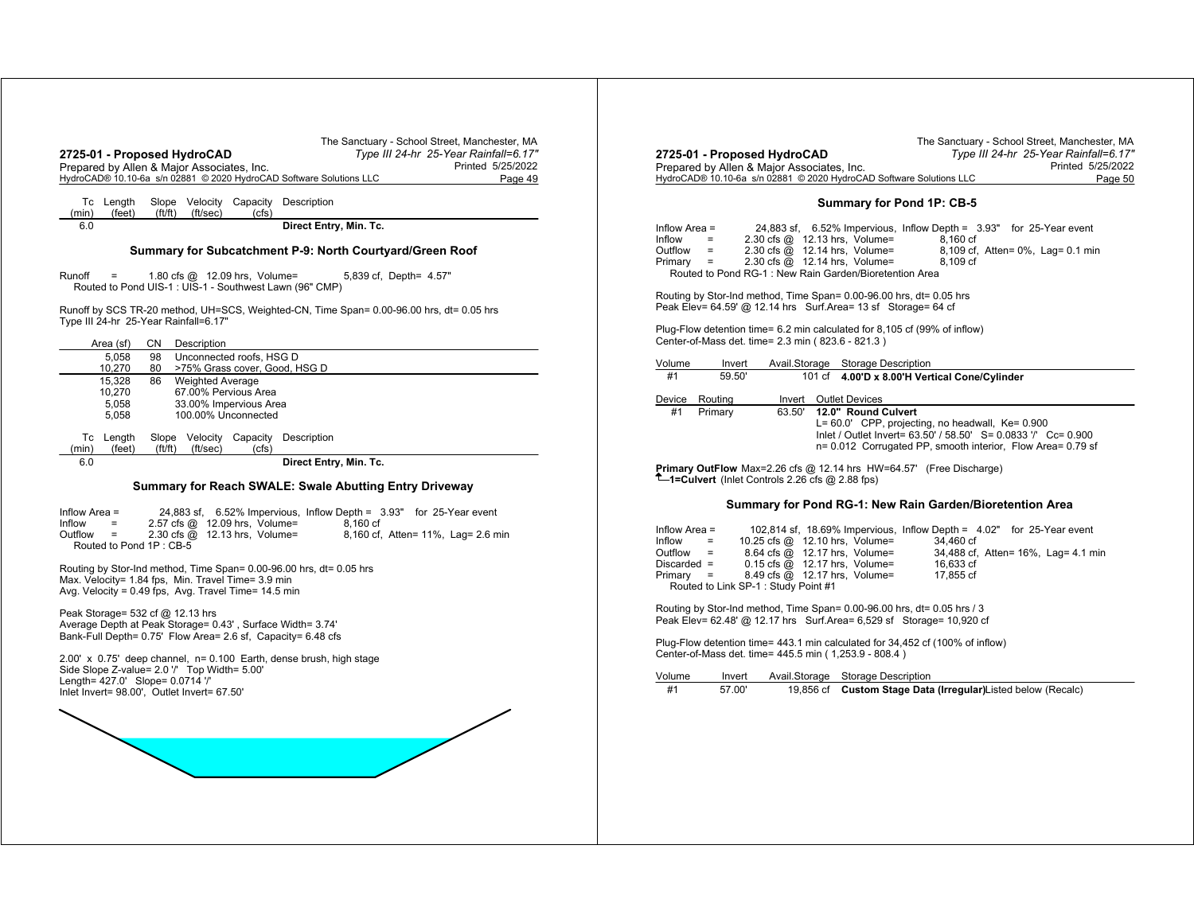| 2725-01 - Proposed HydroCAD<br>Prepared by Allen & Major Associates, Inc.<br>HydroCAD® 10.10-6a s/n 02881 © 2020 HydroCAD Software Solutions LLC                                                                                                                                                                                   | The Sanctuary - School Street, Manchester, MA<br>Type III 24-hr 25-Year Rainfall=6.17"<br>Printed 5/25/2022<br>Page 49 | 2725-0<br>Prepar<br>HydroC.                                               |
|------------------------------------------------------------------------------------------------------------------------------------------------------------------------------------------------------------------------------------------------------------------------------------------------------------------------------------|------------------------------------------------------------------------------------------------------------------------|---------------------------------------------------------------------------|
| Slope Velocity Capacity Description<br>Tc Length<br>(feet)<br>(f t / f t)<br>(ft/sec)<br>(min)<br>(cfs)                                                                                                                                                                                                                            |                                                                                                                        |                                                                           |
| 6.0<br>Summary for Subcatchment P-9: North Courtyard/Green Roof                                                                                                                                                                                                                                                                    | Direct Entry, Min. Tc.                                                                                                 | Inflow /<br>Inflow<br>Outflow<br>Primary                                  |
| Runoff<br>1.80 cfs @ 12.09 hrs, Volume=<br>$=$<br>Routed to Pond UIS-1 : UIS-1 - Southwest Lawn (96" CMP)                                                                                                                                                                                                                          | 5,839 cf, Depth= 4.57"                                                                                                 | Rou                                                                       |
| Runoff by SCS TR-20 method, UH=SCS, Weighted-CN, Time Span= 0.00-96.00 hrs, dt= 0.05 hrs<br>Type III 24-hr 25-Year Rainfall=6.17"                                                                                                                                                                                                  |                                                                                                                        | Routino<br>Peak E                                                         |
| Description<br>Area (sf)<br>CN                                                                                                                                                                                                                                                                                                     |                                                                                                                        | Plug-Fl<br>Center-                                                        |
| Unconnected roofs, HSG D<br>5,058<br>98<br>10,270<br>>75% Grass cover, Good, HSG D<br>80                                                                                                                                                                                                                                           |                                                                                                                        | Volume                                                                    |
| 15,328<br><b>Weighted Average</b><br>86<br>67.00% Pervious Area<br>10,270<br>33.00% Impervious Area<br>5,058<br>5,058<br>100.00% Unconnected                                                                                                                                                                                       |                                                                                                                        | #1<br>Device<br>#1                                                        |
| Tc Length<br>Slope Velocity Capacity Description<br>(feet)<br>ft/ft)<br>(ft/sec)<br>(min)<br>(cfs)<br>6.0<br><b>Summary for Reach SWALE: Swale Abutting Entry Driveway</b>                                                                                                                                                         | Direct Entry, Min. Tc.                                                                                                 | Primar<br>-1=C                                                            |
| Inflow Area $=$<br>2.57 cfs @ 12.09 hrs, Volume=<br>Inflow<br>2.30 cfs @ 12.13 hrs, Volume=<br>Outflow<br>$\equiv$<br>Routed to Pond 1P: CB-5<br>Routing by Stor-Ind method, Time Span= 0.00-96.00 hrs, dt= 0.05 hrs<br>Max. Velocity= 1.84 fps, Min. Travel Time= 3.9 min<br>Avg. Velocity = 0.49 fps, Avg. Travel Time= 14.5 min | 24,883 sf, 6.52% Impervious, Inflow Depth = 3.93" for 25-Year event<br>8.160 cf<br>8,160 cf, Atten= 11%, Lag= 2.6 min  | Inflow $\lambda$<br>Inflow<br>Outflow<br><b>Discard</b><br>Primary<br>Rou |
| Peak Storage= $532$ cf @ 12.13 hrs<br>Average Depth at Peak Storage= 0.43', Surface Width= 3.74'<br>Bank-Full Depth= 0.75' Flow Area= 2.6 sf, Capacity= 6.48 cfs                                                                                                                                                                   |                                                                                                                        | Routino<br>Peak E                                                         |
| 2.00' x 0.75' deep channel, n= 0.100 Earth, dense brush, high stage<br>Side Slope Z-value= 2.0 "/ Top Width= 5.00"<br>Length= 427.0' Slope= 0.0714 '/'<br>Inlet Invert= 98.00', Outlet Invert= 67.50'                                                                                                                              |                                                                                                                        | Plug-Fl<br>Center-<br>Volume<br>#1                                        |
|                                                                                                                                                                                                                                                                                                                                    |                                                                                                                        |                                                                           |
|                                                                                                                                                                                                                                                                                                                                    |                                                                                                                        |                                                                           |
|                                                                                                                                                                                                                                                                                                                                    |                                                                                                                        |                                                                           |

|                                                                     | The Sanctuary - School Street, Manchester, MA |
|---------------------------------------------------------------------|-----------------------------------------------|
| 2725-01 - Proposed HydroCAD                                         | Type III 24-hr 25-Year Rainfall=6.17"         |
| Prepared by Allen & Major Associates, Inc.                          | Printed 5/25/2022                             |
| HydroCAD® 10.10-6a s/n 02881 © 2020 HydroCAD Software Solutions LLC | Page 50                                       |

## **Summary for Pond 1P: CB-5**

| Inflow Area = |                        |                                                             |          | 24,883 sf, 6.52% Impervious, Inflow Depth = 3.93" for 25-Year event |
|---------------|------------------------|-------------------------------------------------------------|----------|---------------------------------------------------------------------|
| Inflow        | $=$                    | 2.30 cfs $\omega$ 12.13 hrs, Volume=                        | 8.160 cf |                                                                     |
| Outfiow       | <b>Service</b> Service | $2.30 \text{ cfs} \textcircled{a}$ 12.14 hrs. Volume=       |          | 8,109 cf, Atten= 0%, Lag= 0.1 min                                   |
| Primary =     |                        | $2.30 \text{ cfs} \quad \textcircled{a}$ 12.14 hrs. Volume= | 8.109 cf |                                                                     |
|               |                        | Routed to Pond RG-1: New Rain Garden/Bioretention Area      |          |                                                                     |

Routing by Stor-Ind method, Time Span= 0.00-96.00 hrs, dt= 0.05 hrs Peak Elev= 64.59' @ 12.14 hrs Surf.Area= 13 sf Storage= 64 cf

Plug-Flow detention time= 6.2 min calculated for 8,105 cf (99% of inflow) Center-of-Mass det. time= 2.3 min ( 823.6 - 821.3 )

| Volume | Invert  |        | Avail Storage Storage Description                                                                                                                                                                              |
|--------|---------|--------|----------------------------------------------------------------------------------------------------------------------------------------------------------------------------------------------------------------|
| #1     | 59.50   |        | 101 cf 4.00'D x 8.00'H Vertical Cone/Cylinder                                                                                                                                                                  |
| Device | Routina | Invert | <b>Outlet Devices</b>                                                                                                                                                                                          |
| #1     | Primary | 63.50' | 12.0" Round Culvert<br>$L = 60.0'$ CPP, projecting, no headwall, $Ke = 0.900$<br>Inlet / Outlet Invert= 63.50' / 58.50' S= 0.0833 '/' Cc= 0.900<br>n= 0.012 Corrugated PP, smooth interior, Flow Area= 0.79 sf |

**Primary OutFlow** Max=2.26 cfs @ 12.14 hrs HW=64.57' (Free Discharge) **1=Culvert** (Inlet Controls 2.26 cfs @ 2.88 fps)

#### **Summary for Pond RG-1: New Rain Garden/Bioretention Area**

| Inflow Area = |                             |                                                             |  | 102,814 sf, 18.69% Impervious, Inflow Depth = 4.02" for 25-Year event |  |                                     |
|---------------|-----------------------------|-------------------------------------------------------------|--|-----------------------------------------------------------------------|--|-------------------------------------|
| Inflow        | $\mathcal{L} = \mathcal{L}$ | 10.25 cfs @ 12.10 hrs, Volume=                              |  | 34.460 cf                                                             |  |                                     |
| Outflow       |                             | 8.64 cfs @ 12.17 hrs, Volume=                               |  |                                                                       |  | 34,488 cf, Atten= 16%, Lag= 4.1 min |
| Discarded =   |                             | $0.15$ cfs $\omega$ 12.17 hrs. Volume=                      |  | 16.633 cf                                                             |  |                                     |
| Primarv =     |                             | $8.49 \text{ cfs} \quad \textcircled{a}$ 12.17 hrs. Volume= |  | 17.855 cf                                                             |  |                                     |
|               |                             | Routed to Link SP-1: Study Point #1                         |  |                                                                       |  |                                     |

Routing by Stor-Ind method, Time Span= 0.00-96.00 hrs, dt= 0.05 hrs / 3 Peak Elev= 62.48' @ 12.17 hrs Surf.Area= 6,529 sf Storage= 10,920 cf

Plug-Flow detention time= 443.1 min calculated for 34,452 cf (100% of inflow) Center-of-Mass det. time= 445.5 min ( 1,253.9 - 808.4 )

| Volume | Invert | Avail.Storage Storage Description                             |
|--------|--------|---------------------------------------------------------------|
| #1     | 57.00  | 19,856 cf Custom Stage Data (Irregular) Listed below (Recalc) |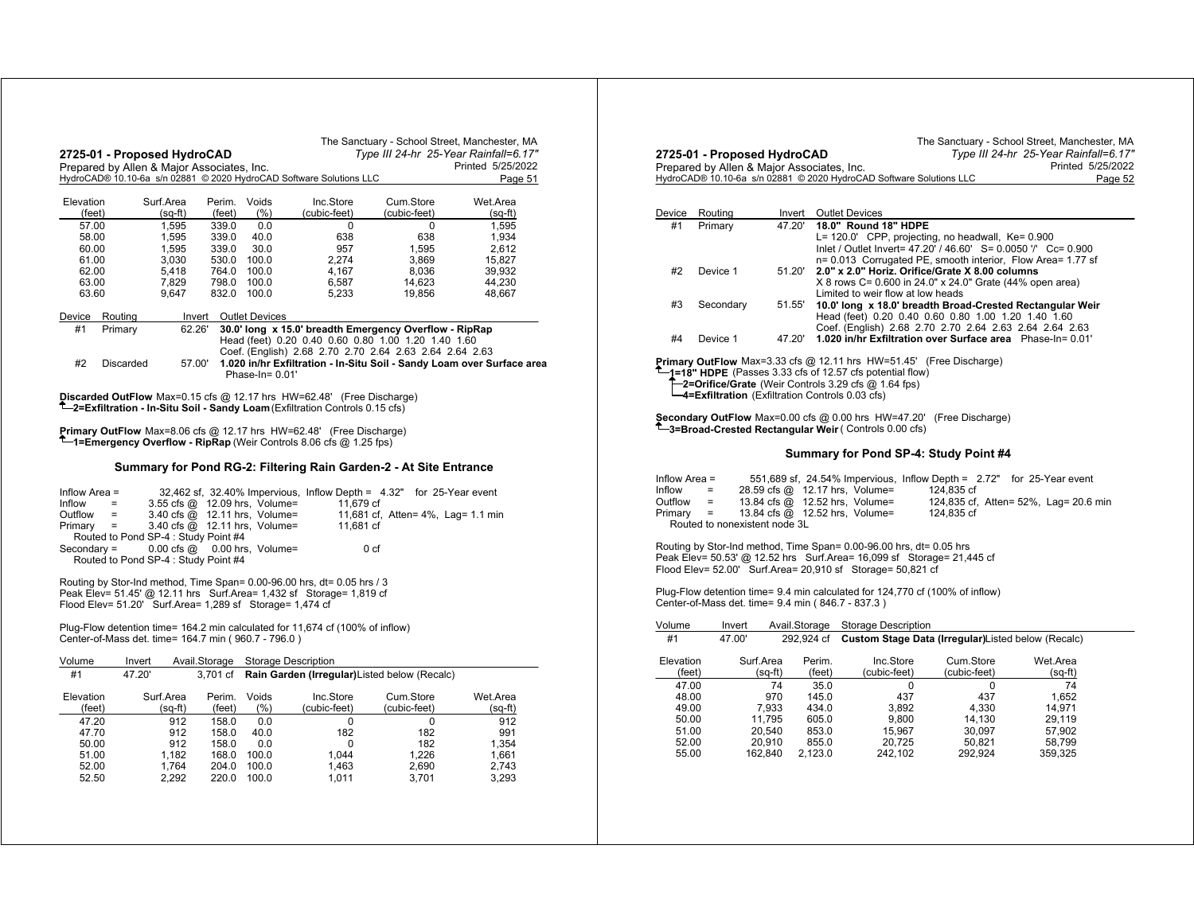|                |                    | 2725-01 - Proposed HydroCAD<br>Prepared by Allen & Major Associates, Inc. |                |                                            | The Sanctuary - School Street, Manchester, MA                                                                                                                             |                                                                      | Type III 24-hr 25-Year Rainfall=6.17"<br>Printed 5/25/2022             |
|----------------|--------------------|---------------------------------------------------------------------------|----------------|--------------------------------------------|---------------------------------------------------------------------------------------------------------------------------------------------------------------------------|----------------------------------------------------------------------|------------------------------------------------------------------------|
|                |                    |                                                                           |                |                                            | HydroCAD® 10.10-6a s/n 02881 © 2020 HydroCAD Software Solutions LLC                                                                                                       |                                                                      | Page 51                                                                |
| Elevation      |                    | Surf.Area                                                                 | Perim. Voids   |                                            | Inc.Store                                                                                                                                                                 | Cum.Store                                                            | Wet.Area                                                               |
| (feet)         |                    | $(sq-ft)$                                                                 | (feet)         | (% )                                       | (cubic-feet)                                                                                                                                                              | (cubic-feet)                                                         | $(sq-m)$                                                               |
| 57.00          |                    | 1.595                                                                     | 339.0          | 0.0                                        | $\Omega$                                                                                                                                                                  | 0                                                                    | 1.595                                                                  |
| 58.00          |                    | 1,595                                                                     | 339.0          | 40.0                                       | 638                                                                                                                                                                       | 638                                                                  | 1,934                                                                  |
| 60.00          |                    | 1,595                                                                     | 339.0          | 30.0                                       | 957                                                                                                                                                                       | 1,595                                                                | 2,612                                                                  |
| 61.00          |                    | 3,030                                                                     | 530.0          | 100.0                                      | 2,274                                                                                                                                                                     | 3,869                                                                | 15,827                                                                 |
| 62.00          |                    | 5,418                                                                     | 764.0          | 100.0                                      | 4,167                                                                                                                                                                     | 8,036                                                                | 39,932                                                                 |
| 63.00<br>63.60 |                    | 7,829<br>9,647                                                            | 798.0<br>832.0 | 100.0<br>100.0                             | 6,587<br>5,233                                                                                                                                                            | 14,623<br>19,856                                                     | 44.230<br>48,667                                                       |
|                |                    |                                                                           |                |                                            |                                                                                                                                                                           |                                                                      |                                                                        |
| Device<br>#1   | Routing<br>Primary | 62.26'                                                                    | Invert         | <b>Outlet Devices</b>                      |                                                                                                                                                                           | 30.0' long x 15.0' breadth Emergency Overflow - RipRap               |                                                                        |
|                |                    |                                                                           |                |                                            |                                                                                                                                                                           | Head (feet) 0.20 0.40 0.60 0.80 1.00 1.20 1.40 1.60                  |                                                                        |
|                |                    |                                                                           |                |                                            |                                                                                                                                                                           | Coef. (English) 2.68 2.70 2.70 2.64 2.63 2.64 2.64 2.63              |                                                                        |
| #2             | Discarded          | 57.00'                                                                    |                |                                            |                                                                                                                                                                           |                                                                      | 1.020 in/hr Exfiltration - In-Situ Soil - Sandy Loam over Surface area |
|                |                    |                                                                           |                | Phase-In= 0.01'                            |                                                                                                                                                                           |                                                                      |                                                                        |
|                |                    |                                                                           |                |                                            | <b>Discarded OutFlow</b> Max=0.15 cfs @ 12.17 hrs HW=62.48' (Free Discharge)<br><sup>T</sup> -2=Exfiltration - In-Situ Soil - Sandy Loam (Exfiltration Controls 0.15 cfs) |                                                                      |                                                                        |
|                |                    |                                                                           |                |                                            |                                                                                                                                                                           |                                                                      |                                                                        |
|                |                    |                                                                           |                |                                            |                                                                                                                                                                           |                                                                      |                                                                        |
|                |                    |                                                                           |                |                                            |                                                                                                                                                                           |                                                                      |                                                                        |
|                |                    |                                                                           |                |                                            | <b>Primary OutFlow</b> Max=8.06 cfs $@$ 12.17 hrs $HW=62.48'$ (Free Discharge)                                                                                            |                                                                      |                                                                        |
|                |                    |                                                                           |                |                                            | <b>T</b> —1=Emergency Overflow - RipRap (Weir Controls 8.06 cfs $@$ 1.25 fps)                                                                                             |                                                                      |                                                                        |
|                |                    |                                                                           |                |                                            |                                                                                                                                                                           | Summary for Pond RG-2: Filtering Rain Garden-2 - At Site Entrance    |                                                                        |
|                |                    |                                                                           |                |                                            |                                                                                                                                                                           |                                                                      |                                                                        |
| Inflow Area =  |                    |                                                                           |                |                                            |                                                                                                                                                                           | 32,462 sf, 32.40% Impervious, Inflow Depth = 4.32" for 25-Year event |                                                                        |
| Inflow         | $=$                |                                                                           |                | 3.55 cfs @ 12.09 hrs, Volume=              | 11.679 cf                                                                                                                                                                 |                                                                      |                                                                        |
| Outflow        | $=$                |                                                                           |                | 3.40 cfs $\overline{Q}$ 12.11 hrs, Volume= |                                                                                                                                                                           | 11,681 cf, Atten= 4%, Lag= 1.1 min                                   |                                                                        |
| Primary        | $\equiv$           |                                                                           |                | 3.40 cfs @ 12.11 hrs, Volume=              | 11,681 cf                                                                                                                                                                 |                                                                      |                                                                        |
|                |                    | Routed to Pond SP-4 : Study Point #4                                      |                |                                            |                                                                                                                                                                           |                                                                      |                                                                        |
| $Secondary =$  |                    | $0.00$ cfs $@$                                                            |                | 0.00 hrs, Volume=                          |                                                                                                                                                                           | 0 <sub>cf</sub>                                                      |                                                                        |
|                |                    | Routed to Pond SP-4 : Study Point #4                                      |                |                                            |                                                                                                                                                                           |                                                                      |                                                                        |
|                |                    |                                                                           |                |                                            | Routing by Stor-Ind method, Time Span= 0.00-96.00 hrs, dt= 0.05 hrs / 3                                                                                                   |                                                                      |                                                                        |
|                |                    |                                                                           |                |                                            | Peak Elev= 51.45' @ 12.11 hrs  Surf.Area= 1,432 sf  Storage= 1,819 cf                                                                                                     |                                                                      |                                                                        |
|                |                    | Flood Elev= 51.20' Surf.Area= 1,289 sf Storage= 1,474 cf                  |                |                                            |                                                                                                                                                                           |                                                                      |                                                                        |
|                |                    |                                                                           |                |                                            |                                                                                                                                                                           |                                                                      |                                                                        |
|                |                    |                                                                           |                |                                            | Plug-Flow detention time= 164.2 min calculated for 11,674 cf (100% of inflow)                                                                                             |                                                                      |                                                                        |
|                |                    | Center-of-Mass det. time= 164.7 min (960.7 - 796.0)                       |                |                                            |                                                                                                                                                                           |                                                                      |                                                                        |
| Volume         |                    | Invert                                                                    | Avail.Storage  |                                            |                                                                                                                                                                           |                                                                      |                                                                        |
| #1             | 47.20'             |                                                                           |                | <b>Storage Description</b>                 |                                                                                                                                                                           |                                                                      |                                                                        |
|                |                    |                                                                           | 3,701 cf       |                                            |                                                                                                                                                                           | Rain Garden (Irregular) Listed below (Recalc)                        |                                                                        |
| Elevation      |                    | Surf.Area                                                                 | Perim.         | Voids                                      | Inc.Store                                                                                                                                                                 | Cum.Store                                                            | Wet.Area                                                               |
| (feet)         |                    | (sq-ft)                                                                   | (feet)         | (% )                                       | (cubic-feet)                                                                                                                                                              | (cubic-feet)                                                         | $(sq-ft)$                                                              |
| 47.20          |                    | 912                                                                       | 158.0          | 0.0                                        | 0                                                                                                                                                                         | 0                                                                    | 912                                                                    |
| 47.70          |                    | 912                                                                       | 158.0          | 40.0                                       | 182                                                                                                                                                                       | 182                                                                  | 991                                                                    |
| 50.00          |                    | 912                                                                       | 158.0          | $0.0\,$                                    | 0                                                                                                                                                                         | 182                                                                  | 1,354                                                                  |
| 51.00          |                    | 1,182                                                                     | 168.0          | 100.0                                      | 1,044                                                                                                                                                                     | 1,226                                                                | 1,661                                                                  |
| 52.00<br>52.50 |                    | 1.764<br>2,292                                                            | 204.0<br>220.0 | 100.0<br>100.0                             | 1.463<br>1,011                                                                                                                                                            | 2,690<br>3,701                                                       | 2.743<br>3,293                                                         |

|                                               | 2725-01 - Proposed HydroCAD                                  |                        |                  |                                                                                                                                                                                                            |          | The Sanctuary - School Street, Manchester, MA                                                                                                                                      | Type III 24-hr 25-Year Rainfall=6.17" |                   |
|-----------------------------------------------|--------------------------------------------------------------|------------------------|------------------|------------------------------------------------------------------------------------------------------------------------------------------------------------------------------------------------------------|----------|------------------------------------------------------------------------------------------------------------------------------------------------------------------------------------|---------------------------------------|-------------------|
|                                               | Prepared by Allen & Major Associates, Inc.                   |                        |                  |                                                                                                                                                                                                            |          |                                                                                                                                                                                    |                                       | Printed 5/25/2022 |
|                                               |                                                              |                        |                  | HydroCAD® 10.10-6a s/n 02881 © 2020 HydroCAD Software Solutions LLC                                                                                                                                        |          |                                                                                                                                                                                    |                                       | Page 52           |
|                                               |                                                              |                        |                  |                                                                                                                                                                                                            |          |                                                                                                                                                                                    |                                       |                   |
| Device                                        | Routing                                                      | Invert                 |                  | <b>Outlet Devices</b>                                                                                                                                                                                      |          |                                                                                                                                                                                    |                                       |                   |
| #1                                            | Primary                                                      | 47.20'                 |                  | 18.0" Round 18" HDPE                                                                                                                                                                                       |          | L= 120.0' CPP, projecting, no headwall, Ke= 0.900<br>Inlet / Outlet Invert= 47.20' / 46.60' S= 0.0050 '/' Cc= 0.900<br>n= 0.013 Corrugated PE, smooth interior, Flow Area= 1.77 sf |                                       |                   |
| #2                                            | Device 1                                                     | 51.20'                 |                  | Limited to weir flow at low heads                                                                                                                                                                          |          | 2.0" x 2.0" Horiz. Orifice/Grate X 8.00 columns<br>X 8 rows C= 0.600 in 24.0" x 24.0" Grate (44% open area)                                                                        |                                       |                   |
| #3                                            | Secondary                                                    | 51.55'                 |                  |                                                                                                                                                                                                            |          | 10.0' long x 18.0' breadth Broad-Crested Rectangular Weir<br>Head (feet) 0.20 0.40 0.60 0.80 1.00 1.20 1.40 1.60<br>Coef. (English) 2.68 2.70 2.70 2.64 2.63 2.64 2.64 2.63        |                                       |                   |
| #4                                            | Device 1                                                     | 47.20'                 |                  |                                                                                                                                                                                                            |          | 1.020 in/hr Exfiltration over Surface area Phase-In= 0.01'                                                                                                                         |                                       |                   |
|                                               | <b>-4=Exfiltration</b> (Exfiltration Controls 0.03 cfs)      |                        |                  | 1=18" HDPE (Passes 3.33 cfs of 12.57 cfs potential flow)<br>-2=Orifice/Grate (Weir Controls 3.29 cfs @ 1.64 fps)                                                                                           |          | <b>Şecondary OutFlow</b> Max=0.00 cfs @ 0.00 hrs HW=47.20' (Free Discharge)                                                                                                        |                                       |                   |
|                                               |                                                              |                        |                  | -3=Broad-Crested Rectangular Weir (Controls 0.00 cfs)                                                                                                                                                      |          |                                                                                                                                                                                    |                                       |                   |
|                                               |                                                              |                        |                  |                                                                                                                                                                                                            |          | Summary for Pond SP-4: Study Point #4                                                                                                                                              |                                       |                   |
| Inflow Area =<br>Inflow<br>Outflow<br>Primary | $\equiv$<br>$=$<br>$\equiv$<br>Routed to nonexistent node 3L |                        |                  | 28.59 cfs @ 12.17 hrs, Volume=<br>13.84 cfs @ 12.52 hrs, Volume=<br>13.84 cfs @ 12.52 hrs, Volume=                                                                                                         |          | 551,689 sf, 24.54% Impervious, Inflow Depth = 2.72" for 25-Year event<br>124.835 cf<br>124,835 cf, Atten= 52%, Lag= 20.6 min<br>124,835 cf                                         |                                       |                   |
|                                               |                                                              |                        |                  | Routing by Stor-Ind method, Time Span= 0.00-96.00 hrs, dt= 0.05 hrs<br>Peak Elev= 50.53' @ 12.52 hrs Surf.Area= 16,099 sf Storage= 21,445 cf<br>Flood Elev= 52.00' Surf.Area= 20,910 sf Storage= 50,821 cf |          |                                                                                                                                                                                    |                                       |                   |
|                                               | Center-of-Mass det. time= 9.4 min (846.7 - 837.3)            |                        |                  |                                                                                                                                                                                                            |          | Plug-Flow detention time= 9.4 min calculated for 124,770 cf (100% of inflow)                                                                                                       |                                       |                   |
| Volume                                        | Invert                                                       | Avail.Storage          |                  | Storage Description                                                                                                                                                                                        |          |                                                                                                                                                                                    |                                       |                   |
| #1                                            | 47.00'                                                       |                        | 292.924 cf       |                                                                                                                                                                                                            |          | Custom Stage Data (Irregular) Listed below (Recalc)                                                                                                                                |                                       |                   |
| Elevation<br>(feet)                           |                                                              | Surf.Area<br>$(sq-ft)$ | Perim.<br>(feet) | Inc.Store<br>(cubic-feet)                                                                                                                                                                                  |          | Cum.Store<br>(cubic-feet)                                                                                                                                                          | Wet.Area<br>$(sq-ft)$                 |                   |
| 47.00                                         |                                                              | 74                     | 35.0             |                                                                                                                                                                                                            | $\Omega$ | 0                                                                                                                                                                                  | 74                                    |                   |
| 48.00                                         |                                                              | 970                    | 145.0            | 437                                                                                                                                                                                                        |          | 437                                                                                                                                                                                | 1.652                                 |                   |
| 49.00                                         |                                                              | 7,933                  | 434.0            | 3,892                                                                                                                                                                                                      |          | 4,330                                                                                                                                                                              | 14,971                                |                   |
| 50.00                                         |                                                              | 11.795                 | 605.0            | 9,800                                                                                                                                                                                                      |          | 14,130                                                                                                                                                                             | 29.119                                |                   |
| 51.00                                         |                                                              | 20,540                 | 853.0            | 15,967                                                                                                                                                                                                     |          | 30,097                                                                                                                                                                             | 57,902                                |                   |
| 52.00                                         |                                                              | 20.910                 | 855.0            | 20,725                                                                                                                                                                                                     |          | 50,821                                                                                                                                                                             | 58,799                                |                   |
| 55.00                                         |                                                              | 162,840                | 2,123.0          | 242,102                                                                                                                                                                                                    |          | 292,924                                                                                                                                                                            | 359,325                               |                   |
|                                               |                                                              |                        |                  |                                                                                                                                                                                                            |          |                                                                                                                                                                                    |                                       |                   |
|                                               |                                                              |                        |                  |                                                                                                                                                                                                            |          |                                                                                                                                                                                    |                                       |                   |
|                                               |                                                              |                        |                  |                                                                                                                                                                                                            |          |                                                                                                                                                                                    |                                       |                   |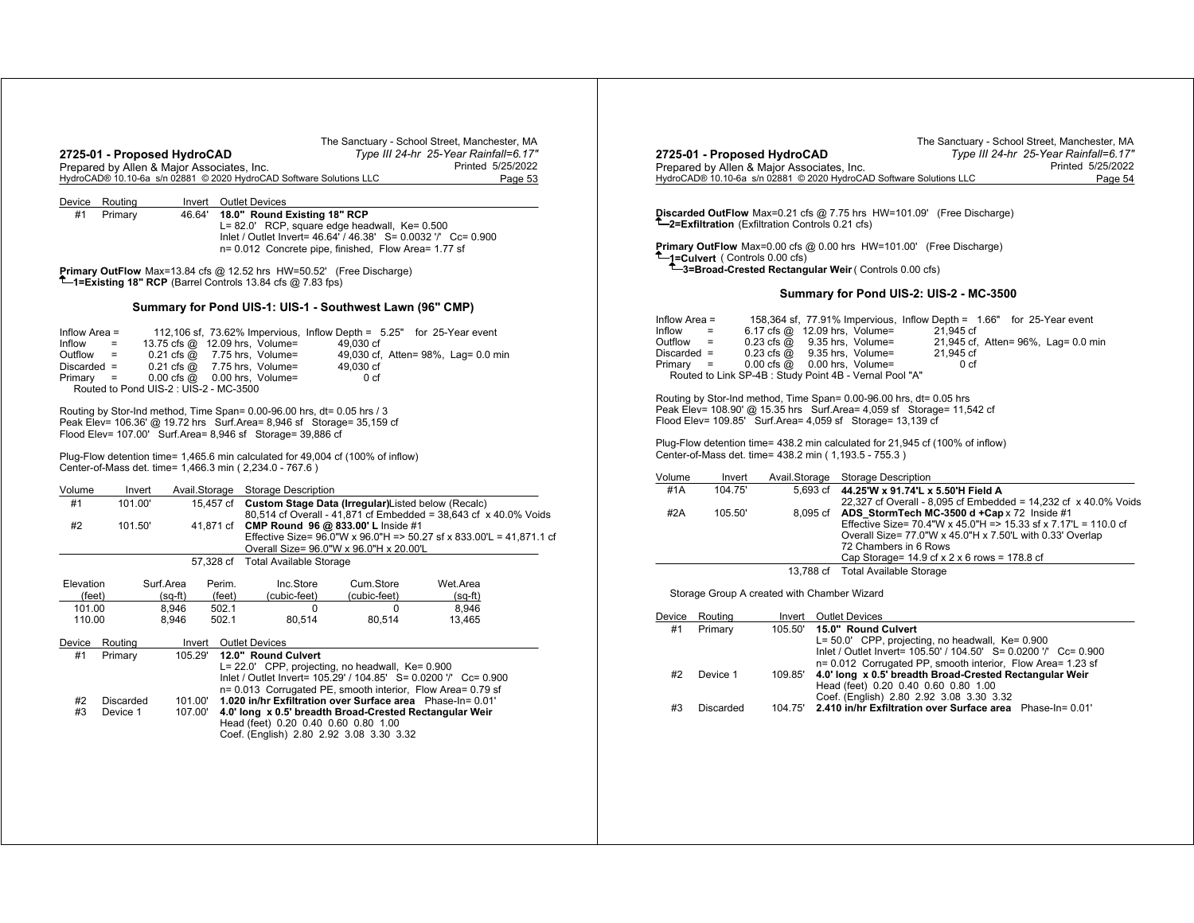| The Sanctuary - School Street, Manchester, MA<br>2725-01 - Proposed HydroCAD<br>Type III 24-hr 25-Year Rainfall=6.17"<br>Prepared by Allen & Major Associates, Inc.<br>Printed 5/25/2022<br>HydroCAD® 10.10-6a s/n 02881 © 2020 HydroCAD Software Solutions LLC<br>Page 53                                                                                                                                                                                                                                         | The Sanctuary - School Street, Manchester, MA<br>2725-01 - Proposed HydroCAD<br>Type III 24-hr 25-Year Rainfall=6.17"<br>Printed 5/25/2022<br>Prepared by Allen & Major Associates, Inc.<br>HydroCAD® 10.10-6a s/n 02881 © 2020 HydroCAD Software Solutions LLC<br>Page 54                                                                                                                                                                                                                                                                                       |
|--------------------------------------------------------------------------------------------------------------------------------------------------------------------------------------------------------------------------------------------------------------------------------------------------------------------------------------------------------------------------------------------------------------------------------------------------------------------------------------------------------------------|------------------------------------------------------------------------------------------------------------------------------------------------------------------------------------------------------------------------------------------------------------------------------------------------------------------------------------------------------------------------------------------------------------------------------------------------------------------------------------------------------------------------------------------------------------------|
| Device Routing<br>Invert Outlet Devices<br>18.0" Round Existing 18" RCP<br>#1<br>Primary<br>46.64'<br>L= 82.0' RCP, square edge headwall, Ke= 0.500<br>Inlet / Outlet Invert= 46.64' / 46.38' S= 0.0032 '/' Cc= 0.900<br>n= 0.012 Concrete pipe, finished, Flow Area= 1.77 sf                                                                                                                                                                                                                                      | Discarded OutFlow Max=0.21 cfs @ 7.75 hrs HW=101.09' (Free Discharge)<br><sup>T</sup> -2=Exfiltration (Exfiltration Controls 0.21 cfs)<br>Primary OutFlow Max=0.00 cfs @ 0.00 hrs HW=101.00' (Free Discharge)<br>-1=Culvert ( Controls 0.00 cfs)                                                                                                                                                                                                                                                                                                                 |
| <b>Primary OutFlow</b> Max=13.84 cfs @ 12.52 hrs HW=50.52' (Free Discharge)<br><b>T</b> -1=Existing 18" RCP (Barrel Controls 13.84 cfs $\omega$ 7.83 fps)                                                                                                                                                                                                                                                                                                                                                          | <sup>T</sup> -3=Broad-Crested Rectangular Weir (Controls 0.00 cfs)<br>Summary for Pond UIS-2: UIS-2 - MC-3500                                                                                                                                                                                                                                                                                                                                                                                                                                                    |
| Summary for Pond UIS-1: UIS-1 - Southwest Lawn (96" CMP)<br>Inflow Area $=$<br>112,106 sf, 73.62% Impervious, Inflow Depth = 5.25" for 25-Year event<br>Inflow<br>13.75 cfs @ 12.09 hrs, Volume=<br>49.030 cf<br>$\equiv$<br>0.21 cfs $@$ 7.75 hrs, Volume=<br>49,030 cf, Atten= 98%, Lag= 0.0 min<br>$Outflow =$<br>0.21 cfs $@$ 7.75 hrs, Volume=<br>49.030 cf<br>$Discarded =$<br>$0.00$ cfs $\widetilde{\omega}$ 0.00 hrs, Volume=<br>$Primary =$<br>0 <sub>cf</sub><br>Routed to Pond UIS-2 : UIS-2 - MC-3500 | Inflow Area $=$<br>158,364 sf, 77.91% Impervious, Inflow Depth = 1.66" for 25-Year event<br>Inflow<br>6.17 cfs @ 12.09 hrs, Volume=<br>21.945 cf<br>$=$<br>0.23 cfs $\overline{\omega}$ 9.35 hrs, Volume=<br>$Outflow =$<br>21,945 cf, Atten= 96%, Lag= 0.0 min<br>$0.23$ cfs $@$<br>9.35 hrs, Volume=<br>$Discarded =$<br>21,945 cf<br>$0.00 \text{ cfs} \textcircled{a}$ 0.00 hrs, Volume=<br>0 <sub>cf</sub><br>$Primary =$<br>Routed to Link SP-4B : Study Point 4B - Vernal Pool "A"<br>Routing by Stor-Ind method, Time Span= 0.00-96.00 hrs, dt= 0.05 hrs |
| Routing by Stor-Ind method, Time Span= 0.00-96.00 hrs, dt= 0.05 hrs / 3<br>Peak Elev= 106.36' @ 19.72 hrs Surf.Area= 8,946 sf Storage= 35,159 cf<br>Flood Elev= 107.00' Surf.Area= 8,946 sf Storage= 39,886 cf<br>Plug-Flow detention time= 1,465.6 min calculated for 49,004 cf (100% of inflow)<br>Center-of-Mass det. time= 1,466.3 min (2,234.0 - 767.6)                                                                                                                                                       | Peak Elev= 108.90' @ 15.35 hrs Surf.Area= 4,059 sf Storage= 11,542 cf<br>Flood Elev= 109.85' Surf.Area= 4.059 sf Storage= 13.139 cf<br>Plug-Flow detention time= 438.2 min calculated for 21,945 cf (100% of inflow)<br>Center-of-Mass det. time= 438.2 min (1,193.5 - 755.3)<br>Avail.Storage Storage Description<br>Volume<br>Invert                                                                                                                                                                                                                           |
| Avail.Storage Storage Description<br>Volume<br>Invert<br>15,457 cf Custom Stage Data (Irregular)Listed below (Recalc)<br>#1<br>101.00'<br>80,514 cf Overall - 41,871 cf Embedded = 38,643 cf x 40.0% Voids<br>#2<br>101.50'<br>41,871 cf CMP Round 96 @ 833.00' L Inside #1<br>Effective Size= 96.0"W x 96.0"H => 50.27 sf x 833.00"L = 41,871.1 cf<br>Overall Size= 96.0"W x 96.0"H x 20.00"L<br>57,328 cf Total Available Storage                                                                                | #1A<br>104.75'<br>5,693 cf 44.25 W x 91.74 L x 5.50 H Field A<br>22,327 cf Overall - 8,095 cf Embedded = 14,232 cf x 40.0% Voids<br>#2A<br>105.50'<br>ADS_StormTech MC-3500 d +Cap x 72 Inside #1<br>8.095 cf<br>Effective Size= 70.4"W x 45.0"H => 15.33 sf x 7.17'L = 110.0 cf<br>Overall Size= 77.0"W x 45.0"H x 7.50"L with 0.33' Overlap<br>72 Chambers in 6 Rows<br>Cap Storage= $14.9$ cf x 2 x 6 rows = 178.8 cf                                                                                                                                         |
| Elevation<br>Surf.Area<br>Perim.<br>Inc.Store<br>Cum.Store<br>Wet.Area<br>(cubic-feet)<br>(cubic-feet)<br>(feet)<br>$(sq-ft)$<br>(feet)<br>$(sq-ft)$                                                                                                                                                                                                                                                                                                                                                               | 13,788 cf Total Available Storage<br>Storage Group A created with Chamber Wizard                                                                                                                                                                                                                                                                                                                                                                                                                                                                                 |
| 101.00<br>8.946<br>502.1<br>$\Omega$<br>$\Omega$<br>8.946<br>502.1<br>110.00<br>8.946<br>80,514<br>80,514<br>13.465<br>Invert Outlet Devices<br>Device Routing<br>105.29' 12.0" Round Culvert<br>#1<br>Primary<br>L= 22.0' CPP, projecting, no headwall, Ke= 0.900                                                                                                                                                                                                                                                 | Device Routing<br>Invert Outlet Devices<br>#1<br>Primary<br>105.50'<br>15.0" Round Culvert<br>L= 50.0' CPP, projecting, no headwall, Ke= 0.900<br>Inlet / Outlet Invert= 105.50' / 104.50' S= 0.0200 '/' Cc= 0.900<br>n= 0.012 Corrugated PP, smooth interior, Flow Area= 1.23 sf                                                                                                                                                                                                                                                                                |
| Inlet / Outlet Invert= 105.29' / 104.85' S= 0.0200 '/' Cc= 0.900<br>n= 0.013 Corrugated PE, smooth interior, Flow Area= 0.79 sf<br><b>Discarded</b><br>101.00' 1.020 in/hr Exfiltration over Surface area Phase-In= 0.01'<br>#2<br>#3<br>Device 1<br>4.0' Iong x 0.5' breadth Broad-Crested Rectangular Weir<br>107.00'                                                                                                                                                                                            | 4.0' long x 0.5' breadth Broad-Crested Rectangular Weir<br>#2<br>Device 1<br>109.85'<br>Head (feet) 0.20 0.40 0.60 0.80 1.00<br>Coef. (English) 2.80 2.92 3.08 3.30 3.32<br>104.75' 2.410 in/hr Exfiltration over Surface area Phase-In= 0.01'<br>#3<br>Discarded                                                                                                                                                                                                                                                                                                |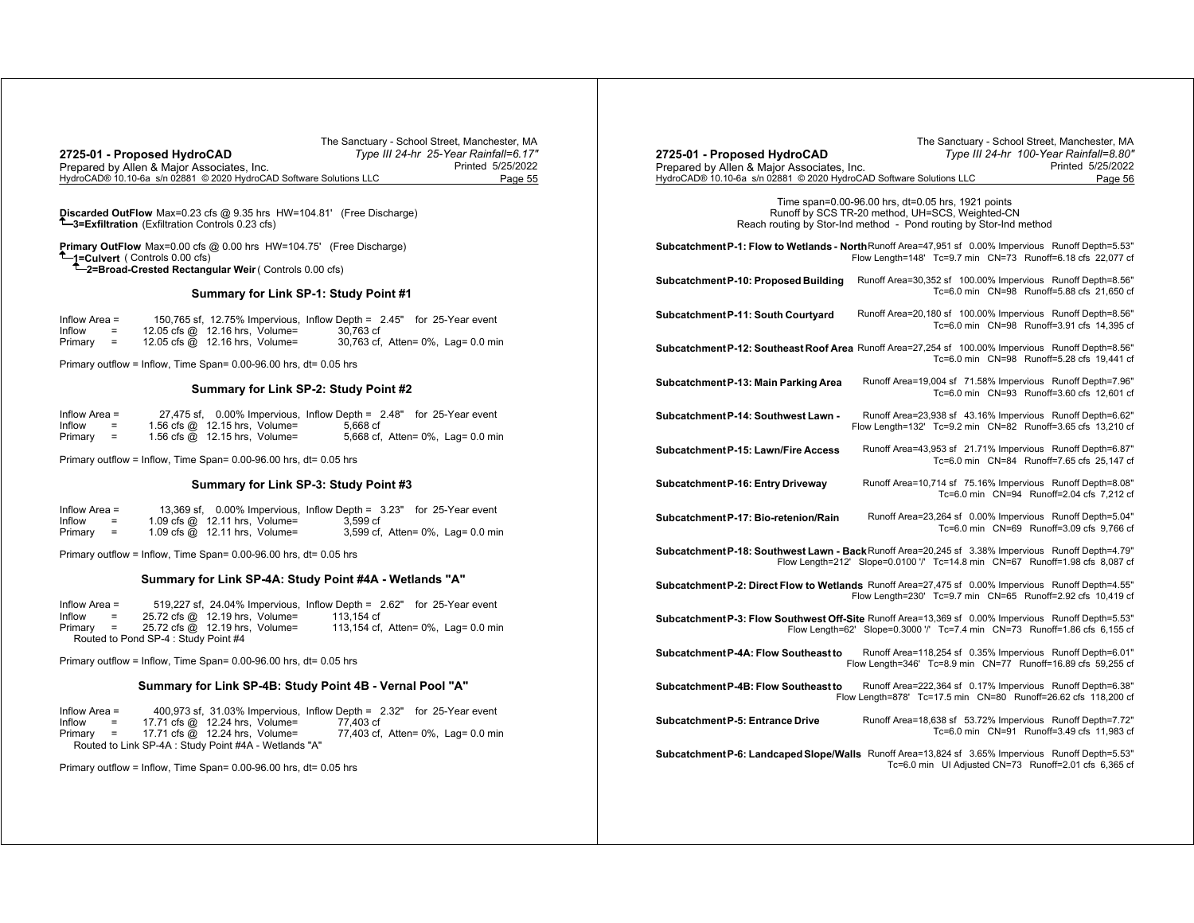|                                                                     | The Sanctuary - School Street, Manchester, MA |
|---------------------------------------------------------------------|-----------------------------------------------|
| 2725-01 - Proposed HydroCAD                                         | Type III 24-hr 25-Year Rainfall=6.17"         |
| Prepared by Allen & Major Associates, Inc.                          | Printed 5/25/2022                             |
| HydroCAD® 10.10-6a s/n 02881 © 2020 HydroCAD Software Solutions LLC | Page 55                                       |

**Discarded OutFlow** Max=0.23 cfs @ 9.35 hrs HW=104.81' (Free Discharge) **3=Exfiltration** (Exfiltration Controls 0.23 cfs)

**Primary OutFlow** Max=0.00 cfs @ 0.00 hrs HW=104.75' (Free Discharge) **1=Culvert** ( Controls 0.00 cfs) **2=Broad-Crested Rectangular Weir** ( Controls 0.00 cfs)

#### **Summary for Link SP-1: Study Point #1**

| Inflow Area $=$ |     |                                  |           | 150,765 sf, 12.75% Impervious, Inflow Depth = 2.45" for 25-Year event |
|-----------------|-----|----------------------------------|-----------|-----------------------------------------------------------------------|
| Inflow          | $=$ | 12.05 cfs $@$ 12.16 hrs, Volume= | 30.763 cf |                                                                       |
| Primary         | $=$ | 12.05 cfs $@$ 12.16 hrs, Volume= |           | 30,763 cf, Atten= 0%, Lag= 0.0 min                                    |

Primary outflow = Inflow, Time Span= 0.00-96.00 hrs, dt= 0.05 hrs

## **Summary for Link SP-2: Study Point #2**

| Inflow Area = |     |                                 | 27,475 sf, 0.00% Impervious, Inflow Depth = 2.48" for 25-Year event |                                   |
|---------------|-----|---------------------------------|---------------------------------------------------------------------|-----------------------------------|
| Inflow        | $=$ | 1.56 cfs $@$ 12.15 hrs, Volume= | 5.668 cf                                                            |                                   |
| Primary       | $=$ | 1.56 cfs $@$ 12.15 hrs, Volume= |                                                                     | 5,668 cf, Atten= 0%, Lag= 0.0 min |

Primary outflow = Inflow, Time Span= 0.00-96.00 hrs, dt= 0.05 hrs

## **Summary for Link SP-3: Study Point #3**

| Inflow Area $=$ |     |                                 | 13,369 sf, 0.00% Impervious, Inflow Depth = 3.23" for 25-Year event |                                   |
|-----------------|-----|---------------------------------|---------------------------------------------------------------------|-----------------------------------|
| Inflow          | $=$ | 1.09 cfs $@$ 12.11 hrs, Volume= | 3.599 cf                                                            |                                   |
| Primary         | $=$ | 1.09 cfs $@$ 12.11 hrs, Volume= |                                                                     | 3,599 cf, Atten= 0%, Lag= 0.0 min |

Primary outflow = Inflow, Time Span= 0.00-96.00 hrs, dt= 0.05 hrs

#### **Summary for Link SP-4A: Study Point #4A - Wetlands "A"**

| Inflow Area $=$ |                         |                                      |                                |            | 519,227 sf, 24.04% Impervious, Inflow Depth = 2.62" for 25-Year event |
|-----------------|-------------------------|--------------------------------------|--------------------------------|------------|-----------------------------------------------------------------------|
| Inflow          | $\sim$ $\approx$ $\sim$ |                                      | 25.72 cfs @ 12.19 hrs. Volume= | 113.154 cf |                                                                       |
| Primary =       |                         |                                      | 25.72 cfs @ 12.19 hrs. Volume= |            | 113,154 cf, Atten= 0%, Lag= 0.0 min                                   |
|                 |                         | Routed to Pond SP-4 : Study Point #4 |                                |            |                                                                       |

Primary outflow = Inflow, Time Span= 0.00-96.00 hrs, dt= 0.05 hrs

## **Summary for Link SP-4B: Study Point 4B - Vernal Pool "A"**

| Inflow Area $=$ |     |                                                       |           | 400,973 sf, 31.03% Impervious, Inflow Depth = 2.32" for 25-Year event |
|-----------------|-----|-------------------------------------------------------|-----------|-----------------------------------------------------------------------|
| Inflow          | $=$ | 17.71 cfs @ 12.24 hrs. Volume=                        | 77.403 cf |                                                                       |
|                 |     | Primary $=$ 17.71 cfs $\omega$ 12.24 hrs. Volume=     |           | 77,403 cf, Atten= 0%, Lag= 0.0 min                                    |
|                 |     | Routed to Link SP-4A : Study Point #4A - Wetlands "A" |           |                                                                       |

Primary outflow = Inflow, Time Span= 0.00-96.00 hrs, dt= 0.05 hrs

| 2725-01 - Proposed HydroCAD<br>Prepared by Allen & Major Associates, Inc.<br>HydroCAD® 10.10-6a s/n 02881 © 2020 HydroCAD Software Solutions LLC | The Sanctuary - School Street, Manchester, MA<br>Type III 24-hr 100-Year Rainfall=8.80"<br>Printed 5/25/2022<br>Page 56                                                            |
|--------------------------------------------------------------------------------------------------------------------------------------------------|------------------------------------------------------------------------------------------------------------------------------------------------------------------------------------|
|                                                                                                                                                  | Time span=0.00-96.00 hrs, dt=0.05 hrs, 1921 points<br>Runoff by SCS TR-20 method, UH=SCS, Weighted-CN<br>Reach routing by Stor-Ind method - Pond routing by Stor-Ind method        |
|                                                                                                                                                  | Subcatchment P-1: Flow to Wetlands - North Runoff Area=47,951 sf 0.00% Impervious Runoff Depth=5.53"<br>Flow Length=148' Tc=9.7 min CN=73 Runoff=6.18 cfs 22,077 cf                |
| Subcatchment P-10: Proposed Building                                                                                                             | Runoff Area=30,352 sf 100.00% Impervious Runoff Depth=8.56"<br>Tc=6.0 min CN=98 Runoff=5.88 cfs 21,650 cf                                                                          |
| Subcatchment P-11: South Courtyard                                                                                                               | Runoff Area=20,180 sf 100.00% Impervious Runoff Depth=8.56"<br>Tc=6.0 min CN=98 Runoff=3.91 cfs 14,395 cf                                                                          |
|                                                                                                                                                  | Subcatchment P-12: Southeast Roof Area Runoff Area=27,254 sf 100.00% Impervious Runoff Depth=8.56"<br>Tc=6.0 min CN=98 Runoff=5.28 cfs 19.441 cf                                   |
| Subcatchment P-13: Main Parking Area                                                                                                             | Runoff Area=19,004 sf 71.58% Impervious Runoff Depth=7.96"<br>Tc=6.0 min CN=93 Runoff=3.60 cfs 12,601 cf                                                                           |
| Subcatchment P-14: Southwest Lawn -                                                                                                              | Runoff Area=23,938 sf 43.16% Impervious Runoff Depth=6.62"<br>Flow Length=132' Tc=9.2 min CN=82 Runoff=3.65 cfs 13,210 cf                                                          |
| Subcatchment P-15: Lawn/Fire Access                                                                                                              | Runoff Area=43,953 sf 21.71% Impervious Runoff Depth=6.87"<br>Tc=6.0 min CN=84 Runoff=7.65 cfs 25,147 cf                                                                           |
| Subcatchment P-16: Entry Driveway                                                                                                                | Runoff Area=10,714 sf 75.16% Impervious Runoff Depth=8.08"<br>Tc=6.0 min CN=94 Runoff=2.04 cfs 7,212 cf                                                                            |
| Subcatchment P-17: Bio-retenion/Rain                                                                                                             | Runoff Area=23,264 sf 0.00% Impervious Runoff Depth=5.04"<br>Tc=6.0 min CN=69 Runoff=3.09 cfs 9,766 cf                                                                             |
|                                                                                                                                                  | Subcatchment P-18: Southwest Lawn - Back Runoff Area=20,245 sf 3.38% Impervious Runoff Depth=4.79"<br>Flow Length=212' Slope=0.0100 '/' Tc=14.8 min CN=67 Runoff=1.98 cfs 8,087 cf |
|                                                                                                                                                  | Subcatchment P-2: Direct Flow to Wetlands Runoff Area=27,475 sf 0.00% Impervious Runoff Depth=4.55"<br>Flow Length=230' Tc=9.7 min CN=65 Runoff=2.92 cfs 10.419 cf                 |
|                                                                                                                                                  | Subcatchment P-3: Flow Southwest Off-Site Runoff Area=13,369 sf 0.00% Impervious Runoff Depth=5.53"<br>Flow Length=62' Slope=0.3000 '/' Tc=7.4 min CN=73 Runoff=1.86 cfs 6,155 cf  |
| Subcatchment P-4A: Flow Southeast to                                                                                                             | Runoff Area=118,254 sf 0.35% Impervious Runoff Depth=6.01"<br>Flow Length=346' Tc=8.9 min CN=77 Runoff=16.89 cfs 59,255 cf                                                         |
| Subcatchment P-4B: Flow Southeast to                                                                                                             | Runoff Area=222,364 sf 0.17% Impervious Runoff Depth=6.38"<br>Flow Length=878' Tc=17.5 min  CN=80  Runoff=26.62 cfs  118,200  cf                                                   |
| Subcatchment P-5: Entrance Drive                                                                                                                 | Runoff Area=18,638 sf 53.72% Impervious Runoff Depth=7.72"<br>Tc=6.0 min CN=91 Runoff=3.49 cfs 11,983 cf                                                                           |
|                                                                                                                                                  | Subcatchment P-6: Landcaped Slope/Walls Runoff Area=13,824 sf 3.65% Impervious Runoff Depth=5.53"<br>Tc=6.0 min UI Adjusted CN=73 Runoff=2.01 cfs 6,365 cf                         |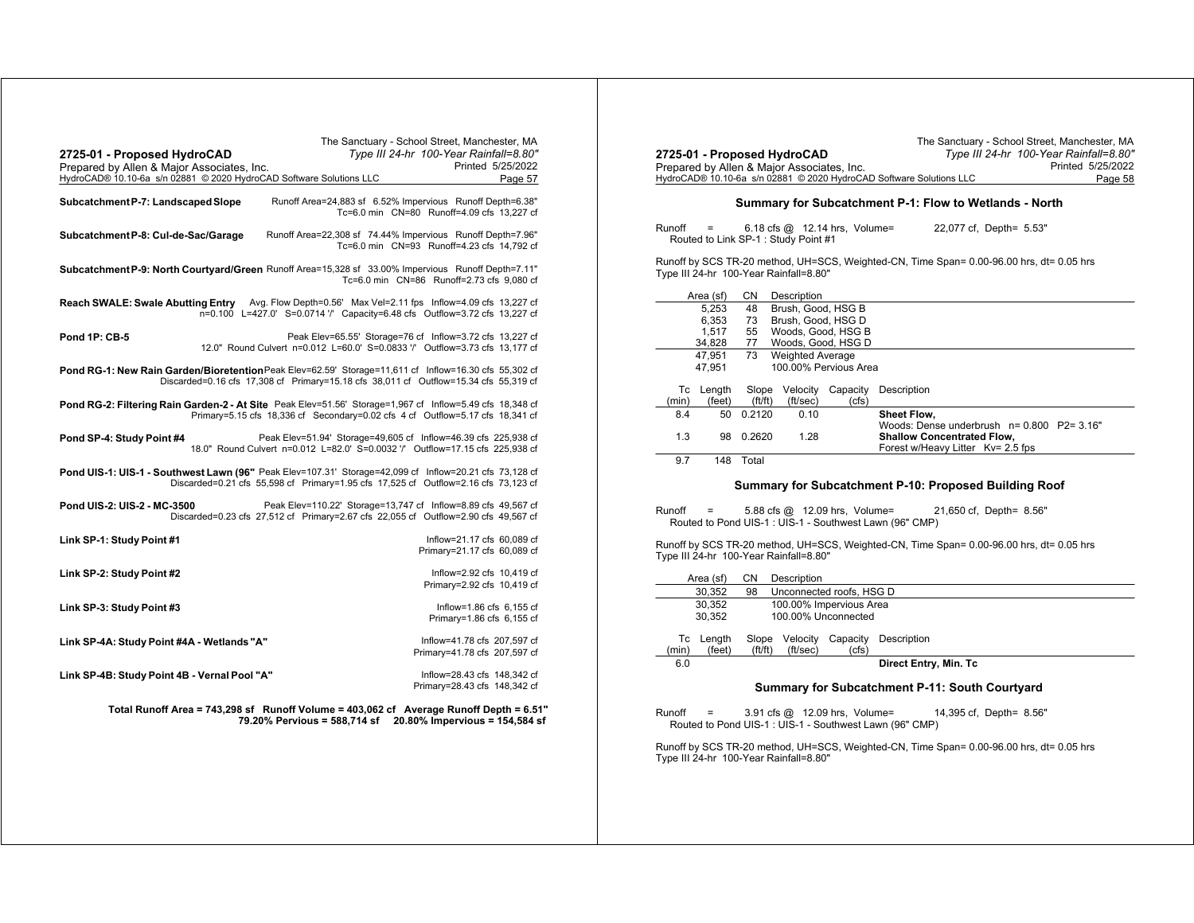| 2725-01 - Proposed HydroCAD<br>Prepared by Allen & Major Associates, Inc.<br>HydroCAD® 10.10-6a s/n 02881 © 2020 HydroCAD Software Solutions LLC | The Sanctuary - School Street, Manchester, MA<br>Type III 24-hr 100-Year Rainfall=8.80"                                                             | Printed 5/25/2022<br>Page 57                                |
|--------------------------------------------------------------------------------------------------------------------------------------------------|-----------------------------------------------------------------------------------------------------------------------------------------------------|-------------------------------------------------------------|
| Subcatchment P-7: Landscaped Slope                                                                                                               | Runoff Area=24,883 sf 6.52% Impervious Runoff Depth=6.38"<br>Tc=6.0 min CN=80 Runoff=4.09 cfs 13,227 cf                                             |                                                             |
| Subcatchment P-8: Cul-de-Sac/Garage                                                                                                              | Runoff Area=22,308 sf 74.44% Impervious Runoff Depth=7.96"<br>Tc=6.0 min CN=93 Runoff=4.23 cfs 14,792 cf                                            |                                                             |
| Subcatchment P-9: North Courtyard/Green Runoff Area=15,328 sf 33.00% Impervious Runoff Depth=7.11"                                               | Tc=6.0 min CN=86 Runoff=2.73 cfs 9,080 cf                                                                                                           |                                                             |
| Reach SWALE: Swale Abutting Entry Avg. Flow Depth=0.56' Max Vel=2.11 fps Inflow=4.09 cfs 13,227 cf                                               | n=0.100 L=427.0' S=0.0714 '/' Capacity=6.48 cfs Outflow=3.72 cfs 13,227 cf                                                                          |                                                             |
| <b>Pond 1P: CB-5</b>                                                                                                                             | Peak Elev=65.55' Storage=76 cf Inflow=3.72 cfs 13,227 cf<br>12.0" Round Culvert n=0.012 L=60.0' S=0.0833 '/' Outflow=3.73 cfs 13,177 cf             |                                                             |
| Pond RG-1: New Rain Garden/Bioretention Peak Elev=62.59' Storage=11,611 cf Inflow=16.30 cfs 55,302 cf                                            | Discarded=0.16 cfs 17,308 cf Primary=15.18 cfs 38,011 cf Outflow=15.34 cfs 55,319 cf                                                                |                                                             |
| Pond RG-2: Filtering Rain Garden-2 - At Site Peak Elev=51.56' Storage=1,967 cf Inflow=5.49 cfs 18,348 cf                                         | Primary=5.15 cfs 18,336 cf Secondary=0.02 cfs 4 cf Outflow=5.17 cfs 18,341 cf                                                                       |                                                             |
| Pond SP-4: Study Point #4                                                                                                                        | Peak Elev=51.94' Storage=49,605 cf Inflow=46.39 cfs 225,938 cf<br>18.0" Round Culvert n=0.012 L=82.0' S=0.0032 '/' Outflow=17.15 cfs 225,938 cf     |                                                             |
| Pond UIS-1: UIS-1 - Southwest Lawn (96" Peak Elev=107.31' Storage=42,099 cf Inflow=20.21 cfs 73,128 cf                                           | Discarded=0.21 cfs 55,598 cf Primary=1.95 cfs 17,525 cf Outflow=2.16 cfs 73,123 cf                                                                  |                                                             |
| Pond UIS-2: UIS-2 - MC-3500                                                                                                                      | Peak Elev=110.22' Storage=13,747 cf Inflow=8.89 cfs 49,567 cf<br>Discarded=0.23 cfs 27,512 cf Primary=2.67 cfs 22,055 cf Outflow=2.90 cfs 49,567 cf |                                                             |
| Link SP-1: Study Point #1                                                                                                                        |                                                                                                                                                     | Inflow=21.17 cfs 60.089 cf<br>Primary=21.17 cfs 60,089 cf   |
| Link SP-2: Study Point #2                                                                                                                        |                                                                                                                                                     | Inflow=2.92 cfs 10.419 cf<br>Primary=2.92 cfs 10,419 cf     |
| Link SP-3: Study Point #3                                                                                                                        |                                                                                                                                                     | Inflow=1.86 cfs 6,155 cf<br>Primary=1.86 cfs 6,155 cf       |
| Link SP-4A: Study Point #4A - Wetlands "A"                                                                                                       |                                                                                                                                                     | Inflow=41.78 cfs 207,597 cf<br>Primary=41.78 cfs 207,597 cf |
| Link SP-4B: Study Point 4B - Vernal Pool "A"                                                                                                     |                                                                                                                                                     | Inflow=28.43 cfs 148,342 cf<br>Primary=28.43 cfs 148,342 cf |
|                                                                                                                                                  | Total Runoff Area = 743,298 sf Runoff Volume = 403,062 cf Average Runoff Depth = 6.51"<br>79.20% Pervious = 588,714 sf                              | 20.80% Impervious = 154,584 sf                              |

| 2725-01 - Proposed HydroCAD            |    |                                                                        | Type III 24-hr 100-Year Rainfall=8.80"                                                   |  |  |  |
|----------------------------------------|----|------------------------------------------------------------------------|------------------------------------------------------------------------------------------|--|--|--|
|                                        |    | Prepared by Allen & Major Associates, Inc.                             | Printed 5/25/2022                                                                        |  |  |  |
|                                        |    | HydroCAD® 10.10-6a s/n 02881 © 2020 HydroCAD Software Solutions LLC    | Page 58                                                                                  |  |  |  |
|                                        |    |                                                                        | Summary for Subcatchment P-1: Flow to Wetlands - North                                   |  |  |  |
| Runoff<br>$\equiv$                     |    | 6.18 cfs $@$ 12.14 hrs, Volume=<br>Routed to Link SP-1: Study Point #1 | 22,077 cf, Depth= 5.53"                                                                  |  |  |  |
| Type III 24-hr 100-Year Rainfall=8.80" |    |                                                                        | Runoff by SCS TR-20 method, UH=SCS, Weighted-CN, Time Span= 0.00-96.00 hrs, dt= 0.05 hrs |  |  |  |
| Area (sf)                              | CN | Description                                                            |                                                                                          |  |  |  |
| 5.253                                  | 48 | Brush, Good, HSG B                                                     |                                                                                          |  |  |  |
| 6.353                                  | 73 | Brush, Good, HSG D                                                     |                                                                                          |  |  |  |
| 1.517                                  | 55 | Woods, Good, HSG B                                                     |                                                                                          |  |  |  |
| 34.828                                 | 77 | Woods, Good, HSG D                                                     |                                                                                          |  |  |  |

The Sanctuary - School Street, Manchester, MA

|             | 34.828           | $\prime\prime$  |                         | 800005. GOOD. HOG D   |                                                                        |
|-------------|------------------|-----------------|-------------------------|-----------------------|------------------------------------------------------------------------|
|             | 47.951<br>47.951 | 73              | <b>Weighted Average</b> | 100.00% Pervious Area |                                                                        |
| Tc<br>(min) | Length<br>(feet) | Slope<br>ft/ft) | Velocity<br>(ft/sec)    | Capacity<br>(cfs)     | Description                                                            |
| 8.4         | 50               | 0.2120          | 0.10                    |                       | Sheet Flow,<br>Woods: Dense underbrush $n = 0.800$ P2= 3.16"           |
| 1.3         | 98               | 0.2620          | 1.28                    |                       | <b>Shallow Concentrated Flow,</b><br>Forest w/Heavy Litter Ky= 2.5 fps |

9.7 148 Total

#### **Summary for Subcatchment P-10: Proposed Building Roof**

Runoff <sup>=</sup> 5.88 cfs @ 12.09 hrs, Volume= 21,650 cf, Depth= 8.56" Routed to Pond UIS-1 : UIS-1 - Southwest Lawn (96" CMP)

Runoff by SCS TR-20 method, UH=SCS, Weighted-CN, Time Span= 0.00-96.00 hrs, dt= 0.05 hrs Type III 24-hr 100-Year Rainfall=8.80"

| СN |                                                                |                             |                                                                          |  |  |  |
|----|----------------------------------------------------------------|-----------------------------|--------------------------------------------------------------------------|--|--|--|
| 98 |                                                                |                             |                                                                          |  |  |  |
|    |                                                                | 100.00% Impervious Area     |                                                                          |  |  |  |
|    | 100.00% Unconnected                                            |                             |                                                                          |  |  |  |
|    |                                                                |                             |                                                                          |  |  |  |
|    |                                                                |                             | Description                                                              |  |  |  |
|    |                                                                |                             |                                                                          |  |  |  |
|    |                                                                |                             | Direct Entry, Min. Tc                                                    |  |  |  |
|    | Area (sf)<br>30.352<br>30.352<br>30.352<br>Tc Length<br>(feet) | Slope<br>ft/ft)<br>(ft/sec) | Description<br>Unconnected roofs, HSG D<br>Velocity<br>Capacity<br>(cfs) |  |  |  |

#### **Summary for Subcatchment P-11: South Courtyard**

Runoff <sup>=</sup> 3.91 cfs @ 12.09 hrs, Volume= 14,395 cf, Depth= 8.56" Routed to Pond UIS-1 : UIS-1 - Southwest Lawn (96" CMP)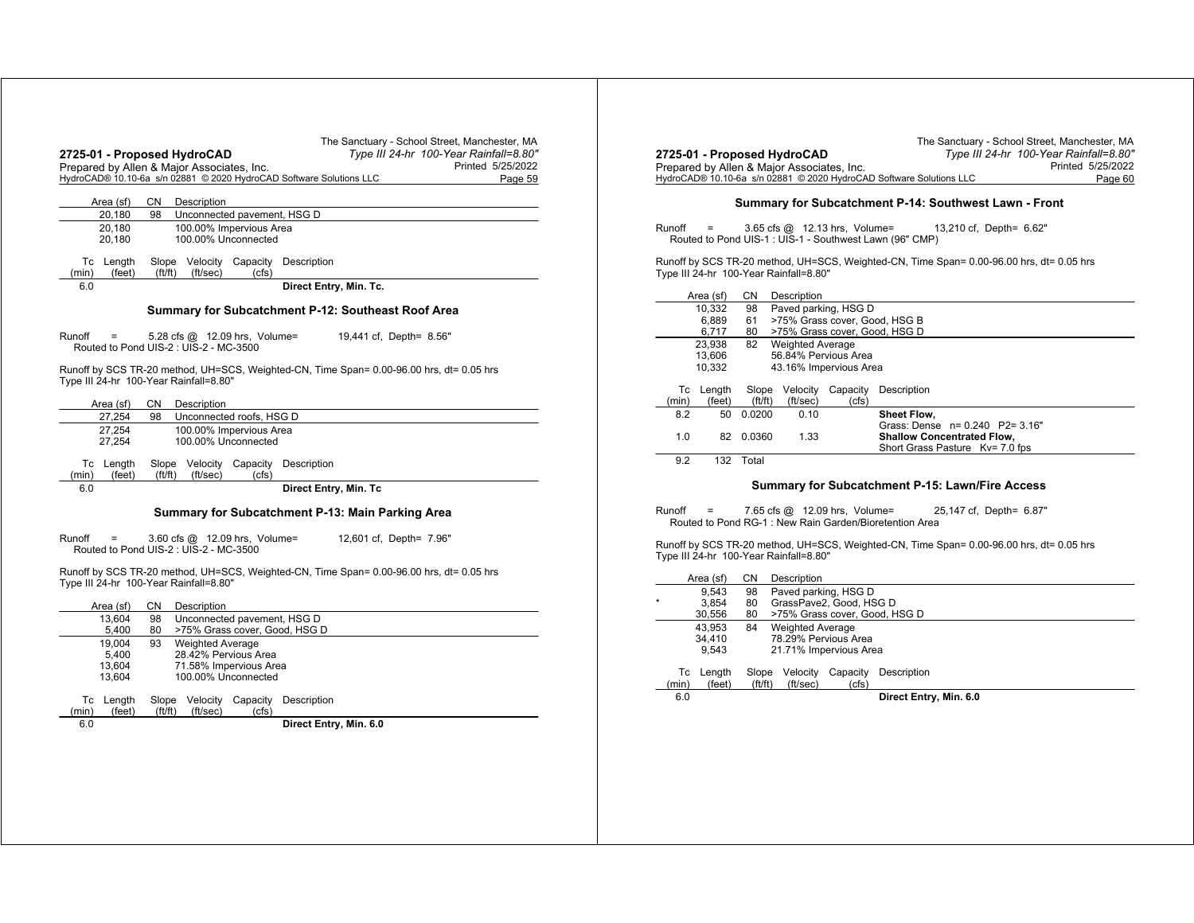|                              | 2725-01 - Proposed HydroCAD<br>Prepared by Allen & Major Associates, Inc.<br>HydroCAD® 10.10-6a s/n 02881 © 2020 HydroCAD Software Solutions LLC | The Sanctuary - School Street, Manchester, MA<br>Type III 24-hr 100-Year Rainfall=8.80"<br>Printed 5/25/2022<br>Page 59 |
|------------------------------|--------------------------------------------------------------------------------------------------------------------------------------------------|-------------------------------------------------------------------------------------------------------------------------|
| Area (sf)                    | CN<br>Description                                                                                                                                |                                                                                                                         |
| 20,180                       | 98<br>Unconnected pavement, HSG D                                                                                                                |                                                                                                                         |
| 20,180<br>20,180             | 100.00% Impervious Area<br>100.00% Unconnected                                                                                                   |                                                                                                                         |
| Tc Length<br>(feet)<br>(min) | Slope Velocity Capacity<br>Description<br>ft/ft)<br>(ft/sec)<br>(cfs)                                                                            |                                                                                                                         |
| 6.0                          |                                                                                                                                                  | Direct Entry, Min. Tc.                                                                                                  |
|                              | Summary for Subcatchment P-12: Southeast Roof Area                                                                                               |                                                                                                                         |
| Runoff<br>$=$                | 5.28 cfs @ 12.09 hrs, Volume=<br>Routed to Pond UIS-2 : UIS-2 - MC-3500                                                                          | 19,441 cf, Depth= 8.56"                                                                                                 |
|                              | Runoff by SCS TR-20 method, UH=SCS, Weighted-CN, Time Span= 0.00-96.00 hrs, dt= 0.05 hrs<br>Type III 24-hr 100-Year Rainfall=8.80"<br>CN         |                                                                                                                         |
| Area (sf)<br>27,254          | Description<br>98<br>Unconnected roofs, HSG D                                                                                                    |                                                                                                                         |
| 27,254<br>27,254             | 100.00% Impervious Area<br>100.00% Unconnected                                                                                                   |                                                                                                                         |
| Tc Length<br>(min)<br>(feet) | Slope Velocity Capacity<br>Description<br>ft/ft)<br>(ft/sec)<br>(cfs)                                                                            |                                                                                                                         |
| 6.0                          |                                                                                                                                                  | Direct Entry, Min. Tc                                                                                                   |
|                              | Summary for Subcatchment P-13: Main Parking Area                                                                                                 |                                                                                                                         |
| Runoff<br>=                  | 3.60 cfs @ 12.09 hrs, Volume=<br>Routed to Pond UIS-2 : UIS-2 - MC-3500                                                                          | 12,601 cf, Depth= 7.96"                                                                                                 |
|                              | Runoff by SCS TR-20 method, UH=SCS, Weighted-CN, Time Span= 0.00-96.00 hrs, dt= 0.05 hrs<br>Type III 24-hr 100-Year Rainfall=8.80"               |                                                                                                                         |

|       | Area (sf) | CΝ     | Description                 |          |                               |  |
|-------|-----------|--------|-----------------------------|----------|-------------------------------|--|
|       | 13.604    | 98     | Unconnected pavement, HSG D |          |                               |  |
|       | 5,400     | 80     |                             |          | >75% Grass cover, Good, HSG D |  |
|       | 19.004    | 93     | <b>Weighted Average</b>     |          |                               |  |
|       | 5.400     |        | 28.42% Pervious Area        |          |                               |  |
|       | 13.604    |        | 71.58% Impervious Area      |          |                               |  |
|       | 13.604    |        | 100.00% Unconnected         |          |                               |  |
| Тc    | Length    | Slope  | Velocitv                    | Capacity | Description                   |  |
| (min) | (feet)    | ft/ft) | (ft/sec)                    | (cfs)    |                               |  |
| 6.0   |           |        |                             |          | Direct Entry, Min. 6.0        |  |

| 2725-01 - Proposed HydroCAD<br>Prepared by Allen & Major Associates, Inc.                                                              |                                                       |           |                                        |                   | Type III 24-hr 100-Year Rainfall=8.80"<br>Printed 5/25/2022                                                        |  |  |
|----------------------------------------------------------------------------------------------------------------------------------------|-------------------------------------------------------|-----------|----------------------------------------|-------------------|--------------------------------------------------------------------------------------------------------------------|--|--|
|                                                                                                                                        |                                                       |           |                                        |                   | HydroCAD® 10.10-6a s/n 02881 © 2020 HydroCAD Software Solutions LLC<br>Page 60                                     |  |  |
|                                                                                                                                        |                                                       |           |                                        |                   |                                                                                                                    |  |  |
|                                                                                                                                        | Summary for Subcatchment P-14: Southwest Lawn - Front |           |                                        |                   |                                                                                                                    |  |  |
| Runoff<br>$3.65$ cfs $@$ 12.13 hrs, Volume=<br>13,210 cf, Depth= 6.62"<br>=<br>Routed to Pond UIS-1 : UIS-1 - Southwest Lawn (96" CMP) |                                                       |           |                                        |                   |                                                                                                                    |  |  |
|                                                                                                                                        |                                                       |           | Type III 24-hr 100-Year Rainfall=8.80" |                   | Runoff by SCS TR-20 method, UH=SCS, Weighted-CN, Time Span= 0.00-96.00 hrs, dt= 0.05 hrs                           |  |  |
|                                                                                                                                        | Area (sf)                                             | CN        | Description                            |                   |                                                                                                                    |  |  |
|                                                                                                                                        | 10,332                                                | 98        | Paved parking, HSG D                   |                   |                                                                                                                    |  |  |
|                                                                                                                                        | 6,889                                                 | 61        |                                        |                   | >75% Grass cover, Good, HSG B                                                                                      |  |  |
|                                                                                                                                        | 6,717                                                 | 80        |                                        |                   | >75% Grass cover, Good, HSG D                                                                                      |  |  |
|                                                                                                                                        | 23.938                                                | 82        | <b>Weighted Average</b>                |                   |                                                                                                                    |  |  |
|                                                                                                                                        | 13,606                                                |           | 56.84% Pervious Area                   |                   |                                                                                                                    |  |  |
|                                                                                                                                        | 10.332                                                |           | 43.16% Impervious Area                 |                   |                                                                                                                    |  |  |
|                                                                                                                                        | Tc Length                                             | Slope     |                                        | Velocity Capacity | Description                                                                                                        |  |  |
| (min)                                                                                                                                  | (feet)                                                | (ft/ft)   | (ft/sec)                               | (cfs)             |                                                                                                                    |  |  |
| 8.2                                                                                                                                    | 50                                                    | 0.0200    | 0.10                                   |                   | Sheet Flow.                                                                                                        |  |  |
|                                                                                                                                        |                                                       |           |                                        |                   | Grass: Dense n= 0.240 P2= 3.16"                                                                                    |  |  |
| 1.0                                                                                                                                    |                                                       | 82 0.0360 | 1.33                                   |                   | <b>Shallow Concentrated Flow,</b>                                                                                  |  |  |
|                                                                                                                                        |                                                       |           |                                        |                   | Short Grass Pasture Kv= 7.0 fps                                                                                    |  |  |
| 9.2                                                                                                                                    | 132                                                   | Total     |                                        |                   |                                                                                                                    |  |  |
|                                                                                                                                        |                                                       |           |                                        |                   | Summary for Subcatchment P-15: Lawn/Fire Access                                                                    |  |  |
| Runoff                                                                                                                                 |                                                       |           |                                        |                   | 7.65 cfs @ 12.09 hrs, Volume=<br>25,147 cf, Depth= 6.87"<br>Routed to Pond RG-1: New Rain Garden/Bioretention Area |  |  |

The Sanctuary - School Street, Manchester, MA

|         |       | Area (sf) | СN     | Description                   |          |                        |  |  |  |
|---------|-------|-----------|--------|-------------------------------|----------|------------------------|--|--|--|
|         |       | 9.543     | 98     | Paved parking, HSG D          |          |                        |  |  |  |
| $\star$ |       | 3.854     | 80     | GrassPave2, Good, HSG D       |          |                        |  |  |  |
|         |       | 30.556    | 80     | >75% Grass cover, Good, HSG D |          |                        |  |  |  |
|         |       | 43.953    | 84     | <b>Weighted Average</b>       |          |                        |  |  |  |
|         |       | 34.410    |        | 78.29% Pervious Area          |          |                        |  |  |  |
|         |       | 9.543     |        | 21.71% Impervious Area        |          |                        |  |  |  |
|         |       |           |        |                               |          |                        |  |  |  |
|         | Тc    | Length    | Slope  | Velocitv                      | Capacity | Description            |  |  |  |
|         | (min) | (feet)    | ft/ft) | (ft/sec)                      | (cfs)    |                        |  |  |  |
|         | 6.0   |           |        |                               |          | Direct Entry, Min. 6.0 |  |  |  |
|         |       |           |        |                               |          |                        |  |  |  |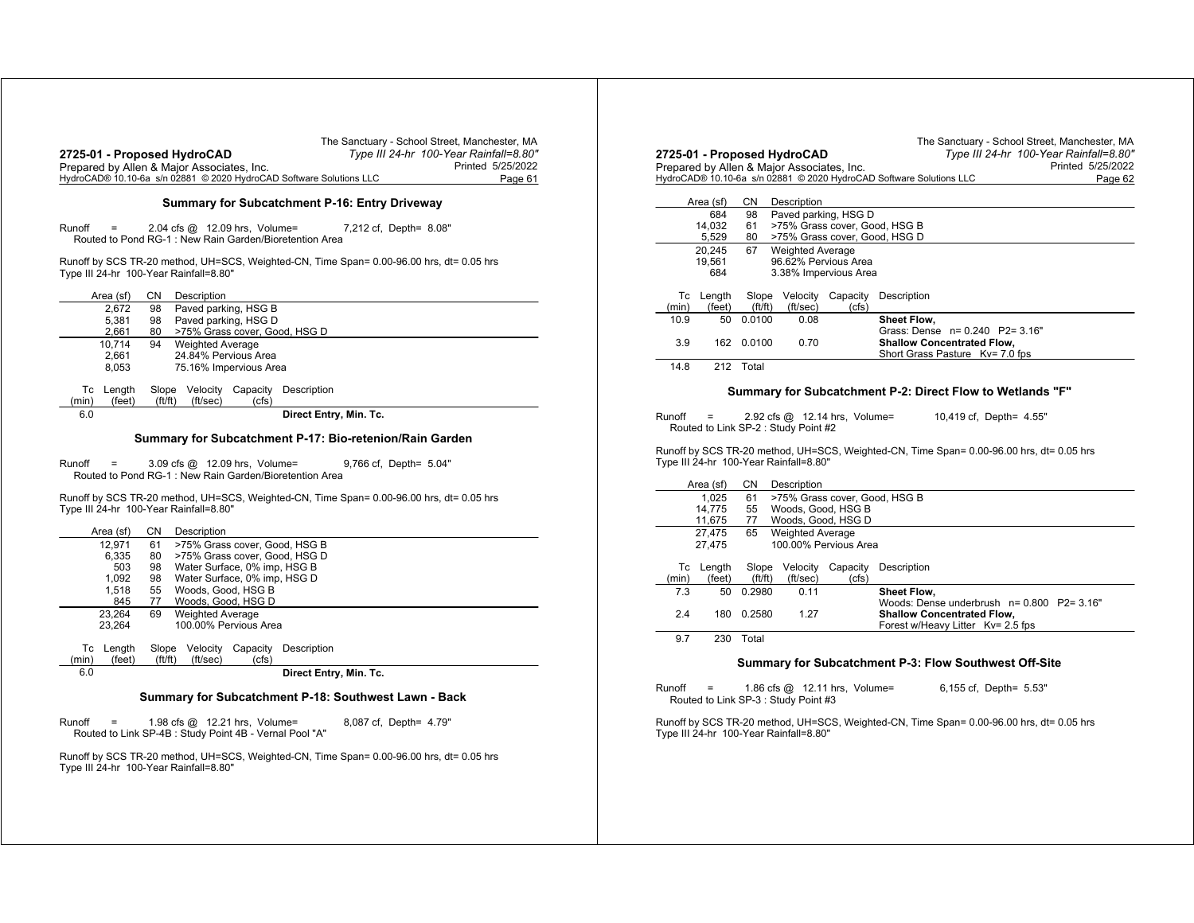| 2725-01 - Proposed HydroCAD<br>Prepared by Allen & Major Associates, Inc.<br>HydroCAD® 10.10-6a s/n 02881 © 2020 HydroCAD Software Solutions LLC | The Sanctuary - School Street, Manchester, MA<br>Type III 24-hr 100-Year Rainfall=8.80" | Printed 5/25/2022<br>Page 61 | 2725-01 - Pro<br>Prepared by Al<br>HydroCAD® 10.1 |
|--------------------------------------------------------------------------------------------------------------------------------------------------|-----------------------------------------------------------------------------------------|------------------------------|---------------------------------------------------|
|                                                                                                                                                  | <b>Summary for Subcatchment P-16: Entry Driveway</b>                                    |                              | Area (sf)                                         |
| Runoff<br>2.04 cfs $@$ 12.09 hrs, Volume=<br>$\equiv$<br>Routed to Pond RG-1: New Rain Garden/Bioretention Area                                  | 7,212 cf, Depth= 8.08"                                                                  |                              | 684<br>14,032<br>5,529                            |
| Runoff by SCS TR-20 method, UH=SCS, Weighted-CN, Time Span= 0.00-96.00 hrs, dt= 0.05 hrs<br>Type III 24-hr 100-Year Rainfall=8.80"               |                                                                                         |                              | 20.245<br>19,561<br>684                           |
| Area (sf)<br>CN<br>Description                                                                                                                   |                                                                                         |                              | Tc Length                                         |
| 2.672<br>98<br>Paved parking, HSG B<br>5.381<br>Paved parking, HSG D<br>98<br>2,661<br>>75% Grass cover, Good, HSG D<br>80                       |                                                                                         |                              | (min)<br>(feet<br>10.9<br>50                      |
| <b>Weighted Average</b><br>10,714<br>94                                                                                                          |                                                                                         |                              | 3.9<br>162                                        |
| 2.661<br>24.84% Pervious Area<br>75.16% Impervious Area<br>8,053                                                                                 |                                                                                         |                              | 212<br>14.8                                       |
| Slope Velocity Capacity Description<br>Tc Length<br>(feet)<br>ft/ft)<br>(ft/sec)<br>(cfs)<br>(min)                                               |                                                                                         |                              |                                                   |
| 6.0                                                                                                                                              | Direct Entry, Min. Tc.                                                                  |                              | Runoff<br>$\equiv$<br>Routed to Lin               |
| Summary for Subcatchment P-17: Bio-retenion/Rain Garden                                                                                          |                                                                                         |                              |                                                   |
| Runoff<br>$\quad \  \  =$<br>3.09 cfs @ 12.09 hrs, Volume=<br>Routed to Pond RG-1: New Rain Garden/Bioretention Area                             | 9,766 cf, Depth= 5.04"                                                                  |                              | Runoff by SCS 1<br>Type III 24-hr 1               |
| Runoff by SCS TR-20 method, UH=SCS, Weighted-CN, Time Span= 0.00-96.00 hrs, dt= 0.05 hrs<br>Type III 24-hr 100-Year Rainfall=8.80"               |                                                                                         |                              | Area (sf)<br>1,025<br>14,775<br>11,675            |
| Area (sf)<br>CN<br>Description<br>>75% Grass cover, Good, HSG B<br>12.971<br>61                                                                  |                                                                                         |                              | 27,475<br>27,475                                  |
| 6,335<br>>75% Grass cover, Good, HSG D<br>80                                                                                                     |                                                                                         |                              |                                                   |
| Water Surface, 0% imp, HSG B<br>503<br>98<br>Water Surface, 0% imp, HSG D<br>1,092<br>98                                                         |                                                                                         |                              | Tc Length<br>(feet)<br>(min)                      |
| Woods, Good, HSG B<br>1,518<br>55<br>Woods, Good, HSG D<br>845<br>77                                                                             |                                                                                         |                              | 7.3<br>50                                         |
| 23,264<br><b>Weighted Average</b><br>69                                                                                                          |                                                                                         |                              | 2.4<br>180                                        |
| 23,264<br>100.00% Pervious Area<br>Slope Velocity Capacity Description<br>Tc Length<br>ft/ft)<br>(ft/sec)<br>(min)<br>(feet)<br>(cfs)            |                                                                                         |                              | 230<br>9.7                                        |
| 6.0                                                                                                                                              | Direct Entry, Min. Tc.                                                                  |                              |                                                   |
| Summary for Subcatchment P-18: Southwest Lawn - Back                                                                                             |                                                                                         |                              | Runoff<br>$\equiv$<br>Routed to Lir               |
| Runoff<br>1.98 cfs $@$ 12.21 hrs, Volume=<br>$\equiv$<br>Routed to Link SP-4B : Study Point 4B - Vernal Pool "A"                                 | 8,087 cf, Depth= 4.79"                                                                  |                              | Runoff by SCS 1<br>Type III 24-hr 1               |
| Runoff by SCS TR-20 method, UH=SCS, Weighted-CN, Time Span= 0.00-96.00 hrs, dt= 0.05 hrs<br>Type III 24-hr 100-Year Rainfall=8.80"               |                                                                                         |                              |                                                   |
|                                                                                                                                                  |                                                                                         |                              |                                                   |
|                                                                                                                                                  |                                                                                         |                              |                                                   |

|        |           |           |                                            |          | The Sanctuary - School Street, Manchester, MA                                            |
|--------|-----------|-----------|--------------------------------------------|----------|------------------------------------------------------------------------------------------|
|        |           |           | 2725-01 - Proposed HydroCAD                |          | Type III 24-hr 100-Year Rainfall=8.80"                                                   |
|        |           |           | Prepared by Allen & Major Associates, Inc. |          | Printed 5/25/2022                                                                        |
|        |           |           |                                            |          | HydroCAD® 10.10-6a s/n 02881 © 2020 HydroCAD Software Solutions LLC<br>Page 62           |
|        |           |           |                                            |          |                                                                                          |
|        | Area (sf) | <b>CN</b> | Description                                |          |                                                                                          |
|        | 684       | 98        | Paved parking, HSG D                       |          |                                                                                          |
|        | 14.032    | 61        | >75% Grass cover, Good, HSG B              |          |                                                                                          |
|        | 5,529     | 80        | >75% Grass cover, Good, HSG D              |          |                                                                                          |
|        | 20,245    | 67        | <b>Weighted Average</b>                    |          |                                                                                          |
|        | 19,561    |           | 96.62% Pervious Area                       |          |                                                                                          |
|        | 684       |           | 3.38% Impervious Area                      |          |                                                                                          |
|        | Tc Length | Slope     | Velocity                                   | Capacity | Description                                                                              |
| (min)  | (feet)    | ft/ft)    | (ft/sec)                                   | (cfs)    |                                                                                          |
| 10.9   | 50        | 0.0100    | 0.08                                       |          | Sheet Flow,                                                                              |
|        |           |           |                                            |          | Grass: Dense n= 0.240 P2= 3.16"                                                          |
| 3.9    | 162       | 0.0100    | 0.70                                       |          | <b>Shallow Concentrated Flow.</b>                                                        |
|        |           |           |                                            |          | Short Grass Pasture Kv= 7.0 fps                                                          |
| 14.8   |           | 212 Total |                                            |          |                                                                                          |
|        |           |           |                                            |          |                                                                                          |
|        |           |           |                                            |          | Summary for Subcatchment P-2: Direct Flow to Wetlands "F"                                |
| Runoff |           |           | 2.92 cfs $@$ 12.14 hrs, Volume=            |          | 10,419 cf, Depth= 4.55"                                                                  |
|        |           |           | Routed to Link SP-2 : Study Point #2       |          |                                                                                          |
|        |           |           |                                            |          |                                                                                          |
|        |           |           |                                            |          | Runoff by SCS TR-20 method, UH=SCS, Weighted-CN, Time Span= 0.00-96.00 hrs, dt= 0.05 hrs |
|        |           |           | Type III 24-hr 100-Year Rainfall=8.80"     |          |                                                                                          |
|        |           |           |                                            |          |                                                                                          |
|        | Area (sf) | CN        | Description                                |          |                                                                                          |
|        | 1.025     | 61        | >75% Grass cover, Good, HSG B              |          |                                                                                          |
|        | 14,775    | 55        | Woods, Good, HSG B                         |          |                                                                                          |
|        | 11,675    | 77        | Woods, Good, HSG D                         |          |                                                                                          |
|        | 27,475    | 65        | <b>Weighted Average</b>                    |          |                                                                                          |
|        | 27.475    |           | 100.00% Pervious Area                      |          |                                                                                          |

| Тc<br>(min) | Lenath<br>(feet) | ft/ft) | (ft/sec) | Slope Velocity Capacity<br>(cfs) | Description                                                                                                             |
|-------------|------------------|--------|----------|----------------------------------|-------------------------------------------------------------------------------------------------------------------------|
| 7.3         | 50               | 0.2980 | 0.11     |                                  | <b>Sheet Flow.</b>                                                                                                      |
| 2.4         | 180              | 0.2580 | 1 27     |                                  | Woods: Dense underbrush $n = 0.800$ P2= 3.16"<br><b>Shallow Concentrated Flow.</b><br>Forest w/Heavy Litter Ky= 2.5 fps |

0 Total

## **Summary for Subcatchment P-3: Flow Southwest Off-Site**

Runoff <sup>=</sup> 1.86 cfs @ 12.11 hrs, Volume= 6,155 cf, Depth= 5.53" Routed to Link SP-3 : Study Point #3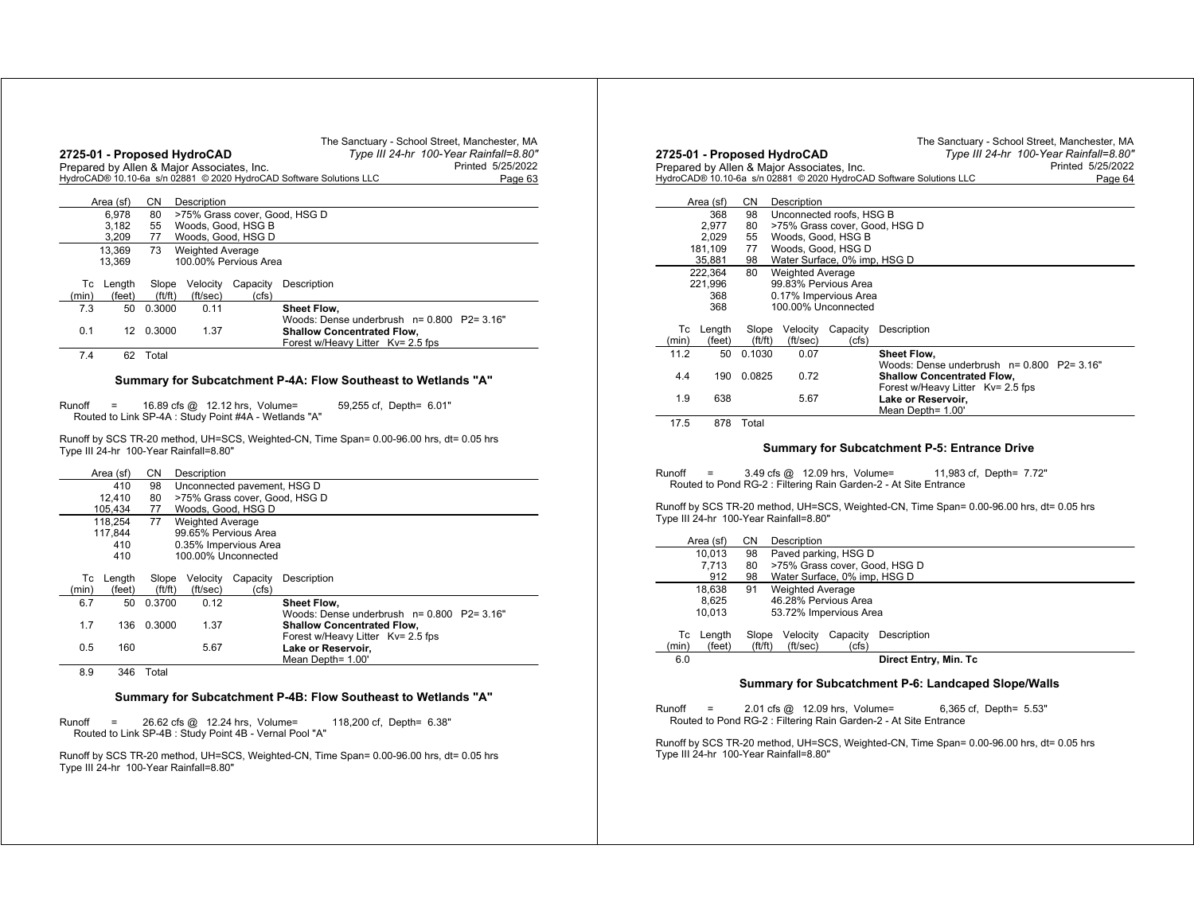|             |                  |                      | 2725-01 - Proposed HydroCAD<br>Prepared by Allen & Major Associates, Inc. |                       | The Sanctuary - School Street, Manchester, MA<br>Type III 24-hr 100-Year Rainfall=8.80"<br>Printed 5/25/2022<br>HydroCAD® 10.10-6a s/n 02881 © 2020 HydroCAD Software Solutions LLC<br>Page 63 |
|-------------|------------------|----------------------|---------------------------------------------------------------------------|-----------------------|------------------------------------------------------------------------------------------------------------------------------------------------------------------------------------------------|
|             | Area (sf)        |                      |                                                                           |                       |                                                                                                                                                                                                |
|             | 6.978            | 80                   |                                                                           |                       | >75% Grass cover, Good, HSG D                                                                                                                                                                  |
|             | 3.182            | 55                   |                                                                           | Woods, Good, HSG B    |                                                                                                                                                                                                |
|             | 3.209            | 77                   |                                                                           | Woods, Good, HSG D    |                                                                                                                                                                                                |
|             | 13.369           | 73                   | <b>Weighted Average</b>                                                   |                       |                                                                                                                                                                                                |
|             | 13.369           |                      |                                                                           | 100.00% Pervious Area |                                                                                                                                                                                                |
| Тc<br>(min) | Length<br>(feet) | Slope<br>(f t / f t) | Velocity<br>(ft/sec)                                                      | Capacity<br>(cfs)     | Description                                                                                                                                                                                    |
| 7.3         | 50               | 0.3000               | 0.11                                                                      |                       | <b>Sheet Flow.</b>                                                                                                                                                                             |
| 0.1         | 12               | 0.3000               | 1.37                                                                      |                       | Woods: Dense underbrush $n = 0.800$ P2= 3.16"<br><b>Shallow Concentrated Flow,</b><br>Forest w/Heavy Litter Kv= 2.5 fps                                                                        |
| 7.4         | 62               | Total                |                                                                           |                       |                                                                                                                                                                                                |

#### **Summary for Subcatchment P-4A: Flow Southeast to Wetlands "A"**

Runoff <sup>=</sup> 16.89 cfs @ 12.12 hrs, Volume= 59,255 cf, Depth= 6.01" Routed to Link SP-4A : Study Point #4A - Wetlands "A"

Runoff by SCS TR-20 method, UH=SCS, Weighted-CN, Time Span= 0.00-96.00 hrs, dt= 0.05 hrs Type III 24-hr 100-Year Rainfall=8.80"

|                                     |                                               | <b>CN</b><br>Description<br>Area (sf) |        |                         |                      |                                                              |  |
|-------------------------------------|-----------------------------------------------|---------------------------------------|--------|-------------------------|----------------------|--------------------------------------------------------------|--|
|                                     | 410<br>98<br>Unconnected pavement, HSG D      |                                       |        |                         |                      |                                                              |  |
|                                     | >75% Grass cover, Good, HSG D<br>12.410<br>80 |                                       |        |                         |                      |                                                              |  |
| Woods, Good, HSG D<br>105.434<br>77 |                                               |                                       |        |                         |                      |                                                              |  |
|                                     |                                               | 118.254                               | 77     | <b>Weighted Average</b> |                      |                                                              |  |
|                                     |                                               | 117.844                               |        |                         | 99.65% Pervious Area |                                                              |  |
| 410<br>0.35% Impervious Area        |                                               |                                       |        |                         |                      |                                                              |  |
|                                     |                                               | 410                                   |        |                         | 100.00% Unconnected  |                                                              |  |
|                                     | Тc                                            | Length                                | Slope  | Velocity                | Capacity             | Description                                                  |  |
|                                     | (min)                                         | (feet)                                | ft/ft) | (ft/sec)                | (cfs)                |                                                              |  |
|                                     | 6.7                                           | 50                                    | 0.3700 | 0.12                    |                      | Sheet Flow.<br>Woods: Dense underbrush $n = 0.800$ P2= 3.16" |  |
|                                     | 1.7                                           | 136                                   | 0.3000 | 1.37                    |                      | <b>Shallow Concentrated Flow,</b>                            |  |
|                                     | 0.5                                           | 160                                   |        | 5.67                    |                      | Forest w/Heavy Litter Kv= 2.5 fps<br>Lake or Reservoir,      |  |
|                                     |                                               |                                       |        |                         |                      | Mean Depth= 1.00'                                            |  |
|                                     | 8.9                                           | 346                                   | Total  |                         |                      |                                                              |  |

#### **Summary for Subcatchment P-4B: Flow Southeast to Wetlands "A"**

Runoff <sup>=</sup> 26.62 cfs @ 12.24 hrs, Volume= 118,200 cf, Depth= 6.38" Routed to Link SP-4B : Study Point 4B - Vernal Pool "A"

Runoff by SCS TR-20 method, UH=SCS, Weighted-CN, Time Span= 0.00-96.00 hrs, dt= 0.05 hrs Type III 24-hr 100-Year Rainfall=8.80"

|       |           |         | 2725-01 - Proposed HydroCAD<br>Prepared by Allen & Major Associates, Inc. |                              | The Sanctuary - School Street, Manchester, MA<br>Type III 24-hr 100-Year Rainfall=8.80"<br>Printed 5/25/2022<br>HydroCAD® 10.10-6a s/n 02881 © 2020 HydroCAD Software Solutions LLC<br>Page 64 |
|-------|-----------|---------|---------------------------------------------------------------------------|------------------------------|------------------------------------------------------------------------------------------------------------------------------------------------------------------------------------------------|
|       | Area (sf) | CN      | Description                                                               |                              |                                                                                                                                                                                                |
|       | 368       | 98      |                                                                           | Unconnected roofs, HSG B     |                                                                                                                                                                                                |
|       | 2.977     | 80      |                                                                           |                              | >75% Grass cover, Good, HSG D                                                                                                                                                                  |
|       | 2,029     | 55      | Woods, Good, HSG B                                                        |                              |                                                                                                                                                                                                |
|       | 181,109   | 77      | Woods, Good, HSG D                                                        |                              |                                                                                                                                                                                                |
|       | 35,881    | 98      |                                                                           | Water Surface, 0% imp, HSG D |                                                                                                                                                                                                |
|       | 222.364   | 80      | <b>Weighted Average</b>                                                   |                              |                                                                                                                                                                                                |
|       | 221,996   |         |                                                                           | 99.83% Pervious Area         |                                                                                                                                                                                                |
|       | 368       |         |                                                                           | 0.17% Impervious Area        |                                                                                                                                                                                                |
|       | 368       |         |                                                                           | 100.00% Unconnected          |                                                                                                                                                                                                |
| Тc    | Length    | Slope   | Velocity                                                                  | Capacity                     | Description                                                                                                                                                                                    |
| (min) | (feet)    | (ft/ft) | (ft/sec)                                                                  | (cfs)                        |                                                                                                                                                                                                |
| 11.2  | 50        | 0.1030  | 0.07                                                                      |                              | Sheet Flow.                                                                                                                                                                                    |
|       |           |         |                                                                           |                              | Woods: Dense underbrush $n = 0.800$ P2= 3.16"                                                                                                                                                  |
| 4.4   | 190       | 0.0825  | 0.72                                                                      |                              | <b>Shallow Concentrated Flow,</b>                                                                                                                                                              |
|       |           |         |                                                                           |                              | Forest w/Heavy Litter Kv= 2.5 fps                                                                                                                                                              |
| 1.9   | 638       |         | 5.67                                                                      |                              | Lake or Reservoir,<br>Mean Depth= 1.00'                                                                                                                                                        |

17.5 878 Total

#### **Summary for Subcatchment P-5: Entrance Drive**

Runoff <sup>=</sup> 3.49 cfs @ 12.09 hrs, Volume= 11,983 cf, Depth= 7.72" Routed to Pond RG-2 : Filtering Rain Garden-2 - At Site Entrance

Runoff by SCS TR-20 method, UH=SCS, Weighted-CN, Time Span= 0.00-96.00 hrs, dt= 0.05 hrs Type III 24-hr 100-Year Rainfall=8.80"

|       | Area (sf) | CΝ     | Description                   |          |                       |  |  |  |
|-------|-----------|--------|-------------------------------|----------|-----------------------|--|--|--|
|       | 10.013    | 98     | Paved parking, HSG D          |          |                       |  |  |  |
|       | 7.713     | 80     | >75% Grass cover, Good, HSG D |          |                       |  |  |  |
|       | 912       | 98     | Water Surface, 0% imp, HSG D  |          |                       |  |  |  |
|       | 18.638    | 91     | <b>Weighted Average</b>       |          |                       |  |  |  |
|       | 8.625     |        | 46.28% Pervious Area          |          |                       |  |  |  |
|       | 10.013    |        | 53.72% Impervious Area        |          |                       |  |  |  |
|       |           |        |                               |          |                       |  |  |  |
| Тc    | Length    | Slope  | Velocity                      | Capacity | Description           |  |  |  |
| (min) | (feet)    | ft/ft) | (ft/sec)                      | (cfs)    |                       |  |  |  |
| 6.0   |           |        |                               |          | Direct Entry, Min. Tc |  |  |  |
|       |           |        |                               |          |                       |  |  |  |

#### **Summary for Subcatchment P-6: Landcaped Slope/Walls**

Runoff <sup>=</sup> 2.01 cfs @ 12.09 hrs, Volume= 6,365 cf, Depth= 5.53" Routed to Pond RG-2 : Filtering Rain Garden-2 - At Site Entrance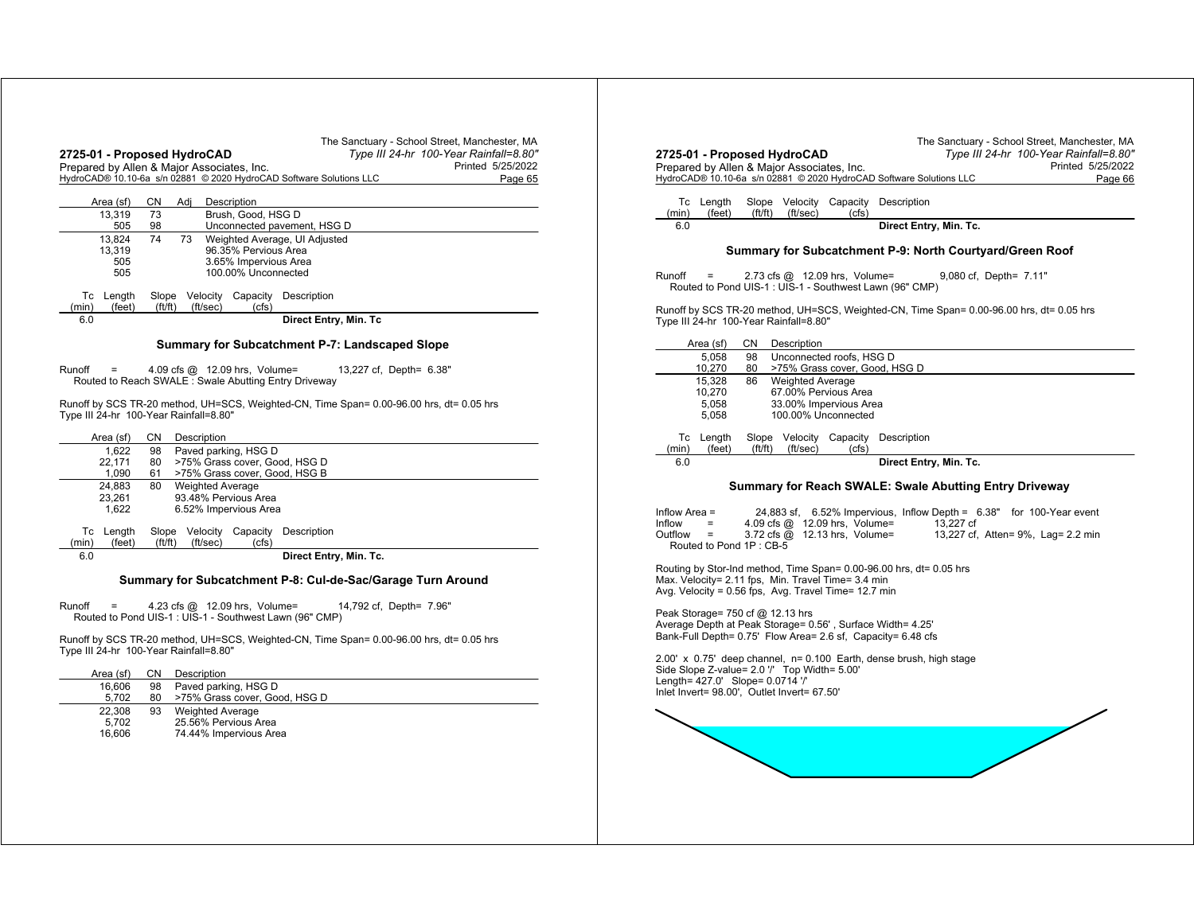| The Sanctuary - School Street, Manchester, MA<br>Type III 24-hr 100-Year Rainfall=8.80"<br>2725-01 - Proposed HydroCAD                       | The Sanctuary - School Street, Manchester, MA<br>Type III 24-hr 100-Year Rainfall=8.80"<br>2725-01 - Proposed HydroCAD |
|----------------------------------------------------------------------------------------------------------------------------------------------|------------------------------------------------------------------------------------------------------------------------|
| Printed 5/25/2022<br>Prepared by Allen & Major Associates, Inc.                                                                              | Printed 5/25/2022<br>Prepared by Allen & Major Associates, Inc.                                                        |
| HydroCAD® 10.10-6a s/n 02881 © 2020 HydroCAD Software Solutions LLC<br>Page 65                                                               | HydroCAD® 10.10-6a s/n 02881 © 2020 HydroCAD Software Solutions LLC<br>Page 66                                         |
|                                                                                                                                              |                                                                                                                        |
| CN Adj<br>Description<br>Area (sf)                                                                                                           | Tc Length<br>Slope Velocity Capacity Description                                                                       |
| Brush, Good, HSG D<br>73<br>13,319                                                                                                           | ft/ft)<br>(ft/sec)<br>(feet)<br>(cfs)<br>(min)                                                                         |
| 98<br>Unconnected pavement, HSG D<br>505                                                                                                     | 6.0<br>Direct Entry, Min. Tc.                                                                                          |
| 73<br>13.824<br>74<br>Weighted Average, UI Adjusted<br>96.35% Pervious Area<br>13,319                                                        | Summary for Subcatchment P-9: North Courtyard/Green Roof                                                               |
| 3.65% Impervious Area<br>505                                                                                                                 |                                                                                                                        |
| 100.00% Unconnected<br>505                                                                                                                   | $Runoff =$<br>2.73 cfs @ 12.09 hrs, Volume=<br>9,080 cf, Depth= 7.11"                                                  |
|                                                                                                                                              | Routed to Pond UIS-1 : UIS-1 - Southwest Lawn (96" CMP)                                                                |
| Slope Velocity Capacity Description<br>Tc Length                                                                                             |                                                                                                                        |
| (ft/ft)<br>(ft/sec)<br>(cfs)<br>(min)<br>(feet)                                                                                              | Runoff by SCS TR-20 method, UH=SCS, Weighted-CN, Time Span= 0.00-96.00 hrs, dt= 0.05 hrs                               |
| 6.0<br>Direct Entry, Min. Tc                                                                                                                 | Type III 24-hr 100-Year Rainfall=8.80"                                                                                 |
|                                                                                                                                              |                                                                                                                        |
| Summary for Subcatchment P-7: Landscaped Slope                                                                                               | CN Description<br>Area (sf)<br>98 Unconnected roofs, HSG D<br>5.058                                                    |
| 4.09 cfs @ 12.09 hrs, Volume=<br>13,227 cf, Depth= 6.38"<br>Runoff<br>$=$                                                                    | 80 >75% Grass cover, Good, HSG D<br>10,270                                                                             |
| Routed to Reach SWALE : Swale Abutting Entry Driveway                                                                                        | 86 Weighted Average<br>15,328                                                                                          |
|                                                                                                                                              | 10,270<br>67.00% Pervious Area                                                                                         |
| Runoff by SCS TR-20 method, UH=SCS, Weighted-CN, Time Span= 0.00-96.00 hrs, dt= 0.05 hrs                                                     | 5.058<br>33.00% Impervious Area                                                                                        |
| Type III 24-hr 100-Year Rainfall=8.80"                                                                                                       | 5,058<br>100.00% Unconnected                                                                                           |
|                                                                                                                                              |                                                                                                                        |
| CN Description<br>Area (sf)                                                                                                                  | Slope Velocity Capacity Description<br>Tc Length                                                                       |
| 98 Paved parking, HSG D<br>1.622<br>80 >75% Grass cover, Good, HSG D                                                                         | (ft/ft) (ft/sec)<br>(cfs)<br>(feet)<br>(min)<br>6.0                                                                    |
| 22,171<br>61 >75% Grass cover, Good, HSG B<br>1.090                                                                                          | Direct Entry, Min. Tc.                                                                                                 |
| 80<br><b>Weighted Average</b><br>24.883                                                                                                      | Summary for Reach SWALE: Swale Abutting Entry Driveway                                                                 |
| 93.48% Pervious Area<br>23,261                                                                                                               |                                                                                                                        |
|                                                                                                                                              |                                                                                                                        |
| 1,622<br>6.52% Impervious Area                                                                                                               |                                                                                                                        |
|                                                                                                                                              | 24,883 sf, 6.52% Impervious, Inflow Depth = 6.38" for 100-Year event<br>Inflow Area $=$<br>13.227 cf<br>Inflow<br>$=$  |
| Slope Velocity Capacity Description<br>Tc Length                                                                                             | 4.09 cfs @ 12.09 hrs, Volume=<br>3.72 cfs @ 12.13 hrs, Volume=<br>13,227 cf, Atten= 9%, Lag= 2.2 min<br>$Outflow =$    |
| (ft/ft)<br>(ft/sec)<br>(cfs)<br>(min)<br>(feet)                                                                                              | Routed to Pond 1P: CB-5                                                                                                |
| 6.0<br>Direct Entry, Min. Tc.                                                                                                                |                                                                                                                        |
|                                                                                                                                              | Routing by Stor-Ind method, Time Span= 0.00-96.00 hrs, dt= 0.05 hrs                                                    |
| Summary for Subcatchment P-8: Cul-de-Sac/Garage Turn Around                                                                                  | Max. Velocity= 2.11 fps, Min. Travel Time= 3.4 min                                                                     |
|                                                                                                                                              | Avg. Velocity = 0.56 fps, Avg. Travel Time= 12.7 min                                                                   |
| 14,792 cf, Depth= 7.96"<br>4.23 cfs @ 12.09 hrs, Volume=<br>$\equiv$                                                                         | Peak Storage= 750 cf @ 12.13 hrs                                                                                       |
| Routed to Pond UIS-1 : UIS-1 - Southwest Lawn (96" CMP)                                                                                      | Average Depth at Peak Storage= 0.56', Surface Width= 4.25'                                                             |
|                                                                                                                                              | Bank-Full Depth= 0.75' Flow Area= 2.6 sf, Capacity= 6.48 cfs                                                           |
|                                                                                                                                              |                                                                                                                        |
|                                                                                                                                              | 2.00' x 0.75' deep channel, n= 0.100 Earth, dense brush, high stage                                                    |
| CN Description<br>Area (sf)                                                                                                                  | Side Slope Z-value= 2.0 "/ Top Width= 5.00"<br>Length= 427.0' Slope= 0.0714 '/'                                        |
| Paved parking, HSG D<br>16.606<br>98                                                                                                         | Inlet Invert= 98.00', Outlet Invert= 67.50'                                                                            |
| >75% Grass cover, Good, HSG D<br>5,702<br>80                                                                                                 |                                                                                                                        |
| 22,308<br>93<br><b>Weighted Average</b>                                                                                                      |                                                                                                                        |
| 25.56% Pervious Area<br>5,702                                                                                                                |                                                                                                                        |
| 16,606<br>74.44% Impervious Area                                                                                                             |                                                                                                                        |
| Runoff<br>Runoff by SCS TR-20 method, UH=SCS, Weighted-CN, Time Span= 0.00-96.00 hrs, dt= 0.05 hrs<br>Type III 24-hr 100-Year Rainfall=8.80" |                                                                                                                        |
|                                                                                                                                              |                                                                                                                        |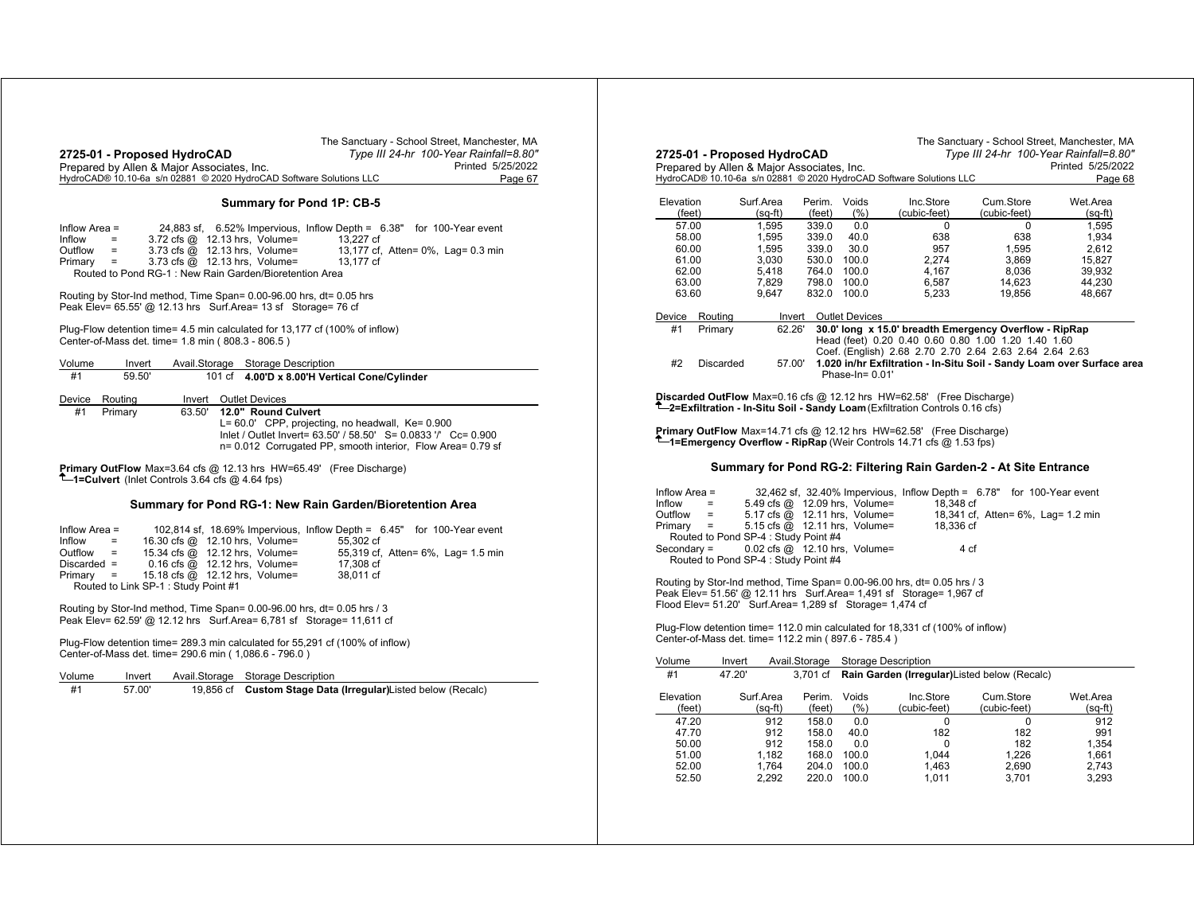|                                                                     | The Sanctuary - School Street, Manchester, MA |
|---------------------------------------------------------------------|-----------------------------------------------|
| 2725-01 - Proposed HydroCAD                                         | Type III 24-hr 100-Year Rainfall=8.80"        |
| Prepared by Allen & Major Associates, Inc.                          | Printed 5/25/2022                             |
| HydroCAD® 10.10-6a s/n 02881 © 2020 HydroCAD Software Solutions LLC | Page 67                                       |
|                                                                     |                                               |

## **Summary for Pond 1P: CB-5**

| Inflow Area = |                        |                                                             | 24,883 sf, 6.52% Impervious, Inflow Depth = 6.38" for 100-Year event |                                    |
|---------------|------------------------|-------------------------------------------------------------|----------------------------------------------------------------------|------------------------------------|
| Inflow        | <b>Service</b> Service | $3.72 \text{ cfs} \quad \textcircled{a}$ 12.13 hrs. Volume= | 13.227 cf                                                            |                                    |
| Outflow       | $\equiv$               | $3.73$ cfs $@$ 12.13 hrs. Volume=                           |                                                                      | 13,177 cf, Atten= 0%, Lag= 0.3 min |
| $Primary =$   |                        | $3.73$ cfs $@$ 12.13 hrs, Volume=                           | 13.177 cf                                                            |                                    |
|               |                        | Routed to Pond RG-1: New Rain Garden/Bioretention Area      |                                                                      |                                    |

Routing by Stor-Ind method, Time Span= 0.00-96.00 hrs, dt= 0.05 hrs Peak Elev= 65.55' @ 12.13 hrs Surf.Area= 13 sf Storage= 76 cf

Plug-Flow detention time= 4.5 min calculated for 13,177 cf (100% of inflow) Center-of-Mass det. time= 1.8 min ( 808.3 - 806.5 )

| Volume | Invert  | Avail.Storage | Storage Description                                            |
|--------|---------|---------------|----------------------------------------------------------------|
| #1     | 59.50   |               | 101 cf 4.00'D x 8.00'H Vertical Cone/Cylinder                  |
| Device | Routina | Invert        | <b>Outlet Devices</b>                                          |
| #1     | Primary | 63.50'        | 12.0" Round Culvert                                            |
|        |         |               | $L = 60.0'$ CPP, projecting, no headwall, $Ke = 0.900$         |
|        |         |               | Inlet / Outlet Invert= 63.50' / 58.50' S= 0.0833 '/' Cc= 0.900 |
|        |         |               | n= 0.012 Corrugated PP, smooth interior, Flow Area= 0.79 sf    |

**Primary OutFlow** Max=3.64 cfs @ 12.13 hrs HW=65.49' (Free Discharge) **1=Culvert** (Inlet Controls 3.64 cfs @ 4.64 fps)

## **Summary for Pond RG-1: New Rain Garden/Bioretention Area**

| Inflow Area =                       |                                     |                                   | 102,814 sf, 18.69% Impervious, Inflow Depth = 6.45" for 100-Year event |
|-------------------------------------|-------------------------------------|-----------------------------------|------------------------------------------------------------------------|
| Inflow<br>$\mathbf{r} = \mathbf{r}$ |                                     | 16.30 cfs @ 12.10 hrs, Volume=    | 55.302 cf                                                              |
| $Outflow =$                         |                                     | 15.34 cfs @ 12.12 hrs, Volume=    | 55,319 cf, Atten= 6%, Lag= 1.5 min                                     |
| $Discarded =$                       |                                     | $0.16$ cfs $@$ 12.12 hrs, Volume= | 17,308 cf                                                              |
| $Primary =$                         |                                     | 15.18 cfs $@$ 12.12 hrs, Volume=  | 38.011 cf                                                              |
|                                     | Routed to Link SP-1: Study Point #1 |                                   |                                                                        |

Routing by Stor-Ind method, Time Span= 0.00-96.00 hrs, dt= 0.05 hrs / 3 Peak Elev= 62.59' @ 12.12 hrs Surf.Area= 6,781 sf Storage= 11,611 cf

Plug-Flow detention time= 289.3 min calculated for 55,291 cf (100% of inflow) Center-of-Mass det. time= 290.6 min ( 1,086.6 - 796.0 )

|  | Volume | Invert | Avail.Storage | <b>Storage Description</b> |
|--|--------|--------|---------------|----------------------------|
|--|--------|--------|---------------|----------------------------|

| #1 | 57.00' |  | 19,856 cf Custom Stage Data (Irregular) Listed below (Recalc) |
|----|--------|--|---------------------------------------------------------------|
|----|--------|--|---------------------------------------------------------------|

|                                                                                                                                                                                             |                                      |                    |                           |                                                           |                                                                                                                                                                  |                                    | Type III 24-hr 100-Year Rainfall=8.80"                                 |
|---------------------------------------------------------------------------------------------------------------------------------------------------------------------------------------------|--------------------------------------|--------------------|---------------------------|-----------------------------------------------------------|------------------------------------------------------------------------------------------------------------------------------------------------------------------|------------------------------------|------------------------------------------------------------------------|
| 2725-01 - Proposed HydroCAD<br>Prepared by Allen & Major Associates, Inc.                                                                                                                   |                                      |                    |                           |                                                           |                                                                                                                                                                  |                                    | Printed 5/25/2022                                                      |
|                                                                                                                                                                                             |                                      |                    |                           |                                                           | HydroCAD® 10.10-6a s/n 02881 © 2020 HydroCAD Software Solutions LLC                                                                                              |                                    | Page 68                                                                |
|                                                                                                                                                                                             |                                      |                    |                           |                                                           |                                                                                                                                                                  |                                    |                                                                        |
| Elevation<br>(feet)                                                                                                                                                                         | Surf.Area                            |                    | Perim.<br>(feet)          | Voids<br>(% )                                             | Inc.Store<br>(cubic-feet)                                                                                                                                        | Cum.Store<br>(cubic-feet)          | Wet.Area                                                               |
| 57.00                                                                                                                                                                                       |                                      | $(sq-ft)$<br>1.595 | 339.0                     | 0.0                                                       | $\Omega$                                                                                                                                                         |                                    | (sq-ft)                                                                |
| 58.00                                                                                                                                                                                       |                                      | 1,595              | 339.0                     | 40.0                                                      | 638                                                                                                                                                              | 0<br>638                           | 1,595<br>1,934                                                         |
| 60.00                                                                                                                                                                                       |                                      | 1,595              | 339.0                     | 30.0                                                      | 957                                                                                                                                                              | 1,595                              | 2,612                                                                  |
| 61.00                                                                                                                                                                                       |                                      | 3,030              |                           | 530.0 100.0                                               | 2.274                                                                                                                                                            | 3,869                              | 15,827                                                                 |
| 62.00                                                                                                                                                                                       |                                      | 5,418              |                           | 764.0 100.0                                               | 4,167                                                                                                                                                            | 8,036                              | 39,932                                                                 |
| 63.00                                                                                                                                                                                       |                                      | 7,829              | 798.0                     | 100.0                                                     | 6,587                                                                                                                                                            | 14,623                             | 44.230                                                                 |
| 63.60                                                                                                                                                                                       |                                      | 9,647              | 832.0                     | 100.0                                                     | 5,233                                                                                                                                                            | 19,856                             | 48,667                                                                 |
| Device                                                                                                                                                                                      | Routing                              | Invert             |                           | <b>Outlet Devices</b>                                     |                                                                                                                                                                  |                                    |                                                                        |
| #1                                                                                                                                                                                          | Primary                              | 62.26'             |                           |                                                           | 30.0' long x 15.0' breadth Emergency Overflow - RipRap                                                                                                           |                                    |                                                                        |
|                                                                                                                                                                                             |                                      |                    |                           |                                                           | Head (feet) 0.20 0.40 0.60 0.80 1.00 1.20 1.40 1.60                                                                                                              |                                    |                                                                        |
|                                                                                                                                                                                             |                                      |                    |                           |                                                           | Coef. (English) 2.68 2.70 2.70 2.64 2.63 2.64 2.64 2.63                                                                                                          |                                    |                                                                        |
| #2                                                                                                                                                                                          | Discarded                            | 57.00'             |                           |                                                           |                                                                                                                                                                  |                                    | 1.020 in/hr Exfiltration - In-Situ Soil - Sandy Loam over Surface area |
|                                                                                                                                                                                             |                                      |                    |                           | Phase-In= $0.01'$                                         |                                                                                                                                                                  |                                    |                                                                        |
|                                                                                                                                                                                             |                                      |                    |                           |                                                           | <b>Discarded OutFlow</b> Max=0.16 cfs @ 12.12 hrs HW=62.58' (Free Discharge)<br>$T$ -2=Exfiltration - In-Situ Soil - Sandy Loam (Exfiltration Controls 0.16 cfs) |                                    |                                                                        |
|                                                                                                                                                                                             |                                      |                    |                           |                                                           |                                                                                                                                                                  |                                    |                                                                        |
|                                                                                                                                                                                             |                                      |                    |                           |                                                           | <b>Primary OutFlow</b> Max=14.71 cfs @ 12.12 hrs HW=62.58' (Free Discharge)                                                                                      |                                    |                                                                        |
|                                                                                                                                                                                             |                                      |                    |                           |                                                           |                                                                                                                                                                  |                                    |                                                                        |
|                                                                                                                                                                                             |                                      |                    |                           |                                                           | <b>T</b> —1=Emergency Overflow - RipRap (Weir Controls 14.71 cfs @ 1.53 fps)                                                                                     |                                    |                                                                        |
|                                                                                                                                                                                             |                                      |                    |                           |                                                           | Summary for Pond RG-2: Filtering Rain Garden-2 - At Site Entrance                                                                                                |                                    |                                                                        |
|                                                                                                                                                                                             |                                      |                    |                           |                                                           |                                                                                                                                                                  |                                    |                                                                        |
| $=$                                                                                                                                                                                         |                                      |                    |                           | 5.49 cfs @ 12.09 hrs, Volume=                             | 32,462 sf, 32.40% Impervious, Inflow Depth = 6.78" for 100-Year event<br>18,348 cf                                                                               |                                    |                                                                        |
| $=$                                                                                                                                                                                         |                                      |                    |                           | 5.17 cfs @ 12.11 hrs, Volume=                             |                                                                                                                                                                  | 18,341 cf, Atten= 6%, Lag= 1.2 min |                                                                        |
| =                                                                                                                                                                                           |                                      |                    |                           | 5.15 cfs @ 12.11 hrs, Volume=                             | 18,336 cf                                                                                                                                                        |                                    |                                                                        |
|                                                                                                                                                                                             | Routed to Pond SP-4 : Study Point #4 |                    |                           |                                                           |                                                                                                                                                                  |                                    |                                                                        |
|                                                                                                                                                                                             |                                      |                    |                           | $0.02 \text{ cfs} \text{ @ } 12.10 \text{ hrs}$ , Volume= |                                                                                                                                                                  | 4 cf                               |                                                                        |
|                                                                                                                                                                                             | Routed to Pond SP-4 : Study Point #4 |                    |                           |                                                           |                                                                                                                                                                  |                                    |                                                                        |
|                                                                                                                                                                                             |                                      |                    |                           |                                                           |                                                                                                                                                                  |                                    |                                                                        |
|                                                                                                                                                                                             |                                      |                    |                           |                                                           | Routing by Stor-Ind method, Time Span= 0.00-96.00 hrs, dt= 0.05 hrs / 3                                                                                          |                                    |                                                                        |
|                                                                                                                                                                                             |                                      |                    |                           |                                                           | Peak Elev= 51.56' @ 12.11 hrs  Surf.Area= 1,491 sf  Storage= 1,967 cf                                                                                            |                                    |                                                                        |
|                                                                                                                                                                                             |                                      |                    |                           |                                                           |                                                                                                                                                                  |                                    |                                                                        |
|                                                                                                                                                                                             |                                      |                    |                           |                                                           | Plug-Flow detention time= 112.0 min calculated for 18,331 cf (100% of inflow)                                                                                    |                                    |                                                                        |
|                                                                                                                                                                                             |                                      |                    |                           |                                                           |                                                                                                                                                                  |                                    |                                                                        |
|                                                                                                                                                                                             |                                      |                    |                           |                                                           |                                                                                                                                                                  |                                    |                                                                        |
| #1                                                                                                                                                                                          | Invert<br>47.20'                     |                    | Avail.Storage<br>3.701 cf | <b>Storage Description</b>                                | Rain Garden (Irregular) Listed below (Recalc)                                                                                                                    |                                    |                                                                        |
| Inflow Area $=$<br>Inflow<br>Outflow<br>Primary<br>Secondary =<br>Flood Elev= 51.20' Surf.Area= 1,289 sf Storage= 1,474 cf<br>Center-of-Mass det. time= 112.2 min (897.6 - 785.4)<br>Volume |                                      |                    |                           |                                                           |                                                                                                                                                                  |                                    |                                                                        |
| Elevation                                                                                                                                                                                   | Surf.Area                            |                    | Perim.                    | Voids                                                     | Inc.Store                                                                                                                                                        | Cum.Store                          | Wet.Area                                                               |
| (feet)                                                                                                                                                                                      |                                      | $(sq-ft)$          | (feet)                    | (% )                                                      | (cubic-feet)                                                                                                                                                     | (cubic-feet)                       | (sq-ft)                                                                |
| 47.20<br>47.70                                                                                                                                                                              |                                      | 912<br>912         | 158.0<br>158.0            | 0.0<br>40.0                                               | $\Omega$                                                                                                                                                         | $\Omega$                           | 912<br>991                                                             |
| 50.00                                                                                                                                                                                       |                                      | 912                | 158.0                     | 0.0                                                       | 182<br>$\Omega$                                                                                                                                                  | 182<br>182                         | 1.354                                                                  |
| 51.00                                                                                                                                                                                       |                                      | 1.182              | 168.0                     | 100.0                                                     | 1.044                                                                                                                                                            | 1.226                              | 1.661                                                                  |
| 52.00                                                                                                                                                                                       |                                      | 1.764              | 204.0                     | 100.0                                                     | 1.463                                                                                                                                                            | 2.690                              | 2,743                                                                  |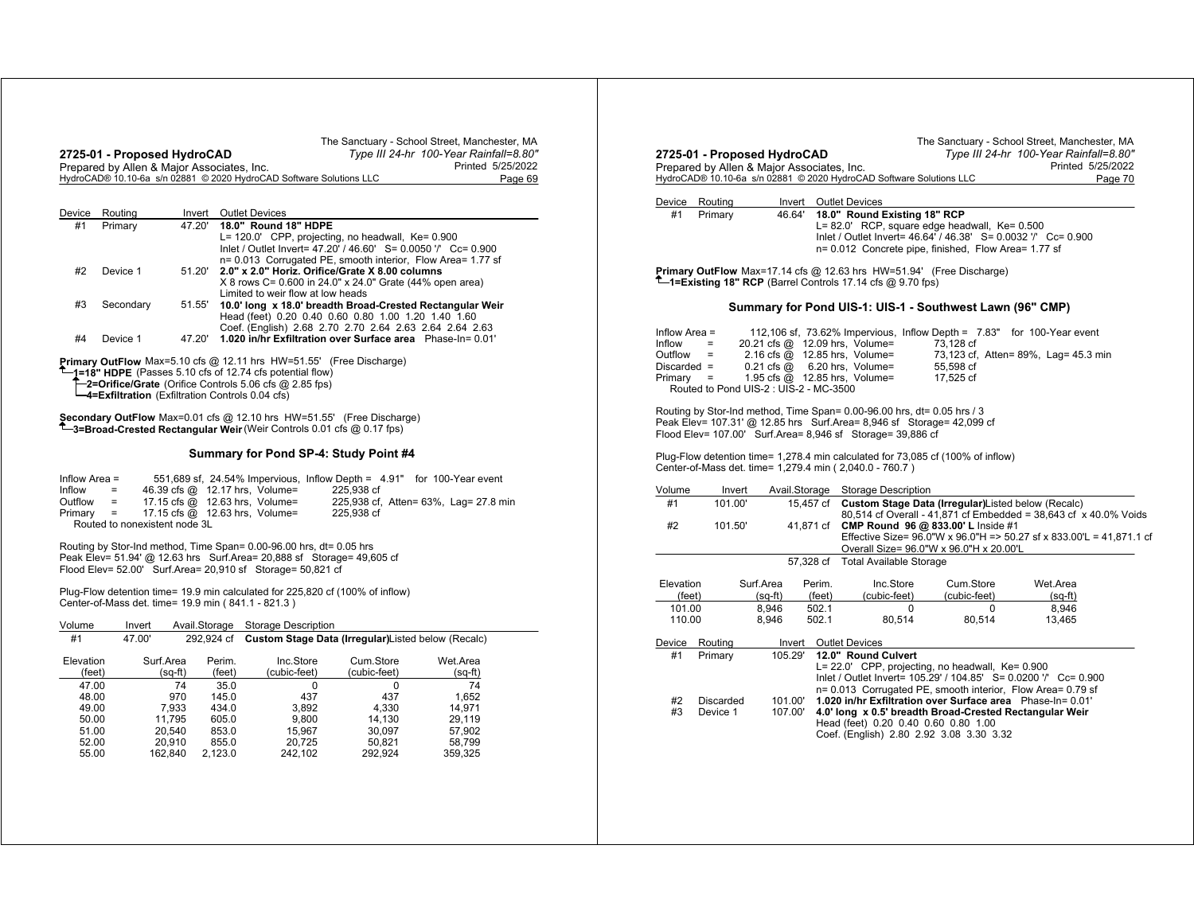|        | 2725-01 - Proposed HydroCAD                |        |                                                                     | The Sanctuary - School Street, Manchester, MA<br>Type III 24-hr 100-Year Rainfall=8.80" |
|--------|--------------------------------------------|--------|---------------------------------------------------------------------|-----------------------------------------------------------------------------------------|
|        | Prepared by Allen & Major Associates, Inc. |        |                                                                     | Printed 5/25/2022                                                                       |
|        |                                            |        | HydroCAD® 10.10-6a s/n 02881 © 2020 HydroCAD Software Solutions LLC | Page 69                                                                                 |
|        |                                            |        |                                                                     |                                                                                         |
| Device | Routina                                    | Invert | Outlet Devices                                                      |                                                                                         |

| #1 | Primary   | 47.20' | 18.0" Round 18" HDPE                                             |
|----|-----------|--------|------------------------------------------------------------------|
|    |           |        | L= 120.0' CPP, projecting, no headwall, Ke= 0.900                |
|    |           |        | Inlet / Outlet Invert= 47.20' / 46.60' S= 0.0050 '/' Cc= 0.900   |
|    |           |        | n= 0.013 Corrugated PE, smooth interior, Flow Area= 1.77 sf      |
| #2 | Device 1  |        | 51.20' 2.0" x 2.0" Horiz. Orifice/Grate X 8.00 columns           |
|    |           |        | X 8 rows C= 0.600 in 24.0" x 24.0" Grate (44% open area)         |
|    |           |        | Limited to weir flow at low heads                                |
| #3 | Secondary |        | 51.55' 10.0' long x 18.0' breadth Broad-Crested Rectangular Weir |
|    |           |        | Head (feet) 0.20 0.40 0.60 0.80 1.00 1.20 1.40 1.60              |
|    |           |        | Coef. (English) 2.68 2.70 2.70 2.64 2.63 2.64 2.64 2.63          |
| #4 | Device 1  | 47.20  | 1.020 in/hr Exfiltration over Surface area Phase-In= 0.01'       |
|    |           |        |                                                                  |

**Primary OutFlow** Max=5.10 cfs @ 12.11 hrs HW=51.55' (Free Discharge) **1=18" HDPE** (Passes 5.10 cfs of 12.74 cfs potential flow) **2=Orifice/Grate** (Orifice Controls 5.06 cfs @ 2.85 fps) **4=Exfiltration** (Exfiltration Controls 0.04 cfs)

**Secondary OutFlow** Max=0.01 cfs @ 12.10 hrs HW=51.55' (Free Discharge) **3=Broad-Crested Rectangular Weir** (Weir Controls 0.01 cfs @ 0.17 fps)

## **Summary for Pond SP-4: Study Point #4**

| Inflow Area $=$ |                           |                               |                                                   | 551,689 sf, 24.54% Impervious, Inflow Depth = 4.91" for 100-Year event |                                       |
|-----------------|---------------------------|-------------------------------|---------------------------------------------------|------------------------------------------------------------------------|---------------------------------------|
| Inflow          | $=$                       |                               | 46.39 cfs @ 12.17 hrs. Volume=                    | 225.938 cf                                                             |                                       |
| Outflow         | $\mathbf{r} = \mathbf{r}$ |                               | 17.15 cfs $@$ 12.63 hrs. Volume=                  |                                                                        | 225,938 cf, Atten= 63%, Lag= 27.8 min |
|                 |                           |                               | Primary $=$ 17.15 cfs $\omega$ 12.63 hrs. Volume= | 225.938 cf                                                             |                                       |
|                 |                           | Routed to nonexistent node 3L |                                                   |                                                                        |                                       |

Routing by Stor-Ind method, Time Span= 0.00-96.00 hrs, dt= 0.05 hrs<br>Peak Elev= 51.94' @ 12.63 hrs Surf.Area= 20,888 sf Storage= 49,605 cf<br>Flood Elev= 52.00' Surf.Area= 20,910 sf Storage= 50,821 cf

Plug-Flow detention time= 19.9 min calculated for 225,820 cf (100% of inflow) Center-of-Mass det. time= 19.9 min ( 841.1 - 821.3 )

| Volume              | Invert |                      | Avail.Storage    | Storage Description                                 |                           |                     |
|---------------------|--------|----------------------|------------------|-----------------------------------------------------|---------------------------|---------------------|
| #1                  | 47.00' |                      | 292.924 cf       | Custom Stage Data (Irregular) Listed below (Recalc) |                           |                     |
| Elevation<br>(feet) |        | Surf.Area<br>(sq-ft) | Perim.<br>(feet) | Inc.Store<br>(cubic-feet)                           | Cum.Store<br>(cubic-feet) | Wet.Area<br>(sq-ft) |
| 47.00               |        | 74                   | 35.0             | $\Omega$                                            | $\Omega$                  | 74                  |
| 48.00<br>49.00      |        | 970<br>7.933         | 145.0<br>434.0   | 437<br>3.892                                        | 437<br>4.330              | 1.652<br>14.971     |
| 50.00               |        | 11.795               | 605.0            | 9.800                                               | 14.130                    | 29.119              |
| 51.00               |        | 20.540               | 853.0            | 15.967                                              | 30.097                    | 57.902              |
| 52.00<br>55.00      |        | 20.910<br>162.840    | 855.0<br>2.123.0 | 20,725<br>242.102                                   | 50.821<br>292.924         | 58.799<br>359.325   |

| 2725-01 - Proposed HydroCAD | Prepared by Allen & Major Associates, Inc. |                    |                  |                                                                                                                                                                                                        |                                         | Printed 5/25/2022                                                      |         |
|-----------------------------|--------------------------------------------|--------------------|------------------|--------------------------------------------------------------------------------------------------------------------------------------------------------------------------------------------------------|-----------------------------------------|------------------------------------------------------------------------|---------|
|                             |                                            |                    |                  | HydroCAD® 10.10-6a s/n 02881 © 2020 HydroCAD Software Solutions LLC                                                                                                                                    |                                         |                                                                        | Page 70 |
|                             |                                            |                    |                  |                                                                                                                                                                                                        |                                         |                                                                        |         |
| Device                      | Routing                                    | Invert             |                  | <b>Outlet Devices</b>                                                                                                                                                                                  |                                         |                                                                        |         |
| #1                          | Primary                                    | 46.64'             |                  | 18.0" Round Existing 18" RCP<br>L= 82.0' RCP, square edge headwall, Ke= 0.500<br>Inlet / Outlet Invert= 46.64 / 46.38' S= 0.0032 '/' Cc= 0.900<br>n= 0.012 Concrete pipe, finished, Flow Area= 1.77 sf |                                         |                                                                        |         |
|                             |                                            |                    |                  | Primary OutFlow Max=17.14 cfs @ 12.63 hrs HW=51.94' (Free Discharge)<br>1=Existing 18" RCP (Barrel Controls 17.14 cfs @ 9.70 fps)                                                                      |                                         |                                                                        |         |
|                             |                                            |                    |                  | Summary for Pond UIS-1: UIS-1 - Southwest Lawn (96" CMP)                                                                                                                                               |                                         |                                                                        |         |
| Inflow Area =               |                                            |                    |                  |                                                                                                                                                                                                        |                                         | 112,106 sf, 73.62% Impervious, Inflow Depth = 7.83" for 100-Year event |         |
| Inflow                      | Ξ.                                         |                    |                  | 20.21 cfs @ 12.09 hrs, Volume=                                                                                                                                                                         | 73,128 cf                               |                                                                        |         |
| Outflow<br>Discarded $=$    | $=$                                        |                    |                  | 2.16 cfs $\bar{\omega}$ 12.85 hrs, Volume=<br>$0.21$ cfs $@$ 6.20 hrs, Volume=                                                                                                                         | 55.598 cf                               | 73,123 cf, Atten= 89%, Lag= 45.3 min                                   |         |
| Primary                     | Ξ                                          |                    |                  | 1.95 cfs $\omega$ 12.85 hrs, Volume=                                                                                                                                                                   | 17,525 cf                               |                                                                        |         |
|                             | Routed to Pond UIS-2 : UIS-2 - MC-3500     |                    |                  |                                                                                                                                                                                                        |                                         |                                                                        |         |
|                             |                                            |                    |                  |                                                                                                                                                                                                        |                                         |                                                                        |         |
|                             |                                            |                    |                  |                                                                                                                                                                                                        |                                         |                                                                        |         |
|                             |                                            |                    |                  | Routing by Stor-Ind method, Time Span= 0.00-96.00 hrs, dt= 0.05 hrs / 3                                                                                                                                |                                         |                                                                        |         |
|                             |                                            |                    |                  | Peak Elev= 107.31' @ 12.85 hrs  Surf.Area= 8,946 sf  Storage= 42,099 cf<br>Flood Elev= 107.00' Surf.Area= 8,946 sf Storage= 39,886 cf                                                                  |                                         |                                                                        |         |
|                             |                                            |                    |                  |                                                                                                                                                                                                        |                                         |                                                                        |         |
|                             |                                            |                    |                  | Plug-Flow detention time= 1,278.4 min calculated for 73,085 cf (100% of inflow)                                                                                                                        |                                         |                                                                        |         |
|                             |                                            |                    |                  | Center-of-Mass det. time= 1,279.4 min (2,040.0 - 760.7)                                                                                                                                                |                                         |                                                                        |         |
|                             | Invert                                     |                    |                  | Avail.Storage Storage Description                                                                                                                                                                      |                                         |                                                                        |         |
| Volume<br>#1                | 101.00'                                    |                    |                  | 15,457 cf Custom Stage Data (Irregular)Listed below (Recalc)                                                                                                                                           |                                         |                                                                        |         |
|                             |                                            |                    |                  |                                                                                                                                                                                                        |                                         | 80,514 cf Overall - 41,871 cf Embedded = 38,643 cf x 40.0% Voids       |         |
| #2                          | 101.50'                                    |                    | 41,871 cf        |                                                                                                                                                                                                        | CMP Round 96 @ 833.00' L Inside #1      |                                                                        |         |
|                             |                                            |                    |                  |                                                                                                                                                                                                        | Overall Size= 96.0"W x 96.0"H x 20.00'L | Effective Size= 96.0"W x 96.0"H => 50.27 sf x 833.00"L = 41,871.1 cf   |         |
|                             |                                            |                    |                  | 57,328 cf Total Available Storage                                                                                                                                                                      |                                         |                                                                        |         |
|                             |                                            |                    |                  |                                                                                                                                                                                                        |                                         |                                                                        |         |
| Elevation<br>(feet)         |                                            | Surf.Area          | Perim.<br>(feet) | Inc.Store<br>(cubic-feet)                                                                                                                                                                              | Cum.Store<br>(cubic-feet)               | Wet.Area                                                               |         |
| 101.00                      |                                            | (sq-ft)<br>8.946   | 502.1            | $\Omega$                                                                                                                                                                                               | $\Omega$                                | $(sq-ft)$<br>8.946                                                     |         |
| 110.00                      |                                            | 8,946              | 502.1            | 80,514                                                                                                                                                                                                 | 80,514                                  | 13,465                                                                 |         |
|                             | Routing                                    |                    |                  | Invert Outlet Devices                                                                                                                                                                                  |                                         |                                                                        |         |
| #1                          | Primary                                    | 105.29'            |                  | 12.0" Round Culvert                                                                                                                                                                                    |                                         |                                                                        |         |
|                             |                                            |                    |                  | L= 22.0' CPP, projecting, no headwall, Ke= 0.900                                                                                                                                                       |                                         |                                                                        |         |
|                             |                                            |                    |                  |                                                                                                                                                                                                        |                                         | Inlet / Outlet Invert= 105.29' / 104.85' S= 0.0200 '/' Cc= 0.900       |         |
|                             |                                            |                    |                  |                                                                                                                                                                                                        |                                         | n= 0.013 Corrugated PE, smooth interior, Flow Area= 0.79 sf            |         |
| Device<br>#2<br>#3          | Discarded<br>Device 1                      | 101.00'<br>107.00' |                  | 1.020 in/hr Exfiltration over Surface area Phase-In= 0.01'<br>4.0' long x 0.5' breadth Broad-Crested Rectangular Weir                                                                                  |                                         |                                                                        |         |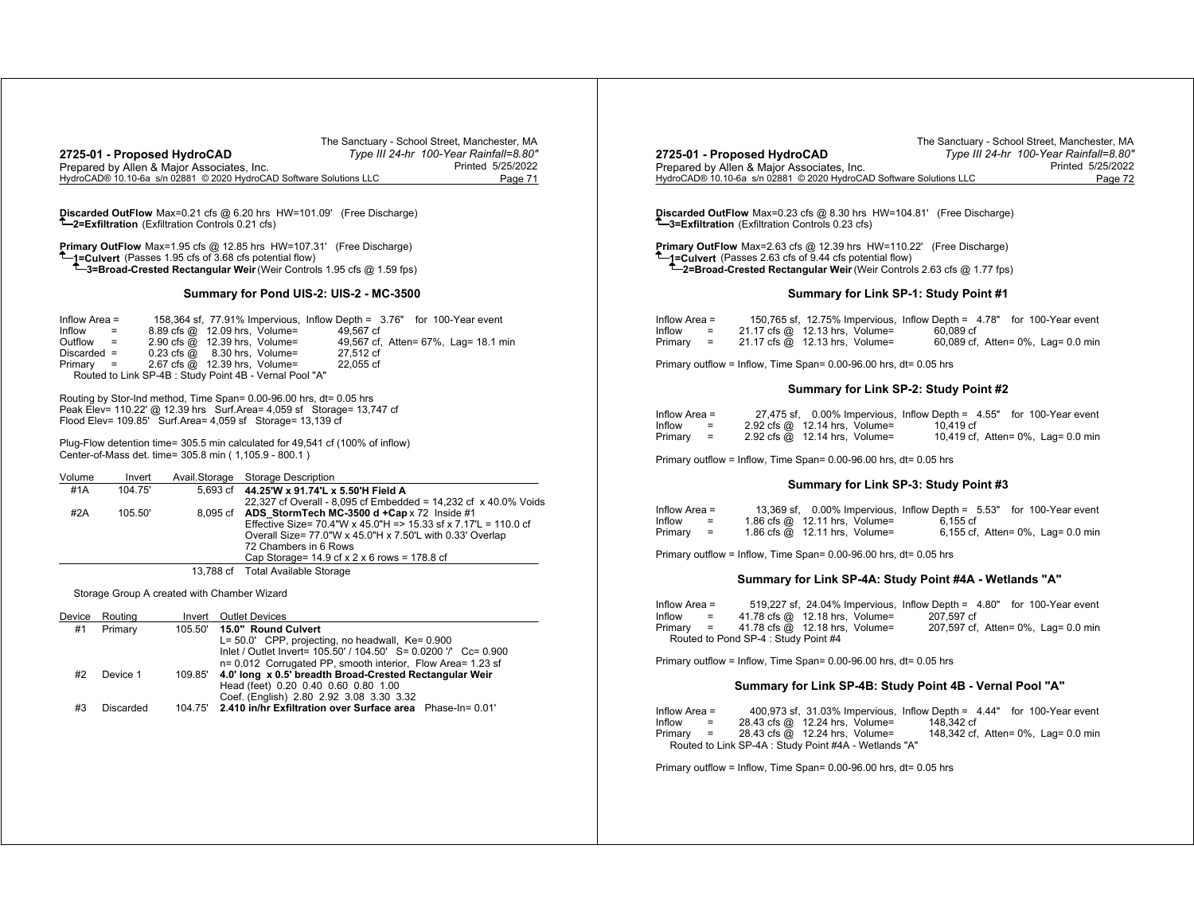| 2725-01 - Proposed HydroCAD<br>Prepared by Allen & Major Associates, Inc. | The Sanctuary - School Street, Manchester, MA<br>Type III 24-hr 100-Year Rainfall=8.80"<br>Printed 5/25/2022<br>HydroCAD® 10.10-6a s/n 02881 © 2020 HydroCAD Software Solutions LLC<br>Page 71                                                                                                                                                                                  | The Sanctuary - School Street, Manchester, MA<br>Type III 24-hr 100-Year Rainfall=8.80'<br>2725-01 - Proposed HydroCAD<br>Prepared by Allen & Major Associates, Inc.<br>Printed 5/25/2022<br>HydroCAD® 10.10-6a s/n 02881 © 2020 HydroCAD Software Solutions LLC<br>Page 72                                           |
|---------------------------------------------------------------------------|---------------------------------------------------------------------------------------------------------------------------------------------------------------------------------------------------------------------------------------------------------------------------------------------------------------------------------------------------------------------------------|-----------------------------------------------------------------------------------------------------------------------------------------------------------------------------------------------------------------------------------------------------------------------------------------------------------------------|
| $T$ -2=Exfiltration (Exfiltration Controls 0.21 cfs)                      | Discarded OutFlow Max=0.21 cfs @ 6.20 hrs HW=101.09' (Free Discharge)                                                                                                                                                                                                                                                                                                           | Discarded OutFlow Max=0.23 cfs @ 8.30 hrs HW=104.81' (Free Discharge)<br>$T$ -3=Exfiltration (Exfiltration Controls 0.23 cfs)                                                                                                                                                                                         |
|                                                                           | Primary OutFlow Max=1.95 cfs @ 12.85 hrs HW=107.31' (Free Discharge)<br>$T$ = Culvert (Passes 1.95 cfs of 3.68 cfs potential flow)<br><sup>T</sup> -3=Broad-Crested Rectangular Weir (Weir Controls 1.95 cfs @ 1.59 fps)                                                                                                                                                        | Primary OutFlow Max=2.63 cfs @ 12.39 hrs HW=110.22' (Free Discharge)<br>-1=Culvert (Passes 2.63 cfs of 9.44 cfs potential flow)<br><sup>1</sup> -2=Broad-Crested Rectangular Weir (Weir Controls 2.63 cfs @ 1.77 fps)                                                                                                 |
|                                                                           | Summary for Pond UIS-2: UIS-2 - MC-3500                                                                                                                                                                                                                                                                                                                                         | Summary for Link SP-1: Study Point #1                                                                                                                                                                                                                                                                                 |
| Inflow Area =<br>Inflow<br>$\sim$ $\pm$<br>$Outflow =$<br>$Discarded =$   | 158,364 sf, 77.91% Impervious, Inflow Depth = 3.76" for 100-Year event<br>8.89 cfs @ 12.09 hrs, Volume=<br>49.567 cf<br>49,567 cf, Atten= 67%, Lag= 18.1 min<br>2.90 cfs @ 12.39 hrs, Volume=<br>0.23 cfs @ 8.30 hrs, Volume=<br>27,512 cf                                                                                                                                      | Inflow Area $=$<br>150,765 sf, 12.75% Impervious, Inflow Depth = 4.78" for 100-Year event<br>60.089 cf<br>Inflow<br>21.17 cfs @ 12.13 hrs, Volume=<br>$=$<br>$Primary =$<br>60,089 cf, Atten= 0%, Lag= 0.0 min<br>21.17 cfs @ 12.13 hrs, Volume=                                                                      |
| $Primary =$                                                               | 2.67 cfs @ 12.39 hrs, Volume=<br>22,055 cf<br>Routed to Link SP-4B : Study Point 4B - Vernal Pool "A"                                                                                                                                                                                                                                                                           | Primary outflow = Inflow, Time Span= 0.00-96.00 hrs, dt= 0.05 hrs                                                                                                                                                                                                                                                     |
|                                                                           | Routing by Stor-Ind method, Time Span= 0.00-96.00 hrs, dt= 0.05 hrs                                                                                                                                                                                                                                                                                                             | Summary for Link SP-2: Study Point #2                                                                                                                                                                                                                                                                                 |
|                                                                           | Peak Elev= 110.22' @ 12.39 hrs Surf.Area= 4,059 sf Storage= 13,747 cf<br>Flood Elev= 109.85' Surf.Area= 4,059 sf Storage= 13,139 cf<br>Plug-Flow detention time= 305.5 min calculated for 49,541 cf (100% of inflow)                                                                                                                                                            | Inflow Area $=$<br>$27,475$ sf, 0.00% Impervious, Inflow Depth = $4.55$ " for 100-Year event<br>Inflow<br>2.92 cfs @ 12.14 hrs, Volume=<br>10.419 cf<br>$=$<br>2.92 cfs @ 12.14 hrs, Volume=<br>$Primary =$<br>10,419 cf, Atten= 0%, Lag= 0.0 min                                                                     |
|                                                                           | Center-of-Mass det. time= 305.8 min (1,105.9 - 800.1)                                                                                                                                                                                                                                                                                                                           | Primary outflow = Inflow, Time Span= 0.00-96.00 hrs, dt= 0.05 hrs                                                                                                                                                                                                                                                     |
| Volume<br>Invert                                                          | Avail.Storage Storage Description                                                                                                                                                                                                                                                                                                                                               | Summary for Link SP-3: Study Point #3                                                                                                                                                                                                                                                                                 |
| #1A<br>104.75'<br>#2A<br>105.50'                                          | 5,693 cf 44.25 W x 91.74 L x 5.50 H Field A<br>22,327 cf Overall - 8,095 cf Embedded = 14,232 cf x 40.0% Voids<br>8,095 cf ADS_StormTech MC-3500 d +Cap x 72 Inside #1<br>Effective Size= 70.4"W x 45.0"H => 15.33 sf x 7.17'L = 110.0 cf<br>Overall Size= 77.0"W x 45.0"H x 7.50'L with 0.33' Overlap<br>72 Chambers in 6 Rows<br>Cap Storage= 14.9 cf x 2 x 6 rows = 178.8 cf | Inflow Area $=$<br>13,369 sf, 0.00% Impervious, Inflow Depth = 5.53" for 100-Year event<br>Inflow<br>1.86 cfs $@$ 12.11 hrs, Volume=<br>6.155 cf<br>$=$<br>$Primary =$<br>1.86 cfs @ 12.11 hrs, Volume=<br>6,155 cf, Atten= 0%, Lag= 0.0 min<br>Primary outflow = Inflow, Time Span= $0.00-96.00$ hrs, dt= $0.05$ hrs |
|                                                                           | 13,788 cf Total Available Storage                                                                                                                                                                                                                                                                                                                                               | Summary for Link SP-4A: Study Point #4A - Wetlands "A"                                                                                                                                                                                                                                                                |
| Device Routing                                                            | Storage Group A created with Chamber Wizard<br>Invert Outlet Devices                                                                                                                                                                                                                                                                                                            | Inflow Area $=$<br>519,227 sf, 24.04% Impervious, Inflow Depth = 4.80" for 100-Year event<br>41.78 cfs @ 12.18 hrs, Volume=<br>207.597 cf<br>Inflow<br>$\equiv$<br>$Primary =$<br>41.78 cfs @ 12.18 hrs, Volume=<br>207,597 cf, Atten= 0%, Lag= 0.0 min                                                               |
| #1<br>Primary                                                             | 15.0" Round Culvert<br>105.50'<br>$L = 50.0'$ CPP, projecting, no headwall, $Ke = 0.900$<br>Inlet / Outlet Invert= 105.50' / 104.50' S= 0.0200 '/' Cc= 0.900                                                                                                                                                                                                                    | Routed to Pond SP-4 : Study Point #4<br>Primary outflow = Inflow, Time Span= 0.00-96.00 hrs, dt= 0.05 hrs                                                                                                                                                                                                             |
| Device 1<br>#2                                                            | n= 0.012 Corrugated PP, smooth interior, Flow Area= 1.23 sf<br>109.85' 4.0' long x 0.5' breadth Broad-Crested Rectangular Weir<br>Head (feet) 0.20 0.40 0.60 0.80 1.00                                                                                                                                                                                                          | Summary for Link SP-4B: Study Point 4B - Vernal Pool "A"                                                                                                                                                                                                                                                              |
| Discarded<br>#3                                                           | Coef. (English) 2.80 2.92 3.08 3.30 3.32<br>104.75' 2.410 in/hr Exfiltration over Surface area Phase-In= 0.01'                                                                                                                                                                                                                                                                  | 400,973 sf, 31.03% Impervious, Inflow Depth = 4.44" for 100-Year event<br>Inflow Area $=$<br>28.43 cfs @ 12.24 hrs, Volume=<br>148,342 cf<br>Inflow<br>$=$<br>$Primary =$<br>28.43 cfs @ 12.24 hrs, Volume=<br>148,342 cf, Atten= 0%, Lag= 0.0 min<br>Routed to Link SP-4A : Study Point #4A - Wetlands "A"           |
|                                                                           |                                                                                                                                                                                                                                                                                                                                                                                 | Primary outflow = Inflow, Time Span= 0.00-96.00 hrs, dt= 0.05 hrs                                                                                                                                                                                                                                                     |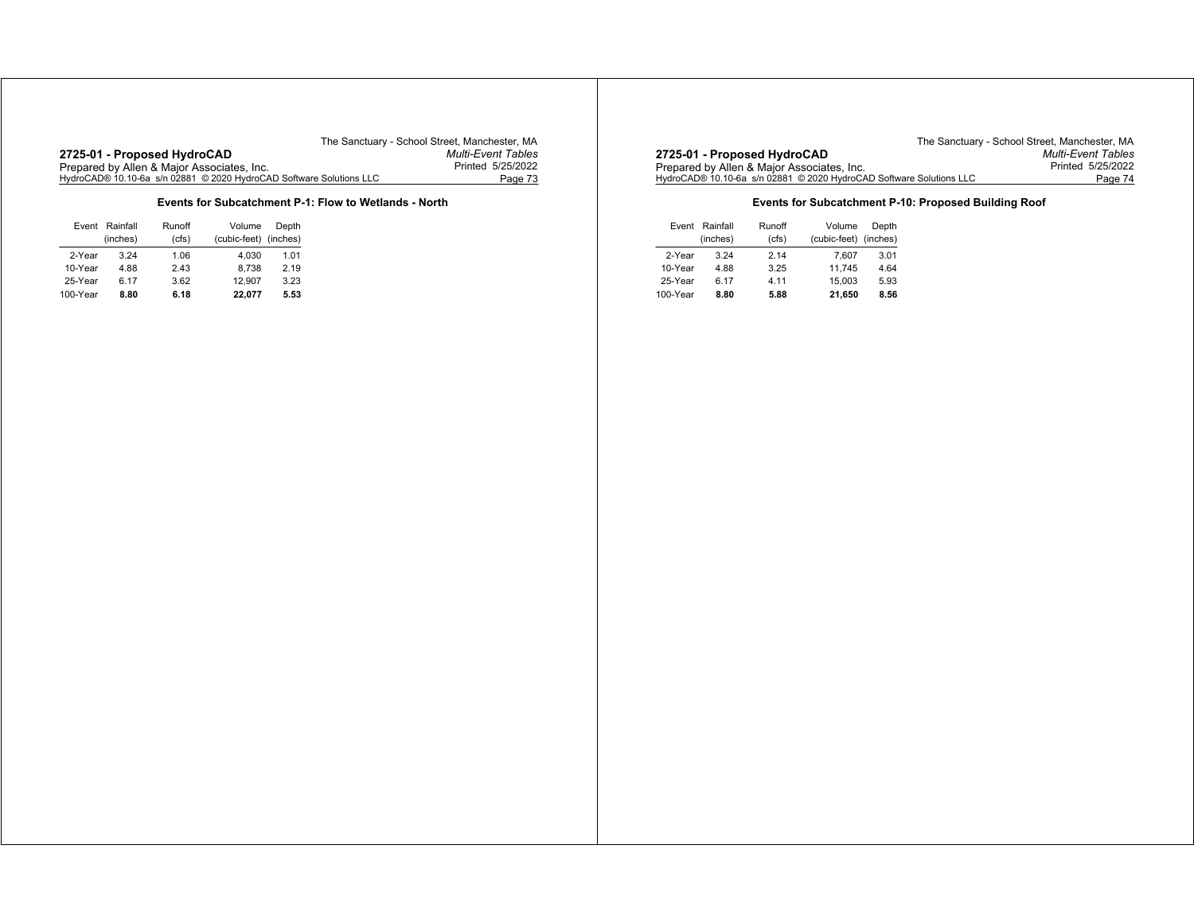## **Events for Subcatchment P-1: Flow to Wetlands - North**

| Event    | Rainfall | Runoff | Volume                | Depth |
|----------|----------|--------|-----------------------|-------|
|          | (inches) | (cfs)  | (cubic-feet) (inches) |       |
| 2-Year   | 3.24     | 1.06   | 4.030                 | 1.01  |
| 10-Year  | 4.88     | 2.43   | 8.738                 | 2.19  |
| 25-Year  | 6.17     | 3.62   | 12.907                | 3.23  |
| 100-Year | 8.80     | 6.18   | 22,077                | 5.53  |

The Sanctuary - School Street, Manchester, MA<br>Multi-Event Tables **2725-01 - Proposed HydroCAD** *Multi-Event Tables* Prepared by Allen & Major Associates, Inc. Printed 5/25/2022 HydroCAD® 10.10-6a s/n 02881 © 2020 HydroCAD Software Solutions LLC Page 74

## **Events for Subcatchment P-10: Proposed Building Roof**

|          | Event Rainfall | Runoff | Volume                | Depth |
|----------|----------------|--------|-----------------------|-------|
|          | (inches)       | (cfs)  | (cubic-feet) (inches) |       |
| 2-Year   | 3.24           | 2.14   | 7.607                 | 3.01  |
| 10-Year  | 4.88           | 3.25   | 11.745                | 4.64  |
| 25-Year  | 6.17           | 4.11   | 15.003                | 5.93  |
| 100-Year | 8.80           | 5.88   | 21,650                | 8.56  |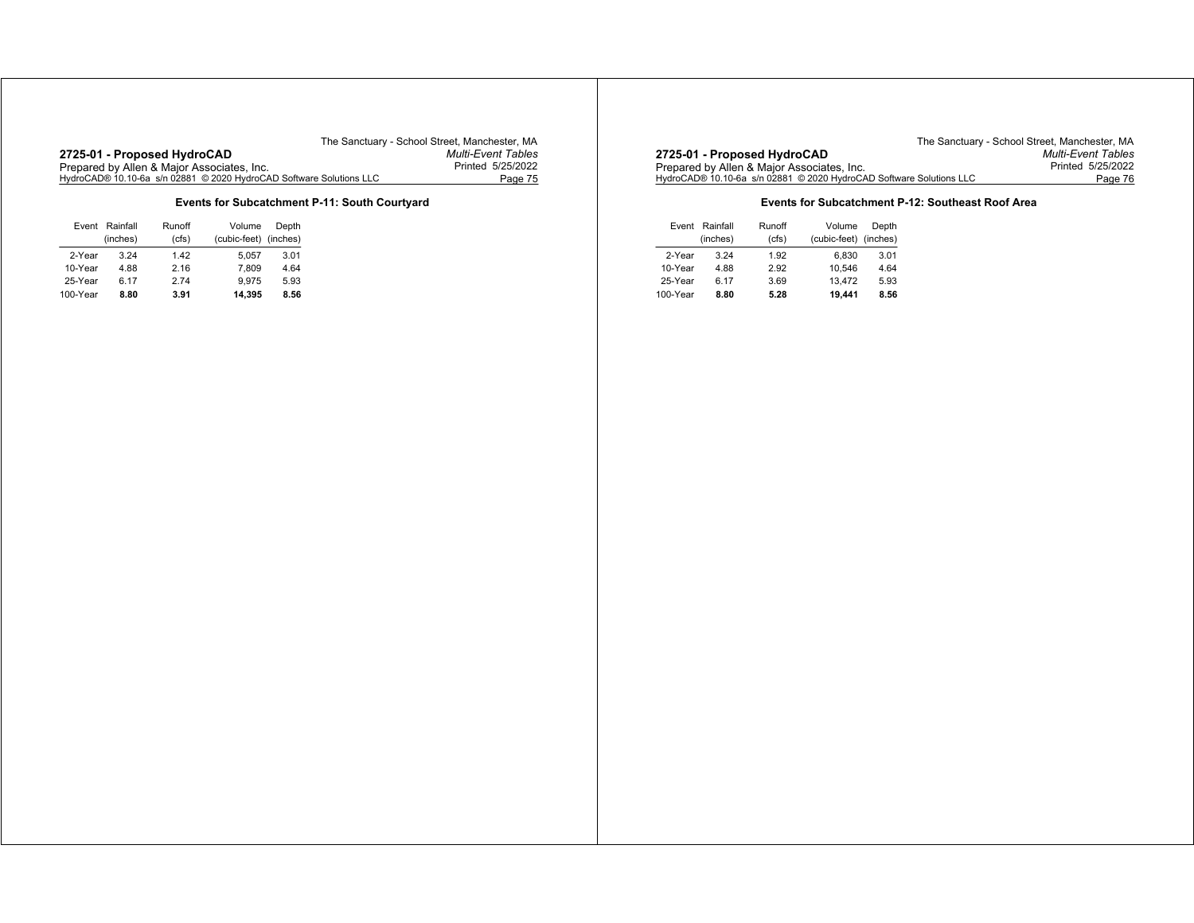**Events for Subcatchment P-11: South Courtyard**

|          | Event Rainfall | Runoff | Volume                | Depth |
|----------|----------------|--------|-----------------------|-------|
|          | (inches)       | (cfs)  | (cubic-feet) (inches) |       |
| 2-Year   | 3 24           | 1.42   | 5.057                 | 3.01  |
| 10-Year  | 4.88           | 2.16   | 7.809                 | 4.64  |
| 25-Year  | 6.17           | 274    | 9.975                 | 5.93  |
| 100-Year | 8.80           | 3.91   | 14.395                | 8.56  |

The Sanctuary - School Street, Manchester, MA<br>Multi-Event Tables **2725-01 - Proposed HydroCAD** *Multi-Event Tables* Prepared by Allen & Major Associates, Inc. Printed 5/25/2022 HydroCAD® 10.10-6a s/n 02881 © 2020 HydroCAD Software Solutions LLC Page 76

## **Events for Subcatchment P-12: Southeast Roof Area**

|          | Event Rainfall | Runoff | Volume                | Depth |
|----------|----------------|--------|-----------------------|-------|
|          | (inches)       | (cfs)  | (cubic-feet) (inches) |       |
| 2-Year   | 3.24           | 1.92   | 6.830                 | 3.01  |
| 10-Year  | 4.88           | 2.92   | 10.546                | 4.64  |
| 25-Year  | 6.17           | 3.69   | 13.472                | 5.93  |
| 100-Year | 8.80           | 5.28   | 19.441                | 8.56  |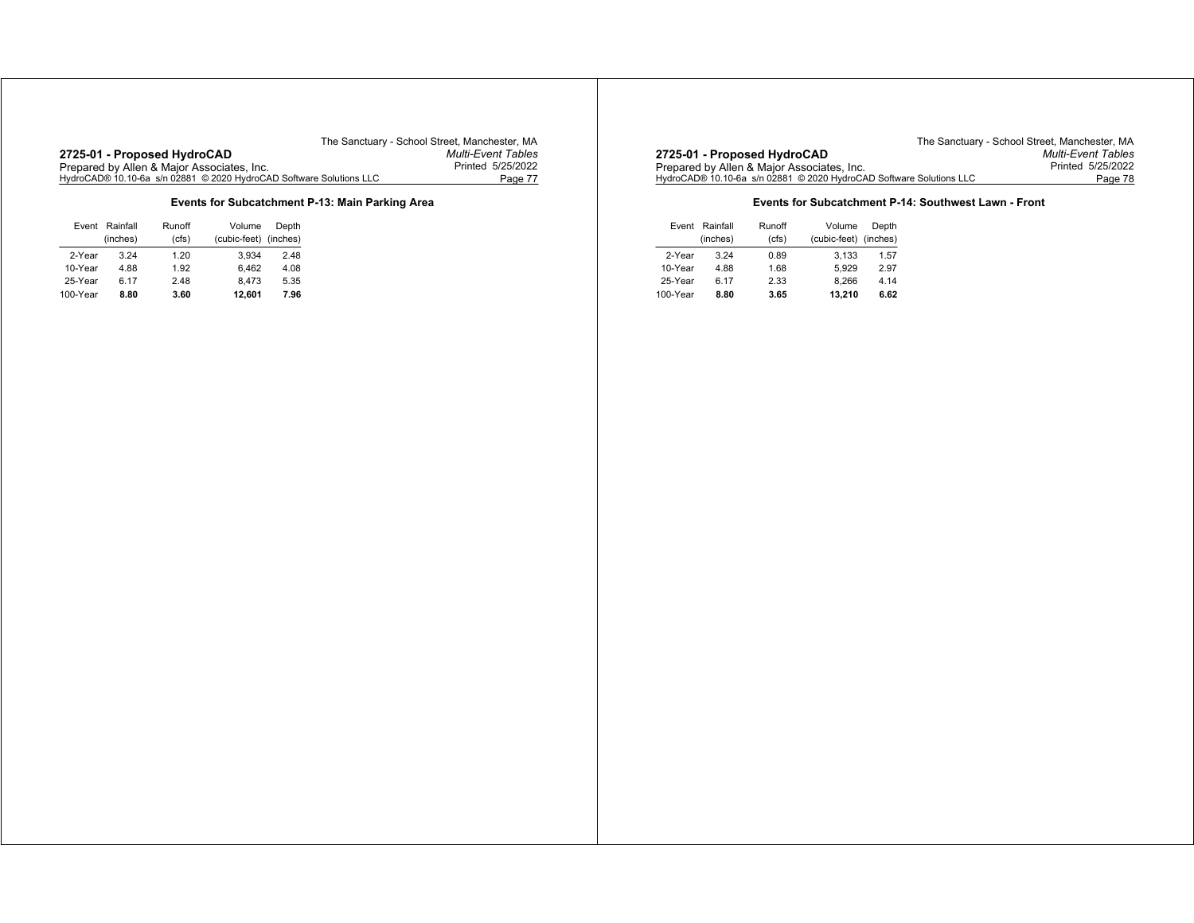#### **Events for Subcatchment P-13: Main Parking Area**

| Event    | Rainfall | Runoff | Volume                | Depth |
|----------|----------|--------|-----------------------|-------|
|          | (inches) | (cfs)  | (cubic-feet) (inches) |       |
| 2-Year   | 3 24     | 1.20   | 3.934                 | 2.48  |
| 10-Year  | 4.88     | 1.92   | 6.462                 | 4.08  |
| 25-Year  | 6.17     | 2.48   | 8.473                 | 5.35  |
| 100-Year | 8.80     | 3.60   | 12,601                | 7.96  |

The Sanctuary - School Street, Manchester, MA<br>Multi-Event Tables **2725-01 - Proposed HydroCAD** *Multi-Event Tables* Prepared by Allen & Major Associates, Inc. Printed 5/25/2022 HydroCAD® 10.10-6a s/n 02881 © 2020 HydroCAD Software Solutions LLC Page 78

## **Events for Subcatchment P-14: Southwest Lawn - Front**

|          | Event Rainfall | Runoff | Volume                | Depth |
|----------|----------------|--------|-----------------------|-------|
|          | (inches)       | (cfs)  | (cubic-feet) (inches) |       |
| 2-Year   | 3.24           | 0.89   | 3.133                 | 1.57  |
| 10-Year  | 4.88           | 1.68   | 5.929                 | 2.97  |
| 25-Year  | 6.17           | 2.33   | 8.266                 | 4.14  |
| 100-Year | 8.80           | 3.65   | 13.210                | 6.62  |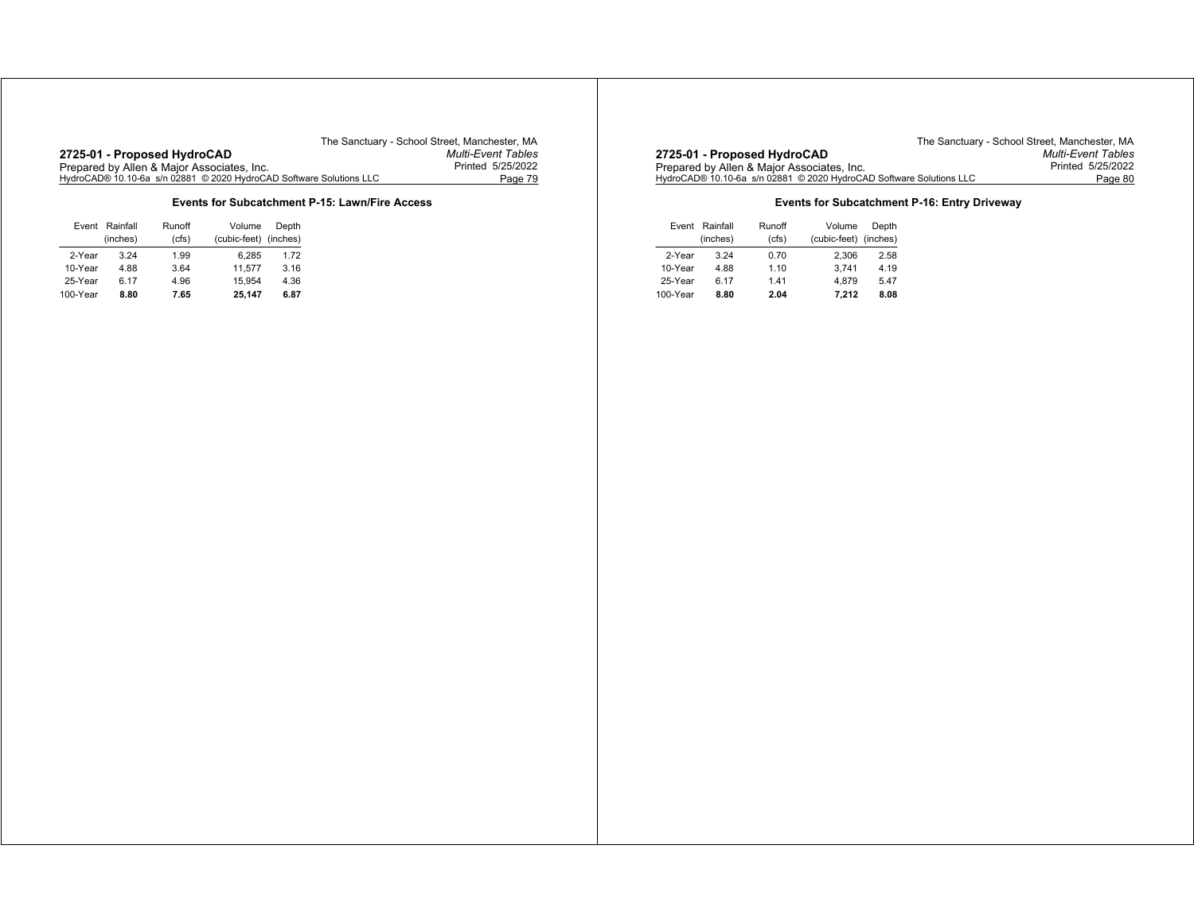**Events for Subcatchment P-15: Lawn/Fire Access**

| Event    | Rainfall | Runoff | Volume                | Depth |
|----------|----------|--------|-----------------------|-------|
|          | (inches) | (cfs)  | (cubic-feet) (inches) |       |
| 2-Year   | 3 24     | 1.99   | 6.285                 | 1.72  |
| 10-Year  | 4.88     | 3.64   | 11.577                | 3.16  |
| 25-Year  | 6.17     | 4.96   | 15.954                | 4.36  |
| 100-Year | 8.80     | 7.65   | 25,147                | 6.87  |

The Sanctuary - School Street, Manchester, MA<br>Multi-Event Tables **2725-01 - Proposed HydroCAD** *Multi-Event Tables* Prepared by Allen & Major Associates, Inc. Printed 5/25/2022 HydroCAD® 10.10-6a s/n 02881 © 2020 HydroCAD Software Solutions LLC Page 80

## **Events for Subcatchment P-16: Entry Driveway**

|          | Event Rainfall | Runoff | Volume                | Depth |
|----------|----------------|--------|-----------------------|-------|
|          | (inches)       | (cfs)  | (cubic-feet) (inches) |       |
| 2-Year   | 3.24           | 0.70   | 2.306                 | 2.58  |
| 10-Year  | 4.88           | 1.10   | 3.741                 | 4.19  |
| 25-Year  | 6.17           | 1.41   | 4.879                 | 5.47  |
| 100-Year | 8.80           | 2.04   | 7.212                 | 8.08  |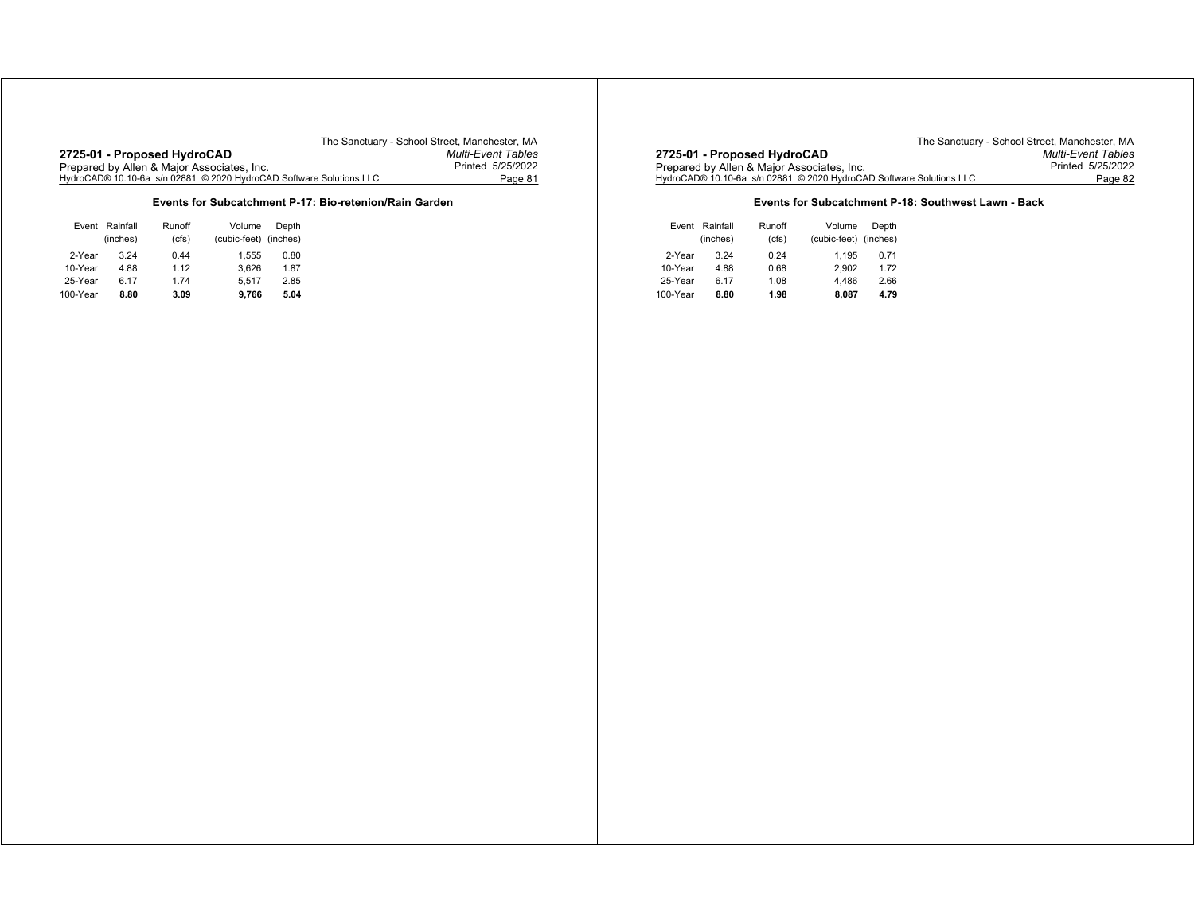## **Events for Subcatchment P-17: Bio-retenion/Rain Garden**

|          | Event Rainfall | Runoff | Volume                | Depth |
|----------|----------------|--------|-----------------------|-------|
|          | (inches)       | (cfs)  | (cubic-feet) (inches) |       |
| 2-Year   | 3.24           | 0.44   | 1.555                 | 0.80  |
| 10-Year  | 4.88           | 1.12   | 3.626                 | 1.87  |
| 25-Year  | 6.17           | 1.74   | 5.517                 | 2.85  |
| 100-Year | 8.80           | 3.09   | 9.766                 | 5.04  |

The Sanctuary - School Street, Manchester, MA<br>Multi-Event Tables **2725-01 - Proposed HydroCAD** *Multi-Event Tables* Prepared by Allen & Major Associates, Inc. Printed 5/25/2022 HydroCAD® 10.10-6a s/n 02881 © 2020 HydroCAD Software Solutions LLC Page 82

## **Events for Subcatchment P-18: Southwest Lawn - Back**

|          | Event Rainfall | Runoff | Volume                | Depth |
|----------|----------------|--------|-----------------------|-------|
|          | (inches)       | (cfs)  | (cubic-feet) (inches) |       |
| 2-Year   | 3.24           | 0.24   | 1.195                 | 0.71  |
| 10-Year  | 4.88           | 0.68   | 2.902                 | 1.72  |
| 25-Year  | 6.17           | 1.08   | 4.486                 | 2.66  |
| 100-Year | 8.80           | 1.98   | 8.087                 | 4.79  |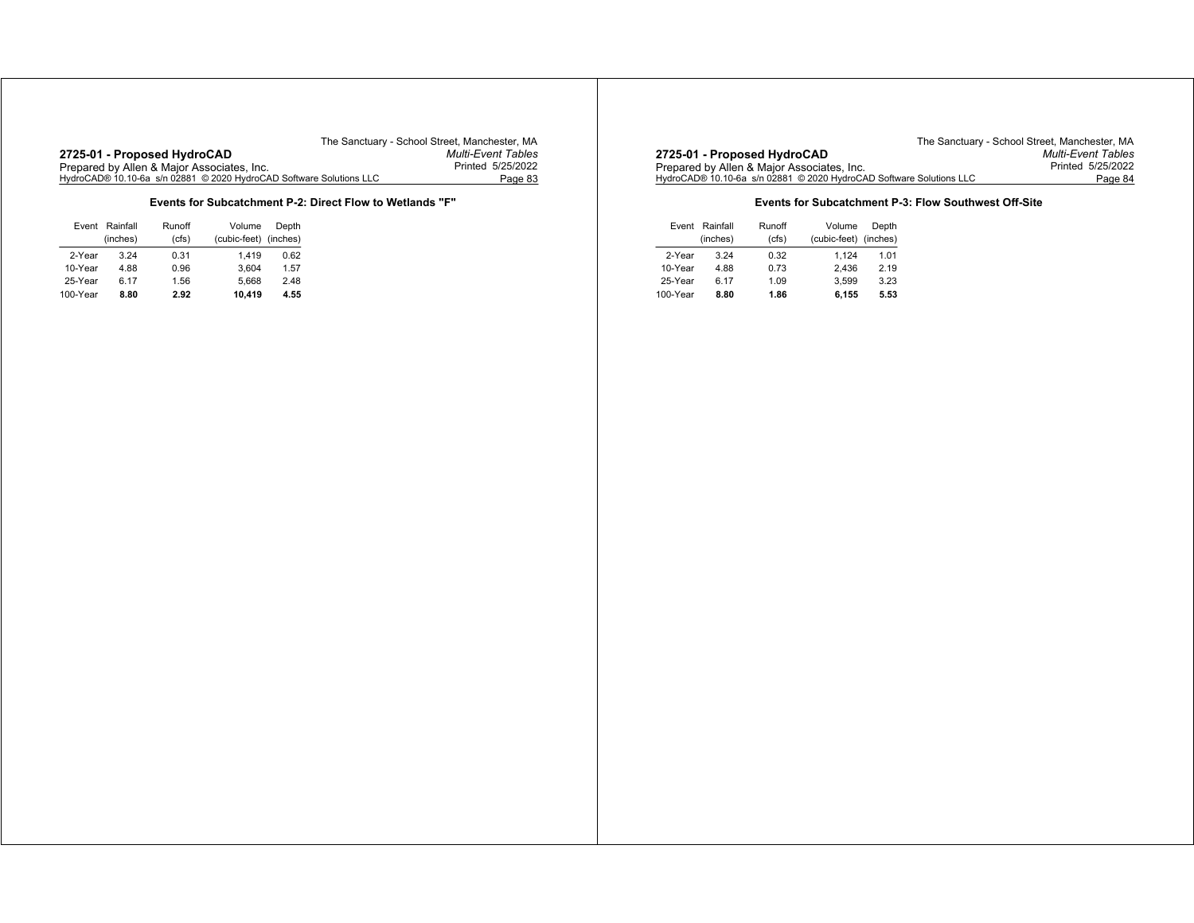**Events for Subcatchment P-2: Direct Flow to Wetlands "F"**

|          | Event Rainfall | Runoff | Volume                | Depth |
|----------|----------------|--------|-----------------------|-------|
|          | (inches)       | (cfs)  | (cubic-feet) (inches) |       |
| 2-Year   | 3 24           | 0.31   | 1.419                 | 0.62  |
| 10-Year  | 4.88           | 0.96   | 3.604                 | 1.57  |
| 25-Year  | 6.17           | 1.56   | 5.668                 | 2.48  |
| 100-Year | 8.80           | 2.92   | 10.419                | 4.55  |

The Sanctuary - School Street, Manchester, MA<br>Multi-Event Tables **2725-01 - Proposed HydroCAD** *Multi-Event Tables* Prepared by Allen & Major Associates, Inc. Printed 5/25/2022 HydroCAD® 10.10-6a s/n 02881 © 2020 HydroCAD Software Solutions LLC Page 84

## **Events for Subcatchment P-3: Flow Southwest Off-Site**

| Event    | Rainfall | Runoff | Volume                | Depth |
|----------|----------|--------|-----------------------|-------|
|          | (inches) | (cfs)  | (cubic-feet) (inches) |       |
| 2-Year   | 3.24     | 0.32   | 1.124                 | 1.01  |
| 10-Year  | 4.88     | 0.73   | 2.436                 | 2.19  |
| 25-Year  | 6.17     | 1.09   | 3.599                 | 3.23  |
| 100-Year | 8.80     | 1.86   | 6.155                 | 5.53  |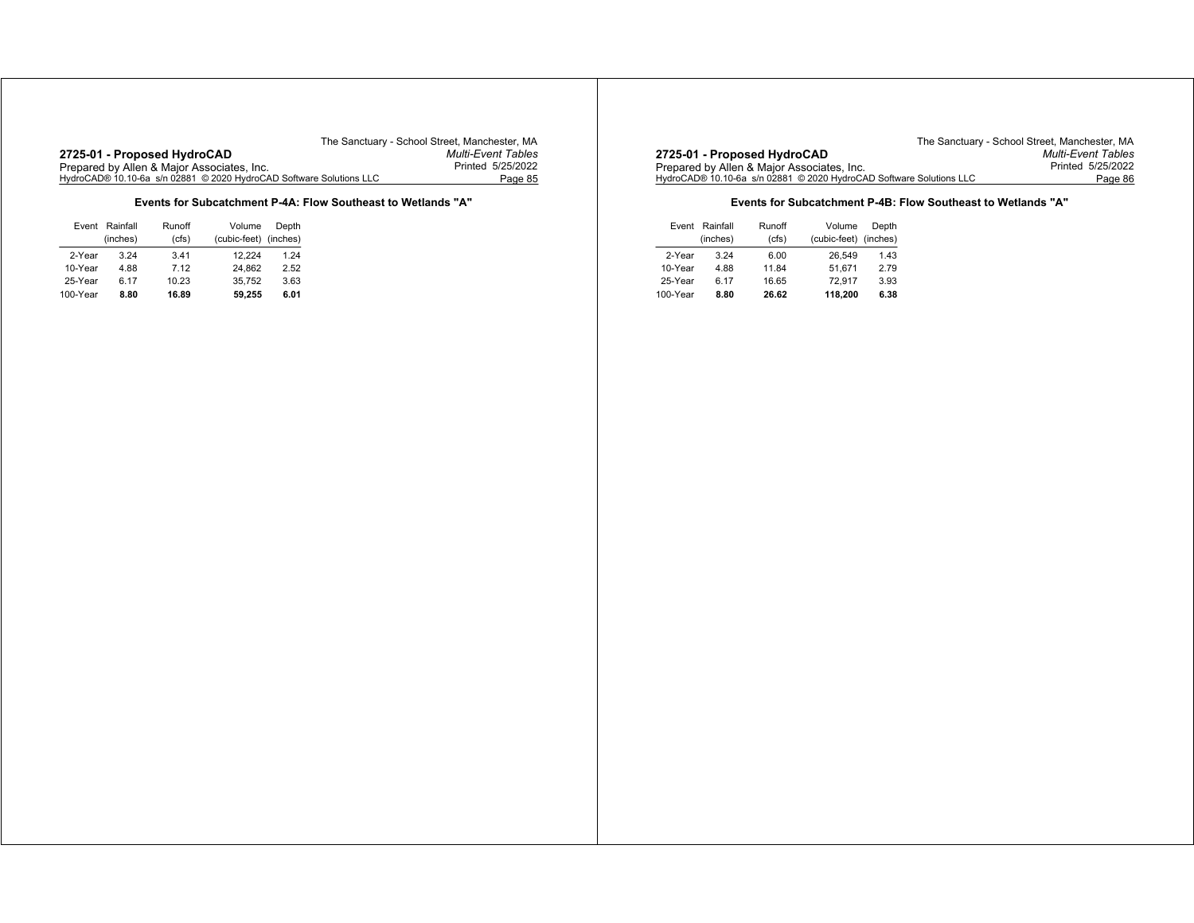**2725-01 - Proposed HydroCAD** *Multi-Event Tables* Prepared by Allen & Major Associates, Inc. Printed 5/25/2022 HydroCAD® 10.10-6a s/n 02881 © 2020 HydroCAD Software Solutions LLC Page 85

The Sanctuary - School Street, Manchester, MA<br>Multi-Event Tables

## **Events for Subcatchment P-4A: Flow Southeast to Wetlands "A"**

|          | Event Rainfall | Runoff | Volume                | Depth |
|----------|----------------|--------|-----------------------|-------|
|          | (inches)       | (cfs)  | (cubic-feet) (inches) |       |
| 2-Year   | 3.24           | 3.41   | 12.224                | 1.24  |
| 10-Year  | 4.88           | 7.12   | 24.862                | 2.52  |
| 25-Year  | 6.17           | 10.23  | 35.752                | 3.63  |
| 100-Year | 8.80           | 16.89  | 59.255                | 6.01  |

The Sanctuary - School Street, Manchester, MA<br>Multi-Event Tables **2725-01 - Proposed HydroCAD** *Multi-Event Tables* Prepared by Allen & Major Associates, Inc. Printed 5/25/2022 HydroCAD® 10.10-6a s/n 02881 © 2020 HydroCAD Software Solutions LLC Page 86

## **Events for Subcatchment P-4B: Flow Southeast to Wetlands "A"**

|          | Event Rainfall | Runoff | Volume                | Depth |
|----------|----------------|--------|-----------------------|-------|
|          | (inches)       | (cfs)  | (cubic-feet) (inches) |       |
| 2-Year   | 3.24           | 6.00   | 26.549                | 1.43  |
| 10-Year  | 4.88           | 11.84  | 51.671                | 2.79  |
| 25-Year  | 6.17           | 16.65  | 72.917                | 3.93  |
| 100-Year | 8.80           | 26.62  | 118.200               | 6.38  |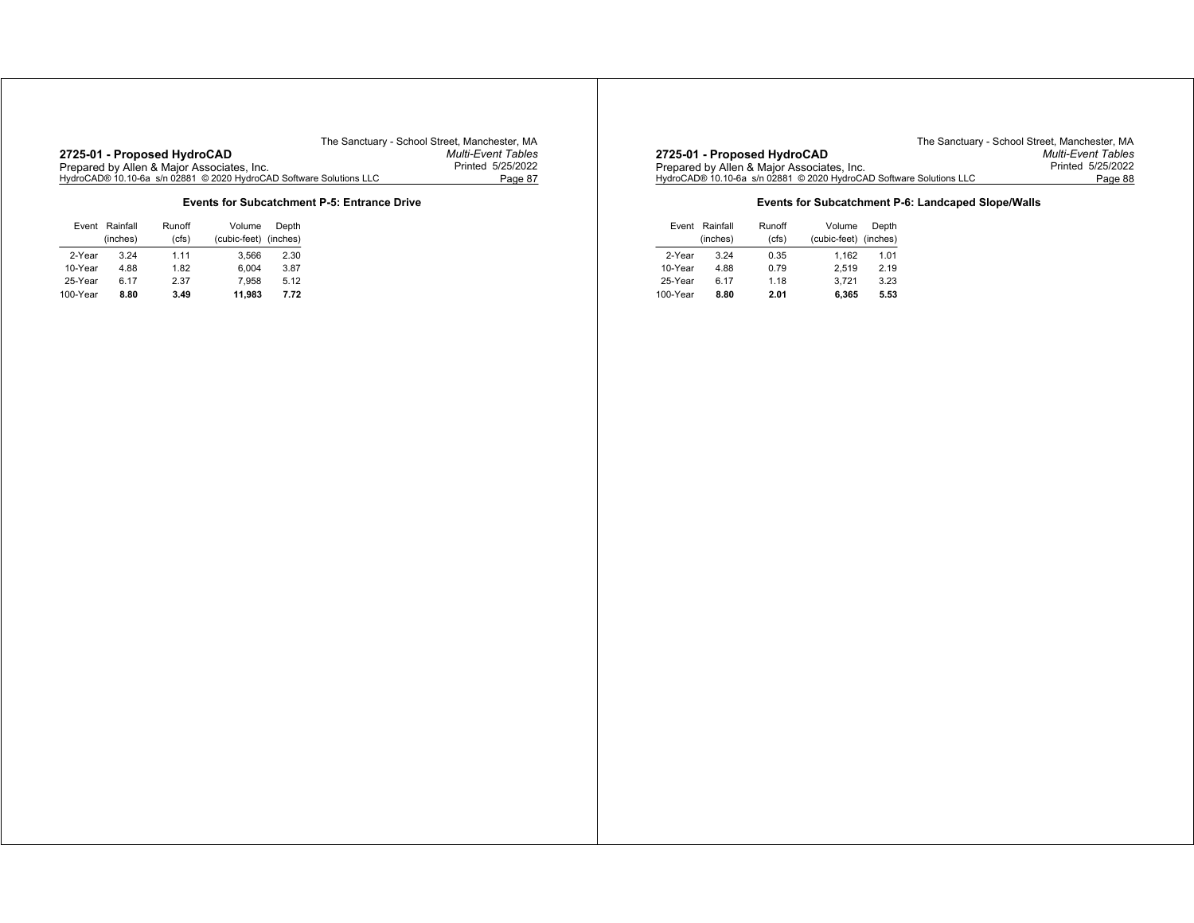# **2725-01 - Proposed HydroCAD** *Multi-Event Tables* Prepared by Allen & Major Associates, Inc. Printed 5/25/2022 HydroCAD® 10.10-6a s/n 02881 © 2020 HydroCAD Software Solutions LLC Page 87

The Sanctuary - School Street, Manchester, MA<br>Multi-Event Tables

## **Events for Subcatchment P-5: Entrance Drive**

| Event    | Rainfall | Runoff | Volume       | Depth    |
|----------|----------|--------|--------------|----------|
|          | (inches) | (cfs)  | (cubic-feet) | (inches) |
| 2-Year   | 3 24     | 1.11   | 3.566        | 2.30     |
| 10-Year  | 4.88     | 1.82   | 6.004        | 3.87     |
| 25-Year  | 6.17     | 2.37   | 7.958        | 5.12     |
| 100-Year | 8.80     | 3.49   | 11.983       | 7.72     |

|                                                                                                       | The Sanctuary - School Street. Manchester. MA |
|-------------------------------------------------------------------------------------------------------|-----------------------------------------------|
| 2725-01 - Proposed HydroCAD                                                                           | <b>Multi-Event Tables</b>                     |
| Prepared by Allen & Major Associates, Inc.                                                            | Printed 5/25/2022                             |
| HvdroCAD® 10.10-6a_s/n                                   02881_© 2020 HvdroCAD Software Solutions LLC | Page 88                                       |
|                                                                                                       |                                               |

## **Events for Subcatchment P-6: Landcaped Slope/Walls**

| Event Rainfall |          | Runoff | Volume                | Depth |
|----------------|----------|--------|-----------------------|-------|
|                | (inches) | (cfs)  | (cubic-feet) (inches) |       |
| 2-Year         | 3.24     | 0.35   | 1.162                 | 1.01  |
| 10-Year        | 4.88     | 0.79   | 2.519                 | 2.19  |
| 25-Year        | 6.17     | 1.18   | 3.721                 | 3.23  |
| 100-Year       | 8.80     | 2.01   | 6.365                 | 5.53  |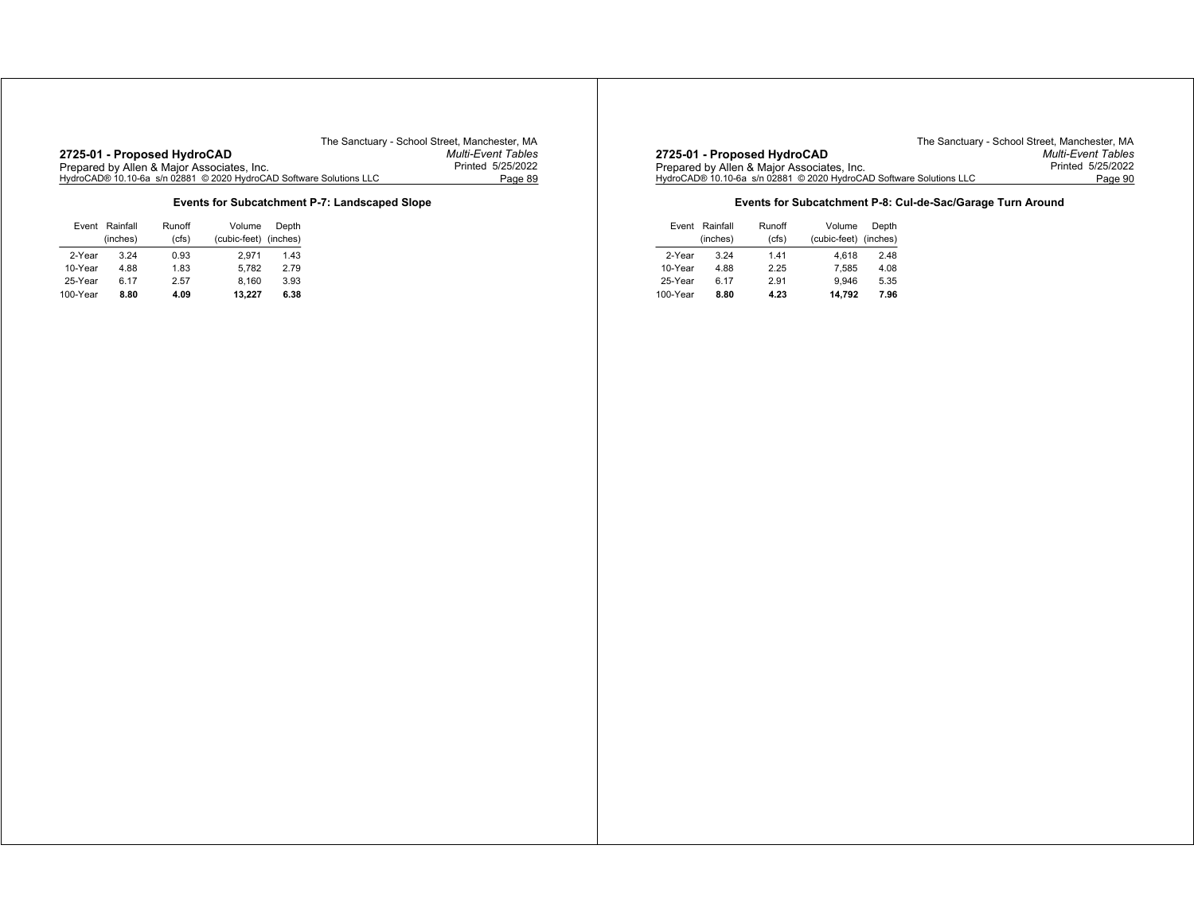**Events for Subcatchment P-7: Landscaped Slope**

| Event    | Rainfall | Runoff | Volume       | Depth    |
|----------|----------|--------|--------------|----------|
|          | (inches) | (cfs)  | (cubic-feet) | (inches) |
| 2-Year   | 3 24     | 0.93   | 2.971        | 1.43     |
| 10-Year  | 4.88     | 1.83   | 5.782        | 2.79     |
| 25-Year  | 6.17     | 2.57   | 8.160        | 3.93     |
| 100-Year | 8.80     | 4.09   | 13.227       | 6.38     |

The Sanctuary - School Street, Manchester, MA<br>Multi-Event Tables **2725-01 - Proposed HydroCAD** *Multi-Event Tables* Prepared by Allen & Major Associates, Inc. Printed 5/25/2022 HydroCAD® 10.10-6a s/n 02881 © 2020 HydroCAD Software Solutions LLC Page 90

## **Events for Subcatchment P-8: Cul-de-Sac/Garage Turn Around**

|          | Event Rainfall | Runoff<br>Volume |                       | Depth |
|----------|----------------|------------------|-----------------------|-------|
|          | (inches)       | (cfs)            | (cubic-feet) (inches) |       |
| 2-Year   | 3.24           | 1.41             | 4.618                 | 2.48  |
| 10-Year  | 4.88           | 2.25             | 7.585                 | 4.08  |
| 25-Year  | 6.17           | 2.91             | 9.946                 | 5.35  |
| 100-Year | 8.80           | 4.23             | 14.792                | 7.96  |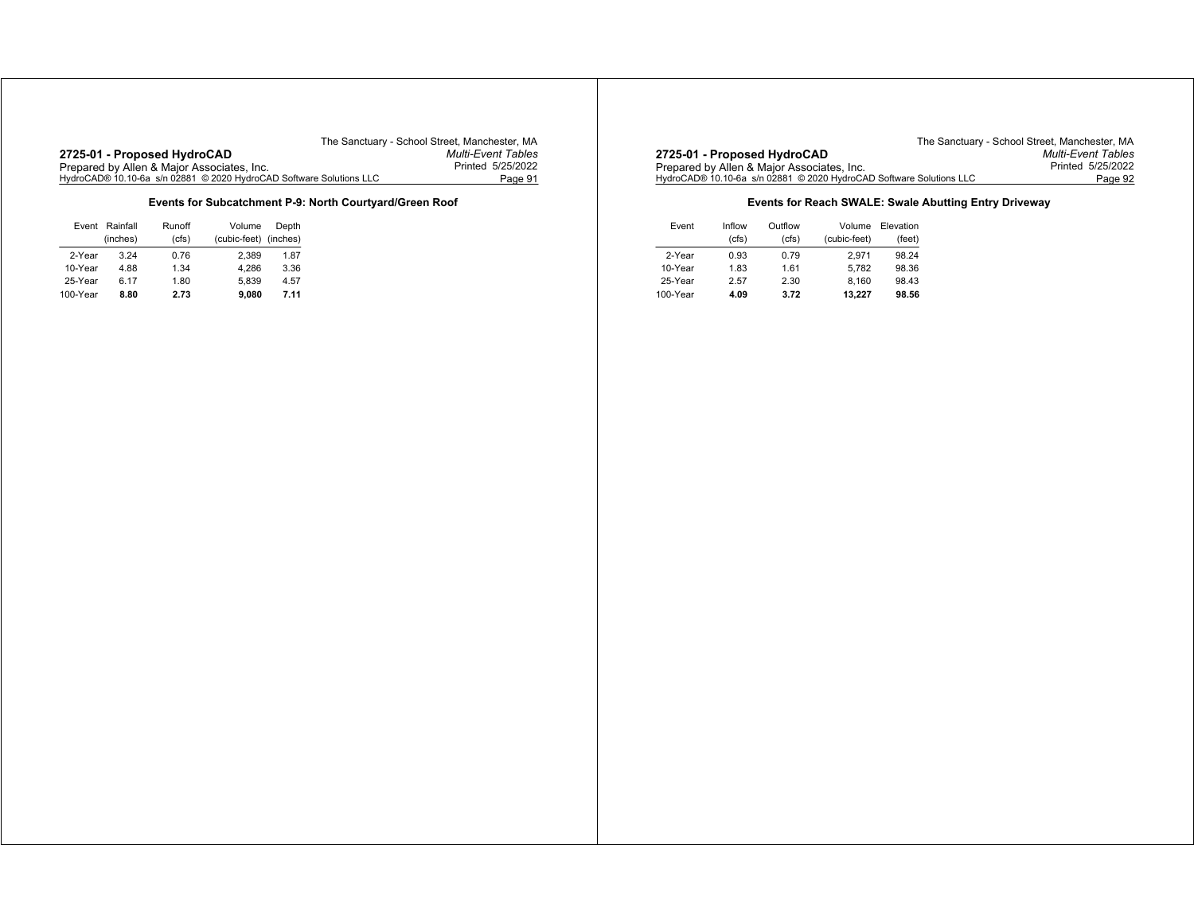**2725-01 - Proposed HydroCAD** *Multi-Event Tables* Prepared by Allen & Major Associates, Inc. Printed 5/25/2022 HydroCAD® 10.10-6a s/n 02881 © 2020 HydroCAD Software Solutions LLC Page 91

The Sanctuary - School Street, Manchester, MA<br>Multi-Event Tables

## **Events for Subcatchment P-9: North Courtyard/Green Roof**

|          | Event Rainfall | Runoff | Volume                | Depth |
|----------|----------------|--------|-----------------------|-------|
|          | (inches)       | (cfs)  | (cubic-feet) (inches) |       |
| 2-Year   | 3 24           | 0.76   | 2.389                 | 1.87  |
| 10-Year  | 4.88           | 1.34   | 4.286                 | 3.36  |
| 25-Year  | 6.17           | 1.80   | 5.839                 | 4.57  |
| 100-Year | 8.80           | 2.73   | 9.080                 | 7.11  |

The Sanctuary - School Street, Manchester, MA<br>Multi-Event Tables **2725-01 - Proposed HydroCAD** *Multi-Event Tables* Prepared by Allen & Major Associates, Inc. Printed 5/25/2022 HydroCAD® 10.10-6a s/n 02881 © 2020 HydroCAD Software Solutions LLC Page 92

## **Events for Reach SWALE: Swale Abutting Entry Driveway**

| Event    | Inflow | Outflow | Volume       | Elevation |
|----------|--------|---------|--------------|-----------|
|          | (cfs)  | (cfs)   | (cubic-feet) | (feet)    |
| 2-Year   | 0.93   | 0.79    | 2.971        | 98.24     |
| 10-Year  | 1.83   | 1.61    | 5.782        | 98.36     |
| 25-Year  | 2.57   | 2.30    | 8.160        | 98.43     |
| 100-Year | 4.09   | 3.72    | 13.227       | 98.56     |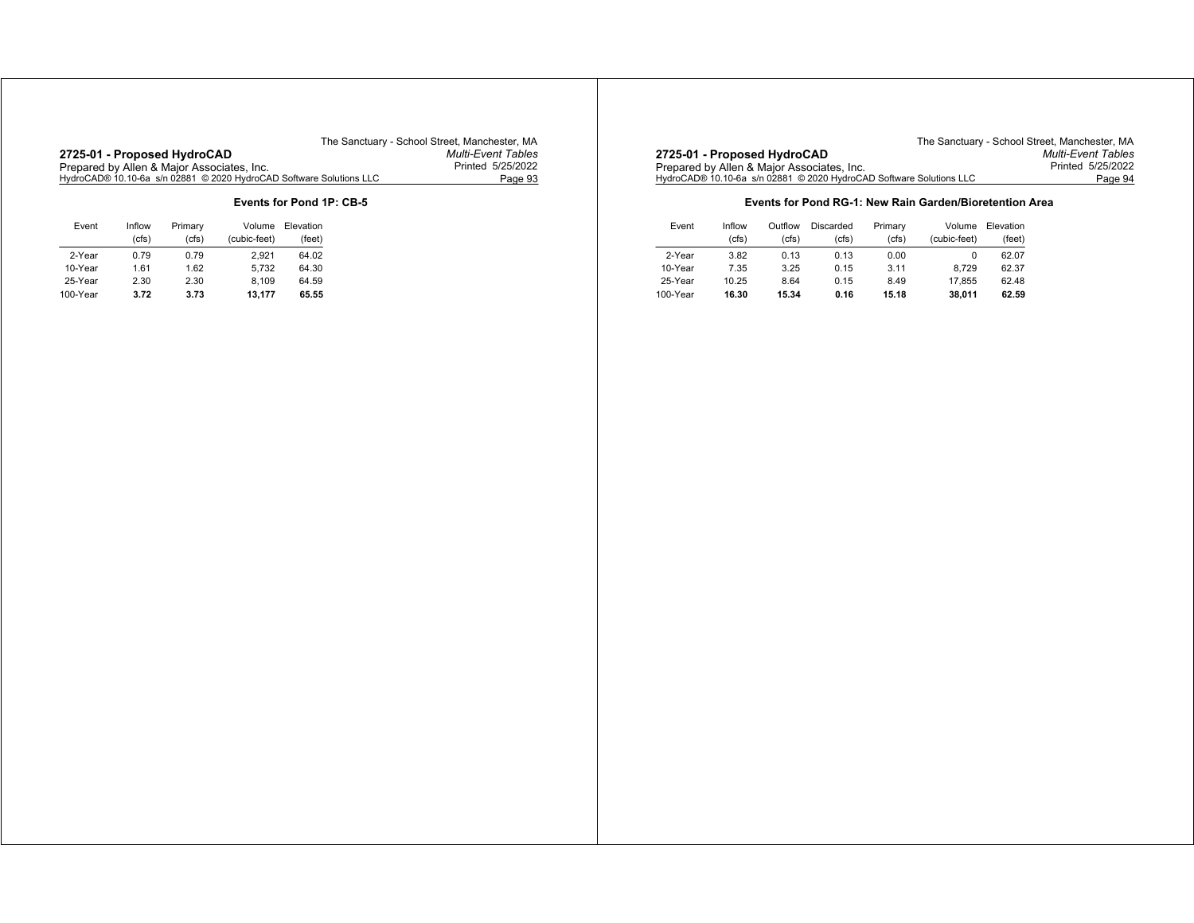# **2725-01 - Proposed HydroCAD** *Multi-Event Tables*

The Sanctuary - School Street, Manchester, MA<br>Multi-Event Tables Prepared by Allen & Major Associates, Inc. Printed 5/25/2022 HydroCAD® 10.10-6a s/n 02881 © 2020 HydroCAD Software Solutions LLC Page 93

## **Events for Pond 1P: CB-5**

| Event    | Inflow<br>(cfs) | Primary<br>(cfs) | Volume<br>(cubic-feet) | Elevation<br>(feet) |
|----------|-----------------|------------------|------------------------|---------------------|
| 2-Year   | 0.79            | 0.79             | 2.921                  | 64.02               |
| 10-Year  | 1.61            | 1.62             | 5.732                  | 64.30               |
| 25-Year  | 2.30            | 2.30             | 8.109                  | 64.59               |
| 100-Year | 3.72            | 3.73             | 13.177                 | 65.55               |

|                                                                     | The Sanctuary - School Street. Manchester. MA |
|---------------------------------------------------------------------|-----------------------------------------------|
| 2725-01 - Proposed HydroCAD                                         | <b>Multi-Event Tables</b>                     |
| Prepared by Allen & Major Associates, Inc.                          | Printed 5/25/2022                             |
| HydroCAD® 10.10-6a s/n 02881 © 2020 HydroCAD Software Solutions LLC | Page 94                                       |

### **Events for Pond RG-1: New Rain Garden/Bioretention Area**

| Event    | Inflow<br>(cfs) | Outflow<br>(cfs) | Discarded<br>cfs) | Primary<br>(cfs) | Volume<br>(cubic-feet) | Elevation<br>(feet) |
|----------|-----------------|------------------|-------------------|------------------|------------------------|---------------------|
| 2-Year   | 3.82            | 0.13             | 0.13              | 0.00             |                        | 62.07               |
| 10-Year  | 7.35            | 3.25             | 0.15              | 3.11             | 8.729                  | 62.37               |
| 25-Year  | 10.25           | 8.64             | 0.15              | 8.49             | 17.855                 | 62.48               |
| 100-Year | 16.30           | 15.34            | 0.16              | 15.18            | 38.011                 | 62.59               |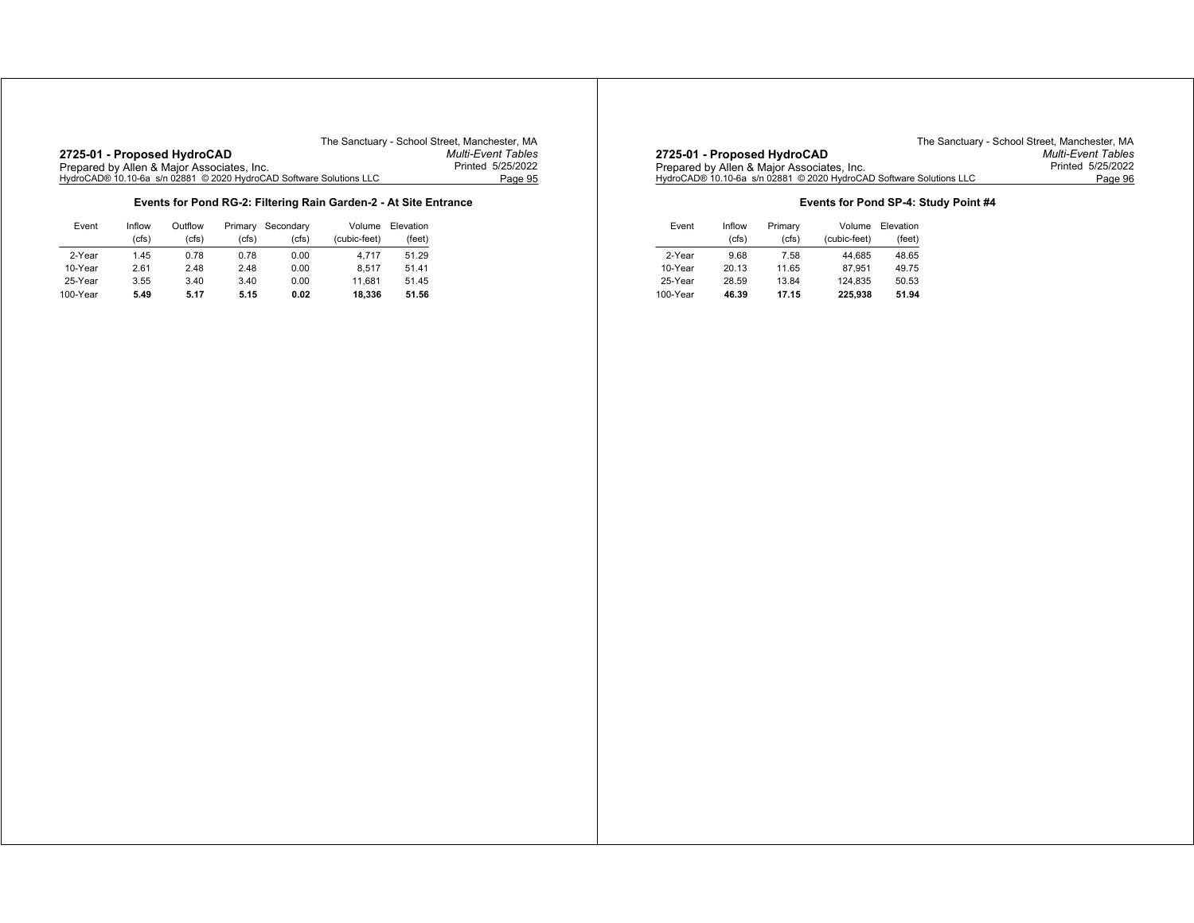|                                                                     | The Sanctuary - School Street, Manchester, MA |
|---------------------------------------------------------------------|-----------------------------------------------|
| 2725-01 - Proposed HydroCAD                                         | <b>Multi-Event Tables</b>                     |
| Prepared by Allen & Major Associates, Inc.                          | Printed 5/25/2022                             |
| HydroCAD® 10.10-6a s/n 02881 © 2020 HydroCAD Software Solutions LLC | Page 95                                       |

## **Events for Pond RG-2: Filtering Rain Garden-2 - At Site Entrance**

| Event    | Inflow | Outflow | Primary | Secondary | Volume       | Elevation |
|----------|--------|---------|---------|-----------|--------------|-----------|
|          | (cfs)  | (cfs)   | 'cfs)   | (cfs)     | (cubic-feet) | (feet)    |
| 2-Year   | 1.45   | 0.78    | 0.78    | 0.00      | 4.717        | 51.29     |
| 10-Year  | 2.61   | 2.48    | 2.48    | 0.00      | 8.517        | 51.41     |
| 25-Year  | 3.55   | 3.40    | 3.40    | 0.00      | 11.681       | 51.45     |
| 100-Year | 5.49   | 5.17    | 5.15    | 0.02      | 18.336       | 51.56     |

|                                                                     | The Sanctuary - School Street. Manchester. MA |
|---------------------------------------------------------------------|-----------------------------------------------|
| 2725-01 - Proposed HydroCAD                                         | <b>Multi-Event Tables</b>                     |
| Prepared by Allen & Major Associates, Inc.                          | Printed 5/25/2022                             |
| HydroCAD® 10.10-6a s/n 02881 © 2020 HydroCAD Software Solutions LLC | Page 96                                       |

## **Events for Pond SP-4: Study Point #4**

| Event    | Inflow | Primary | Volume       | Elevation |
|----------|--------|---------|--------------|-----------|
|          | (cfs)  | (cfs)   | (cubic-feet) | (feet)    |
| 2-Year   | 9.68   | 7.58    | 44.685       | 48.65     |
| 10-Year  | 20.13  | 11.65   | 87.951       | 49.75     |
| 25-Year  | 28.59  | 13.84   | 124.835      | 50.53     |
| 100-Year | 46.39  | 17.15   | 225.938      | 51.94     |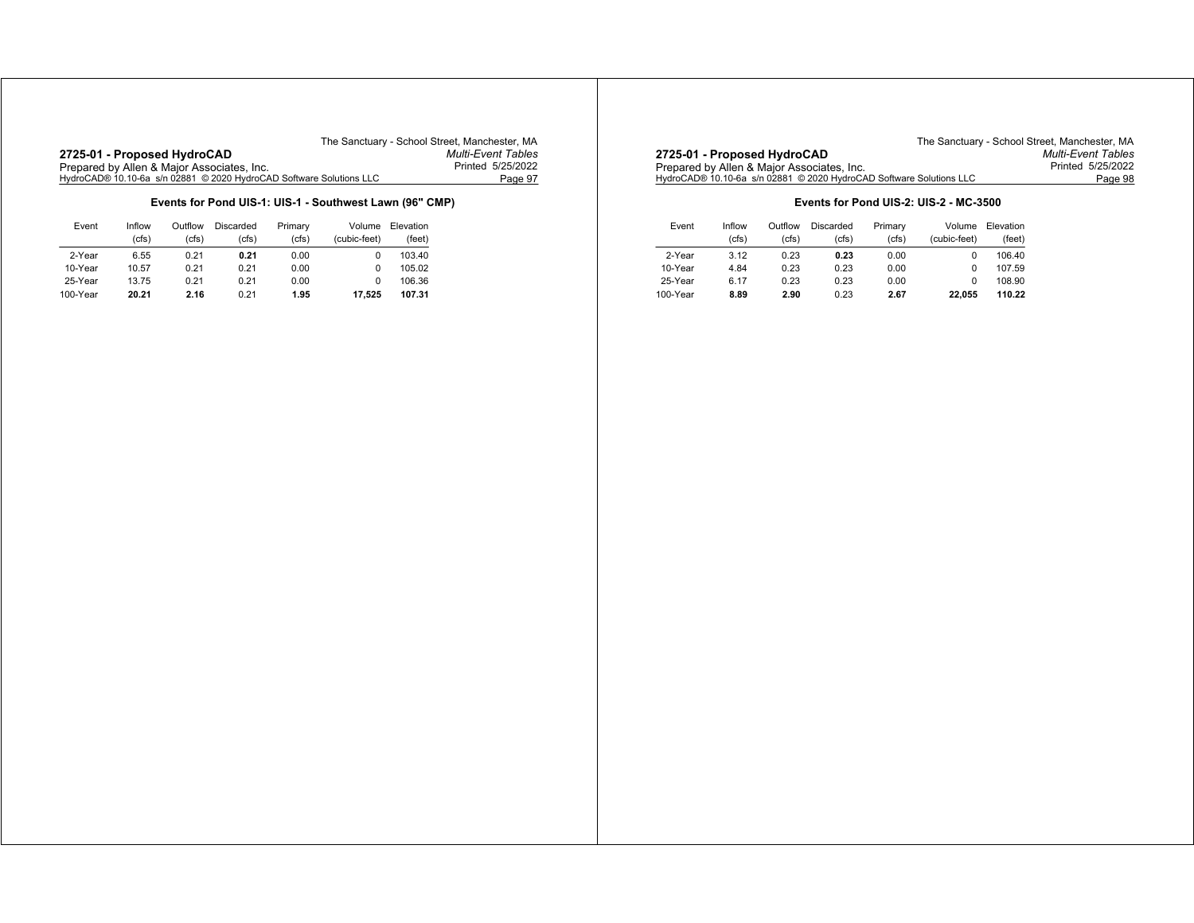|                                                                     | The Sanctuary - School Street, Manchester, MA |
|---------------------------------------------------------------------|-----------------------------------------------|
| 2725-01 - Proposed HydroCAD                                         | <b>Multi-Event Tables</b>                     |
| Prepared by Allen & Major Associates, Inc.                          | Printed 5/25/2022                             |
| HydroCAD® 10.10-6a s/n 02881 © 2020 HydroCAD Software Solutions LLC | Page 97                                       |

## **Events for Pond UIS-1: UIS-1 - Southwest Lawn (96" CMP)**

| Event    | Inflow | Outflow | Discarded | Primary | Volume       | Elevation |
|----------|--------|---------|-----------|---------|--------------|-----------|
|          | (cfs)  | (cfs)   | (cfs)     | (cfs)   | (cubic-feet) | (feet)    |
| 2-Year   | 6.55   | 0.21    | 0.21      | 0.00    | 0            | 103.40    |
| 10-Year  | 10.57  | 0.21    | 0.21      | 0.00    | 0            | 105.02    |
| 25-Year  | 13.75  | 0.21    | 0.21      | 0.00    | 0            | 106.36    |
| 100-Year | 20.21  | 2.16    | 0.21      | 1.95    | 17.525       | 107.31    |

|                                                                     | The Sanctuary - School Street, Manchester, MA |
|---------------------------------------------------------------------|-----------------------------------------------|
| 2725-01 - Proposed HydroCAD                                         | <b>Multi-Event Tables</b>                     |
| Prepared by Allen & Major Associates, Inc.                          | Printed 5/25/2022                             |
| HydroCAD® 10.10-6a s/n 02881 © 2020 HydroCAD Software Solutions LLC | Page 98                                       |

## **Events for Pond UIS-2: UIS-2 - MC-3500**

| Event    | Inflow<br>(cfs) | Outflow<br>(cfs) | Discarded<br>(cfs) | Primary<br>(cfs) | Volume<br>(cubic-feet) | Elevation<br>(feet) |
|----------|-----------------|------------------|--------------------|------------------|------------------------|---------------------|
| 2-Year   | 3.12            | 0.23             | 0.23               | 0.00             | 0                      | 106.40              |
| 10-Year  | 4.84            | 0.23             | 0.23               | 0.00             |                        | 107.59              |
| 25-Year  | 6.17            | 0.23             | 0.23               | 0.00             | 0                      | 108.90              |
| 100-Year | 8.89            | 2.90             | 0.23               | 2.67             | 22.055                 | 110.22              |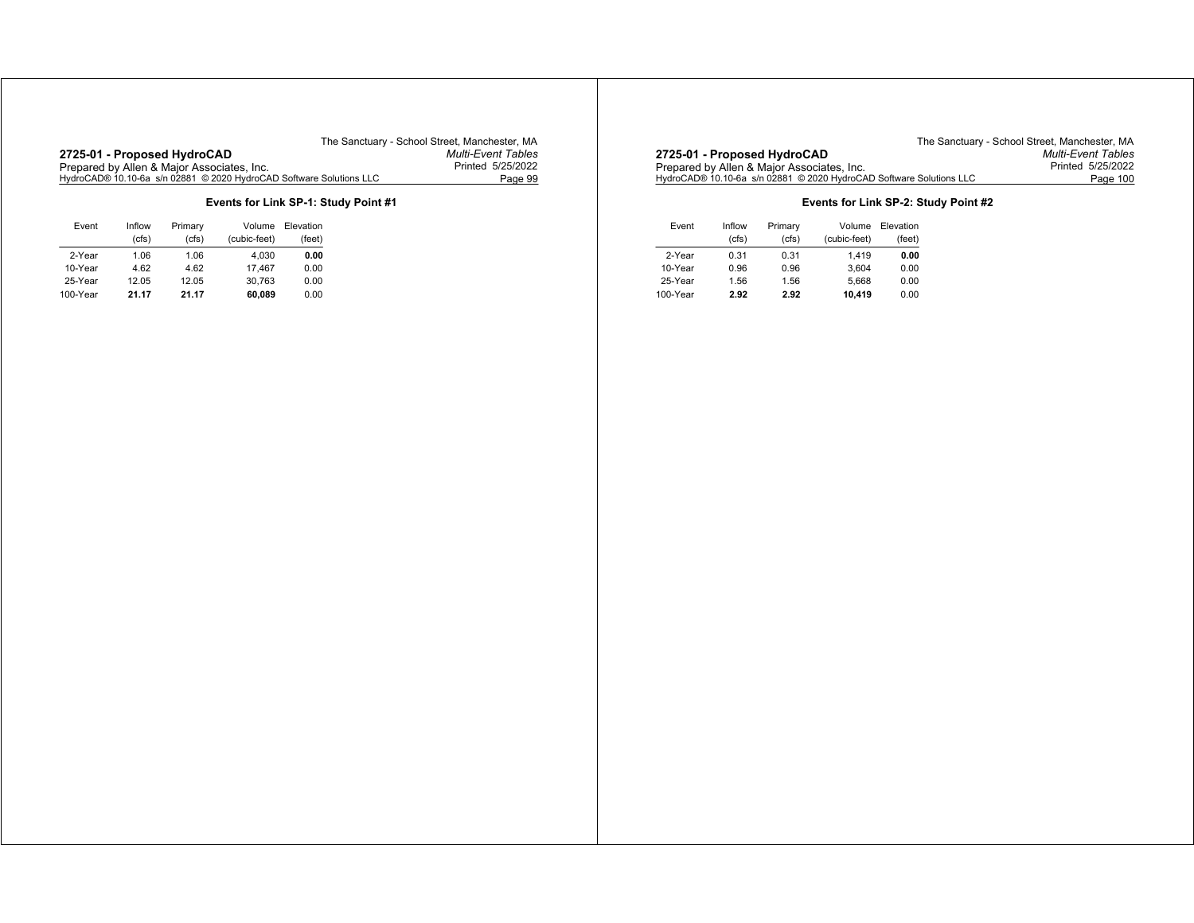# **2725-01 - Proposed HydroCAD** *Multi-Event Tables*

The Sanctuary - School Street, Manchester, MA<br>Multi-Event Tables Prepared by Allen & Major Associates, Inc. Printed 5/25/2022 HydroCAD® 10.10-6a s/n 02881 © 2020 HydroCAD Software Solutions LLC Page 99

## **Events for Link SP-1: Study Point #1**

| Event    | Inflow<br>(cfs) | Primary<br>(cfs) | Volume<br>(cubic-feet) | Elevation<br>(feet) |
|----------|-----------------|------------------|------------------------|---------------------|
| 2-Year   | 1.06            | 1.06             | 4.030                  | 0.00                |
| 10-Year  | 4.62            | 4.62             | 17.467                 | 0.00                |
| 25-Year  | 12.05           | 12.05            | 30.763                 | 0.00                |
| 100-Year | 21.17           | 21.17            | 60.089                 | 0.00                |

The Sanctuary - School Street, Manchester, MA<br>Multi-Event Tables **2725-01 - Proposed HydroCAD** *Multi-Event Tables* Prepared by Allen & Major Associates, Inc. Printed 5/25/2022 HydroCAD® 10.10-6a s/n 02881 © 2020 HydroCAD Software Solutions LLC Page 100

## **Events for Link SP-2: Study Point #2**

| Event    | Inflow | Primary | Volume       | Elevation |
|----------|--------|---------|--------------|-----------|
|          | (cfs)  | (cfs)   | (cubic-feet) | (feet)    |
| 2-Year   | 0.31   | 0.31    | 1.419        | 0.00      |
| 10-Year  | 0.96   | 0.96    | 3.604        | 0.00      |
| 25-Year  | 1.56   | 1.56    | 5.668        | 0.00      |
| 100-Year | 2.92   | 2.92    | 10.419       | 0.00      |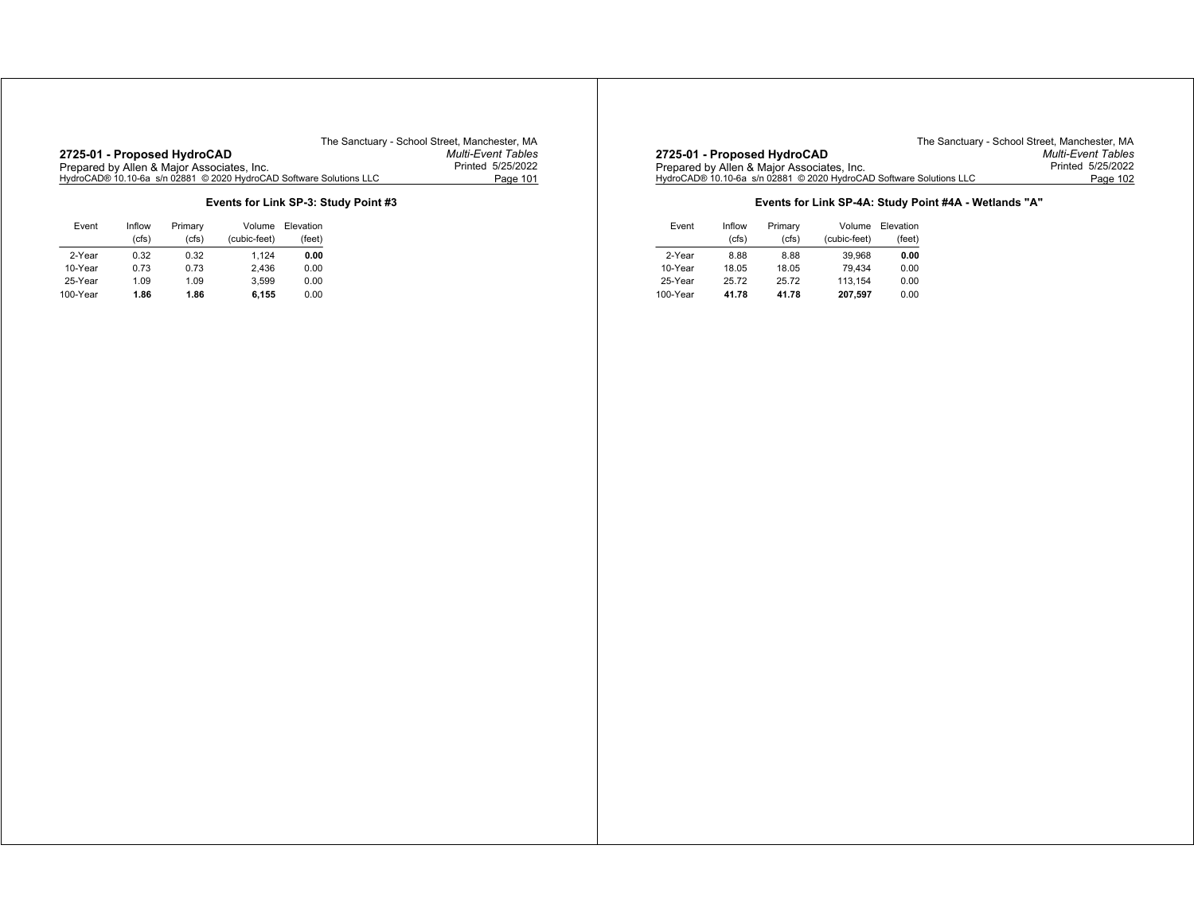## **2725-01 - Proposed HydroCAD** *Multi-Event Tables* Prepared by Allen & Major Associates, Inc. Printed 5/25/2022 HydroCAD® 10.10-6a s/n 02881 © 2020 HydroCAD Software Solutions LLC Page 101

The Sanctuary - School Street, Manchester, MA<br>Multi-Event Tables

## **Events for Link SP-3: Study Point #3**

| Event    | Inflow<br>(cfs) | Primary<br>(cfs) | Volume<br>(cubic-feet) | Elevation<br>(feet) |
|----------|-----------------|------------------|------------------------|---------------------|
| 2-Year   | 0.32            | 0.32             | 1.124                  | 0.00                |
| 10-Year  | 0.73            | 0.73             | 2.436                  | 0.00                |
| 25-Year  | 1.09            | 1.09             | 3.599                  | 0.00                |
| 100-Year | 1.86            | 1.86             | 6,155                  | 0.00                |

|                                                                     | The Sanctuary - School Street. Manchester. MA |
|---------------------------------------------------------------------|-----------------------------------------------|
| 2725-01 - Proposed HydroCAD                                         | <b>Multi-Event Tables</b>                     |
| Prepared by Allen & Major Associates, Inc.                          | Printed 5/25/2022                             |
| HydroCAD® 10.10-6a s/n 02881 © 2020 HydroCAD Software Solutions LLC | Page 102                                      |

## **Events for Link SP-4A: Study Point #4A - Wetlands "A"**

| Event    | Inflow | Primary | Volume       | Elevation |
|----------|--------|---------|--------------|-----------|
|          | (cfs)  | (cfs)   | (cubic-feet) | (feet)    |
| 2-Year   | 8.88   | 8.88    | 39.968       | 0.00      |
| 10-Year  | 18.05  | 18.05   | 79.434       | 0.00      |
| 25-Year  | 25.72  | 25.72   | 113.154      | 0.00      |
| 100-Year | 41.78  | 41.78   | 207,597      | 0.00      |